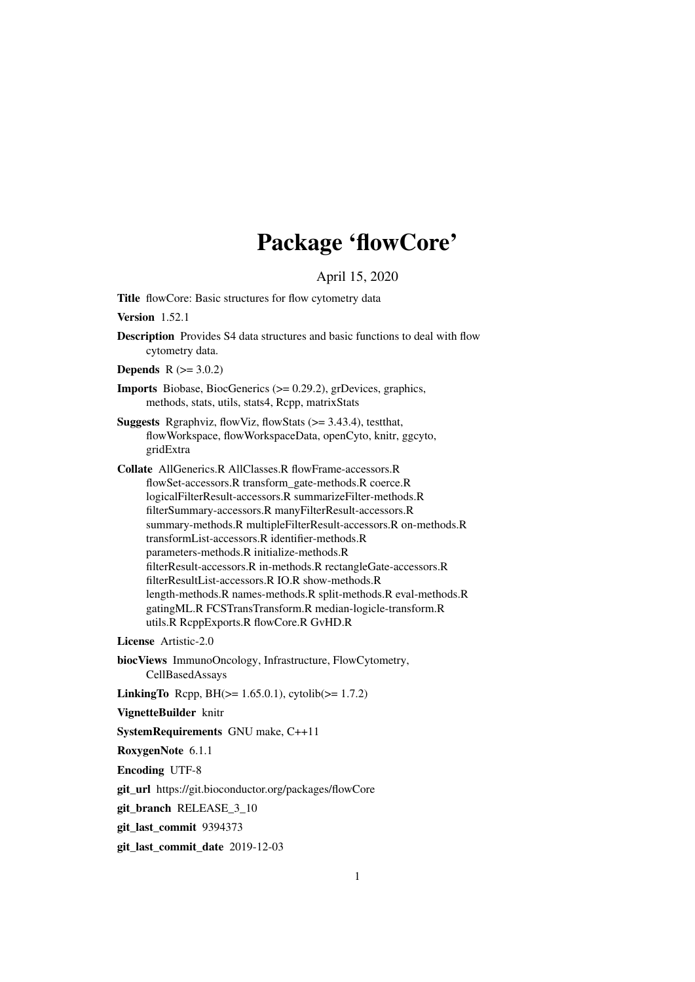# Package 'flowCore'

April 15, 2020

<span id="page-0-0"></span>Title flowCore: Basic structures for flow cytometry data

Version 1.52.1

Description Provides S4 data structures and basic functions to deal with flow cytometry data.

**Depends**  $R$  ( $>= 3.0.2$ )

Imports Biobase, BiocGenerics (>= 0.29.2), grDevices, graphics, methods, stats, utils, stats4, Rcpp, matrixStats

**Suggests** Rgraphviz, flowViz, flowStats  $(>= 3.43.4)$ , testthat, flowWorkspace, flowWorkspaceData, openCyto, knitr, ggcyto, gridExtra

Collate AllGenerics.R AllClasses.R flowFrame-accessors.R flowSet-accessors.R transform\_gate-methods.R coerce.R logicalFilterResult-accessors.R summarizeFilter-methods.R filterSummary-accessors.R manyFilterResult-accessors.R summary-methods.R multipleFilterResult-accessors.R on-methods.R transformList-accessors.R identifier-methods.R parameters-methods.R initialize-methods.R filterResult-accessors.R in-methods.R rectangleGate-accessors.R filterResultList-accessors.R IO.R show-methods.R length-methods.R names-methods.R split-methods.R eval-methods.R gatingML.R FCSTransTransform.R median-logicle-transform.R utils.R RcppExports.R flowCore.R GvHD.R

License Artistic-2.0

biocViews ImmunoOncology, Infrastructure, FlowCytometry, CellBasedAssays

**LinkingTo** Rcpp, BH( $> = 1.65.0.1$ ), cytolib( $> = 1.7.2$ )

VignetteBuilder knitr

SystemRequirements GNU make, C++11

RoxygenNote 6.1.1

Encoding UTF-8

git\_url https://git.bioconductor.org/packages/flowCore

git\_branch RELEASE\_3\_10

git\_last\_commit 9394373

git\_last\_commit\_date 2019-12-03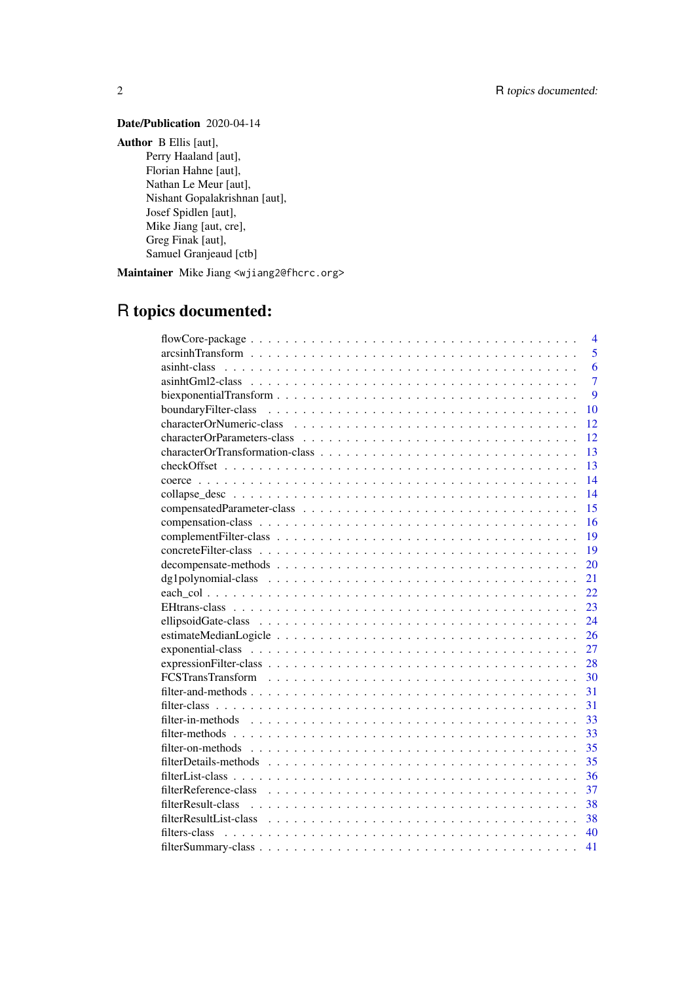# Date/Publication 2020-04-14

Author B Ellis [aut], Perry Haaland [aut], Florian Hahne [aut], Nathan Le Meur [aut], Nishant Gopalakrishnan [aut], Josef Spidlen [aut], Mike Jiang [aut, cre], Greg Finak [aut], Samuel Granjeaud [ctb]

Maintainer Mike Jiang <wjiang2@fhcrc.org>

# R topics documented:

|                                                                                                                                 | $\overline{4}$ |
|---------------------------------------------------------------------------------------------------------------------------------|----------------|
|                                                                                                                                 | 5              |
| asinht-class                                                                                                                    | 6              |
|                                                                                                                                 | $\overline{7}$ |
|                                                                                                                                 | 9              |
| 10                                                                                                                              |                |
| 12                                                                                                                              |                |
| 12                                                                                                                              |                |
| 13                                                                                                                              |                |
| 13                                                                                                                              |                |
| 14                                                                                                                              |                |
| 14                                                                                                                              |                |
| 15                                                                                                                              |                |
| 16                                                                                                                              |                |
| 19                                                                                                                              |                |
| 19                                                                                                                              |                |
| 20                                                                                                                              |                |
| 21                                                                                                                              |                |
| 22                                                                                                                              |                |
| 23                                                                                                                              |                |
| 24                                                                                                                              |                |
| 26                                                                                                                              |                |
| 27<br>$exponential-class \dots \dots \dots \dots \dots \dots \dots \dots \dots \dots \dots \dots \dots \dots \dots \dots \dots$ |                |
| 28                                                                                                                              |                |
| 30                                                                                                                              |                |
| 31                                                                                                                              |                |
| 31                                                                                                                              |                |
| 33                                                                                                                              |                |
| 33                                                                                                                              |                |
| 35                                                                                                                              |                |
| 35                                                                                                                              |                |
| 36                                                                                                                              |                |
| 37                                                                                                                              |                |
| 38                                                                                                                              |                |
| 38                                                                                                                              |                |
| 40                                                                                                                              |                |
| 41                                                                                                                              |                |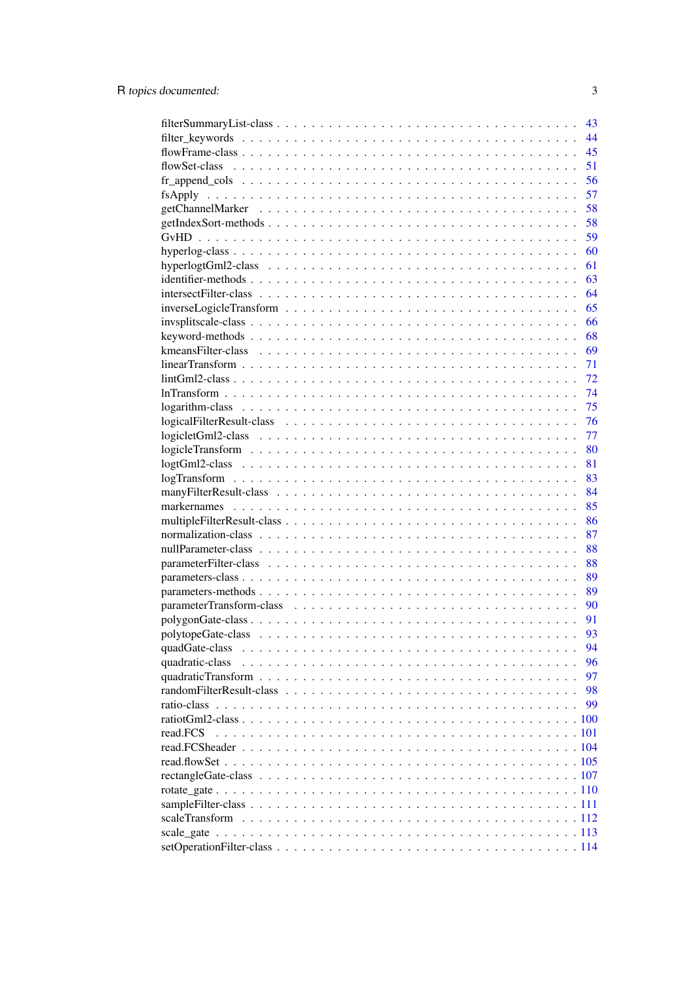|                 | 43 |
|-----------------|----|
|                 | 44 |
|                 | 45 |
|                 | 51 |
|                 | 56 |
|                 | 57 |
|                 | 58 |
|                 | 58 |
|                 | 59 |
|                 | 60 |
|                 | 61 |
|                 | 63 |
|                 | 64 |
|                 | 65 |
|                 | 66 |
|                 | 68 |
|                 | 69 |
|                 | 71 |
|                 | 72 |
|                 | 74 |
|                 | 75 |
|                 | 76 |
|                 | 77 |
|                 | 80 |
|                 | 81 |
|                 | 83 |
|                 | 84 |
|                 | 85 |
|                 | 86 |
|                 | 87 |
|                 | 88 |
|                 | 88 |
|                 | 89 |
|                 | 89 |
|                 | 90 |
|                 | 91 |
|                 | 93 |
|                 |    |
| quadGate-class  | 94 |
| quadratic-class | 96 |
|                 | 97 |
|                 | 98 |
|                 | 99 |
|                 |    |
| read.FCS        |    |
|                 |    |
|                 |    |
|                 |    |
|                 |    |
|                 |    |
|                 |    |
|                 |    |
|                 |    |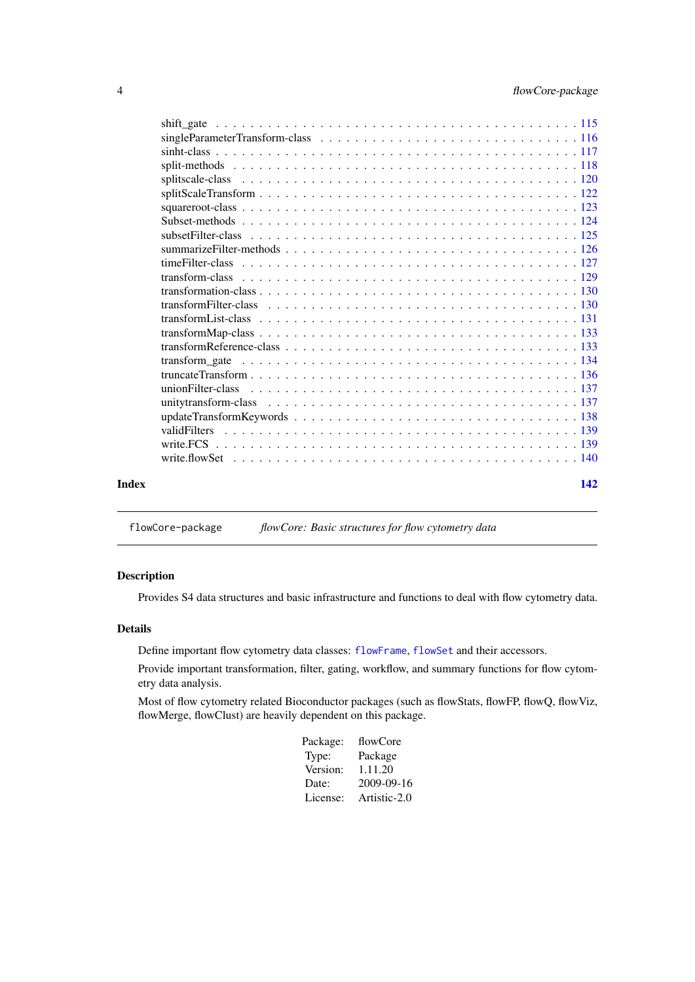<span id="page-3-0"></span>

| Index | 142 |  |
|-------|-----|--|

flowCore-package *flowCore: Basic structures for flow cytometry data*

# Description

Provides S4 data structures and basic infrastructure and functions to deal with flow cytometry data.

#### Details

Define important flow cytometry data classes: [flowFrame](#page-44-1), [flowSet](#page-50-1) and their accessors.

Provide important transformation, filter, gating, workflow, and summary functions for flow cytometry data analysis.

Most of flow cytometry related Bioconductor packages (such as flowStats, flowFP, flowQ, flowViz, flowMerge, flowClust) are heavily dependent on this package.

| Package: | flowCore     |
|----------|--------------|
| Type:    | Package      |
| Version: | 1.11.20      |
| Date:    | 2009-09-16   |
| License: | Artistic-2.0 |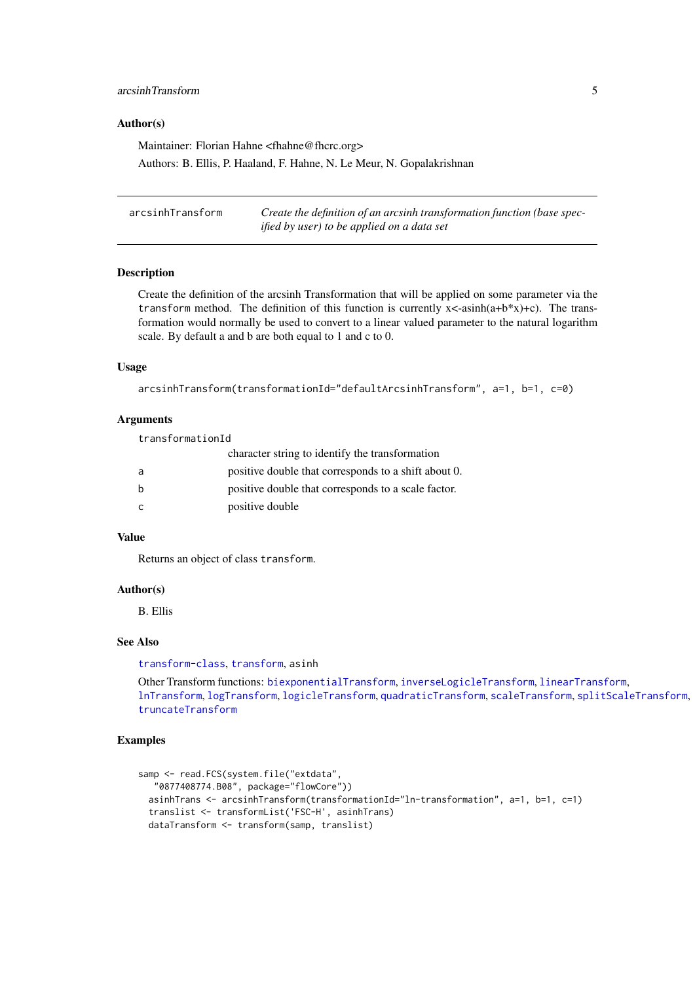#### <span id="page-4-0"></span>arcsinhTransform 5

#### Author(s)

Maintainer: Florian Hahne <fhahne@fhcrc.org> Authors: B. Ellis, P. Haaland, F. Hahne, N. Le Meur, N. Gopalakrishnan

<span id="page-4-1"></span>arcsinhTransform *Create the definition of an arcsinh transformation function (base specified by user) to be applied on a data set*

#### Description

Create the definition of the arcsinh Transformation that will be applied on some parameter via the transform method. The definition of this function is currently  $x < -a$ sinh $(a+b*x)+c$ ). The transformation would normally be used to convert to a linear valued parameter to the natural logarithm scale. By default a and b are both equal to 1 and c to 0.

# Usage

arcsinhTransform(transformationId="defaultArcsinhTransform", a=1, b=1, c=0)

#### Arguments

| transformationId |                                                      |
|------------------|------------------------------------------------------|
|                  | character string to identify the transformation      |
| a                | positive double that corresponds to a shift about 0. |
| b                | positive double that corresponds to a scale factor.  |
| C                | positive double                                      |

# Value

Returns an object of class transform.

#### Author(s)

B. Ellis

#### See Also

[transform-class](#page-128-1), [transform](#page-128-2), asinh

Other Transform functions: [biexponentialTransform](#page-8-1), [inverseLogicleTransform](#page-64-1), [linearTransform](#page-70-1), [lnTransform](#page-73-1), [logTransform](#page-82-1), [logicleTransform](#page-79-1), [quadraticTransform](#page-96-1), [scaleTransform](#page-111-1), [splitScaleTransform](#page-121-1), [truncateTransform](#page-135-1)

```
samp <- read.FCS(system.file("extdata",
   "0877408774.B08", package="flowCore"))
  asinhTrans <- arcsinhTransform(transformationId="ln-transformation", a=1, b=1, c=1)
  translist <- transformList('FSC-H', asinhTrans)
  dataTransform <- transform(samp, translist)
```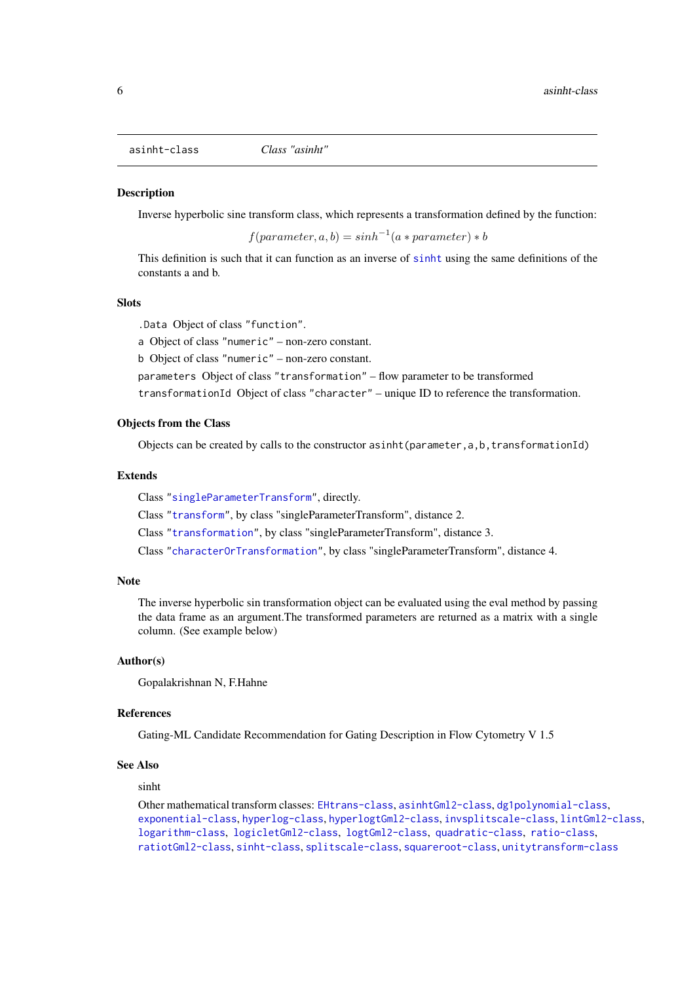<span id="page-5-2"></span><span id="page-5-0"></span>asinht-class *Class "asinht"*

#### <span id="page-5-1"></span>Description

Inverse hyperbolic sine transform class, which represents a transformation defined by the function:

 $f(parameter, a, b) = sinh^{-1}(a * parameter) * b$ 

This definition is such that it can function as an inverse of [sinht](#page-116-1) using the same definitions of the constants a and b.

# **Slots**

.Data Object of class "function".

a Object of class "numeric" – non-zero constant.

b Object of class "numeric" – non-zero constant.

parameters Object of class "transformation" – flow parameter to be transformed

transformationId Object of class "character" – unique ID to reference the transformation.

#### Objects from the Class

Objects can be created by calls to the constructor asinht(parameter,a,b,transformationId)

#### Extends

Class ["singleParameterTransform"](#page-115-1), directly.

Class ["transform"](#page-128-1), by class "singleParameterTransform", distance 2.

Class ["transformation"](#page-129-1), by class "singleParameterTransform", distance 3.

Class ["characterOrTransformation"](#page-12-1), by class "singleParameterTransform", distance 4.

#### Note

The inverse hyperbolic sin transformation object can be evaluated using the eval method by passing the data frame as an argument.The transformed parameters are returned as a matrix with a single column. (See example below)

#### Author(s)

Gopalakrishnan N, F.Hahne

#### References

Gating-ML Candidate Recommendation for Gating Description in Flow Cytometry V 1.5

# See Also

#### sinht

Other mathematical transform classes: [EHtrans-class](#page-22-1), [asinhtGml2-class](#page-6-1), [dg1polynomial-class](#page-20-1), [exponential-class](#page-26-1), [hyperlog-class](#page-59-1), [hyperlogtGml2-class](#page-60-1), [invsplitscale-class](#page-65-1), [lintGml2-class](#page-71-1), [logarithm-class](#page-74-1), [logicletGml2-class](#page-76-1), [logtGml2-class](#page-80-1), [quadratic-class](#page-95-1), [ratio-class](#page-98-1), [ratiotGml2-class](#page-99-1), [sinht-class](#page-116-1), [splitscale-class](#page-119-1), [squareroot-class](#page-122-1), [unitytransform-class](#page-136-1)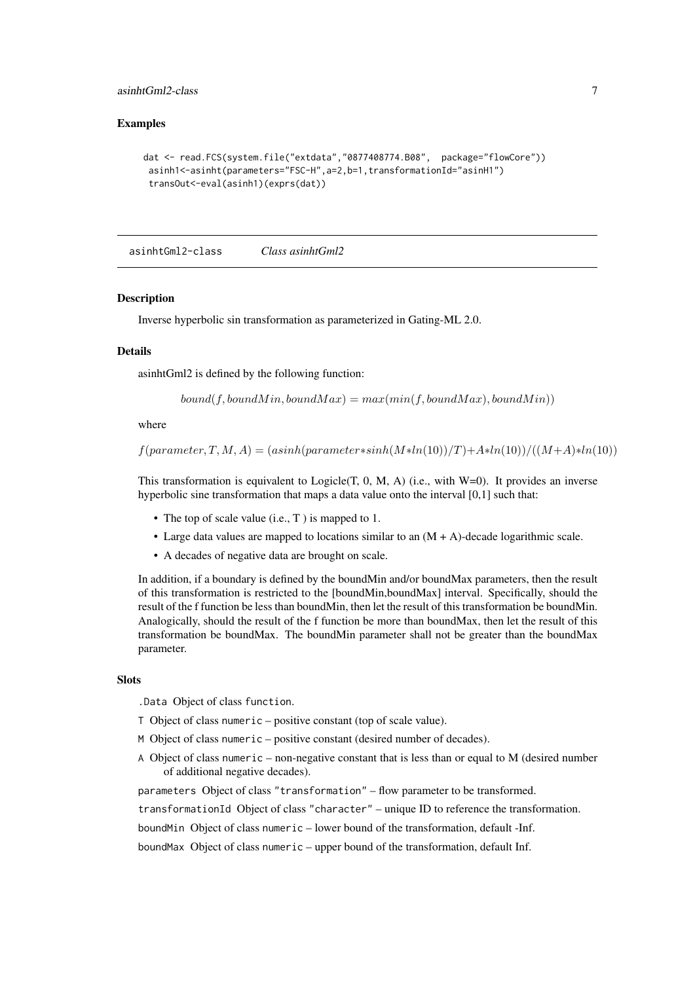#### <span id="page-6-0"></span>asinhtGml2-class 7

# Examples

```
dat <- read.FCS(system.file("extdata","0877408774.B08", package="flowCore"))
 asinh1<-asinht(parameters="FSC-H",a=2,b=1,transformationId="asinH1")
 transOut<-eval(asinh1)(exprs(dat))
```
<span id="page-6-1"></span>asinhtGml2-class *Class asinhtGml2*

#### Description

Inverse hyperbolic sin transformation as parameterized in Gating-ML 2.0.

#### Details

asinhtGml2 is defined by the following function:

 $bound(f, boundMin, boundMax) = max(min(f, boundMax), boundMin))$ 

where

```
f(parameter, T, M, A) = (asinh(parameter * sinh(M * ln(10))/T) + A * ln(10))/(M+A) * ln(10))
```
This transformation is equivalent to Logicle(T, 0, M, A) (i.e., with  $W=0$ ). It provides an inverse hyperbolic sine transformation that maps a data value onto the interval [0,1] such that:

- The top of scale value (i.e., T) is mapped to 1.
- Large data values are mapped to locations similar to an (M + A)-decade logarithmic scale.
- A decades of negative data are brought on scale.

In addition, if a boundary is defined by the boundMin and/or boundMax parameters, then the result of this transformation is restricted to the [boundMin,boundMax] interval. Specifically, should the result of the f function be less than boundMin, then let the result of this transformation be boundMin. Analogically, should the result of the f function be more than boundMax, then let the result of this transformation be boundMax. The boundMin parameter shall not be greater than the boundMax parameter.

#### **Slots**

.Data Object of class function.

- T Object of class numeric positive constant (top of scale value).
- M Object of class numeric positive constant (desired number of decades).
- A Object of class numeric non-negative constant that is less than or equal to M (desired number of additional negative decades).

parameters Object of class "transformation" – flow parameter to be transformed.

transformationId Object of class "character" – unique ID to reference the transformation.

boundMin Object of class numeric – lower bound of the transformation, default -Inf.

boundMax Object of class numeric – upper bound of the transformation, default Inf.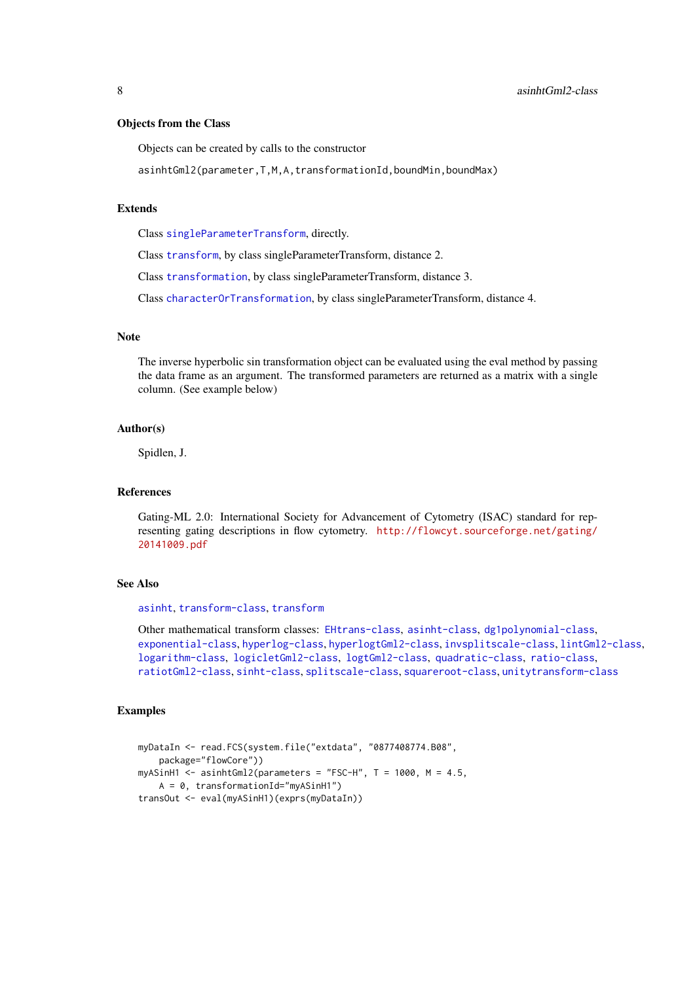#### Objects from the Class

Objects can be created by calls to the constructor

asinhtGml2(parameter,T,M,A,transformationId,boundMin,boundMax)

#### Extends

Class [singleParameterTransform](#page-115-1), directly.

Class [transform](#page-128-1), by class singleParameterTransform, distance 2.

Class [transformation](#page-129-1), by class singleParameterTransform, distance 3.

Class [characterOrTransformation](#page-12-1), by class singleParameterTransform, distance 4.

# Note

The inverse hyperbolic sin transformation object can be evaluated using the eval method by passing the data frame as an argument. The transformed parameters are returned as a matrix with a single column. (See example below)

#### Author(s)

Spidlen, J.

# References

Gating-ML 2.0: International Society for Advancement of Cytometry (ISAC) standard for representing gating descriptions in flow cytometry. [http://flowcyt.sourceforge.net/gating/](http://flowcyt.sourceforge.net/gating/20141009.pdf) [20141009.pdf](http://flowcyt.sourceforge.net/gating/20141009.pdf)

# See Also

[asinht](#page-5-1), [transform-class](#page-128-1), [transform](#page-128-2)

Other mathematical transform classes: [EHtrans-class](#page-22-1), [asinht-class](#page-5-2), [dg1polynomial-class](#page-20-1), [exponential-class](#page-26-1), [hyperlog-class](#page-59-1), [hyperlogtGml2-class](#page-60-1), [invsplitscale-class](#page-65-1), [lintGml2-class](#page-71-1), [logarithm-class](#page-74-1), [logicletGml2-class](#page-76-1), [logtGml2-class](#page-80-1), [quadratic-class](#page-95-1), [ratio-class](#page-98-1), [ratiotGml2-class](#page-99-1), [sinht-class](#page-116-1), [splitscale-class](#page-119-1), [squareroot-class](#page-122-1), [unitytransform-class](#page-136-1)

```
myDataIn <- read.FCS(system.file("extdata", "0877408774.B08",
    package="flowCore"))
myASinH1 \le -asinhtGml2(parameters = "FSC-H", T = 1000, M = 4.5,A = 0, transformationId="myASinH1")
transOut <- eval(myASinH1)(exprs(myDataIn))
```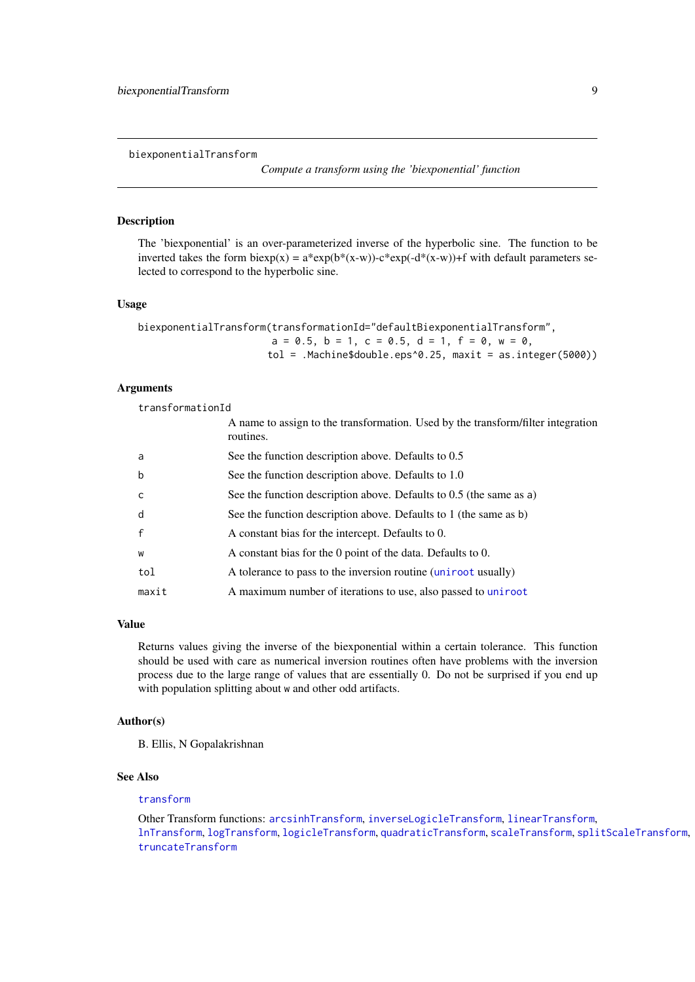<span id="page-8-1"></span><span id="page-8-0"></span>biexponentialTransform

*Compute a transform using the 'biexponential' function*

#### Description

The 'biexponential' is an over-parameterized inverse of the hyperbolic sine. The function to be inverted takes the form biexp(x) =  $a*exp(b*(x-w))$ -c\*exp(-d\*(x-w))+f with default parameters selected to correspond to the hyperbolic sine.

#### Usage

```
biexponentialTransform(transformationId="defaultBiexponentialTransform",
                       a = 0.5, b = 1, c = 0.5, d = 1, f = 0, w = 0,
                      tol = .Machine$double.eps^0.25, maxit = as.integer(5000))
```
#### Arguments

| transformationId |                                                                                               |
|------------------|-----------------------------------------------------------------------------------------------|
|                  | A name to assign to the transformation. Used by the transform/filter integration<br>routines. |
| a                | See the function description above. Defaults to 0.5                                           |
| b                | See the function description above. Defaults to 1.0                                           |
| C                | See the function description above. Defaults to $0.5$ (the same as a)                         |
| d                | See the function description above. Defaults to 1 (the same as b)                             |
| f                | A constant bias for the intercept. Defaults to 0.                                             |
| W                | A constant bias for the 0 point of the data. Defaults to 0.                                   |
| tol              | A tolerance to pass to the inversion routine (uniroot usually)                                |
| maxit            | A maximum number of iterations to use, also passed to uniroot                                 |

#### Value

Returns values giving the inverse of the biexponential within a certain tolerance. This function should be used with care as numerical inversion routines often have problems with the inversion process due to the large range of values that are essentially 0. Do not be surprised if you end up with population splitting about w and other odd artifacts.

# Author(s)

B. Ellis, N Gopalakrishnan

# See Also

# [transform](#page-128-2)

Other Transform functions: [arcsinhTransform](#page-4-1), [inverseLogicleTransform](#page-64-1), [linearTransform](#page-70-1), [lnTransform](#page-73-1), [logTransform](#page-82-1), [logicleTransform](#page-79-1), [quadraticTransform](#page-96-1), [scaleTransform](#page-111-1), [splitScaleTransform](#page-121-1), [truncateTransform](#page-135-1)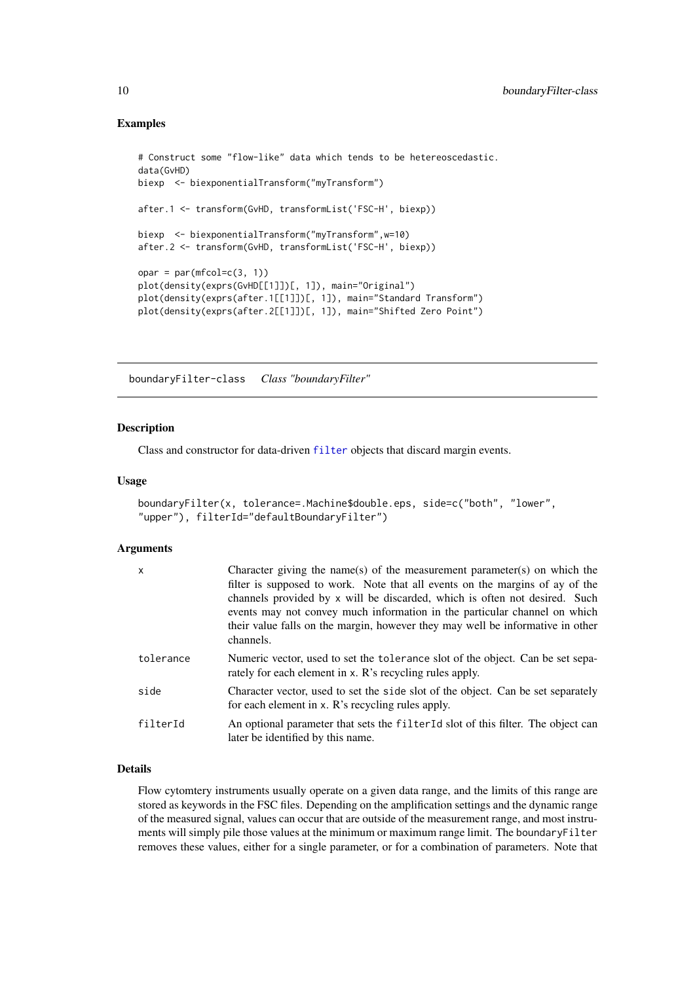# Examples

```
# Construct some "flow-like" data which tends to be hetereoscedastic.
data(GvHD)
biexp <- biexponentialTransform("myTransform")
after.1 <- transform(GvHD, transformList('FSC-H', biexp))
biexp <- biexponentialTransform("myTransform",w=10)
after.2 <- transform(GvHD, transformList('FSC-H', biexp))
opar = par(mfcol=c(3, 1))plot(density(exprs(GvHD[[1]])[, 1]), main="Original")
plot(density(exprs(after.1[[1]])[, 1]), main="Standard Transform")
plot(density(exprs(after.2[[1]])[, 1]), main="Shifted Zero Point")
```
boundaryFilter-class *Class "boundaryFilter"*

# Description

Class and constructor for data-driven [filter](#page-32-1) objects that discard margin events.

# Usage

```
boundaryFilter(x, tolerance=.Machine$double.eps, side=c("both", "lower",
"upper"), filterId="defaultBoundaryFilter")
```
#### Arguments

| $\mathsf{x}$ | Character giving the name(s) of the measurement parameter(s) on which the<br>filter is supposed to work. Note that all events on the margins of ay of the<br>channels provided by x will be discarded, which is often not desired. Such<br>events may not convey much information in the particular channel on which<br>their value falls on the margin, however they may well be informative in other<br>channels. |
|--------------|---------------------------------------------------------------------------------------------------------------------------------------------------------------------------------------------------------------------------------------------------------------------------------------------------------------------------------------------------------------------------------------------------------------------|
| tolerance    | Numeric vector, used to set the tolerance slot of the object. Can be set sepa-<br>rately for each element in x. R's recycling rules apply.                                                                                                                                                                                                                                                                          |
| side         | Character vector, used to set the side slot of the object. Can be set separately<br>for each element in x. R's recycling rules apply.                                                                                                                                                                                                                                                                               |
| filterId     | An optional parameter that sets the filter Id slot of this filter. The object can<br>later be identified by this name.                                                                                                                                                                                                                                                                                              |

#### Details

Flow cytomtery instruments usually operate on a given data range, and the limits of this range are stored as keywords in the FSC files. Depending on the amplification settings and the dynamic range of the measured signal, values can occur that are outside of the measurement range, and most instruments will simply pile those values at the minimum or maximum range limit. The boundaryFilter removes these values, either for a single parameter, or for a combination of parameters. Note that

<span id="page-9-0"></span>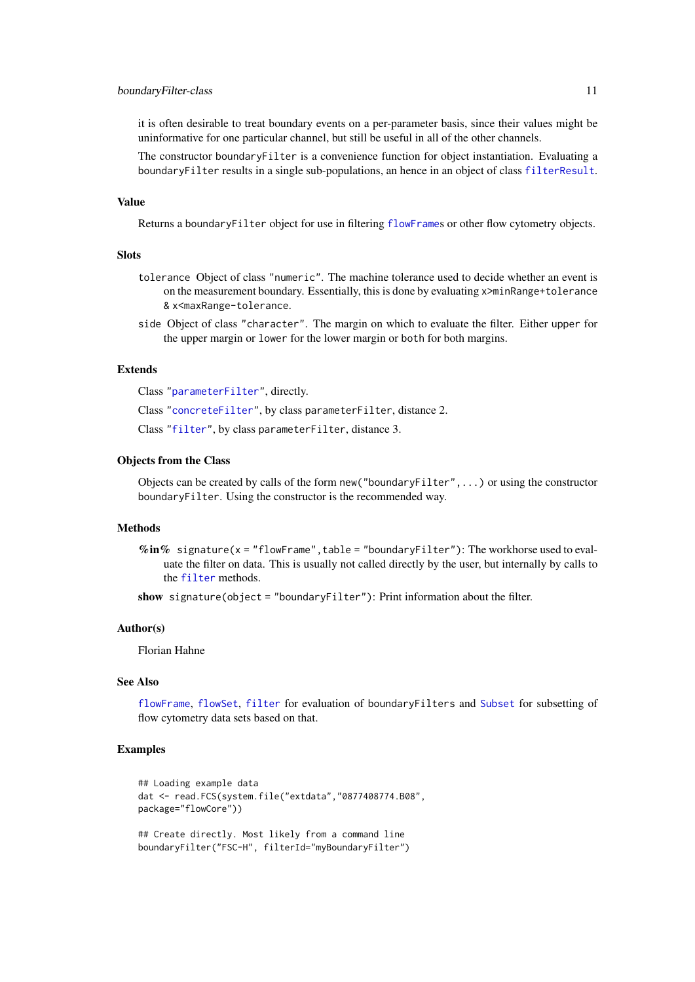it is often desirable to treat boundary events on a per-parameter basis, since their values might be uninformative for one particular channel, but still be useful in all of the other channels.

The constructor boundaryFilter is a convenience function for object instantiation. Evaluating a boundaryFilter results in a single sub-populations, an hence in an object of class [filterResult](#page-37-1).

#### Value

Returns a boundaryFilter object for use in filtering [flowFrame](#page-44-1)s or other flow cytometry objects.

#### Slots

- tolerance Object of class "numeric". The machine tolerance used to decide whether an event is on the measurement boundary. Essentially, this is done by evaluating x>minRange+tolerance & x<maxRange-tolerance.
- side Object of class "character". The margin on which to evaluate the filter. Either upper for the upper margin or lower for the lower margin or both for both margins.

#### Extends

Class ["parameterFilter"](#page-87-1), directly.

Class ["concreteFilter"](#page-18-1), by class parameterFilter, distance 2.

Class ["filter"](#page-30-1), by class parameterFilter, distance 3.

#### Objects from the Class

Objects can be created by calls of the form new ("boundaryFilter", ...) or using the constructor boundaryFilter. Using the constructor is the recommended way.

# **Methods**

 $%$ in% signature(x = "flowFrame", table = "boundaryFilter"): The workhorse used to evaluate the filter on data. This is usually not called directly by the user, but internally by calls to the [filter](#page-32-1) methods.

show signature(object = "boundaryFilter"): Print information about the filter.

#### Author(s)

Florian Hahne

# See Also

[flowFrame](#page-44-1), [flowSet](#page-50-1), [filter](#page-32-1) for evaluation of boundaryFilters and [Subset](#page-123-1) for subsetting of flow cytometry data sets based on that.

```
## Loading example data
dat <- read.FCS(system.file("extdata","0877408774.B08",
package="flowCore"))
## Create directly. Most likely from a command line
boundaryFilter("FSC-H", filterId="myBoundaryFilter")
```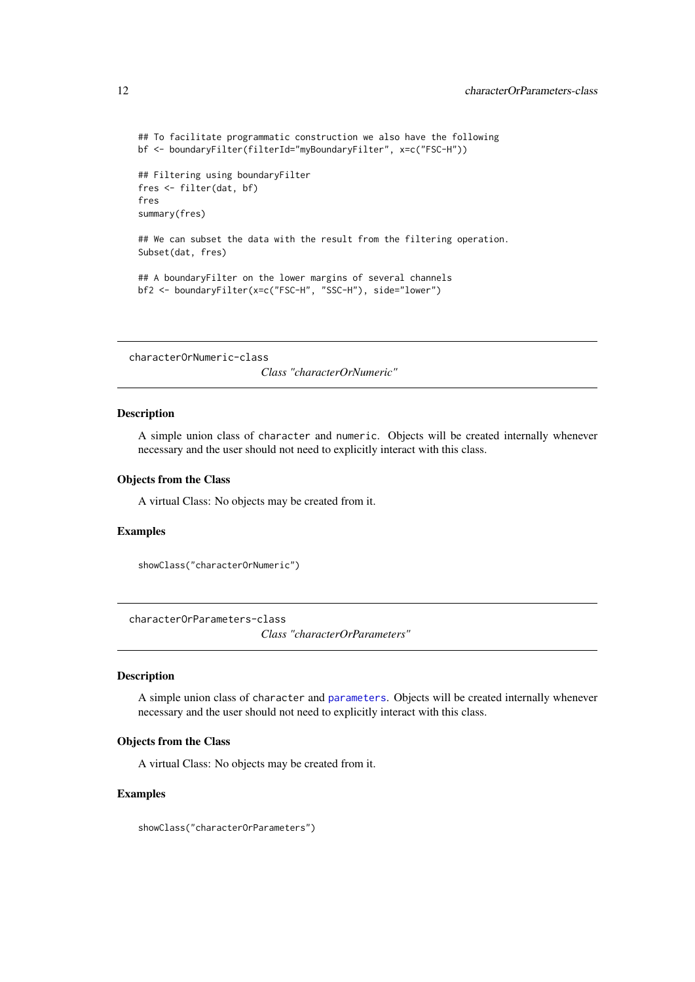```
## To facilitate programmatic construction we also have the following
bf <- boundaryFilter(filterId="myBoundaryFilter", x=c("FSC-H"))
## Filtering using boundaryFilter
fres <- filter(dat, bf)
fres
summary(fres)
## We can subset the data with the result from the filtering operation.
Subset(dat, fres)
## A boundaryFilter on the lower margins of several channels
```

```
bf2 <- boundaryFilter(x=c("FSC-H", "SSC-H"), side="lower")
```
characterOrNumeric-class

# *Class "characterOrNumeric"*

# Description

A simple union class of character and numeric. Objects will be created internally whenever necessary and the user should not need to explicitly interact with this class.

# Objects from the Class

A virtual Class: No objects may be created from it.

# Examples

```
showClass("characterOrNumeric")
```
characterOrParameters-class

*Class "characterOrParameters"*

#### Description

A simple union class of character and [parameters](#page-88-1). Objects will be created internally whenever necessary and the user should not need to explicitly interact with this class.

#### Objects from the Class

A virtual Class: No objects may be created from it.

#### Examples

showClass("characterOrParameters")

<span id="page-11-0"></span>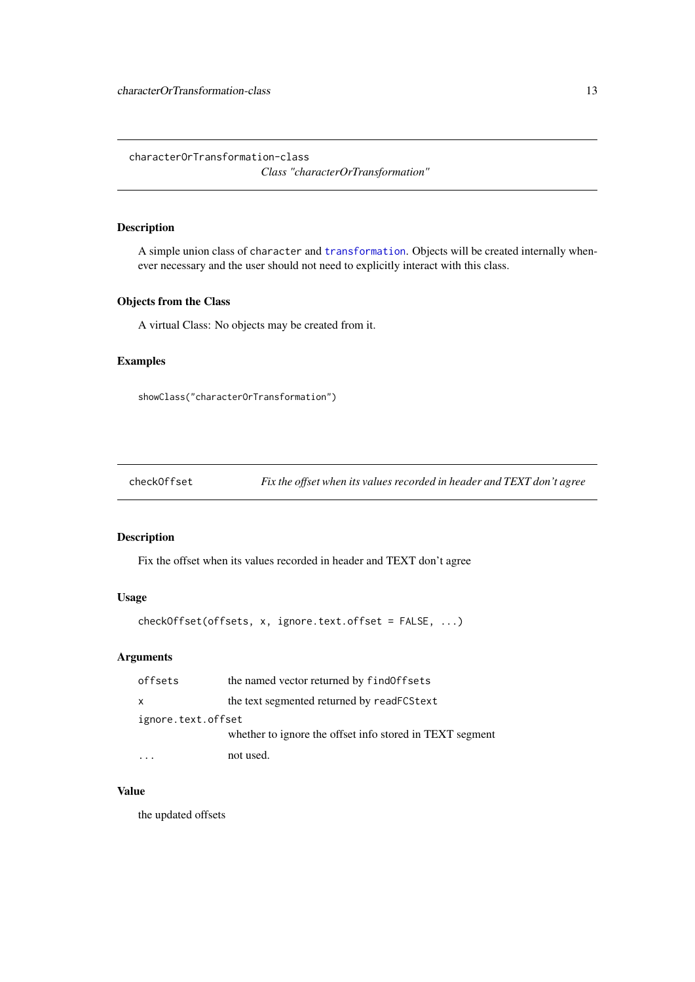<span id="page-12-1"></span><span id="page-12-0"></span>characterOrTransformation-class

*Class "characterOrTransformation"*

# Description

A simple union class of character and [transformation](#page-129-1). Objects will be created internally whenever necessary and the user should not need to explicitly interact with this class.

# Objects from the Class

A virtual Class: No objects may be created from it.

# Examples

```
showClass("characterOrTransformation")
```
checkOffset *Fix the offset when its values recorded in header and TEXT don't agree*

# Description

Fix the offset when its values recorded in header and TEXT don't agree

# Usage

```
checkOffset(offsets, x, ignore.text.offset = FALSE, ...)
```
# Arguments

| offsets            | the named vector returned by find Offsets                |
|--------------------|----------------------------------------------------------|
| $\mathsf{x}$       | the text segmented returned by readFCStext               |
| ignore.text.offset |                                                          |
|                    | whether to ignore the offset info stored in TEXT segment |
|                    | not used.                                                |

# Value

the updated offsets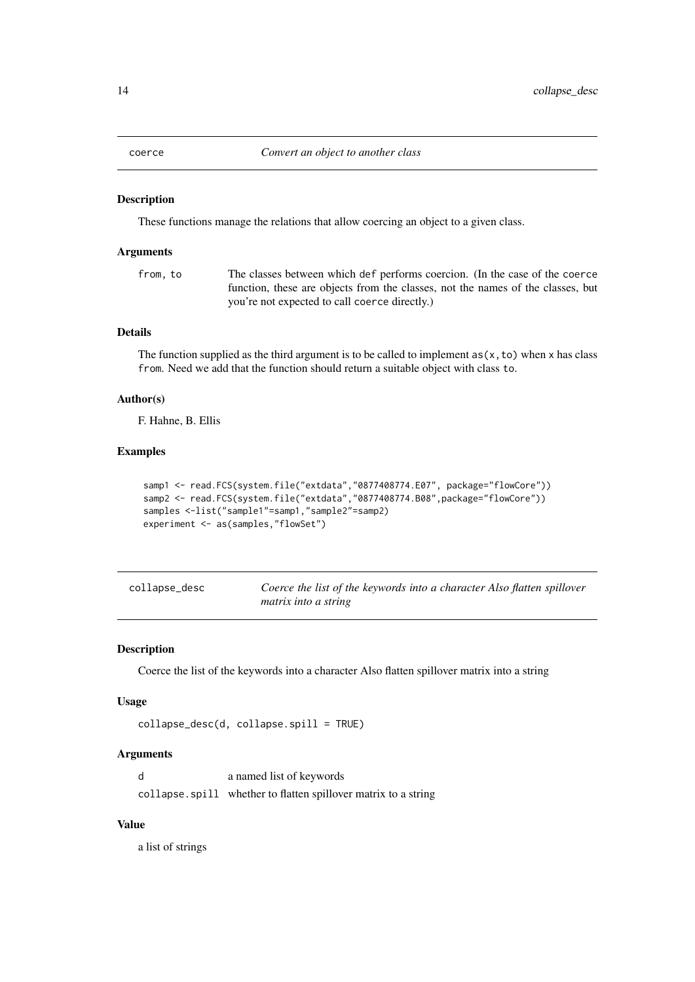<span id="page-13-0"></span>

# Description

These functions manage the relations that allow coercing an object to a given class.

#### Arguments

from, to The classes between which def performs coercion. (In the case of the coerce function, these are objects from the classes, not the names of the classes, but you're not expected to call coerce directly.)

#### Details

The function supplied as the third argument is to be called to implement  $as(x, to)$  when x has class from. Need we add that the function should return a suitable object with class to.

#### Author(s)

F. Hahne, B. Ellis

# Examples

```
samp1 <- read.FCS(system.file("extdata","0877408774.E07", package="flowCore"))
samp2 <- read.FCS(system.file("extdata","0877408774.B08",package="flowCore"))
samples <-list("sample1"=samp1,"sample2"=samp2)
experiment <- as(samples,"flowSet")
```

| collapse_desc | Coerce the list of the keywords into a character Also flatten spillover |
|---------------|-------------------------------------------------------------------------|
|               | matrix into a string                                                    |

#### Description

Coerce the list of the keywords into a character Also flatten spillover matrix into a string

# Usage

```
collapse_desc(d, collapse.spill = TRUE)
```
#### Arguments

d a named list of keywords collapse.spill whether to flatten spillover matrix to a string

# Value

a list of strings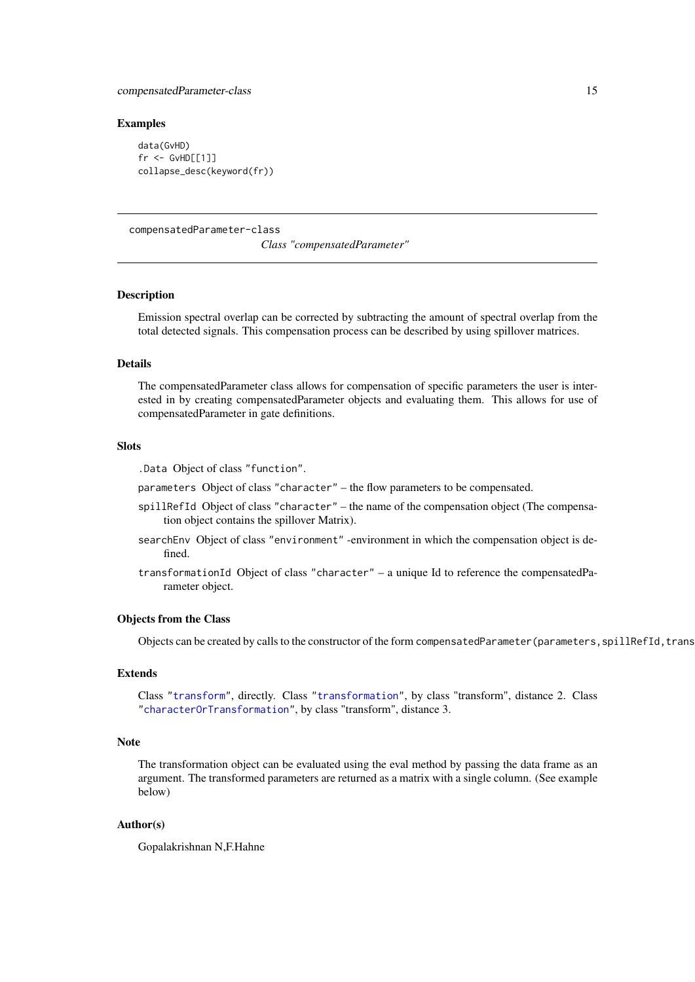#### <span id="page-14-0"></span>compensatedParameter-class 15

#### Examples

```
data(GvHD)
fr <- GvHD[[1]]
collapse_desc(keyword(fr))
```

```
compensatedParameter-class
                        Class "compensatedParameter"
```
#### Description

Emission spectral overlap can be corrected by subtracting the amount of spectral overlap from the total detected signals. This compensation process can be described by using spillover matrices.

# Details

The compensatedParameter class allows for compensation of specific parameters the user is interested in by creating compensatedParameter objects and evaluating them. This allows for use of compensatedParameter in gate definitions.

# **Slots**

.Data Object of class "function".

parameters Object of class "character" – the flow parameters to be compensated.

- spillRefId Object of class "character" the name of the compensation object (The compensation object contains the spillover Matrix).
- searchEnv Object of class "environment" -environment in which the compensation object is defined.
- transformationId Object of class "character" a unique Id to reference the compensatedParameter object.

# Objects from the Class

Objects can be created by calls to the constructor of the form compensatedParameter(parameters, spillRefId, trans

#### Extends

Class ["transform"](#page-128-1), directly. Class ["transformation"](#page-129-1), by class "transform", distance 2. Class ["characterOrTransformation"](#page-12-1), by class "transform", distance 3.

#### Note

The transformation object can be evaluated using the eval method by passing the data frame as an argument. The transformed parameters are returned as a matrix with a single column. (See example below)

#### Author(s)

Gopalakrishnan N,F.Hahne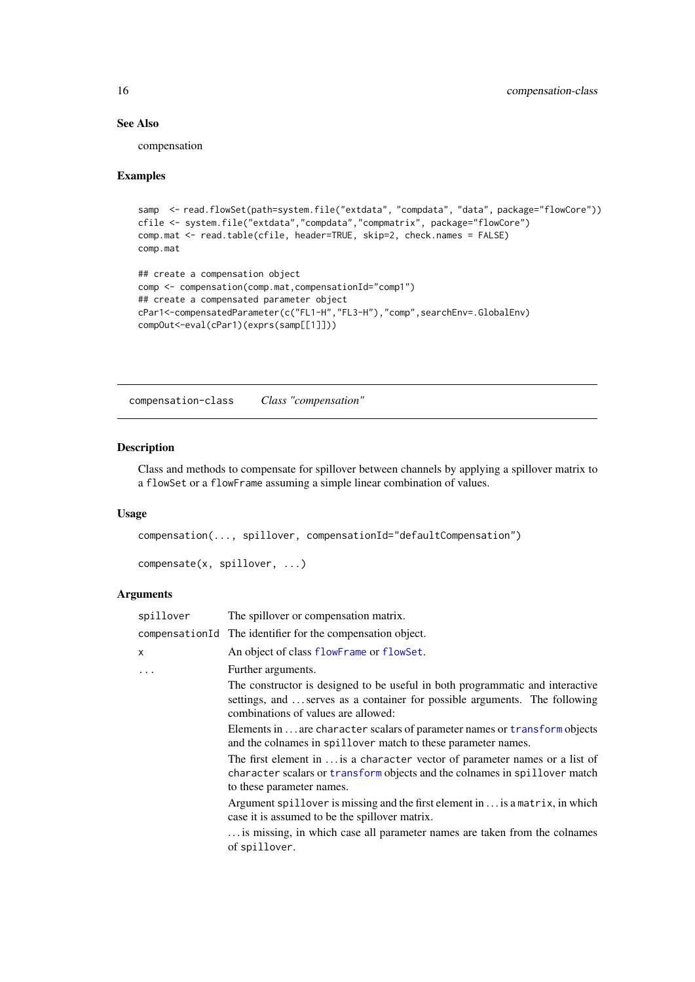# See Also

compensation

# Examples

```
samp <- read.flowSet(path=system.file("extdata", "compdata", "data", package="flowCore"))
cfile <- system.file("extdata","compdata","compmatrix", package="flowCore")
comp.mat <- read.table(cfile, header=TRUE, skip=2, check.names = FALSE)
comp.mat
## create a compensation object
comp <- compensation(comp.mat,compensationId="comp1")
## create a compensated parameter object
cPar1<-compensatedParameter(c("FL1-H","FL3-H"),"comp",searchEnv=.GlobalEnv)
compOut<-eval(cPar1)(exprs(samp[[1]]))
```
compensation-class *Class "compensation"*

#### Description

Class and methods to compensate for spillover between channels by applying a spillover matrix to a flowSet or a flowFrame assuming a simple linear combination of values.

#### Usage

```
compensation(..., spillover, compensationId="defaultCompensation")
```

```
compensate(x, spillover, ...)
```
# Arguments

| spillover | The spillover or compensation matrix.                                                                                                                                                              |
|-----------|----------------------------------------------------------------------------------------------------------------------------------------------------------------------------------------------------|
|           | compensation Id The identifier for the compensation object.                                                                                                                                        |
| X         | An object of class flowFrame or flowSet.                                                                                                                                                           |
| .         | Further arguments.                                                                                                                                                                                 |
|           | The constructor is designed to be useful in both programmatic and interactive<br>settings, and  serves as a container for possible arguments. The following<br>combinations of values are allowed: |
|           | Elements in  are character scalars of parameter names or transform objects<br>and the colnames in spillover match to these parameter names.                                                        |
|           | The first element in  is a character vector of parameter names or a list of<br>character scalars or transform objects and the colnames in spillover match<br>to these parameter names.             |
|           | Argument spillover is missing and the first element in $\dots$ is a matrix, in which<br>case it is assumed to be the spillover matrix.                                                             |
|           | is missing, in which case all parameter names are taken from the colnames<br>of spillover.                                                                                                         |

<span id="page-15-0"></span>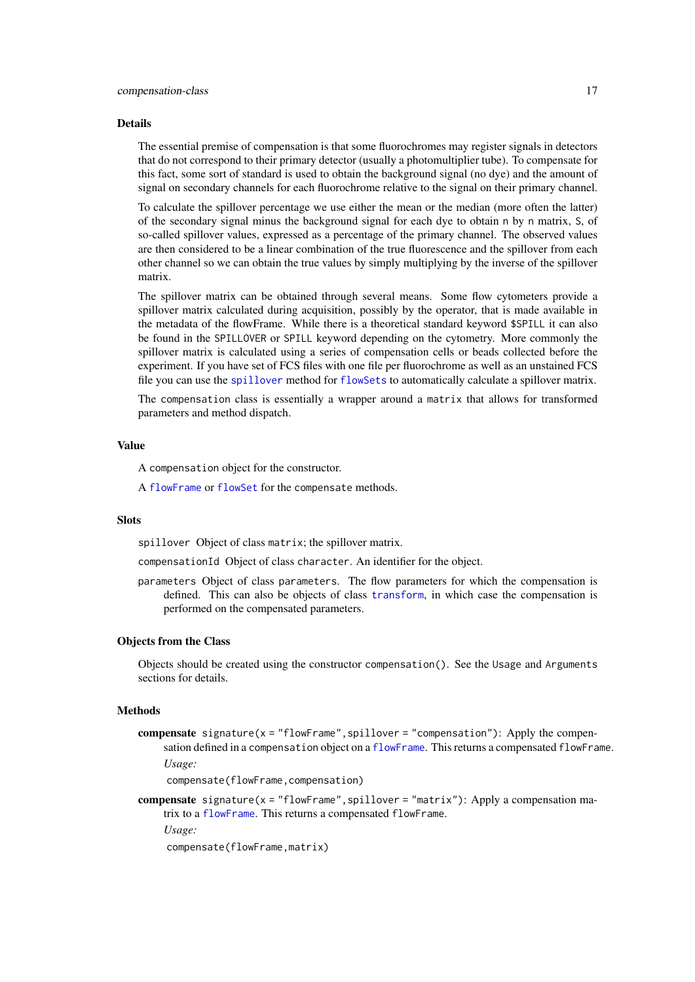#### Details

The essential premise of compensation is that some fluorochromes may register signals in detectors that do not correspond to their primary detector (usually a photomultiplier tube). To compensate for this fact, some sort of standard is used to obtain the background signal (no dye) and the amount of signal on secondary channels for each fluorochrome relative to the signal on their primary channel.

To calculate the spillover percentage we use either the mean or the median (more often the latter) of the secondary signal minus the background signal for each dye to obtain n by n matrix, S, of so-called spillover values, expressed as a percentage of the primary channel. The observed values are then considered to be a linear combination of the true fluorescence and the spillover from each other channel so we can obtain the true values by simply multiplying by the inverse of the spillover matrix.

The spillover matrix can be obtained through several means. Some flow cytometers provide a spillover matrix calculated during acquisition, possibly by the operator, that is made available in the metadata of the flowFrame. While there is a theoretical standard keyword \$SPILL it can also be found in the SPILLOVER or SPILL keyword depending on the cytometry. More commonly the spillover matrix is calculated using a series of compensation cells or beads collected before the experiment. If you have set of FCS files with one file per fluorochrome as well as an unstained FCS file you can use the [spillover](#page-0-0) method for [flowSets](#page-0-0) to automatically calculate a spillover matrix.

The compensation class is essentially a wrapper around a matrix that allows for transformed parameters and method dispatch.

# Value

A compensation object for the constructor.

A [flowFrame](#page-44-2) or [flowSet](#page-50-2) for the compensate methods.

#### **Slots**

spillover Object of class matrix; the spillover matrix.

compensationId Object of class character. An identifier for the object.

parameters Object of class parameters. The flow parameters for which the compensation is defined. This can also be objects of class [transform](#page-128-1), in which case the compensation is performed on the compensated parameters.

#### Objects from the Class

Objects should be created using the constructor compensation(). See the Usage and Arguments sections for details.

# **Methods**

**compensate** signature( $x =$  "flowFrame", spillover = "compensation"): Apply the compensation defined in a compensation object on a [flowFrame](#page-44-2). This returns a compensated flowFrame. *Usage:*

compensate(flowFrame,compensation)

compensate signature( $x = "flowFrame"$ , spillover = "matrix"): Apply a compensation matrix to a [flowFrame](#page-44-2). This returns a compensated flowFrame.

*Usage:*

compensate(flowFrame,matrix)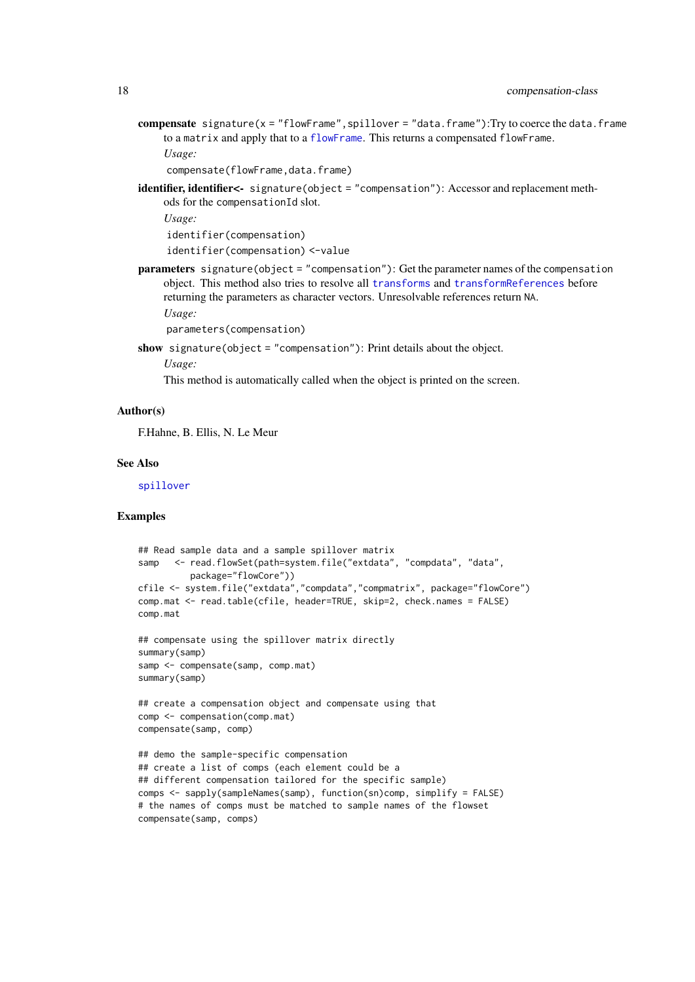compensate signature( $x =$  "flowFrame", spillover = "data.frame"): Try to coerce the data.frame to a matrix and apply that to a [flowFrame](#page-44-2). This returns a compensated flowFrame. *Usage:*

compensate(flowFrame,data.frame)

- identifier, identifier<- signature(object = "compensation"): Accessor and replacement methods for the compensationId slot.
	- *Usage:*

identifier(compensation)

identifier(compensation) <-value

parameters signature(object = "compensation"): Get the parameter names of the compensation object. This method also tries to resolve all [transforms](#page-0-0) and [transformReferences](#page-0-0) before returning the parameters as character vectors. Unresolvable references return NA. *Usage:*

parameters(compensation)

show signature(object = "compensation"): Print details about the object.

*Usage:*

This method is automatically called when the object is printed on the screen.

#### Author(s)

F.Hahne, B. Ellis, N. Le Meur

#### See Also

[spillover](#page-0-0)

```
## Read sample data and a sample spillover matrix
samp <- read.flowSet(path=system.file("extdata", "compdata", "data",
         package="flowCore"))
cfile <- system.file("extdata","compdata","compmatrix", package="flowCore")
comp.mat <- read.table(cfile, header=TRUE, skip=2, check.names = FALSE)
comp.mat
## compensate using the spillover matrix directly
summary(samp)
samp <- compensate(samp, comp.mat)
summary(samp)
## create a compensation object and compensate using that
comp <- compensation(comp.mat)
compensate(samp, comp)
## demo the sample-specific compensation
## create a list of comps (each element could be a
## different compensation tailored for the specific sample)
comps <- sapply(sampleNames(samp), function(sn)comp, simplify = FALSE)
# the names of comps must be matched to sample names of the flowset
compensate(samp, comps)
```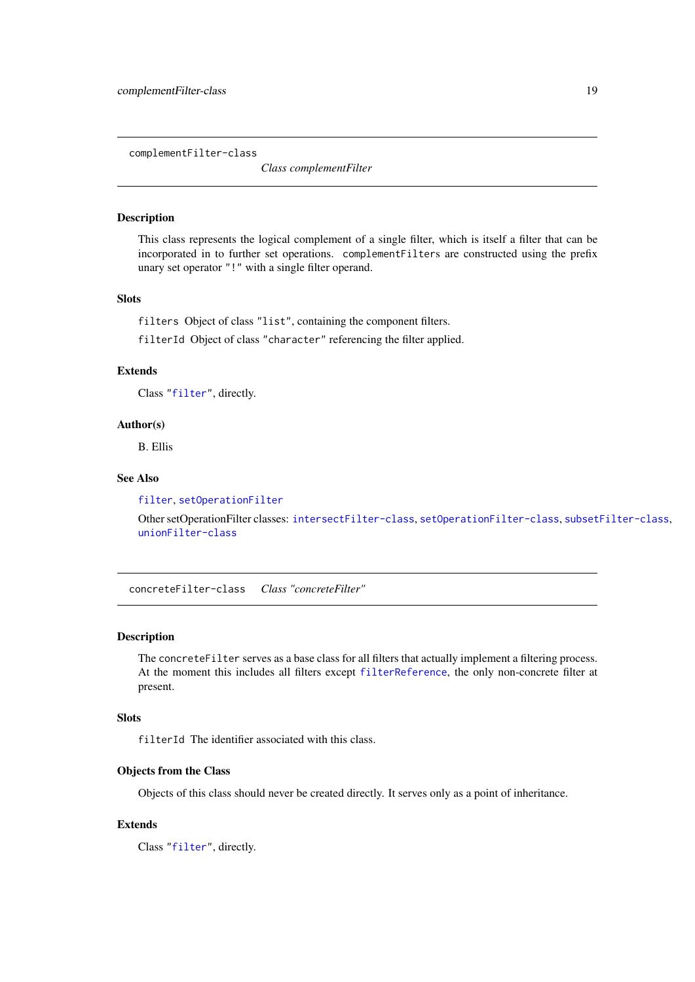<span id="page-18-0"></span>complementFilter-class

*Class complementFilter*

# Description

This class represents the logical complement of a single filter, which is itself a filter that can be incorporated in to further set operations. complementFilters are constructed using the prefix unary set operator "!" with a single filter operand.

# Slots

filters Object of class "list", containing the component filters.

filterId Object of class "character" referencing the filter applied.

# Extends

Class ["filter"](#page-30-1), directly.

#### Author(s)

B. Ellis

# See Also

[filter](#page-32-1), [setOperationFilter](#page-113-1)

Other setOperationFilter classes: [intersectFilter-class](#page-63-1), [setOperationFilter-class](#page-113-1), [subsetFilter-class](#page-124-1), [unionFilter-class](#page-136-2)

<span id="page-18-1"></span>concreteFilter-class *Class "concreteFilter"*

# Description

The concrete Filter serves as a base class for all filters that actually implement a filtering process. At the moment this includes all filters except [filterReference](#page-36-1), the only non-concrete filter at present.

# Slots

filterId The identifier associated with this class.

# Objects from the Class

Objects of this class should never be created directly. It serves only as a point of inheritance.

# Extends

Class ["filter"](#page-30-1), directly.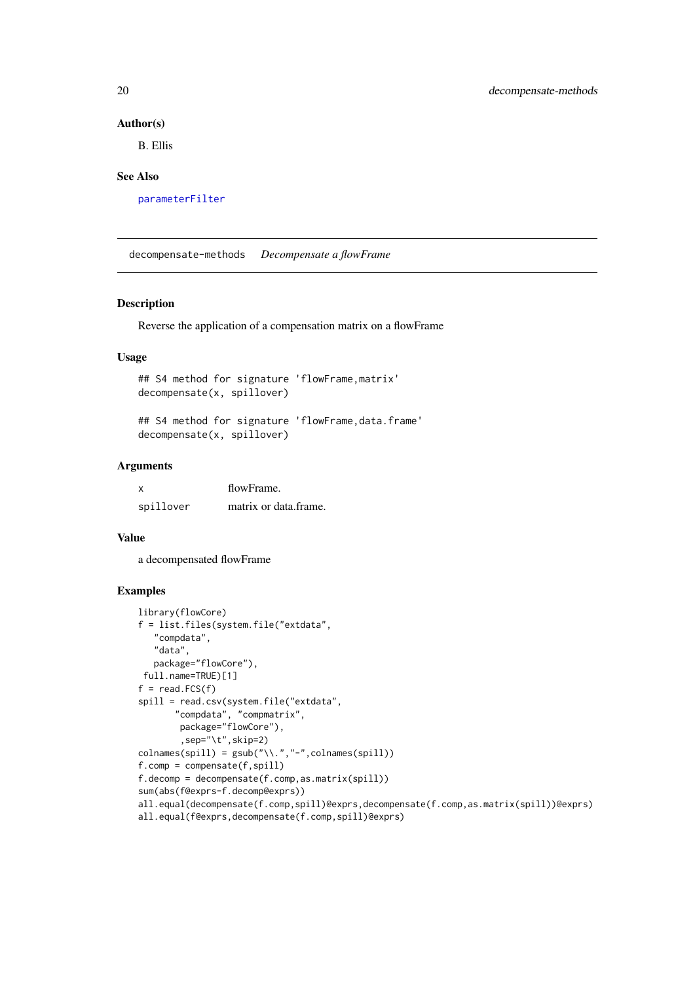# Author(s)

B. Ellis

# See Also

[parameterFilter](#page-87-1)

decompensate-methods *Decompensate a flowFrame*

# Description

Reverse the application of a compensation matrix on a flowFrame

# Usage

```
## S4 method for signature 'flowFrame, matrix'
decompensate(x, spillover)
```

```
## S4 method for signature 'flowFrame, data.frame'
decompensate(x, spillover)
```
#### Arguments

| $\boldsymbol{\mathsf{x}}$ | flowFrame.            |
|---------------------------|-----------------------|
| spillover                 | matrix or data frame. |

#### Value

a decompensated flowFrame

```
library(flowCore)
f = list.files(system.file("extdata",
   "compdata",
   "data",
   package="flowCore"),
full.name=TRUE)[1]
f = read.FCS(f)spill = read.csv(system.file("extdata",
       "compdata", "compmatrix",
        package="flowCore"),
        ,sep="\t",skip=2)
\text{colnames}(\text{spill}) = \text{gsub}(" \text{!}, " -", \text{colnames}(\text{spill}))f.comp = compensate(f,spill)f.decomp = decompensate(f.comp,as.matrix(spill))
sum(abs(f@exprs-f.decomp@exprs))
all.equal(decompensate(f.comp,spill)@exprs,decompensate(f.comp,as.matrix(spill))@exprs)
all.equal(f@exprs,decompensate(f.comp,spill)@exprs)
```
<span id="page-19-0"></span>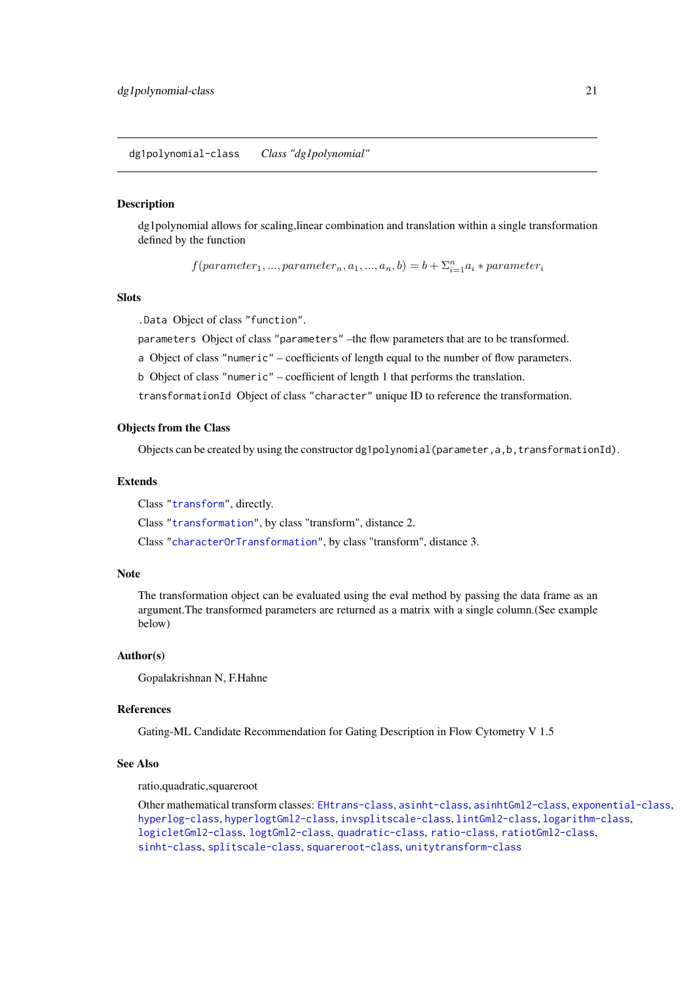<span id="page-20-1"></span><span id="page-20-0"></span>dg1polynomial-class *Class "dg1polynomial"*

# **Description**

dg1polynomial allows for scaling,linear combination and translation within a single transformation defined by the function

 $f(parameter_1, ..., parameter_n, a_1, ..., a_n, b) = b + \sum_{i=1}^n a_i * parameter_i$ 

#### Slots

.Data Object of class "function".

parameters Object of class "parameters" –the flow parameters that are to be transformed.

a Object of class "numeric" – coefficients of length equal to the number of flow parameters.

b Object of class "numeric" – coefficient of length 1 that performs the translation.

transformationId Object of class "character" unique ID to reference the transformation.

# Objects from the Class

Objects can be created by using the constructor dg1polynomial(parameter,a,b,transformationId).

#### Extends

Class ["transform"](#page-128-1), directly.

Class ["transformation"](#page-129-1), by class "transform", distance 2.

Class ["characterOrTransformation"](#page-12-1), by class "transform", distance 3.

# Note

The transformation object can be evaluated using the eval method by passing the data frame as an argument.The transformed parameters are returned as a matrix with a single column.(See example below)

# Author(s)

Gopalakrishnan N, F.Hahne

#### References

Gating-ML Candidate Recommendation for Gating Description in Flow Cytometry V 1.5

# See Also

ratio,quadratic,squareroot

Other mathematical transform classes: [EHtrans-class](#page-22-1), [asinht-class](#page-5-2), [asinhtGml2-class](#page-6-1), [exponential-class](#page-26-1), [hyperlog-class](#page-59-1), [hyperlogtGml2-class](#page-60-1), [invsplitscale-class](#page-65-1), [lintGml2-class](#page-71-1), [logarithm-class](#page-74-1), [logicletGml2-class](#page-76-1), [logtGml2-class](#page-80-1), [quadratic-class](#page-95-1), [ratio-class](#page-98-1), [ratiotGml2-class](#page-99-1), [sinht-class](#page-116-1), [splitscale-class](#page-119-1), [squareroot-class](#page-122-1), [unitytransform-class](#page-136-1)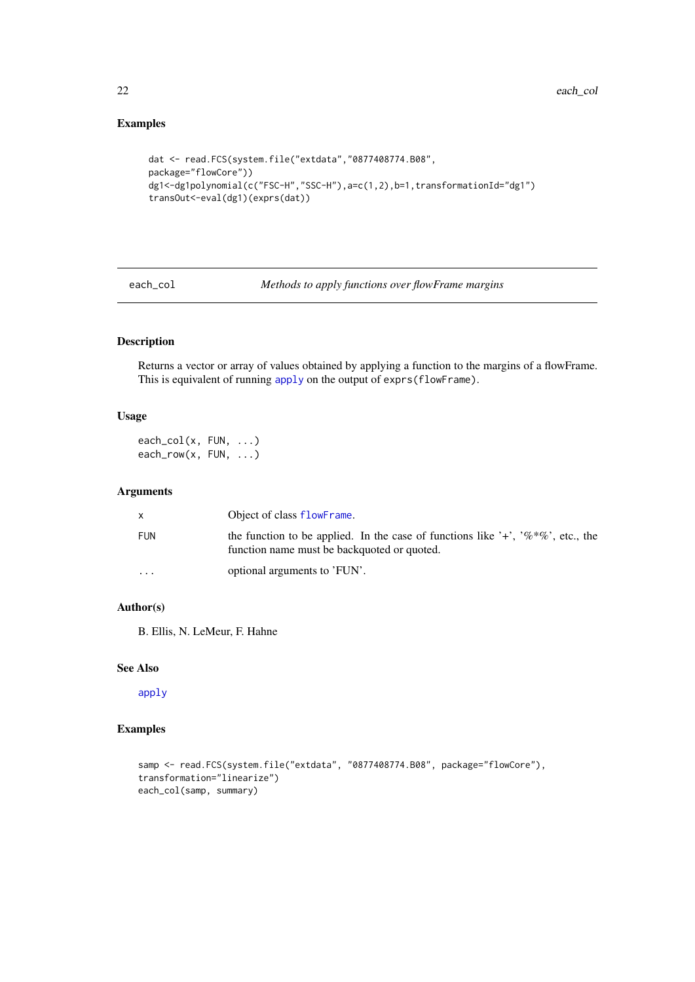# Examples

```
dat <- read.FCS(system.file("extdata","0877408774.B08",
package="flowCore"))
dg1<-dg1polynomial(c("FSC-H","SSC-H"),a=c(1,2),b=1,transformationId="dg1")
transOut<-eval(dg1)(exprs(dat))
```
each\_col *Methods to apply functions over flowFrame margins*

# Description

Returns a vector or array of values obtained by applying a function to the margins of a flowFrame. This is equivalent of running [apply](#page-0-0) on the output of exprs(flowFrame).

# Usage

 $each\_col(x, FUN, ...)$ each\_row(x, FUN, ...)

# Arguments

| X          | Object of class flowFrame.                                                                                                     |
|------------|--------------------------------------------------------------------------------------------------------------------------------|
| <b>FUN</b> | the function to be applied. In the case of functions like '+', '%*%', etc., the<br>function name must be backguoted or quoted. |
| $\cdots$   | optional arguments to 'FUN'.                                                                                                   |

# Author(s)

B. Ellis, N. LeMeur, F. Hahne

# See Also

[apply](#page-0-0)

```
samp <- read.FCS(system.file("extdata", "0877408774.B08", package="flowCore"),
transformation="linearize")
each_col(samp, summary)
```
<span id="page-21-0"></span>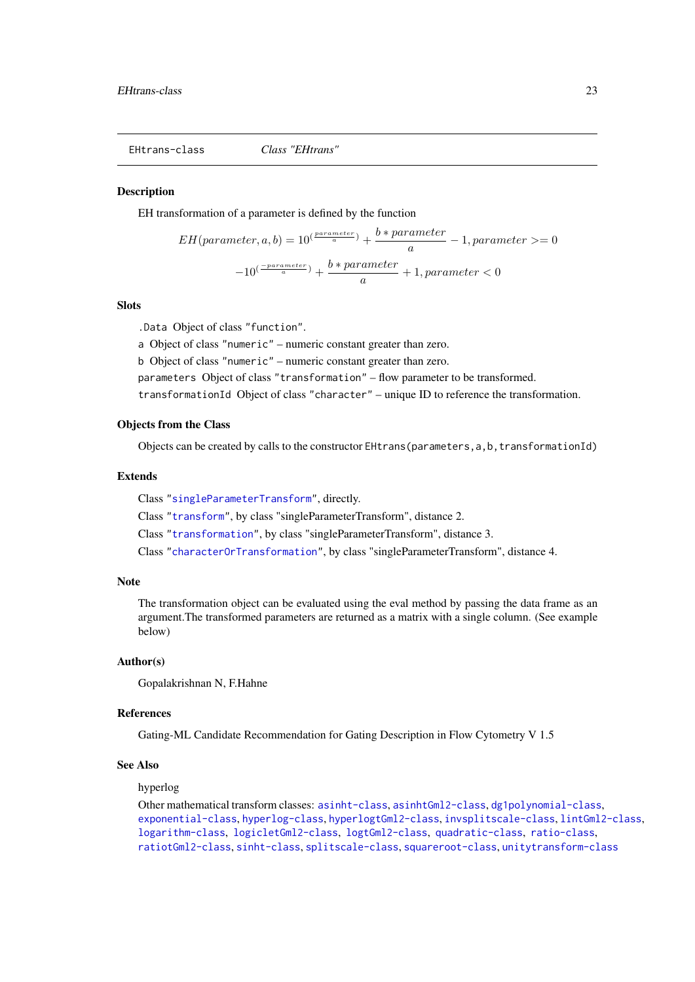<span id="page-22-1"></span><span id="page-22-0"></span>EHtrans-class *Class "EHtrans"*

# Description

EH transformation of a parameter is defined by the function

$$
EH(parameter, a, b) = 10^{\left(\frac{parameter}{a}\right)} + \frac{b * parameter}{a} - 1, parameter >= 0
$$
\n
$$
-10^{\left(\frac{-parameter}{a}\right)} + \frac{b * parameter}{a} + 1, parameter < 0
$$

# **Slots**

.Data Object of class "function".

a Object of class "numeric" – numeric constant greater than zero.

b Object of class "numeric" – numeric constant greater than zero.

parameters Object of class "transformation" – flow parameter to be transformed.

transformationId Object of class "character" – unique ID to reference the transformation.

#### Objects from the Class

Objects can be created by calls to the constructor EHtrans(parameters,a,b,transformationId)

#### Extends

Class ["singleParameterTransform"](#page-115-1), directly.

Class ["transform"](#page-128-1), by class "singleParameterTransform", distance 2.

Class ["transformation"](#page-129-1), by class "singleParameterTransform", distance 3.

Class ["characterOrTransformation"](#page-12-1), by class "singleParameterTransform", distance 4.

#### Note

The transformation object can be evaluated using the eval method by passing the data frame as an argument.The transformed parameters are returned as a matrix with a single column. (See example below)

# Author(s)

Gopalakrishnan N, F.Hahne

#### References

Gating-ML Candidate Recommendation for Gating Description in Flow Cytometry V 1.5

# See Also

# hyperlog

Other mathematical transform classes: [asinht-class](#page-5-2), [asinhtGml2-class](#page-6-1), [dg1polynomial-class](#page-20-1), [exponential-class](#page-26-1), [hyperlog-class](#page-59-1), [hyperlogtGml2-class](#page-60-1), [invsplitscale-class](#page-65-1), [lintGml2-class](#page-71-1), [logarithm-class](#page-74-1), [logicletGml2-class](#page-76-1), [logtGml2-class](#page-80-1), [quadratic-class](#page-95-1), [ratio-class](#page-98-1), [ratiotGml2-class](#page-99-1), [sinht-class](#page-116-1), [splitscale-class](#page-119-1), [squareroot-class](#page-122-1), [unitytransform-class](#page-136-1)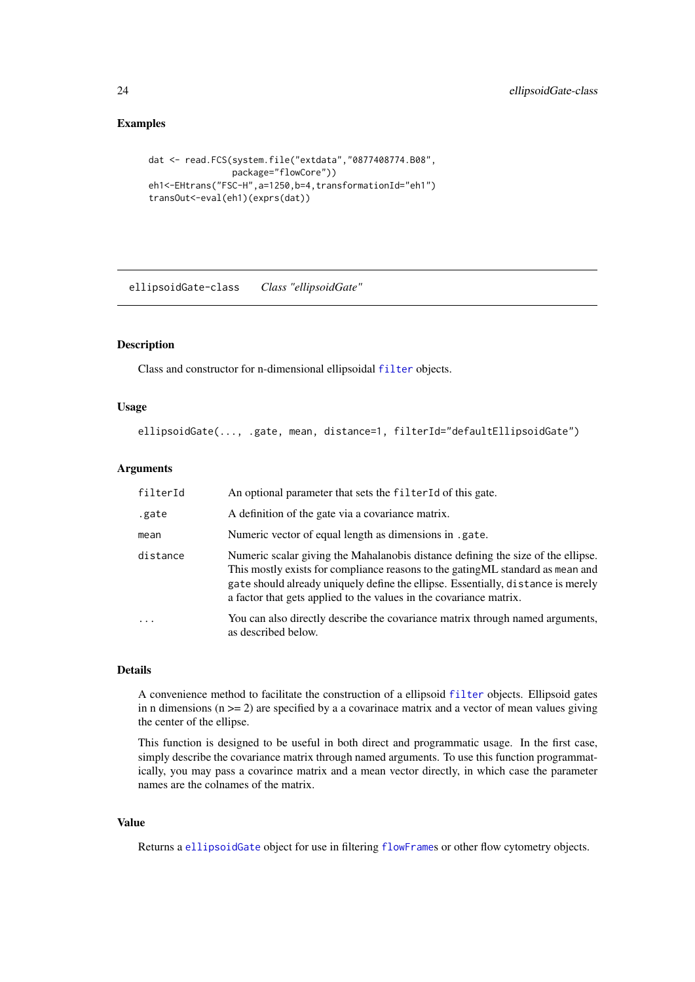# Examples

```
dat <- read.FCS(system.file("extdata","0877408774.B08",
                package="flowCore"))
eh1<-EHtrans("FSC-H", a=1250, b=4, transformationId="eh1")
transOut<-eval(eh1)(exprs(dat))
```
ellipsoidGate-class *Class "ellipsoidGate"*

# <span id="page-23-1"></span>Description

Class and constructor for n-dimensional ellipsoidal [filter](#page-32-1) objects.

# Usage

ellipsoidGate(..., .gate, mean, distance=1, filterId="defaultEllipsoidGate")

# Arguments

| filterId | An optional parameter that sets the filterId of this gate.                                                                                                                                                                                                                                                                    |
|----------|-------------------------------------------------------------------------------------------------------------------------------------------------------------------------------------------------------------------------------------------------------------------------------------------------------------------------------|
| .gate    | A definition of the gate via a covariance matrix.                                                                                                                                                                                                                                                                             |
| mean     | Numeric vector of equal length as dimensions in .gate.                                                                                                                                                                                                                                                                        |
| distance | Numeric scalar giving the Mahalanobis distance defining the size of the ellipse.<br>This mostly exists for compliance reasons to the gating ML standard as mean and<br>gate should already uniquely define the ellipse. Essentially, distance is merely<br>a factor that gets applied to the values in the covariance matrix. |
| .        | You can also directly describe the covariance matrix through named arguments,<br>as described below.                                                                                                                                                                                                                          |

# Details

A convenience method to facilitate the construction of a ellipsoid [filter](#page-32-1) objects. Ellipsoid gates in n dimensions ( $n \ge 2$ ) are specified by a a covarinace matrix and a vector of mean values giving the center of the ellipse.

This function is designed to be useful in both direct and programmatic usage. In the first case, simply describe the covariance matrix through named arguments. To use this function programmatically, you may pass a covarince matrix and a mean vector directly, in which case the parameter names are the colnames of the matrix.

# Value

Returns a [ellipsoidGate](#page-23-1) object for use in filtering [flowFrame](#page-44-1)s or other flow cytometry objects.

<span id="page-23-0"></span>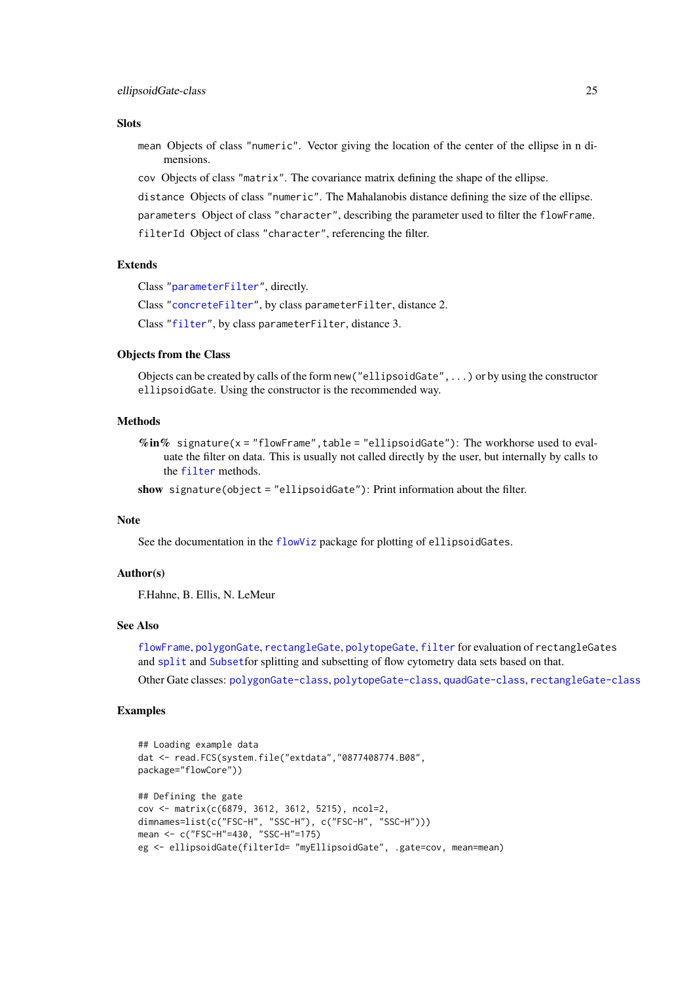# Slots

- mean Objects of class "numeric". Vector giving the location of the center of the ellipse in n dimensions.
- cov Objects of class "matrix". The covariance matrix defining the shape of the ellipse.
- distance Objects of class "numeric". The Mahalanobis distance defining the size of the ellipse.

parameters Object of class "character", describing the parameter used to filter the flowFrame.

filterId Object of class "character", referencing the filter.

#### Extends

Class ["parameterFilter"](#page-87-1), directly.

Class ["concreteFilter"](#page-18-1), by class parameterFilter, distance 2.

Class ["filter"](#page-30-1), by class parameterFilter, distance 3.

# Objects from the Class

Objects can be created by calls of the form new("ellipsoidGate",...) or by using the constructor ellipsoidGate. Using the constructor is the recommended way.

#### Methods

 $\%$ in% signature(x = "flowFrame", table = "ellipsoidGate"): The workhorse used to evaluate the filter on data. This is usually not called directly by the user, but internally by calls to the [filter](#page-32-1) methods.

show signature(object = "ellipsoidGate"): Print information about the filter.

#### Note

See the documentation in the [flowViz](#page-0-0) package for plotting of ellipsoidGates.

#### Author(s)

F.Hahne, B. Ellis, N. LeMeur

# See Also

[flowFrame](#page-44-1), [polygonGate](#page-90-1), [rectangleGate](#page-106-1), [polytopeGate](#page-92-1), [filter](#page-32-1) for evaluation of rectangleGates and [split](#page-117-1) and [Subset](#page-123-1)for splitting and subsetting of flow cytometry data sets based on that.

Other Gate classes: [polygonGate-class](#page-90-2), [polytopeGate-class](#page-92-2), [quadGate-class](#page-93-1), [rectangleGate-class](#page-106-2)

```
## Loading example data
dat <- read.FCS(system.file("extdata","0877408774.B08",
package="flowCore"))
## Defining the gate
cov <- matrix(c(6879, 3612, 3612, 5215), ncol=2,
dimnames=list(c("FSC-H", "SSC-H"), c("FSC-H", "SSC-H")))
mean <- c("FSC-H"=430, "SSC-H"=175)
eg <- ellipsoidGate(filterId= "myEllipsoidGate", .gate=cov, mean=mean)
```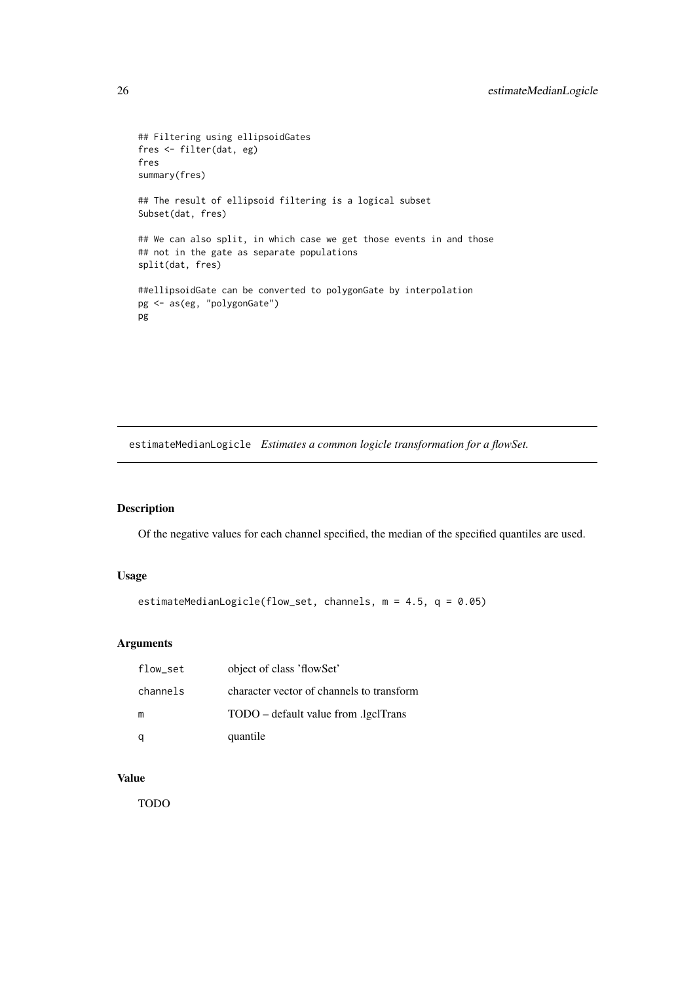```
## Filtering using ellipsoidGates
fres <- filter(dat, eg)
fres
summary(fres)
## The result of ellipsoid filtering is a logical subset
Subset(dat, fres)
## We can also split, in which case we get those events in and those
## not in the gate as separate populations
split(dat, fres)
##ellipsoidGate can be converted to polygonGate by interpolation
pg <- as(eg, "polygonGate")
pg
```
estimateMedianLogicle *Estimates a common logicle transformation for a flowSet.*

# Description

Of the negative values for each channel specified, the median of the specified quantiles are used.

#### Usage

```
estimateMedianLogicle(flow_set, channels, m = 4.5, q = 0.05)
```
# Arguments

| flow_set | object of class 'flowSet'                 |
|----------|-------------------------------------------|
| channels | character vector of channels to transform |
| m        | TODO – default value from .lgclTrans      |
| q        | quantile                                  |

# Value

TODO

<span id="page-25-0"></span>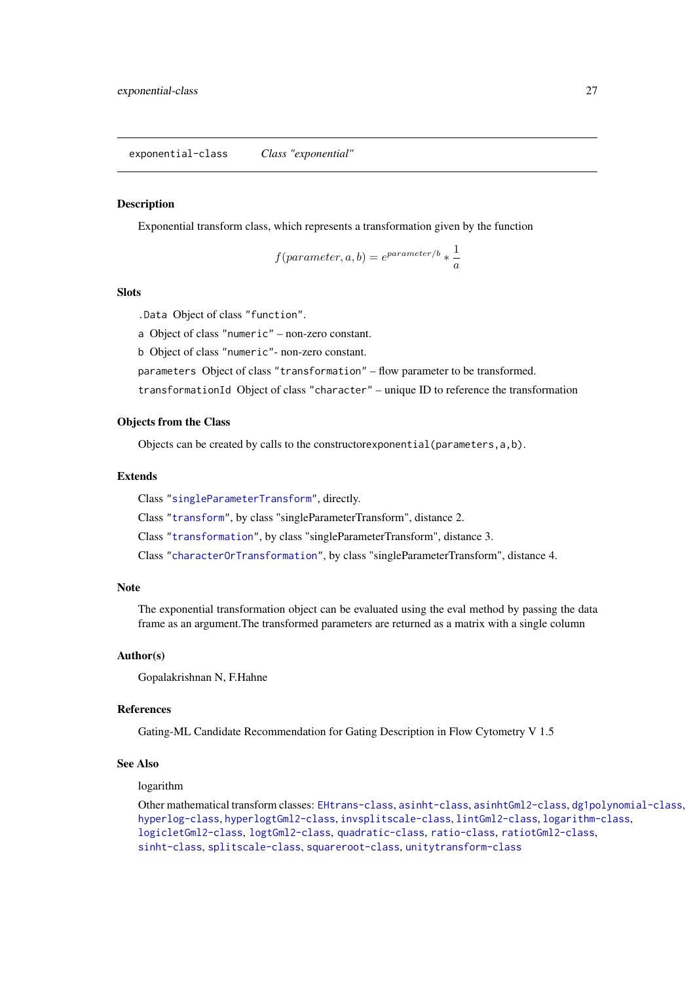<span id="page-26-1"></span><span id="page-26-0"></span>exponential-class *Class "exponential"*

#### Description

Exponential transform class, which represents a transformation given by the function

$$
f(parameter, a, b) = e^{parameter/b} * \frac{1}{a}
$$

# Slots

.Data Object of class "function".

a Object of class "numeric" – non-zero constant.

b Object of class "numeric"- non-zero constant.

parameters Object of class "transformation" – flow parameter to be transformed.

transformationId Object of class "character" – unique ID to reference the transformation

#### Objects from the Class

Objects can be created by calls to the constructorexponential(parameters,a,b).

#### Extends

Class ["singleParameterTransform"](#page-115-1), directly.

Class ["transform"](#page-128-1), by class "singleParameterTransform", distance 2.

Class ["transformation"](#page-129-1), by class "singleParameterTransform", distance 3.

Class ["characterOrTransformation"](#page-12-1), by class "singleParameterTransform", distance 4.

# Note

The exponential transformation object can be evaluated using the eval method by passing the data frame as an argument.The transformed parameters are returned as a matrix with a single column

# Author(s)

Gopalakrishnan N, F.Hahne

#### References

Gating-ML Candidate Recommendation for Gating Description in Flow Cytometry V 1.5

# See Also

#### logarithm

Other mathematical transform classes: [EHtrans-class](#page-22-1), [asinht-class](#page-5-2), [asinhtGml2-class](#page-6-1), [dg1polynomial-class](#page-20-1), [hyperlog-class](#page-59-1), [hyperlogtGml2-class](#page-60-1), [invsplitscale-class](#page-65-1), [lintGml2-class](#page-71-1), [logarithm-class](#page-74-1), [logicletGml2-class](#page-76-1), [logtGml2-class](#page-80-1), [quadratic-class](#page-95-1), [ratio-class](#page-98-1), [ratiotGml2-class](#page-99-1), [sinht-class](#page-116-1), [splitscale-class](#page-119-1), [squareroot-class](#page-122-1), [unitytransform-class](#page-136-1)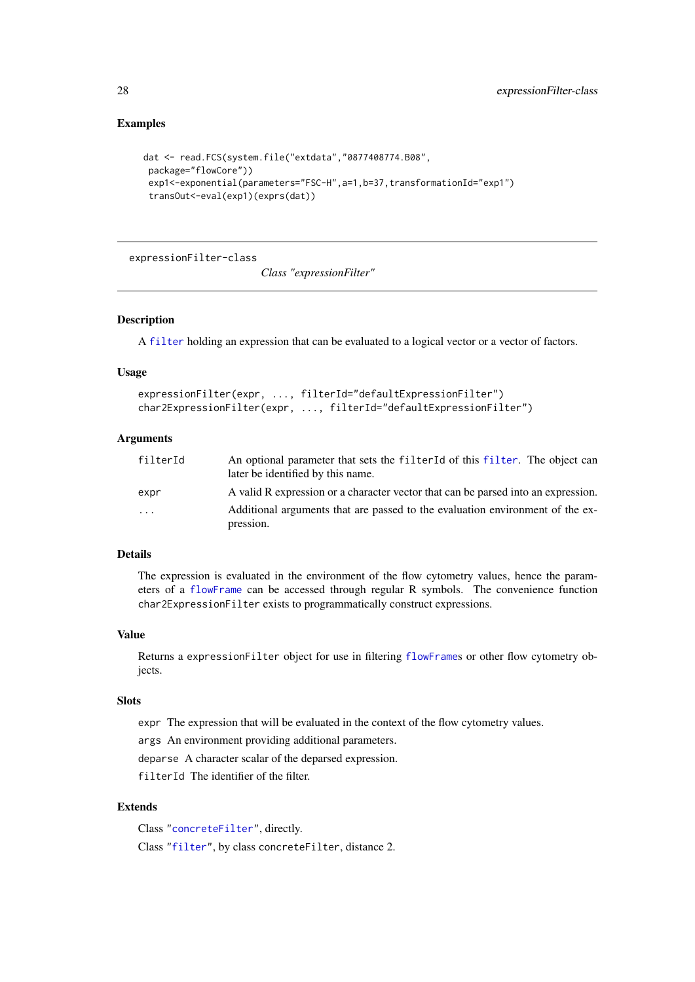# Examples

```
dat <- read.FCS(system.file("extdata","0877408774.B08",
 package="flowCore"))
 exp1<-exponential(parameters="FSC-H",a=1,b=37,transformationId="exp1")
 transOut<-eval(exp1)(exprs(dat))
```
expressionFilter-class

*Class "expressionFilter"*

#### <span id="page-27-1"></span>Description

A [filter](#page-32-1) holding an expression that can be evaluated to a logical vector or a vector of factors.

#### Usage

```
expressionFilter(expr, ..., filterId="defaultExpressionFilter")
char2ExpressionFilter(expr, ..., filterId="defaultExpressionFilter")
```
#### Arguments

| filterId | An optional parameter that sets the filter Id of this filter. The object can      |
|----------|-----------------------------------------------------------------------------------|
|          | later be identified by this name.                                                 |
| expr     | A valid R expression or a character vector that can be parsed into an expression. |
| $\cdots$ | Additional arguments that are passed to the evaluation environment of the ex-     |
|          | pression.                                                                         |

# Details

The expression is evaluated in the environment of the flow cytometry values, hence the parameters of a [flowFrame](#page-44-1) can be accessed through regular R symbols. The convenience function char2ExpressionFilter exists to programmatically construct expressions.

# Value

Returns a expressionFilter object for use in filtering [flowFrame](#page-44-1)s or other flow cytometry objects.

#### Slots

expr The expression that will be evaluated in the context of the flow cytometry values.

args An environment providing additional parameters.

deparse A character scalar of the deparsed expression.

filterId The identifier of the filter.

# Extends

Class ["concreteFilter"](#page-18-1), directly. Class ["filter"](#page-30-1), by class concreteFilter, distance 2.

<span id="page-27-0"></span>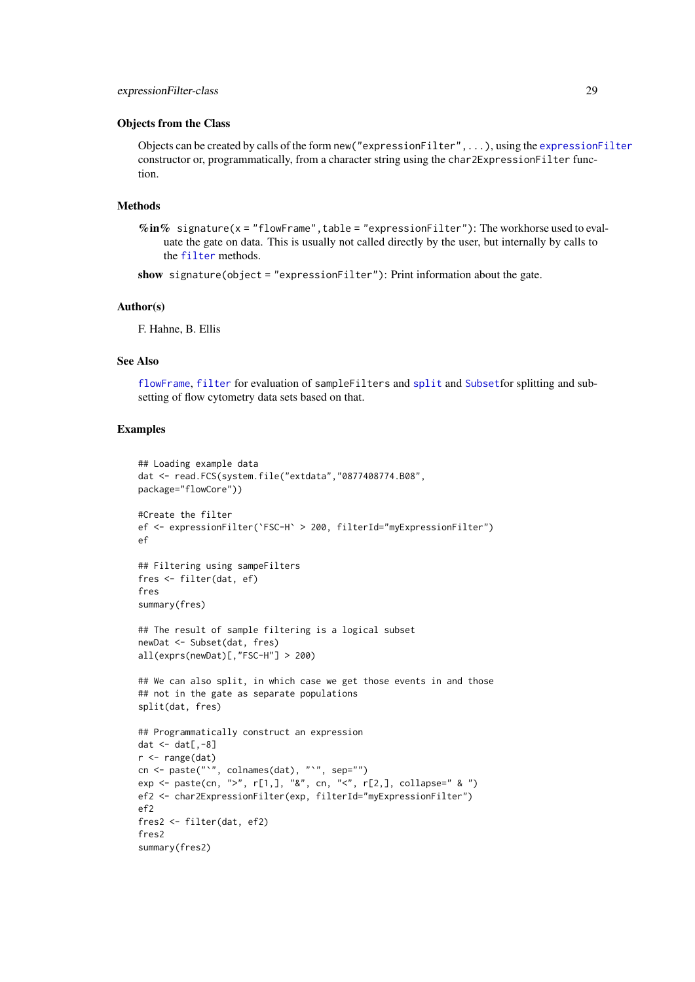#### Objects from the Class

Objects can be created by calls of the form new("expressionFilter",...), using the [expressionFilter](#page-27-1) constructor or, programmatically, from a character string using the char2ExpressionFilter function.

#### Methods

% $\mathbf{in}\%$  signature(x = "flowFrame", table = "expressionFilter"): The workhorse used to evaluate the gate on data. This is usually not called directly by the user, but internally by calls to the [filter](#page-32-1) methods.

show signature(object = "expressionFilter"): Print information about the gate.

#### Author(s)

F. Hahne, B. Ellis

#### See Also

[flowFrame](#page-44-1), [filter](#page-32-1) for evaluation of sampleFilters and [split](#page-117-1) and [Subset](#page-123-1)for splitting and subsetting of flow cytometry data sets based on that.

```
## Loading example data
dat <- read.FCS(system.file("extdata","0877408774.B08",
package="flowCore"))
#Create the filter
ef <- expressionFilter(`FSC-H` > 200, filterId="myExpressionFilter")
ef
## Filtering using sampeFilters
fres <- filter(dat, ef)
fres
summary(fres)
## The result of sample filtering is a logical subset
newDat <- Subset(dat, fres)
all(exprs(newDat)[,"FSC-H"] > 200)
## We can also split, in which case we get those events in and those
## not in the gate as separate populations
split(dat, fres)
## Programmatically construct an expression
dat \leftarrow dat[, -8]r <- range(dat)
cn <- paste("`", colnames(dat), "`", sep="")
exp <- paste(cn, ">", r[1,], "&", cn, "<", r[2,], collapse=" & ")
ef2 <- char2ExpressionFilter(exp, filterId="myExpressionFilter")
ef2
fres2 <- filter(dat, ef2)
fres2
summary(fres2)
```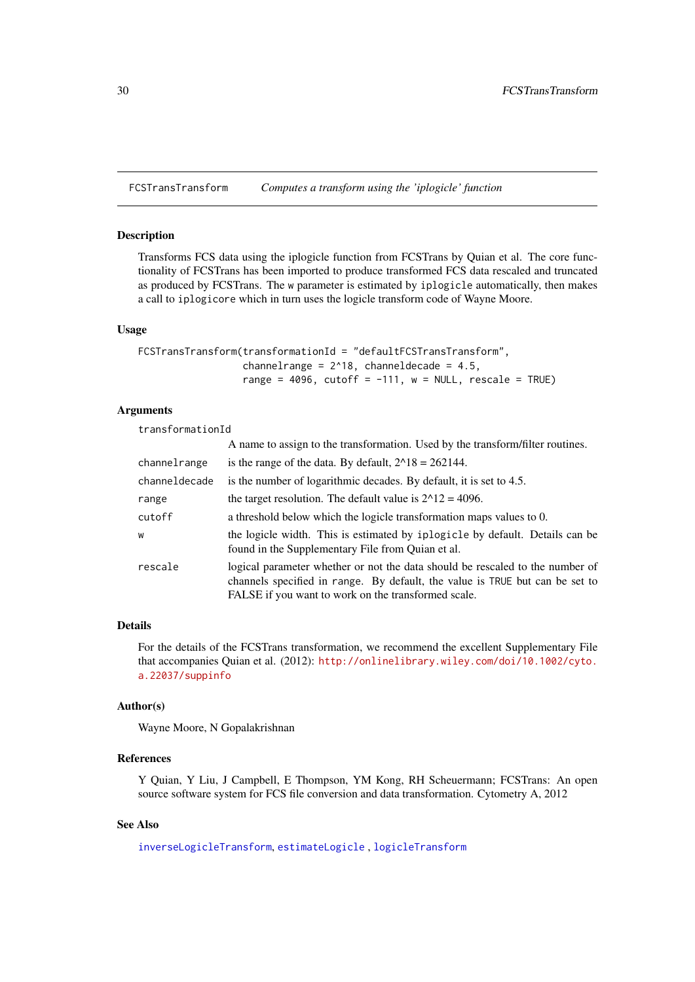<span id="page-29-0"></span>FCSTransTransform *Computes a transform using the 'iplogicle' function*

# Description

Transforms FCS data using the iplogicle function from FCSTrans by Quian et al. The core functionality of FCSTrans has been imported to produce transformed FCS data rescaled and truncated as produced by FCSTrans. The w parameter is estimated by iplogicle automatically, then makes a call to iplogicore which in turn uses the logicle transform code of Wayne Moore.

#### Usage

```
FCSTransTransform(transformationId = "defaultFCSTransTransform",
                  channelrange = 2^18, channeldecade = 4.5,
                  range = 4096, cutoff = -111, w = NULL, rescale = TRUE)
```
# Arguments

transformationId

|               | A name to assign to the transformation. Used by the transform/filter routines.                                                                                                                                       |
|---------------|----------------------------------------------------------------------------------------------------------------------------------------------------------------------------------------------------------------------|
| channelrange  | is the range of the data. By default, $2^{\wedge}18 = 262144$ .                                                                                                                                                      |
| channeldecade | is the number of logarithmic decades. By default, it is set to 4.5.                                                                                                                                                  |
| range         | the target resolution. The default value is $2^{\wedge}12 = 4096$ .                                                                                                                                                  |
| cutoff        | a threshold below which the logicle transformation maps values to 0.                                                                                                                                                 |
| W             | the logicle width. This is estimated by iplogicle by default. Details can be<br>found in the Supplementary File from Quian et al.                                                                                    |
| rescale       | logical parameter whether or not the data should be rescaled to the number of<br>channels specified in range. By default, the value is TRUE but can be set to<br>FALSE if you want to work on the transformed scale. |

# Details

For the details of the FCSTrans transformation, we recommend the excellent Supplementary File that accompanies Quian et al. (2012): [http://onlinelibrary.wiley.com/doi/10.1002/cyto.](http://onlinelibrary.wiley.com/doi/10.1002/cyto.a.22037/suppinfo) [a.22037/suppinfo](http://onlinelibrary.wiley.com/doi/10.1002/cyto.a.22037/suppinfo)

#### Author(s)

Wayne Moore, N Gopalakrishnan

#### References

Y Quian, Y Liu, J Campbell, E Thompson, YM Kong, RH Scheuermann; FCSTrans: An open source software system for FCS file conversion and data transformation. Cytometry A, 2012

# See Also

[inverseLogicleTransform](#page-64-1), [estimateLogicle](#page-79-2) , [logicleTransform](#page-79-1)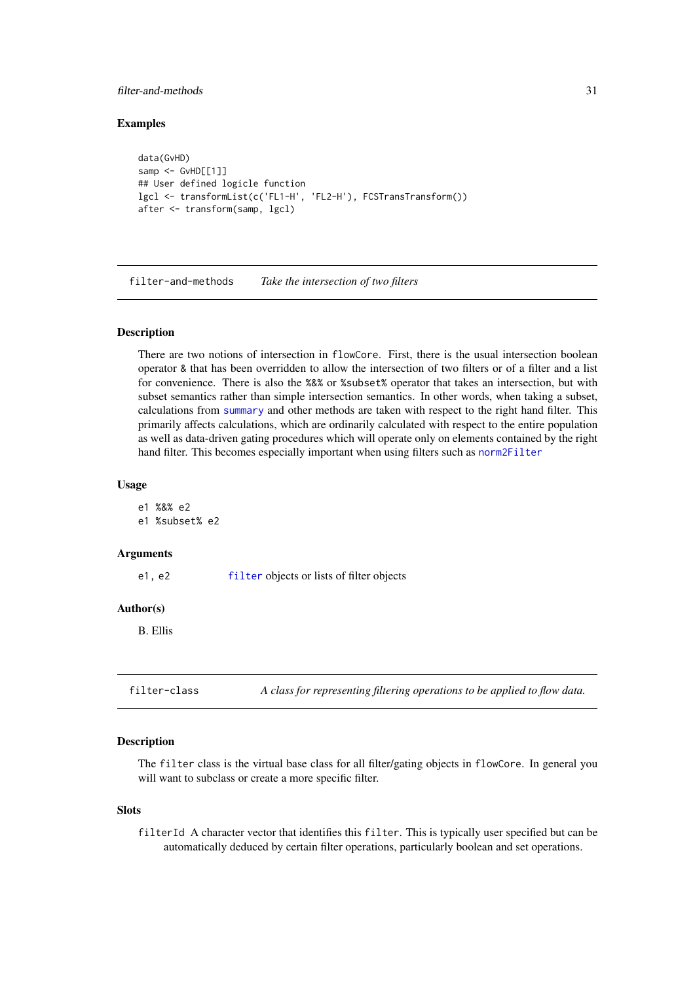#### <span id="page-30-0"></span>filter-and-methods 31

#### Examples

```
data(GvHD)
samp \leq GvHD[[1]]
## User defined logicle function
lgcl <- transformList(c('FL1-H', 'FL2-H'), FCSTransTransform())
after <- transform(samp, lgcl)
```
filter-and-methods *Take the intersection of two filters*

#### Description

There are two notions of intersection in flowCore. First, there is the usual intersection boolean operator & that has been overridden to allow the intersection of two filters or of a filter and a list for convenience. There is also the %&% or %subset% operator that takes an intersection, but with subset semantics rather than simple intersection semantics. In other words, when taking a subset, calculations from [summary](#page-0-0) and other methods are taken with respect to the right hand filter. This primarily affects calculations, which are ordinarily calculated with respect to the entire population as well as data-driven gating procedures which will operate only on elements contained by the right hand filter. This becomes especially important when using filters such as [norm2Filter](#page-0-0)

# Usage

e1 %&% e2 e1 %subset% e2

#### Arguments

e1, e2 [filter](#page-30-1) objects or lists of filter objects

# Author(s)

B. Ellis

<span id="page-30-1"></span>filter-class *A class for representing filtering operations to be applied to flow data.*

# Description

The filter class is the virtual base class for all filter/gating objects in flowCore. In general you will want to subclass or create a more specific filter.

# Slots

filterId A character vector that identifies this filter. This is typically user specified but can be automatically deduced by certain filter operations, particularly boolean and set operations.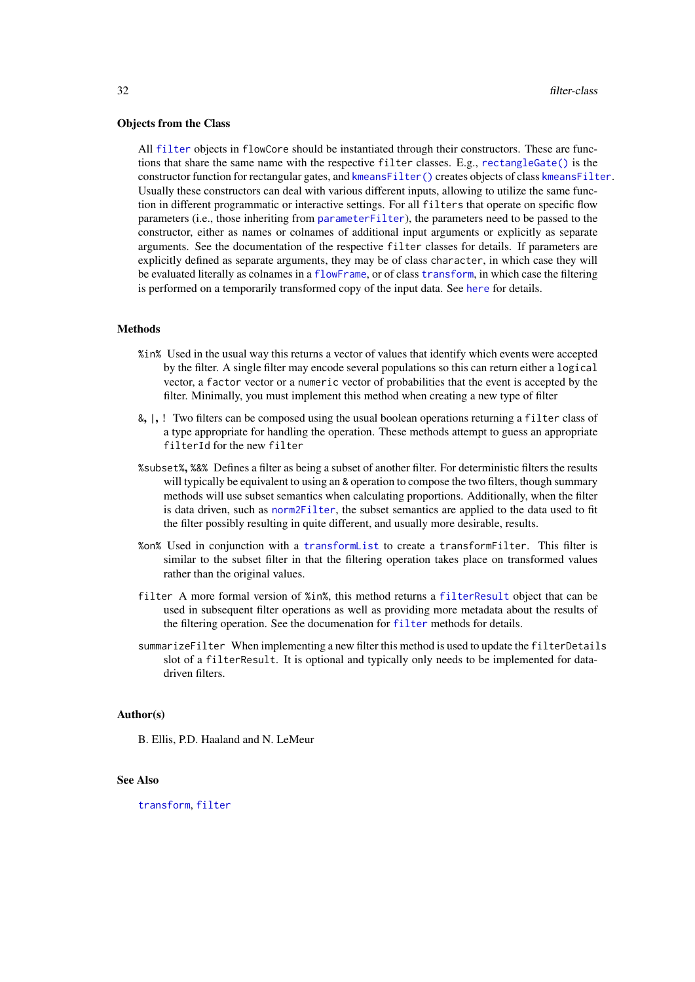#### Objects from the Class

All [filter](#page-32-1) objects in flowCore should be instantiated through their constructors. These are functions that share the same name with the respective filter classes. E.g., [rectangleGate\(\)](#page-0-0) is the constructor function for rectangular gates, and [kmeansFilter\(\)](#page-0-0) creates objects of class [kmeansFilter](#page-68-1). Usually these constructors can deal with various different inputs, allowing to utilize the same function in different programmatic or interactive settings. For all filters that operate on specific flow parameters (i.e., those inheriting from [parameterFilter](#page-0-0)), the parameters need to be passed to the constructor, either as names or colnames of additional input arguments or explicitly as separate arguments. See the documentation of the respective filter classes for details. If parameters are explicitly defined as separate arguments, they may be of class character, in which case they will be evaluated literally as colnames in a [flowFrame](#page-44-1), or of class [transform](#page-128-2), in which case the filtering is performed on a temporarily transformed copy of the input data. See [here](#page-0-0) for details.

#### **Methods**

- %in% Used in the usual way this returns a vector of values that identify which events were accepted by the filter. A single filter may encode several populations so this can return either a logical vector, a factor vector or a numeric vector of probabilities that the event is accepted by the filter. Minimally, you must implement this method when creating a new type of filter
- &, |, ! Two filters can be composed using the usual boolean operations returning a filter class of a type appropriate for handling the operation. These methods attempt to guess an appropriate filterId for the new filter
- %subset%, %&% Defines a filter as being a subset of another filter. For deterministic filters the results will typically be equivalent to using an & operation to compose the two filters, though summary methods will use subset semantics when calculating proportions. Additionally, when the filter is data driven, such as [norm2Filter](#page-0-0), the subset semantics are applied to the data used to fit the filter possibly resulting in quite different, and usually more desirable, results.
- %on% Used in conjunction with a [transformList](#page-130-1) to create a transformFilter. This filter is similar to the subset filter in that the filtering operation takes place on transformed values rather than the original values.
- filter A more formal version of %in%, this method returns a [filterResult](#page-37-1) object that can be used in subsequent filter operations as well as providing more metadata about the results of the filtering operation. See the documenation for [filter](#page-32-1) methods for details.
- summarizeFilter When implementing a new filter this method is used to update the filterDetails slot of a filterResult. It is optional and typically only needs to be implemented for datadriven filters.

#### Author(s)

B. Ellis, P.D. Haaland and N. LeMeur

# See Also

#### [transform](#page-128-2), [filter](#page-32-1)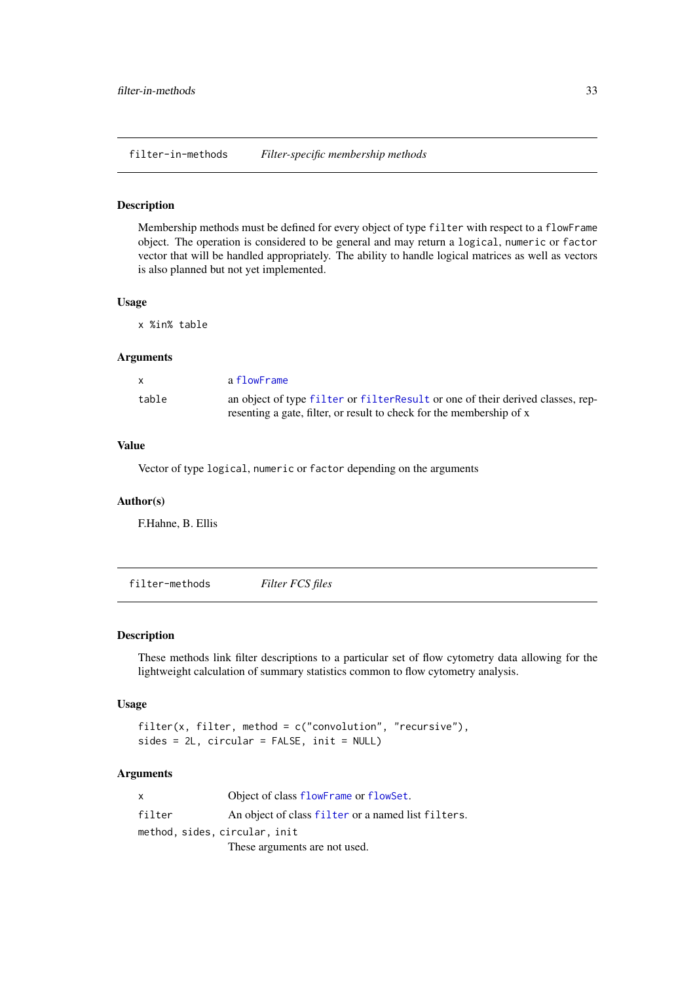<span id="page-32-0"></span>filter-in-methods *Filter-specific membership methods*

#### Description

Membership methods must be defined for every object of type filter with respect to a flowFrame object. The operation is considered to be general and may return a logical, numeric or factor vector that will be handled appropriately. The ability to handle logical matrices as well as vectors is also planned but not yet implemented.

# Usage

x %in% table

## Arguments

| $\mathsf{x}$ | a flowFrame                                                                     |
|--------------|---------------------------------------------------------------------------------|
| table        | an object of type filter or filter Result or one of their derived classes, rep- |
|              | resenting a gate, filter, or result to check for the membership of x            |

# Value

Vector of type logical, numeric or factor depending on the arguments

#### Author(s)

F.Hahne, B. Ellis

filter-methods *Filter FCS files*

#### <span id="page-32-1"></span>Description

These methods link filter descriptions to a particular set of flow cytometry data allowing for the lightweight calculation of summary statistics common to flow cytometry analysis.

#### Usage

```
filter(x, filter, method = c("convolution", "recursive"),sides = 2L, circular = FALSE, init = NULL)
```
# Arguments

x Object of class [flowFrame](#page-44-2) or [flowSet](#page-50-2). [filter](#page-30-1) An object of class filter or a named list filters. method, sides, circular, init These arguments are not used.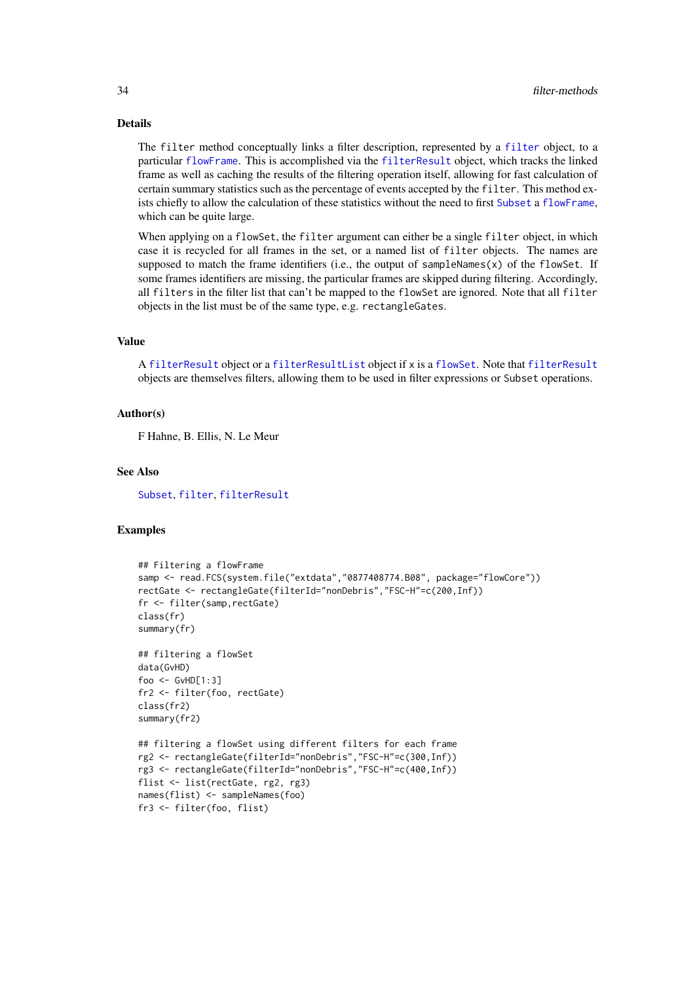#### Details

The filter method conceptually links a filter description, represented by a [filter](#page-30-1) object, to a particular [flowFrame](#page-44-2). This is accomplished via the [filterResult](#page-37-2) object, which tracks the linked frame as well as caching the results of the filtering operation itself, allowing for fast calculation of certain summary statistics such as the percentage of events accepted by the filter. This method ex-ists chiefly to allow the calculation of these statistics without the need to first [Subset](#page-123-1) a [flowFrame](#page-44-2), which can be quite large.

When applying on a flowSet, the filter argument can either be a single filter object, in which case it is recycled for all frames in the set, or a named list of filter objects. The names are supposed to match the frame identifiers (i.e., the output of sampleNames $(x)$  of the flowSet. If some frames identifiers are missing, the particular frames are skipped during filtering. Accordingly, all filters in the filter list that can't be mapped to the flowSet are ignored. Note that all filter objects in the list must be of the same type, e.g. rectangleGates.

# Value

A [filterResult](#page-37-2) object or a [filterResultList](#page-37-3) object if x is a [flowSet](#page-50-2). Note that [filterResult](#page-37-2) objects are themselves filters, allowing them to be used in filter expressions or Subset operations.

# Author(s)

F Hahne, B. Ellis, N. Le Meur

#### See Also

[Subset](#page-123-1), [filter](#page-30-1), [filterResult](#page-37-2)

```
## Filtering a flowFrame
samp <- read.FCS(system.file("extdata","0877408774.B08", package="flowCore"))
rectGate <- rectangleGate(filterId="nonDebris","FSC-H"=c(200,Inf))
fr <- filter(samp,rectGate)
class(fr)
summary(fr)
## filtering a flowSet
data(GvHD)
foo <- GvHD[1:3]
fr2 <- filter(foo, rectGate)
class(fr2)
summary(fr2)
## filtering a flowSet using different filters for each frame
rg2 <- rectangleGate(filterId="nonDebris","FSC-H"=c(300,Inf))
rg3 <- rectangleGate(filterId="nonDebris","FSC-H"=c(400,Inf))
flist <- list(rectGate, rg2, rg3)
names(flist) <- sampleNames(foo)
fr3 <- filter(foo, flist)
```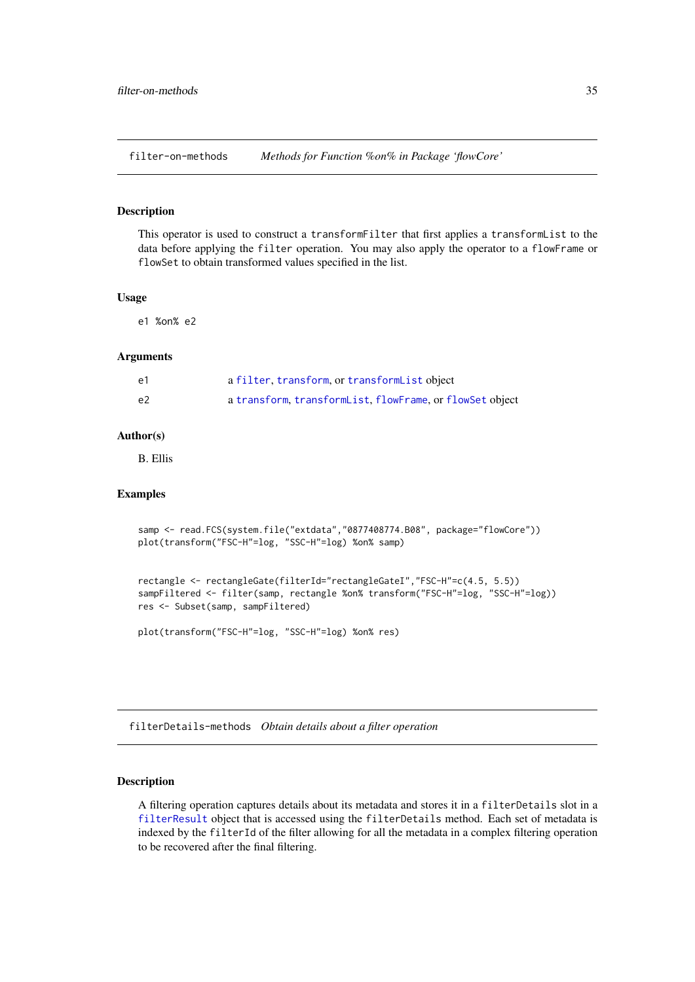<span id="page-34-0"></span>filter-on-methods *Methods for Function %on% in Package 'flowCore'*

# Description

This operator is used to construct a transformFilter that first applies a transformList to the data before applying the filter operation. You may also apply the operator to a flowFrame or flowSet to obtain transformed values specified in the list.

#### Usage

e1 %on% e2

#### Arguments

| e1             | a filter, transform, or transform List object            |
|----------------|----------------------------------------------------------|
| e <sub>2</sub> | a transform, transformList, flowFrame, or flowSet object |

#### Author(s)

B. Ellis

# Examples

```
samp <- read.FCS(system.file("extdata","0877408774.B08", package="flowCore"))
plot(transform("FSC-H"=log, "SSC-H"=log) %on% samp)
```

```
rectangle <- rectangleGate(filterId="rectangleGateI","FSC-H"=c(4.5, 5.5))
sampFiltered <- filter(samp, rectangle %on% transform("FSC-H"=log, "SSC-H"=log))
res <- Subset(samp, sampFiltered)
```
plot(transform("FSC-H"=log, "SSC-H"=log) %on% res)

filterDetails-methods *Obtain details about a filter operation*

# Description

A filtering operation captures details about its metadata and stores it in a filterDetails slot in a [filterResult](#page-37-2) object that is accessed using the filterDetails method. Each set of metadata is indexed by the filterId of the filter allowing for all the metadata in a complex filtering operation to be recovered after the final filtering.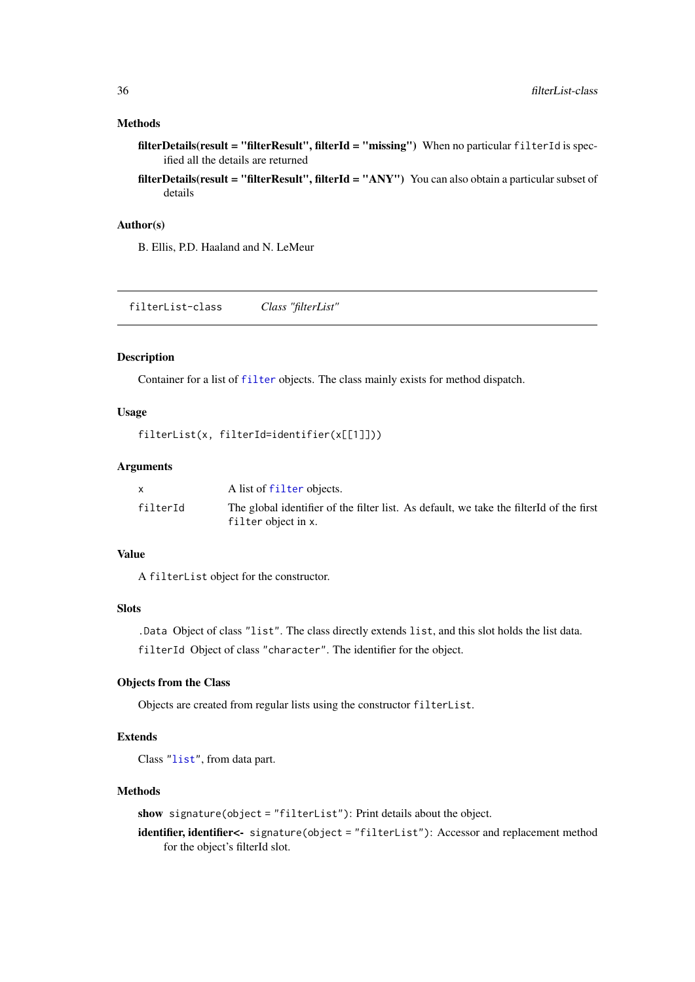# <span id="page-35-0"></span>Methods

- filterDetails(result = "filterResult", filterId = "missing") When no particular filterId is specified all the details are returned
- filterDetails(result = "filterResult", filterId = "ANY") You can also obtain a particular subset of details

#### Author(s)

B. Ellis, P.D. Haaland and N. LeMeur

filterList-class *Class "filterList"*

# Description

Container for a list of [filter](#page-32-1) objects. The class mainly exists for method dispatch.

#### Usage

```
filterList(x, filterId=identifier(x[[1]]))
```
# Arguments

|          | A list of filter objects.                                                                                      |
|----------|----------------------------------------------------------------------------------------------------------------|
| filterId | The global identifier of the filter list. As default, we take the filterId of the first<br>filter object in x. |

# Value

A filterList object for the constructor.

# Slots

.Data Object of class "list". The class directly extends list, and this slot holds the list data. filterId Object of class "character". The identifier for the object.

# Objects from the Class

Objects are created from regular lists using the constructor filterList.

# Extends

Class ["list"](#page-0-0), from data part.

# Methods

show signature(object = "filterList"): Print details about the object.

identifier, identifier<- signature(object = "filterList"): Accessor and replacement method for the object's filterId slot.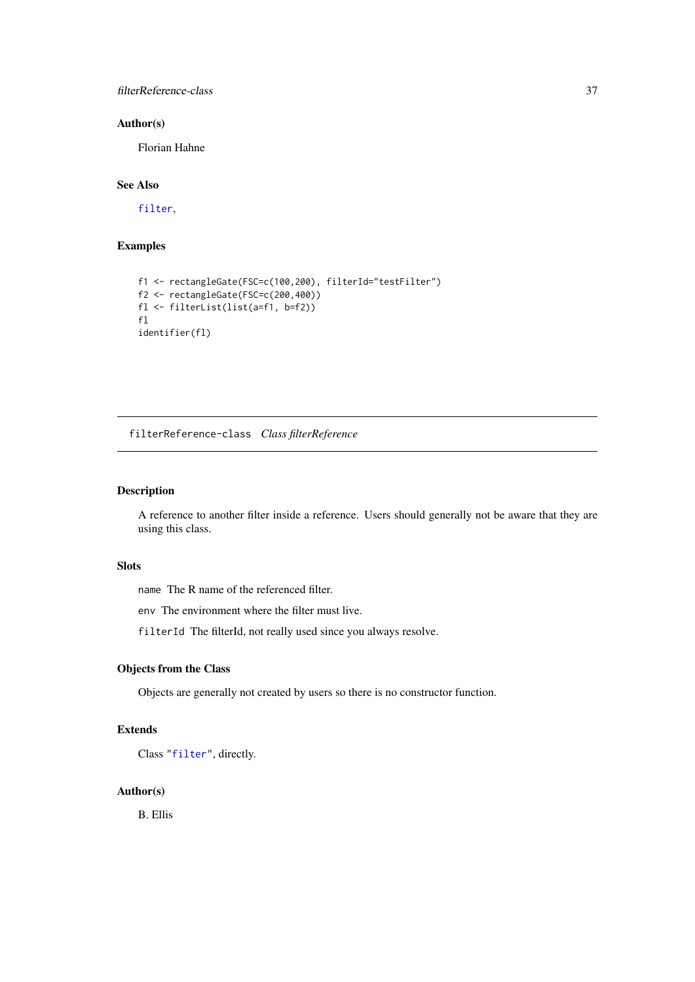filterReference-class 37

## Author(s)

Florian Hahne

# See Also

[filter](#page-32-0),

# Examples

```
f1 <- rectangleGate(FSC=c(100,200), filterId="testFilter")
f2 <- rectangleGate(FSC=c(200,400))
fl <- filterList(list(a=f1, b=f2))
fl
identifier(fl)
```
<span id="page-36-0"></span>filterReference-class *Class filterReference*

# Description

A reference to another filter inside a reference. Users should generally not be aware that they are using this class.

# Slots

name The R name of the referenced filter.

env The environment where the filter must live.

filterId The filterId, not really used since you always resolve.

# Objects from the Class

Objects are generally not created by users so there is no constructor function.

## Extends

```
Class "filter", directly.
```
## Author(s)

B. Ellis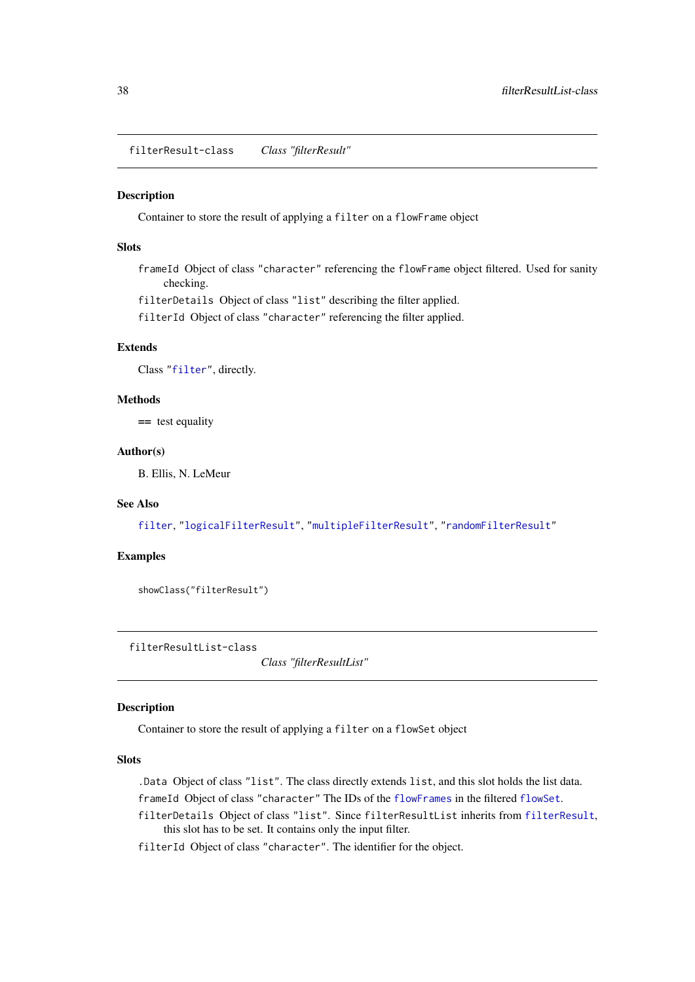<span id="page-37-1"></span>filterResult-class *Class "filterResult"*

### <span id="page-37-0"></span>Description

Container to store the result of applying a filter on a flowFrame object

# Slots

frameId Object of class "character" referencing the flowFrame object filtered. Used for sanity checking.

filterDetails Object of class "list" describing the filter applied.

filterId Object of class "character" referencing the filter applied.

# Extends

Class ["filter"](#page-30-0), directly.

### Methods

 $=$  test equality

## Author(s)

B. Ellis, N. LeMeur

## See Also

[filter](#page-32-0), ["logicalFilterResult"](#page-75-0), ["multipleFilterResult"](#page-85-0), ["randomFilterResult"](#page-97-0)

## Examples

showClass("filterResult")

<span id="page-37-3"></span>filterResultList-class

*Class "filterResultList"*

## <span id="page-37-2"></span>Description

Container to store the result of applying a filter on a flowSet object

# Slots

.Data Object of class "list". The class directly extends list, and this slot holds the list data.

frameId Object of class "character" The IDs of the [flowFrames](#page-0-0) in the filtered [flowSet](#page-50-0).

filterDetails Object of class "list". Since filterResultList inherits from [filterResult](#page-37-0), this slot has to be set. It contains only the input filter.

filterId Object of class "character". The identifier for the object.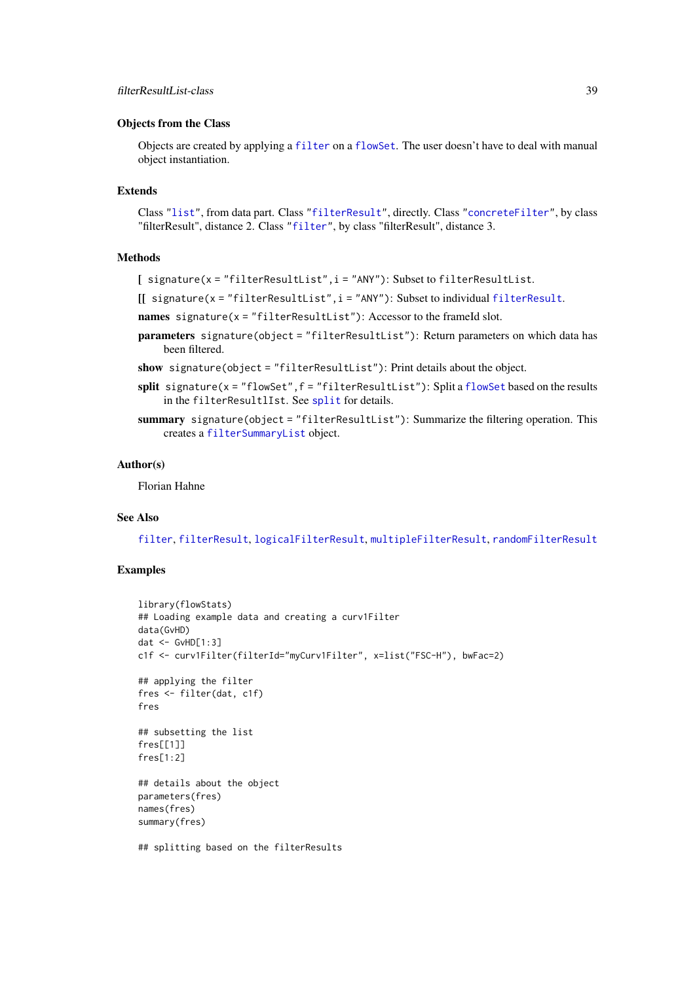### filterResultList-class 39

### Objects from the Class

Objects are created by applying a [filter](#page-32-0) on a [flowSet](#page-50-0). The user doesn't have to deal with manual object instantiation.

# Extends

Class ["list"](#page-0-0), from data part. Class ["filterResult"](#page-37-1), directly. Class ["concreteFilter"](#page-18-0), by class "filterResult", distance 2. Class ["filter"](#page-30-0), by class "filterResult", distance 3.

### Methods

- [ signature(x = "filterResultList",i = "ANY"): Subset to filterResultList.
- $[$ [ signature(x = "[filterResult](#page-37-0)List", i = "ANY"): Subset to individual filterResult.
- names signature( $x =$  "filterResultList"): Accessor to the frameId slot.
- parameters signature(object = "filterResultList"): Return parameters on which data has been filtered.

show signature(object = "filterResultList"): Print details about the object.

- split signature(x = "[flowSet](#page-50-0)", f = "filterResultList"): Split a flowSet based on the results in the filterResultlIst. See [split](#page-117-0) for details.
- summary signature(object = "filterResultList"): Summarize the filtering operation. This creates a [filterSummaryList](#page-42-0) object.

### Author(s)

Florian Hahne

# See Also

[filter](#page-30-0), [filterResult](#page-37-1), [logicalFilterResult](#page-75-0), [multipleFilterResult](#page-85-0), [randomFilterResult](#page-97-0)

```
library(flowStats)
## Loading example data and creating a curv1Filter
data(GvHD)
dat <- GvHD[1:3]
c1f <- curv1Filter(filterId="myCurv1Filter", x=list("FSC-H"), bwFac=2)
## applying the filter
fres <- filter(dat, c1f)
fres
## subsetting the list
fres[[1]]
fres[1:2]
## details about the object
parameters(fres)
names(fres)
summary(fres)
## splitting based on the filterResults
```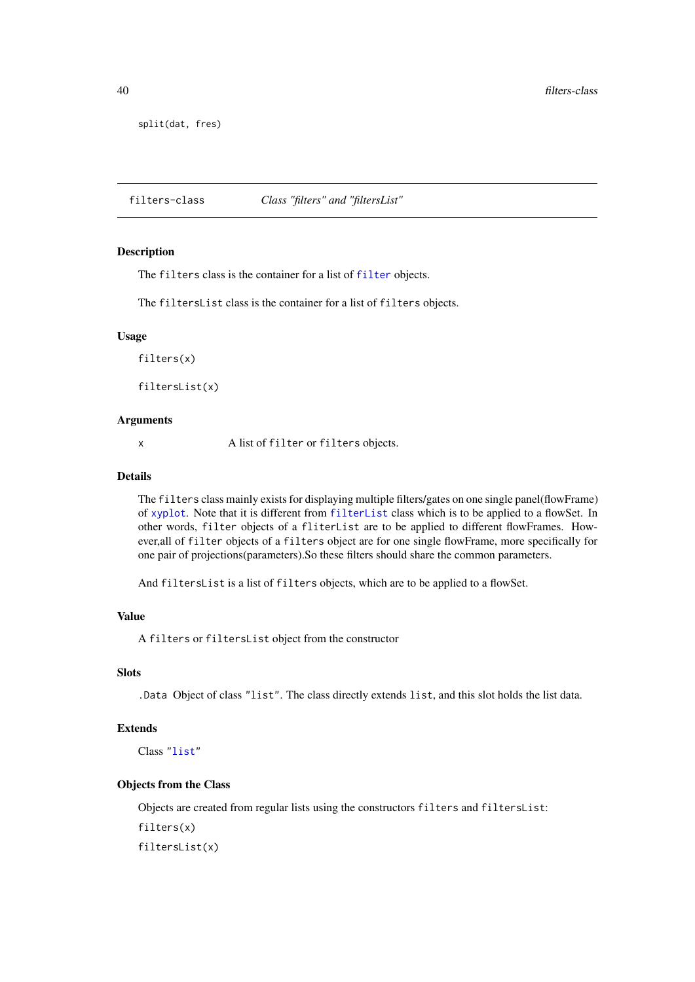split(dat, fres)

filters-class *Class "filters" and "filtersList"*

## Description

The filters class is the container for a list of [filter](#page-32-0) objects.

The filtersList class is the container for a list of filters objects.

### Usage

filters(x)

filtersList(x)

## Arguments

x A list of filter or filters objects.

# Details

The filters class mainly exists for displaying multiple filters/gates on one single panel(flowFrame) of [xyplot](#page-0-0). Note that it is different from [filterList](#page-35-0) class which is to be applied to a flowSet. In other words, filter objects of a fliterList are to be applied to different flowFrames. However,all of filter objects of a filters object are for one single flowFrame, more specifically for one pair of projections(parameters).So these filters should share the common parameters.

And filtersList is a list of filters objects, which are to be applied to a flowSet.

## Value

A filters or filtersList object from the constructor

# Slots

.Data Object of class "list". The class directly extends list, and this slot holds the list data.

## Extends

Class ["list"](#page-0-0)

# Objects from the Class

Objects are created from regular lists using the constructors filters and filtersList: filters(x) filtersList(x)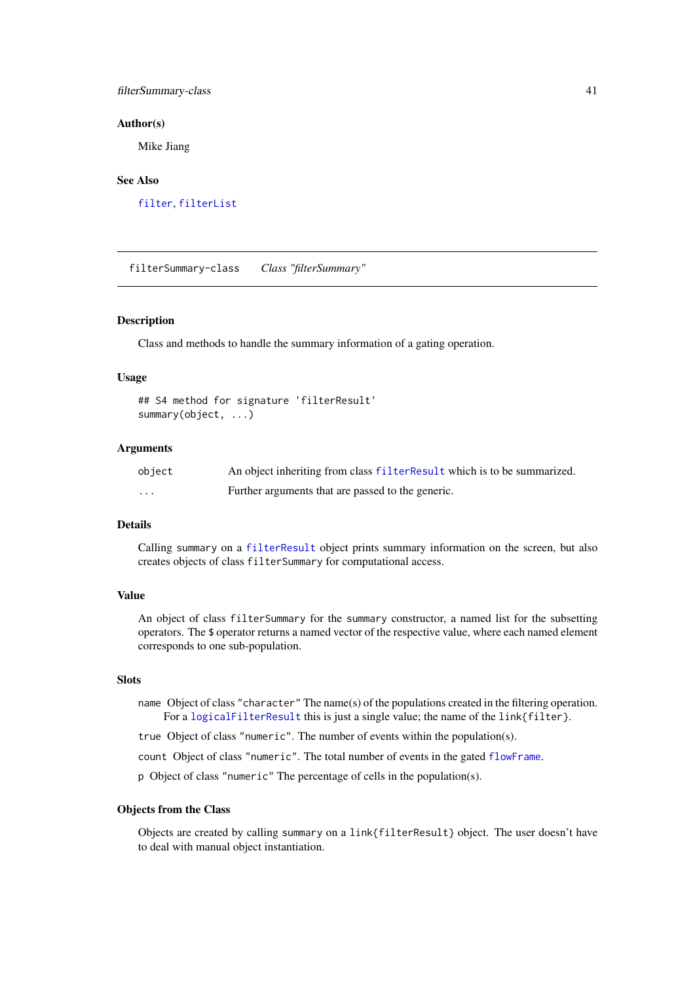filterSummary-class 41

### Author(s)

Mike Jiang

# See Also

[filter](#page-32-0), [filterList](#page-35-0)

<span id="page-40-0"></span>filterSummary-class *Class "filterSummary"*

### Description

Class and methods to handle the summary information of a gating operation.

## Usage

```
## S4 method for signature 'filterResult'
summary(object, ...)
```
## Arguments

| object | An object inheriting from class filter Result which is to be summarized. |
|--------|--------------------------------------------------------------------------|
| .      | Further arguments that are passed to the generic.                        |

# Details

Calling summary on a [filterResult](#page-37-0) object prints summary information on the screen, but also creates objects of class filterSummary for computational access.

## Value

An object of class filterSummary for the summary constructor, a named list for the subsetting operators. The \$ operator returns a named vector of the respective value, where each named element corresponds to one sub-population.

### Slots

name Object of class "character" The name(s) of the populations created in the filtering operation. For a [logicalFilterResult](#page-75-1) this is just a single value; the name of the link{filter}.

true Object of class "numeric". The number of events within the population(s).

count Object of class "numeric". The total number of events in the gated [flowFrame](#page-44-0).

p Object of class "numeric" The percentage of cells in the population(s).

## Objects from the Class

Objects are created by calling summary on a link{filterResult} object. The user doesn't have to deal with manual object instantiation.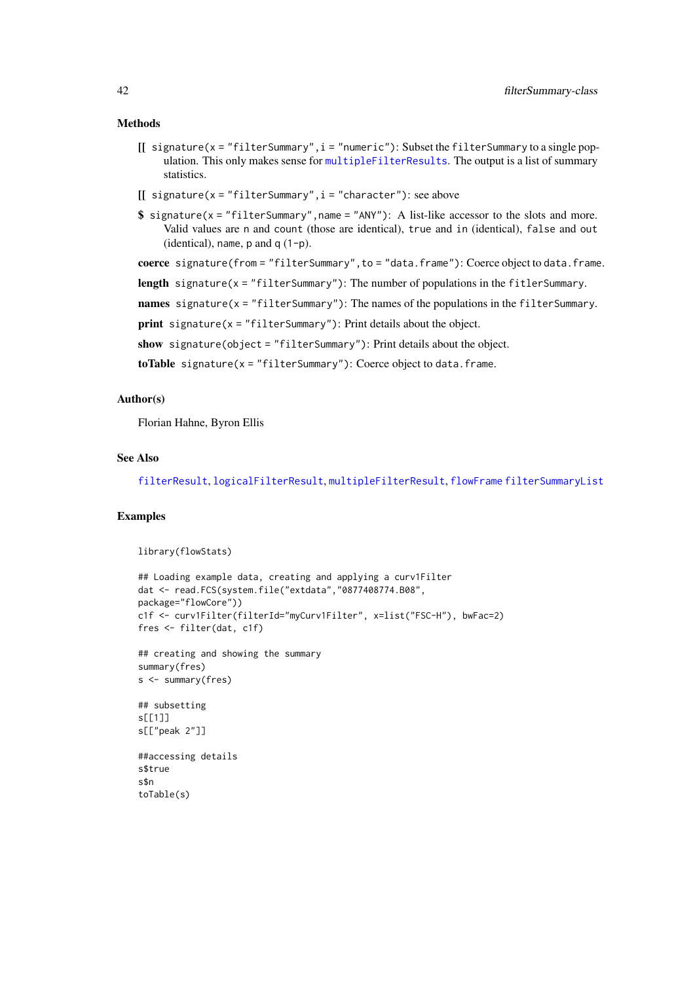## Methods

- $[[$  signature(x = "filterSummary", i = "numeric"): Subset the filterSummary to a single population. This only makes sense for [multipleFilterResults](#page-0-0). The output is a list of summary statistics.
- $\iiint$  signature(x = "filterSummary", i = "character"): see above
- $\$$  signature(x = "filterSummary", name = "ANY"): A list-like accessor to the slots and more. Valid values are n and count (those are identical), true and in (identical), false and out (identical), name,  $p$  and  $q(1-p)$ .

coerce signature(from = "filterSummary",to = "data.frame"): Coerce object to data.frame.

length signature(x = "filterSummary"): The number of populations in the fitlerSummary.

names signature(x = "filterSummary"): The names of the populations in the filterSummary.

**print** signature( $x =$  "filterSummary"): Print details about the object.

show signature(object = "filterSummary"): Print details about the object.

```
toTable signature(x = "filterSummary"): Coerce object to data.frame.
```
### Author(s)

Florian Hahne, Byron Ellis

## See Also

[filterResult](#page-37-1), [logicalFilterResult](#page-75-0), [multipleFilterResult](#page-85-0), [flowFrame](#page-44-1) [filterSummaryList](#page-42-1)

```
library(flowStats)
```

```
## Loading example data, creating and applying a curv1Filter
dat <- read.FCS(system.file("extdata","0877408774.B08",
package="flowCore"))
c1f <- curv1Filter(filterId="myCurv1Filter", x=list("FSC-H"), bwFac=2)
fres <- filter(dat, c1f)
## creating and showing the summary
summary(fres)
s <- summary(fres)
## subsetting
s[1]s[["peak 2"]]
##accessing details
s$true
s$n
toTable(s)
```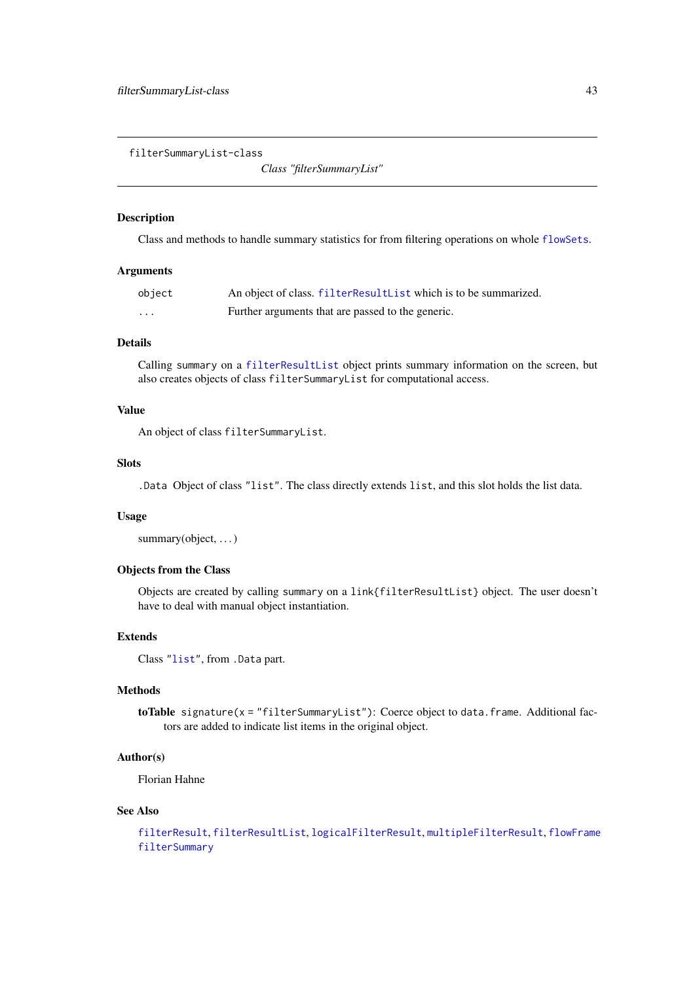<span id="page-42-1"></span>filterSummaryList-class

*Class "filterSummaryList"*

## <span id="page-42-0"></span>Description

Class and methods to handle summary statistics for from filtering operations on whole [flowSets](#page-0-0).

## Arguments

| object | An object of class. filterResultList which is to be summarized. |
|--------|-----------------------------------------------------------------|
| .      | Further arguments that are passed to the generic.               |

## Details

Calling summary on a [filterResultList](#page-37-2) object prints summary information on the screen, but also creates objects of class filterSummaryList for computational access.

# Value

An object of class filterSummaryList.

### **Slots**

.Data Object of class "list". The class directly extends list, and this slot holds the list data.

### Usage

summary(object, ...)

# Objects from the Class

Objects are created by calling summary on a link{filterResultList} object. The user doesn't have to deal with manual object instantiation.

## Extends

Class ["list"](#page-0-0), from .Data part.

### Methods

toTable signature( $x = "filterSummaryList")$ : Coerce object to data.frame. Additional factors are added to indicate list items in the original object.

### Author(s)

Florian Hahne

## See Also

```
filterResult, filterResultList, logicalFilterResult, multipleFilterResult, flowFrame
filterSummary
```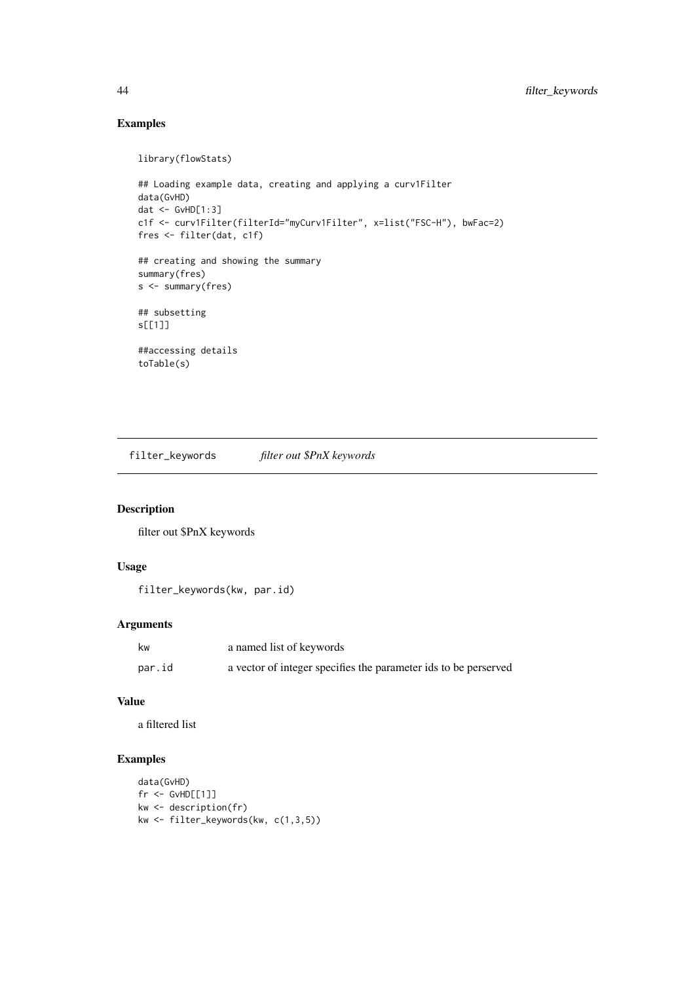# Examples

```
library(flowStats)
```

```
## Loading example data, creating and applying a curv1Filter
data(GvHD)
dat <- GvHD[1:3]
c1f <- curv1Filter(filterId="myCurv1Filter", x=list("FSC-H"), bwFac=2)
fres <- filter(dat, c1f)
```
## creating and showing the summary summary(fres) s <- summary(fres)

## subsetting s[[1]]

##accessing details toTable(s)

filter\_keywords *filter out \$PnX keywords*

# Description

filter out \$PnX keywords

# Usage

```
filter_keywords(kw, par.id)
```
# Arguments

| kw     | a named list of keywords                                        |
|--------|-----------------------------------------------------------------|
| par.id | a vector of integer specifies the parameter ids to be perserved |

# Value

a filtered list

```
data(GvHD)
fr <- GvHD[[1]]
kw <- description(fr)
kw <- filter_keywords(kw, c(1,3,5))
```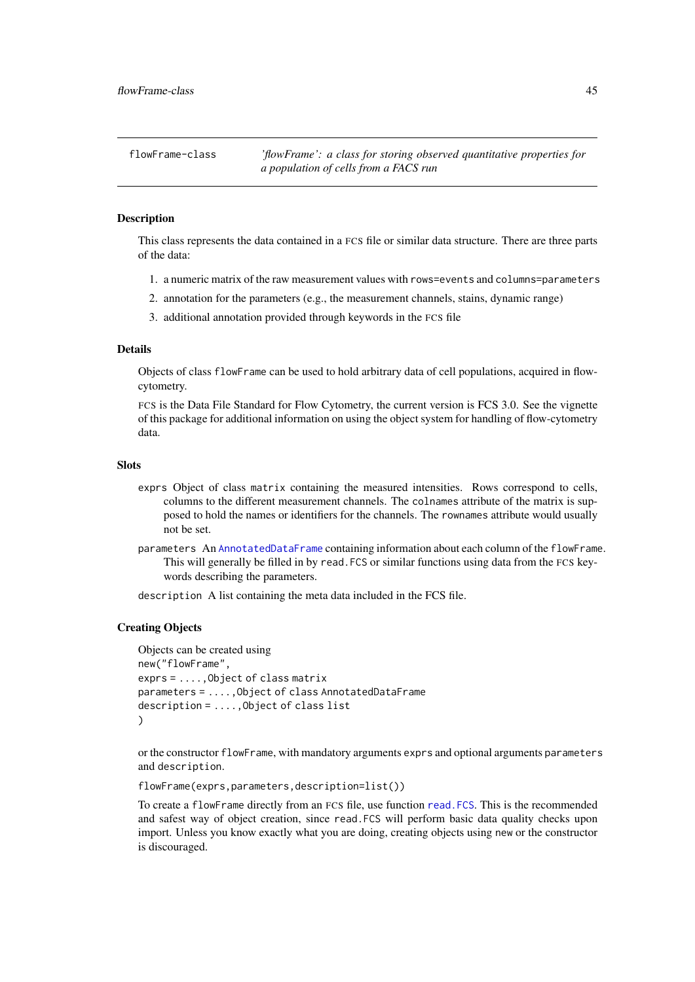<span id="page-44-1"></span>flowFrame-class *'flowFrame': a class for storing observed quantitative properties for a population of cells from a FACS run*

### <span id="page-44-0"></span>Description

This class represents the data contained in a FCS file or similar data structure. There are three parts of the data:

- 1. a numeric matrix of the raw measurement values with rows=events and columns=parameters
- 2. annotation for the parameters (e.g., the measurement channels, stains, dynamic range)
- 3. additional annotation provided through keywords in the FCS file

# Details

Objects of class flowFrame can be used to hold arbitrary data of cell populations, acquired in flowcytometry.

FCS is the Data File Standard for Flow Cytometry, the current version is FCS 3.0. See the vignette of this package for additional information on using the object system for handling of flow-cytometry data.

## Slots

- exprs Object of class matrix containing the measured intensities. Rows correspond to cells, columns to the different measurement channels. The colnames attribute of the matrix is supposed to hold the names or identifiers for the channels. The rownames attribute would usually not be set.
- parameters An [AnnotatedDataFrame](#page-0-0) containing information about each column of the flowFrame. This will generally be filled in by read.FCS or similar functions using data from the FCS keywords describing the parameters.
- description A list containing the meta data included in the FCS file.

### Creating Objects

```
Objects can be created using
new("flowFrame",
exprs = ....,Object of class matrix
parameters = ....,Object of class AnnotatedDataFrame
description = ....,Object of class list
\lambda
```
or the constructor flowFrame, with mandatory arguments exprs and optional arguments parameters and description.

flowFrame(exprs,parameters,description=list())

To create a flowFrame directly from an FCS file, use function [read.FCS](#page-100-0). This is the recommended and safest way of object creation, since read.FCS will perform basic data quality checks upon import. Unless you know exactly what you are doing, creating objects using new or the constructor is discouraged.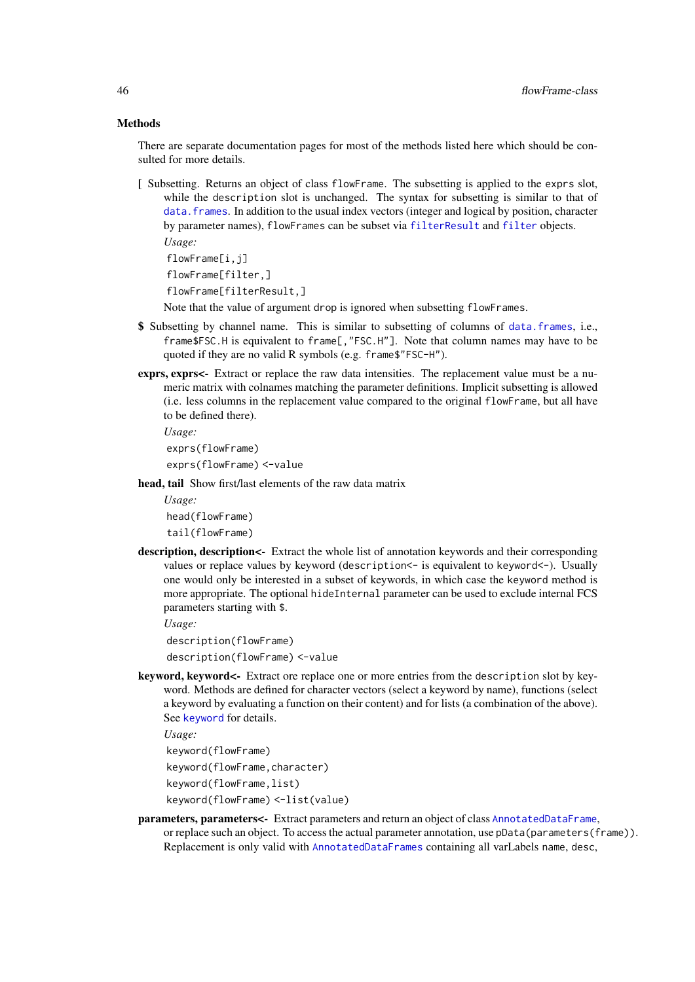### **Methods**

There are separate documentation pages for most of the methods listed here which should be consulted for more details.

[ Subsetting. Returns an object of class flowFrame. The subsetting is applied to the exprs slot, while the description slot is unchanged. The syntax for subsetting is similar to that of [data.frames](#page-0-0). In addition to the usual index vectors (integer and logical by position, character by parameter names), flowFrames can be subset via [filterResult](#page-37-0) and [filter](#page-30-0) objects. *Usage:*

flowFrame[i,j]

flowFrame[filter,]

flowFrame[filterResult,]

Note that the value of argument drop is ignored when subsetting flowFrames.

- \$ Subsetting by channel name. This is similar to subsetting of columns of [data.frames](#page-0-0), i.e., frame\$FSC.H is equivalent to frame[,"FSC.H"]. Note that column names may have to be quoted if they are no valid R symbols (e.g. frame\$"FSC-H").
- exprs, exprs<- Extract or replace the raw data intensities. The replacement value must be a numeric matrix with colnames matching the parameter definitions. Implicit subsetting is allowed (i.e. less columns in the replacement value compared to the original flowFrame, but all have to be defined there).

*Usage:*

exprs(flowFrame)

exprs(flowFrame) <-value

head, tail Show first/last elements of the raw data matrix

*Usage:*

head(flowFrame)

tail(flowFrame)

description, description<- Extract the whole list of annotation keywords and their corresponding values or replace values by keyword (description<- is equivalent to keyword<-). Usually one would only be interested in a subset of keywords, in which case the keyword method is more appropriate. The optional hideInternal parameter can be used to exclude internal FCS parameters starting with \$.

*Usage:*

description(flowFrame)

description(flowFrame) <-value

keyword, keyword<- Extract ore replace one or more entries from the description slot by keyword. Methods are defined for character vectors (select a keyword by name), functions (select a keyword by evaluating a function on their content) and for lists (a combination of the above). See [keyword](#page-67-0) for details.

*Usage:*

keyword(flowFrame) keyword(flowFrame,character) keyword(flowFrame,list) keyword(flowFrame) <-list(value)

parameters, parameters<- Extract parameters and return an object of class [AnnotatedDataFrame](#page-0-0), or replace such an object. To access the actual parameter annotation, use pData(parameters(frame)). Replacement is only valid with [AnnotatedDataFrames](#page-0-0) containing all varLabels name, desc,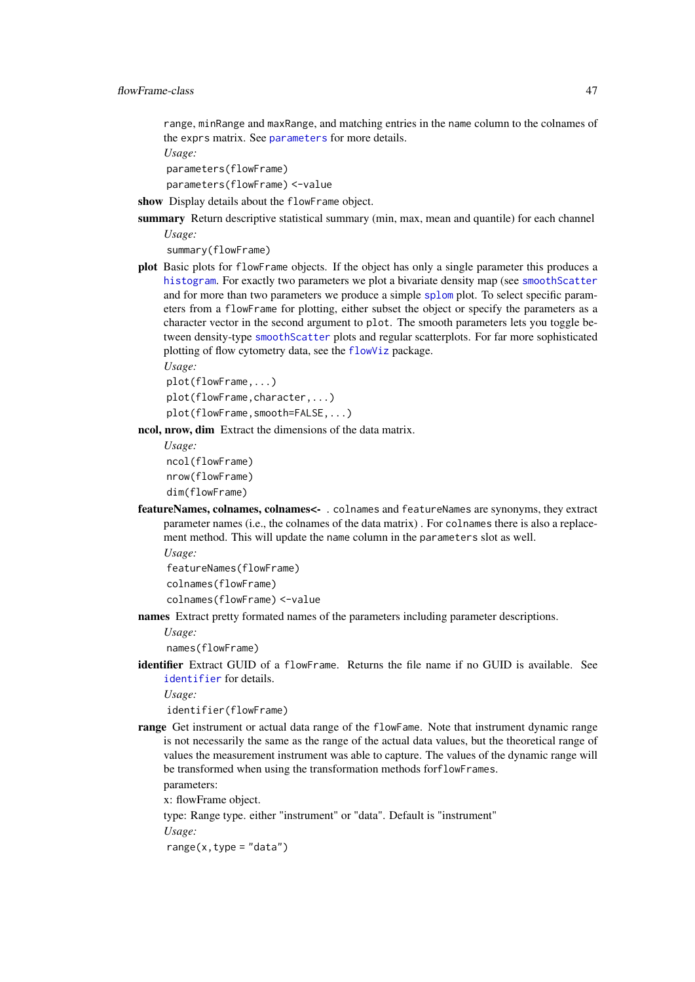range, minRange and maxRange, and matching entries in the name column to the colnames of the exprs matrix. See [parameters](#page-88-0) for more details.

*Usage:*

parameters(flowFrame)

parameters(flowFrame) <-value

show Display details about the flowFrame object.

summary Return descriptive statistical summary (min, max, mean and quantile) for each channel *Usage:*

summary(flowFrame)

plot Basic plots for flowFrame objects. If the object has only a single parameter this produces a [histogram](#page-0-0). For exactly two parameters we plot a bivariate density map (see [smoothScatter](#page-0-0) and for more than two parameters we produce a simple [splom](#page-0-0) plot. To select specific parameters from a flowFrame for plotting, either subset the object or specify the parameters as a character vector in the second argument to plot. The smooth parameters lets you toggle between density-type [smoothScatter](#page-0-0) plots and regular scatterplots. For far more sophisticated plotting of flow cytometry data, see the [flowViz](#page-0-0) package.

```
Usage:
```

```
plot(flowFrame,...)
plot(flowFrame,character,...)
plot(flowFrame,smooth=FALSE,...)
```
ncol, nrow, dim Extract the dimensions of the data matrix.

```
Usage:
ncol(flowFrame)
nrow(flowFrame)
dim(flowFrame)
```
featureNames, colnames, colnames<- . colnames and featureNames are synonyms, they extract parameter names (i.e., the colnames of the data matrix) . For colnames there is also a replacement method. This will update the name column in the parameters slot as well. *Usage:*

featureNames(flowFrame)

colnames(flowFrame)

colnames(flowFrame) <-value

names Extract pretty formated names of the parameters including parameter descriptions.

*Usage:*

names(flowFrame)

identifier Extract GUID of a flowFrame. Returns the file name if no GUID is available. See [identifier](#page-62-0) for details.

*Usage:*

identifier(flowFrame)

range Get instrument or actual data range of the flowFame. Note that instrument dynamic range is not necessarily the same as the range of the actual data values, but the theoretical range of values the measurement instrument was able to capture. The values of the dynamic range will be transformed when using the transformation methods forflowFrames. parameters:

x: flowFrame object.

type: Range type. either "instrument" or "data". Default is "instrument" *Usage:*

 $range(x, type = "data")$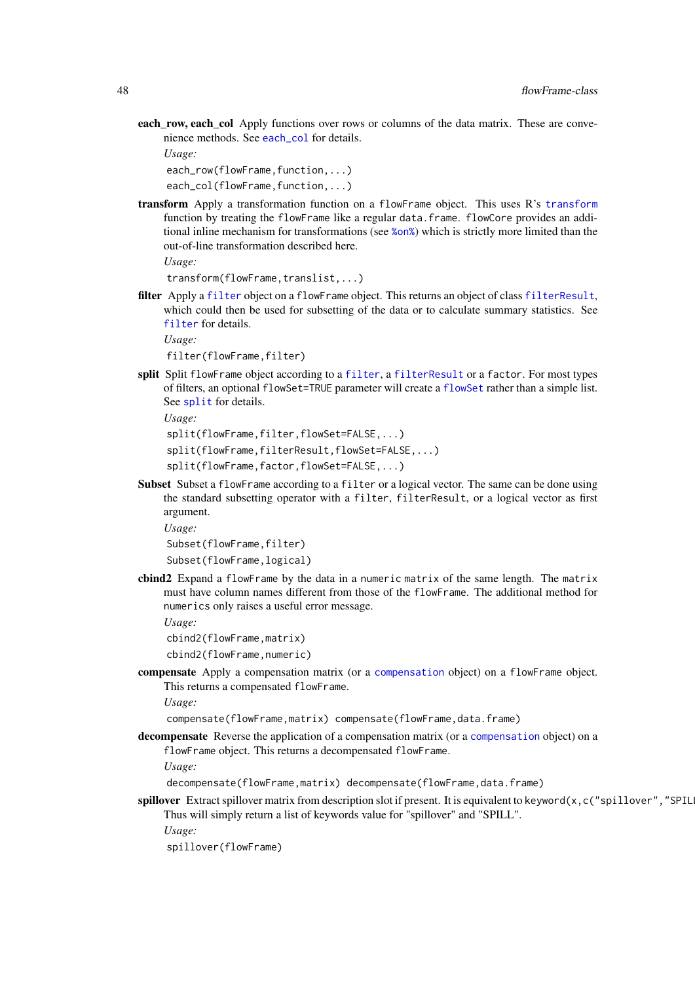each row, each col Apply functions over rows or columns of the data matrix. These are convenience methods. See [each\\_col](#page-21-0) for details.

*Usage:*

each\_row(flowFrame,function,...)

each\_col(flowFrame,function,...)

transform Apply a transformation function on a flowFrame object. This uses R's [transform](#page-128-0) function by treating the flowFrame like a regular data.frame. flowCore provides an additional inline mechanism for transformations (see [%on%](#page-34-0)) which is strictly more limited than the out-of-line transformation described here.

*Usage:*

transform(flowFrame,translist,...)

[filter](#page-30-0) Apply a filter object on a flowFrame object. This returns an object of class [filterResult](#page-37-0), which could then be used for subsetting of the data or to calculate summary statistics. See [filter](#page-32-0) for details.

*Usage:*

filter(flowFrame,filter)

split Split flowFrame object according to a [filter](#page-32-0), a [filterResult](#page-37-0) or a factor. For most types of filters, an optional flowSet=TRUE parameter will create a [flowSet](#page-50-1) rather than a simple list. See [split](#page-117-0) for details.

*Usage:*

```
split(flowFrame,filter,flowSet=FALSE,...)
split(flowFrame,filterResult,flowSet=FALSE,...)
split(flowFrame,factor,flowSet=FALSE,...)
```
Subset Subset a flowFrame according to a filter or a logical vector. The same can be done using the standard subsetting operator with a filter, filterResult, or a logical vector as first argument.

*Usage:* Subset(flowFrame,filter) Subset(flowFrame,logical)

cbind2 Expand a flowFrame by the data in a numeric matrix of the same length. The matrix must have column names different from those of the flowFrame. The additional method for numerics only raises a useful error message.

*Usage:*

cbind2(flowFrame,matrix)

cbind2(flowFrame,numeric)

compensate Apply a compensation matrix (or a [compensation](#page-15-0) object) on a flowFrame object. This returns a compensated flowFrame.

*Usage:*

compensate(flowFrame,matrix) compensate(flowFrame,data.frame)

decompensate Reverse the application of a compensation matrix (or a [compensation](#page-15-0) object) on a flowFrame object. This returns a decompensated flowFrame.

*Usage:*

decompensate(flowFrame,matrix) decompensate(flowFrame,data.frame)

spillover Extract spillover matrix from description slot if present. It is equivalent to keyword(x,c("spillover","SPIL Thus will simply return a list of keywords value for "spillover" and "SPILL".

*Usage:*

spillover(flowFrame)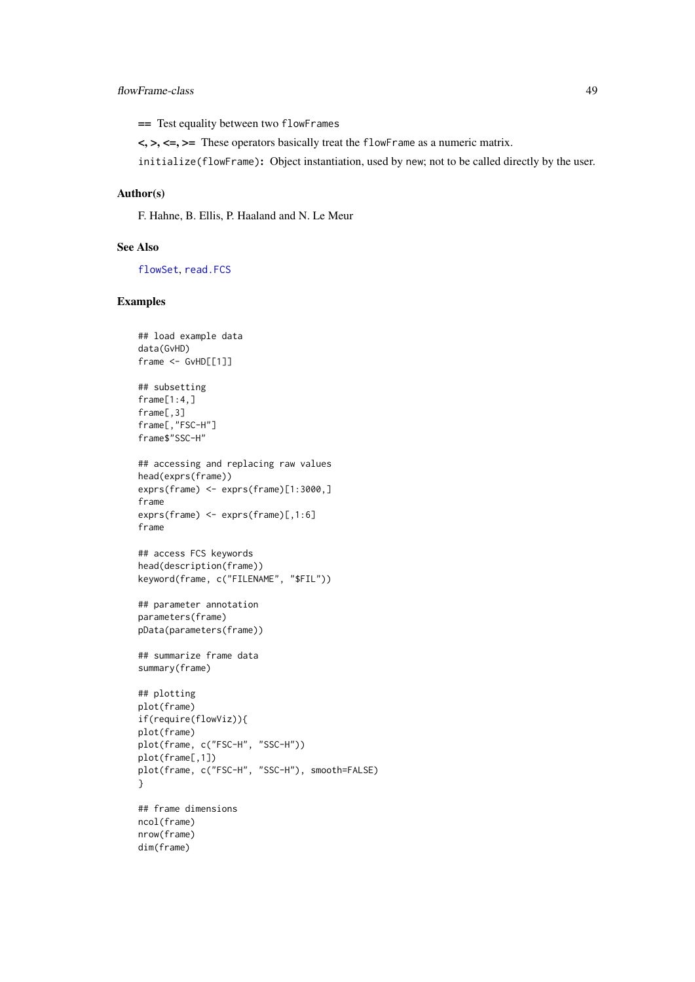== Test equality between two flowFrames

 $\langle$ ,  $\rangle$ ,  $\langle$  =,  $\rangle$  = These operators basically treat the flowFrame as a numeric matrix.

initialize(flowFrame): Object instantiation, used by new; not to be called directly by the user.

# Author(s)

F. Hahne, B. Ellis, P. Haaland and N. Le Meur

## See Also

[flowSet](#page-50-1), [read.FCS](#page-100-0)

```
## load example data
data(GvHD)
frame <- GvHD[[1]]
## subsetting
frame[1:4,]
frame[,3]
frame[,"FSC-H"]
frame$"SSC-H"
## accessing and replacing raw values
head(exprs(frame))
exprs(frame) <- exprs(frame)[1:3000,]
frame
exprs(frame) <- exprs(frame)[,1:6]
frame
## access FCS keywords
head(description(frame))
keyword(frame, c("FILENAME", "$FIL"))
## parameter annotation
parameters(frame)
pData(parameters(frame))
## summarize frame data
summary(frame)
## plotting
plot(frame)
if(require(flowViz)){
plot(frame)
plot(frame, c("FSC-H", "SSC-H"))
plot(frame[,1])
plot(frame, c("FSC-H", "SSC-H"), smooth=FALSE)
}
## frame dimensions
ncol(frame)
nrow(frame)
dim(frame)
```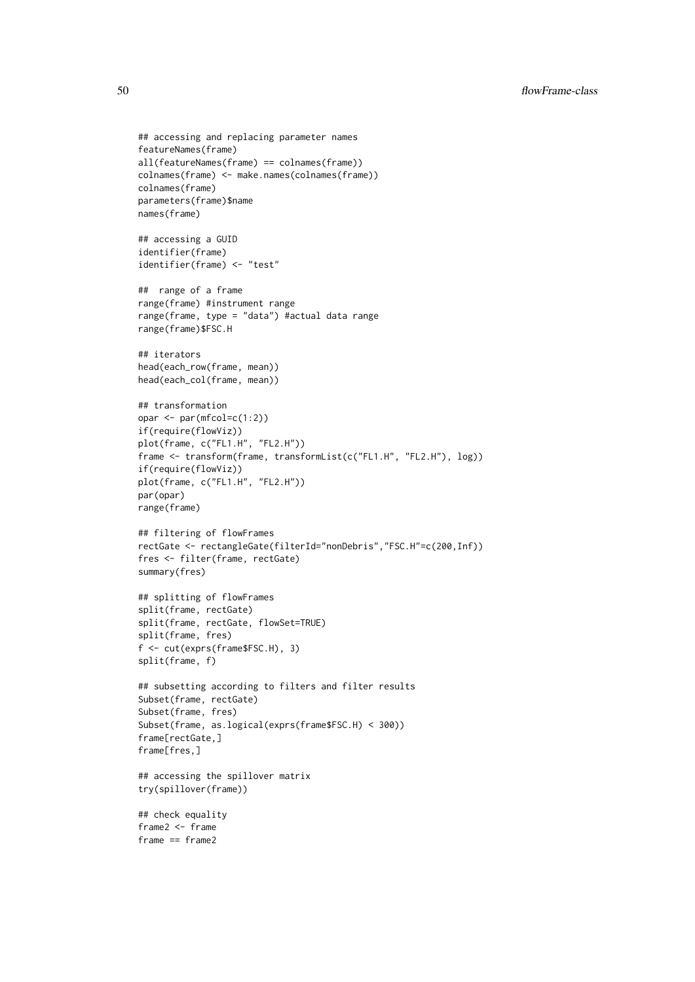```
## accessing and replacing parameter names
featureNames(frame)
all(featureNames(frame) == colnames(frame))
colnames(frame) <- make.names(colnames(frame))
colnames(frame)
parameters(frame)$name
names(frame)
## accessing a GUID
identifier(frame)
identifier(frame) <- "test"
## range of a frame
range(frame) #instrument range
range(frame, type = "data") #actual data range
range(frame)$FSC.H
## iterators
head(each_row(frame, mean))
head(each_col(frame, mean))
## transformation
opar \leq par(mfcol=c(1:2))
if(require(flowViz))
plot(frame, c("FL1.H", "FL2.H"))
frame <- transform(frame, transformList(c("FL1.H", "FL2.H"), log))
if(require(flowViz))
plot(frame, c("FL1.H", "FL2.H"))
par(opar)
range(frame)
## filtering of flowFrames
rectGate <- rectangleGate(filterId="nonDebris","FSC.H"=c(200,Inf))
fres <- filter(frame, rectGate)
summary(fres)
## splitting of flowFrames
split(frame, rectGate)
split(frame, rectGate, flowSet=TRUE)
split(frame, fres)
f <- cut(exprs(frame$FSC.H), 3)
split(frame, f)
## subsetting according to filters and filter results
Subset(frame, rectGate)
Subset(frame, fres)
Subset(frame, as.logical(exprs(frame$FSC.H) < 300))
frame[rectGate,]
frame[fres,]
## accessing the spillover matrix
try(spillover(frame))
## check equality
frame2 <- frame
```

```
frame == frame2
```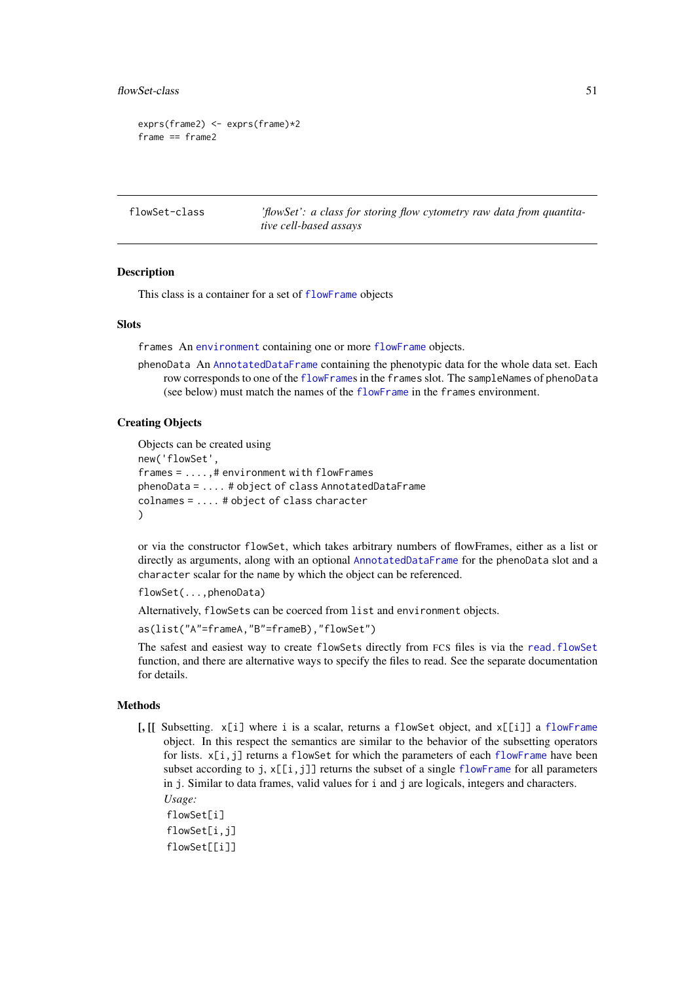### flowSet-class 51

```
exprs(frame2) <- exprs(frame)*2
frame = frame2
```
<span id="page-50-1"></span>flowSet-class *'flowSet': a class for storing flow cytometry raw data from quantitative cell-based assays*

## <span id="page-50-0"></span>Description

This class is a container for a set of [flowFrame](#page-44-1) objects

## **Slots**

frames An [environment](#page-0-0) containing one or more [flowFrame](#page-44-1) objects.

phenoData An [AnnotatedDataFrame](#page-0-0) containing the phenotypic data for the whole data set. Each row corresponds to one of the [flowFrame](#page-44-1)s in the frames slot. The sampleNames of phenoData (see below) must match the names of the [flowFrame](#page-44-1) in the frames environment.

### Creating Objects

```
Objects can be created using
new('flowSet',
frames = ....,# environment with flowFrames
phenoData = .... # object of class AnnotatedDataFrame
colnames = .... # object of class character
)
```
or via the constructor flowSet, which takes arbitrary numbers of flowFrames, either as a list or directly as arguments, along with an optional [AnnotatedDataFrame](#page-0-0) for the phenoData slot and a character scalar for the name by which the object can be referenced.

```
flowSet(...,phenoData)
```
Alternatively, flowSets can be coerced from list and environment objects.

```
as(list("A"=frameA,"B"=frameB),"flowSet")
```
The safest and easiest way to create flowSets directly from FCS files is via the [read.flowSet](#page-104-0) function, and there are alternative ways to specify the files to read. See the separate documentation for details.

# Methods

[, [[ Subsetting. x[i] where i is a scalar, returns a flowSet object, and x[[i]] a [flowFrame](#page-44-1) object. In this respect the semantics are similar to the behavior of the subsetting operators for lists.  $x[i,j]$  returns a flowSet for which the parameters of each [flowFrame](#page-44-1) have been subset according to j,  $x[[i,j]]$  returns the subset of a single [flowFrame](#page-44-1) for all parameters in j. Similar to data frames, valid values for i and j are logicals, integers and characters. *Usage:*

flowSet[i] flowSet[i.j] flowSet[[i]]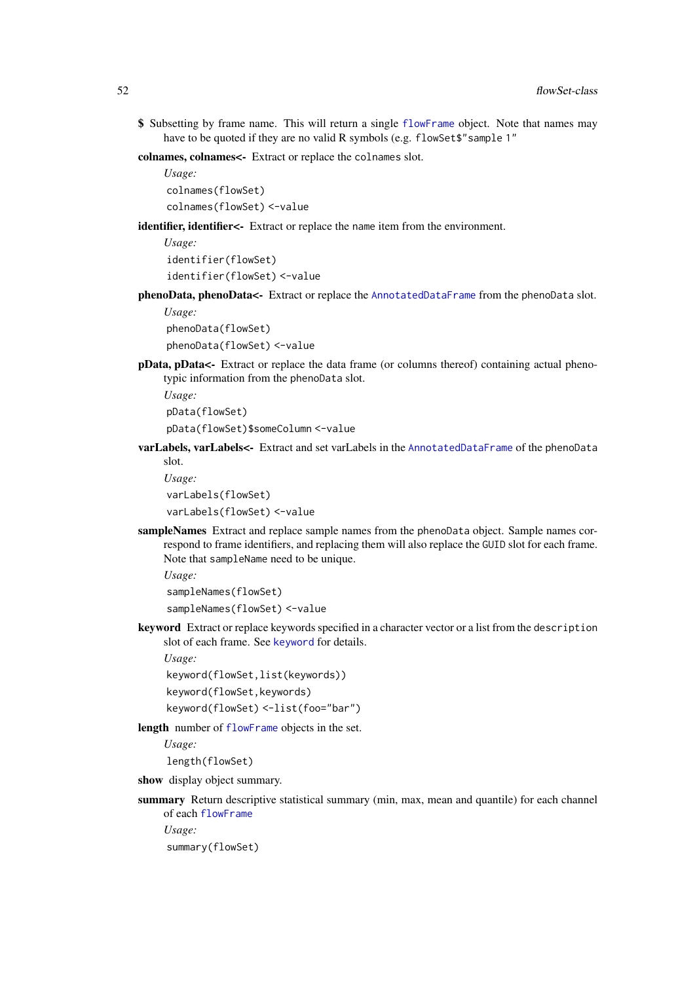- \$ Subsetting by frame name. This will return a single [flowFrame](#page-44-1) object. Note that names may have to be quoted if they are no valid R symbols (e.g. flowSet\$" sample 1"
- colnames, colnames<- Extract or replace the colnames slot.

*Usage:* colnames(flowSet) colnames(flowSet) <-value

identifier, identifier<- Extract or replace the name item from the environment.

*Usage:* identifier(flowSet) identifier(flowSet) <-value

phenoData, phenoData<- Extract or replace the [AnnotatedDataFrame](#page-0-0) from the phenoData slot.

*Usage:*

phenoData(flowSet) phenoData(flowSet) <-value

pData, pData<- Extract or replace the data frame (or columns thereof) containing actual phenotypic information from the phenoData slot.

*Usage:* pData(flowSet) pData(flowSet)\$someColumn <-value

varLabels, varLabels<- Extract and set varLabels in the [AnnotatedDataFrame](#page-0-0) of the phenoData slot.

*Usage:* varLabels(flowSet) varLabels(flowSet) <-value

sampleNames Extract and replace sample names from the phenoData object. Sample names correspond to frame identifiers, and replacing them will also replace the GUID slot for each frame. Note that sampleName need to be unique.

*Usage:*

sampleNames(flowSet) sampleNames(flowSet) <- value

keyword Extract or replace keywords specified in a character vector or a list from the description slot of each frame. See [keyword](#page-67-0) for details.

*Usage:*

keyword(flowSet,list(keywords)) keyword(flowSet,keywords) keyword(flowSet) <-list(foo="bar")

length number of [flowFrame](#page-44-1) objects in the set.

*Usage:*

length(flowSet)

- show display object summary.
- summary Return descriptive statistical summary (min, max, mean and quantile) for each channel of each [flowFrame](#page-44-1)

*Usage:* summary(flowSet)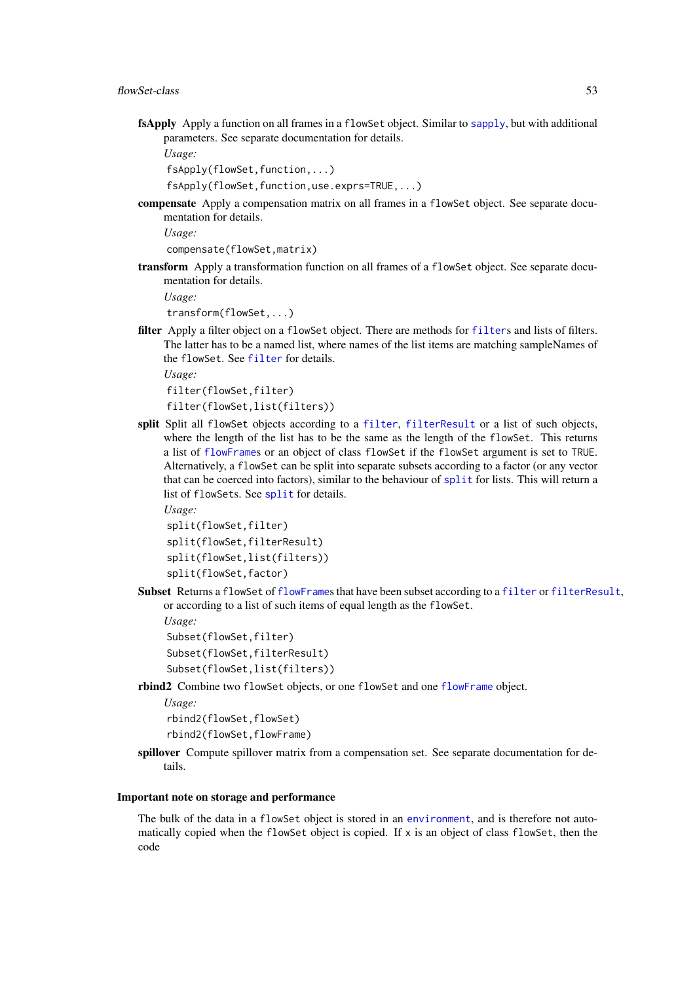fsApply Apply a function on all frames in a flowSet object. Similar to [sapply](#page-0-0), but with additional parameters. See separate documentation for details.

*Usage:*

fsApply(flowSet,function,...)

fsApply(flowSet,function,use.exprs=TRUE,...)

compensate Apply a compensation matrix on all frames in a flowSet object. See separate documentation for details.

*Usage:*

compensate(flowSet,matrix)

transform Apply a transformation function on all frames of a flowSet object. See separate documentation for details.

*Usage:*

transform(flowSet,...)

[filter](#page-30-0) Apply a filter object on a flowSet object. There are methods for filters and lists of filters. The latter has to be a named list, where names of the list items are matching sampleNames of the flowSet. See [filter](#page-30-0) for details.

*Usage:*

```
filter(flowSet,filter)
filter(flowSet,list(filters))
```
split Split all flowSet objects according to a [filter](#page-32-0), [filterResult](#page-37-0) or a list of such objects, where the length of the list has to be the same as the length of the flowSet. This returns a list of [flowFrame](#page-44-1)s or an object of class flowSet if the flowSet argument is set to TRUE. Alternatively, a flowSet can be split into separate subsets according to a factor (or any vector that can be coerced into factors), similar to the behaviour of [split](#page-117-0) for lists. This will return a list of flowSets. See [split](#page-117-0) for details.

```
Usage:
split(flowSet,filter)
split(flowSet,filterResult)
split(flowSet,list(filters))
split(flowSet,factor)
```
Subset Returns a flowSet of [flowFrame](#page-44-1)s that have been subset according to a [filter](#page-30-0) or [filterResult](#page-37-1), or according to a list of such items of equal length as the flowSet.

```
Usage:
Subset(flowSet,filter)
Subset(flowSet,filterResult)
```

```
Subset(flowSet,list(filters))
```
rbind2 Combine two flowSet objects, or one flowSet and one [flowFrame](#page-44-1) object.

*Usage:*

rbind2(flowSet,flowSet) rbind2(flowSet,flowFrame)

spillover Compute spillover matrix from a compensation set. See separate documentation for details.

### Important note on storage and performance

The bulk of the data in a flowSet object is stored in an [environment](#page-0-0), and is therefore not automatically copied when the flowSet object is copied. If x is an object of class flowSet, then the code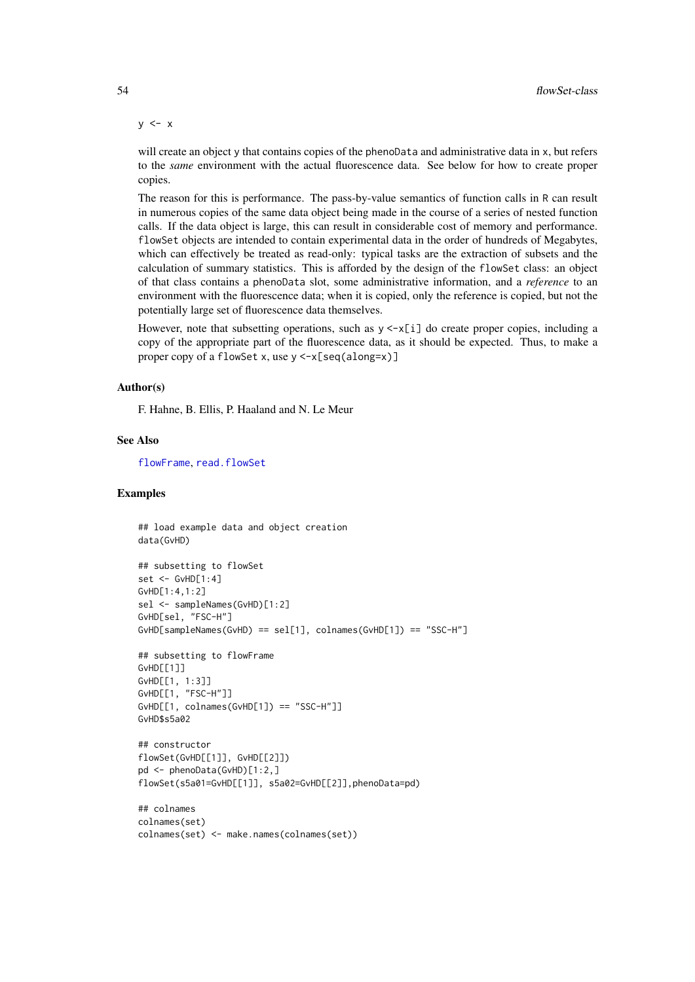$y \leq -x$ 

will create an object y that contains copies of the phenoData and administrative data in x, but refers to the *same* environment with the actual fluorescence data. See below for how to create proper copies.

The reason for this is performance. The pass-by-value semantics of function calls in R can result in numerous copies of the same data object being made in the course of a series of nested function calls. If the data object is large, this can result in considerable cost of memory and performance. flowSet objects are intended to contain experimental data in the order of hundreds of Megabytes, which can effectively be treated as read-only: typical tasks are the extraction of subsets and the calculation of summary statistics. This is afforded by the design of the flowSet class: an object of that class contains a phenoData slot, some administrative information, and a *reference* to an environment with the fluorescence data; when it is copied, only the reference is copied, but not the potentially large set of fluorescence data themselves.

However, note that subsetting operations, such as  $y \le x[i]$  do create proper copies, including a copy of the appropriate part of the fluorescence data, as it should be expected. Thus, to make a proper copy of a flowSet x, use y <-x[seq(along=x)]

## Author(s)

F. Hahne, B. Ellis, P. Haaland and N. Le Meur

### See Also

[flowFrame](#page-44-1), [read.flowSet](#page-104-0)

```
## load example data and object creation
data(GvHD)
## subsetting to flowSet
set <- GvHD[1:4]
GvHD[1:4,1:2]
sel <- sampleNames(GvHD)[1:2]
GvHD[sel, "FSC-H"]
GvHD[sampleNames(GvHD) == sel[1], colnames(GvHD[1]) == "SSC-H"]
## subsetting to flowFrame
GvHD[[1]]
GvHD[[1, 1:3]]
GvHD[[1, "FSC-H"]]
GvHD[[1, colnames(GvHD[1]) == "SSC-H"]]
GvHD$s5a02
## constructor
flowSet(GvHD[[1]], GvHD[[2]])
pd <- phenoData(GvHD)[1:2,]
flowSet(s5a01=GvHD[[1]], s5a02=GvHD[[2]],phenoData=pd)
## colnames
colnames(set)
colnames(set) <- make.names(colnames(set))
```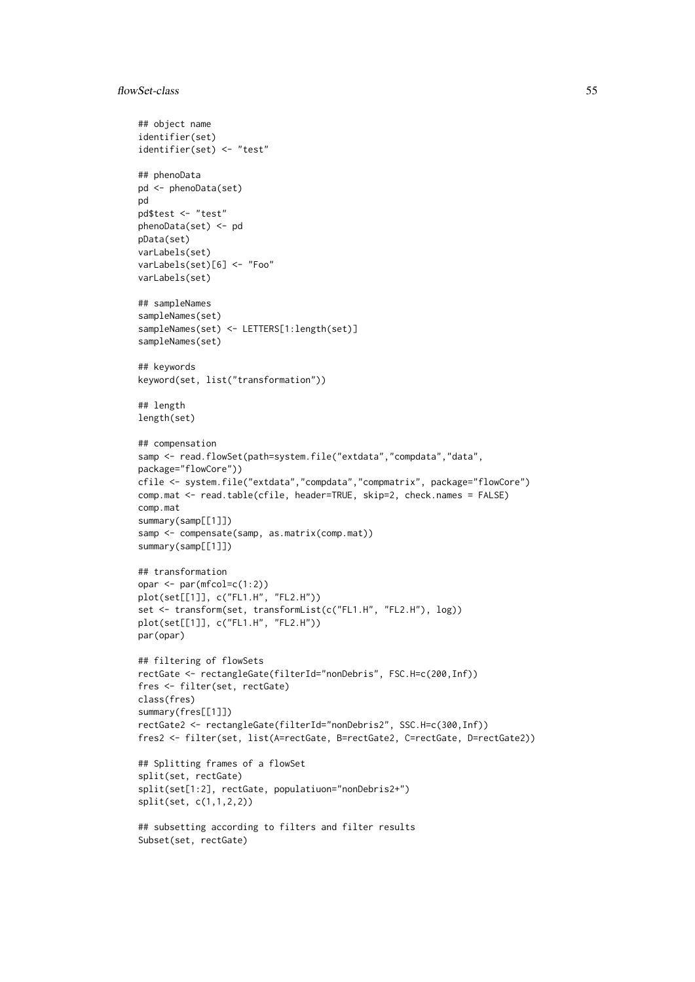### flowSet-class 55

```
## object name
identifier(set)
identifier(set) <- "test"
## phenoData
pd <- phenoData(set)
pd
pd$test <- "test"
phenoData(set) <- pd
pData(set)
varLabels(set)
varLabels(set)[6] <- "Foo"
varLabels(set)
## sampleNames
sampleNames(set)
sampleNames(set) <- LETTERS[1:length(set)]
sampleNames(set)
## keywords
keyword(set, list("transformation"))
## length
length(set)
## compensation
samp <- read.flowSet(path=system.file("extdata","compdata","data",
package="flowCore"))
cfile <- system.file("extdata","compdata","compmatrix", package="flowCore")
comp.mat <- read.table(cfile, header=TRUE, skip=2, check.names = FALSE)
comp.mat
summary(samp[[1]])
samp <- compensate(samp, as.matrix(comp.mat))
summary(samp[[1]])
## transformation
opar <- par(mfcol=c(1:2))
plot(set[[1]], c("FL1.H", "FL2.H"))
set <- transform(set, transformList(c("FL1.H", "FL2.H"), log))
plot(set[[1]], c("FL1.H", "FL2.H"))
par(opar)
## filtering of flowSets
rectGate <- rectangleGate(filterId="nonDebris", FSC.H=c(200,Inf))
fres <- filter(set, rectGate)
class(fres)
summary(fres[[1]])
rectGate2 <- rectangleGate(filterId="nonDebris2", SSC.H=c(300,Inf))
fres2 <- filter(set, list(A=rectGate, B=rectGate2, C=rectGate, D=rectGate2))
## Splitting frames of a flowSet
split(set, rectGate)
split(set[1:2], rectGate, populatiuon="nonDebris2+")
split(set, c(1,1,2,2))
## subsetting according to filters and filter results
Subset(set, rectGate)
```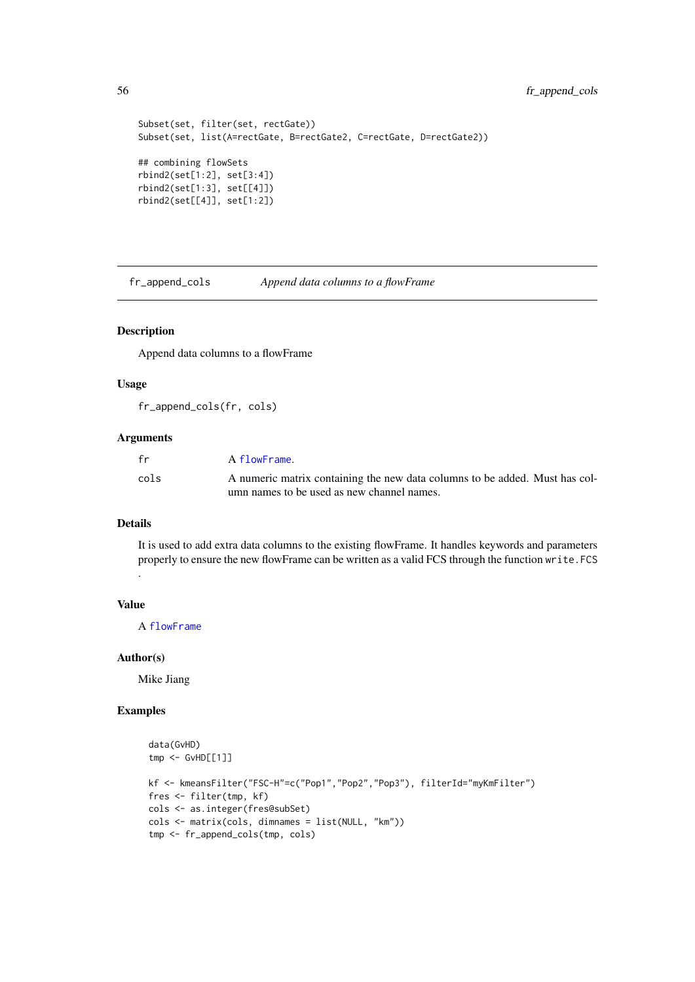## 56 fr\_append\_cols

```
Subset(set, filter(set, rectGate))
Subset(set, list(A=rectGate, B=rectGate2, C=rectGate, D=rectGate2))
## combining flowSets
rbind2(set[1:2], set[3:4])
rbind2(set[1:3], set[[4]])
rbind2(set[[4]], set[1:2])
```
fr\_append\_cols *Append data columns to a flowFrame*

# Description

Append data columns to a flowFrame

### Usage

fr\_append\_cols(fr, cols)

### Arguments

| fr   | A flowFrame.                                                                |
|------|-----------------------------------------------------------------------------|
| cols | A numeric matrix containing the new data columns to be added. Must has col- |
|      | umn names to be used as new channel names.                                  |

## Details

It is used to add extra data columns to the existing flowFrame. It handles keywords and parameters properly to ensure the new flowFrame can be written as a valid FCS through the function write.FCS .

## Value

A [flowFrame](#page-44-1)

# Author(s)

Mike Jiang

```
data(GvHD)
tmp < - GvHD[[1]]kf <- kmeansFilter("FSC-H"=c("Pop1","Pop2","Pop3"), filterId="myKmFilter")
fres <- filter(tmp, kf)
cols <- as.integer(fres@subSet)
cols <- matrix(cols, dimnames = list(NULL, "km"))
tmp <- fr_append_cols(tmp, cols)
```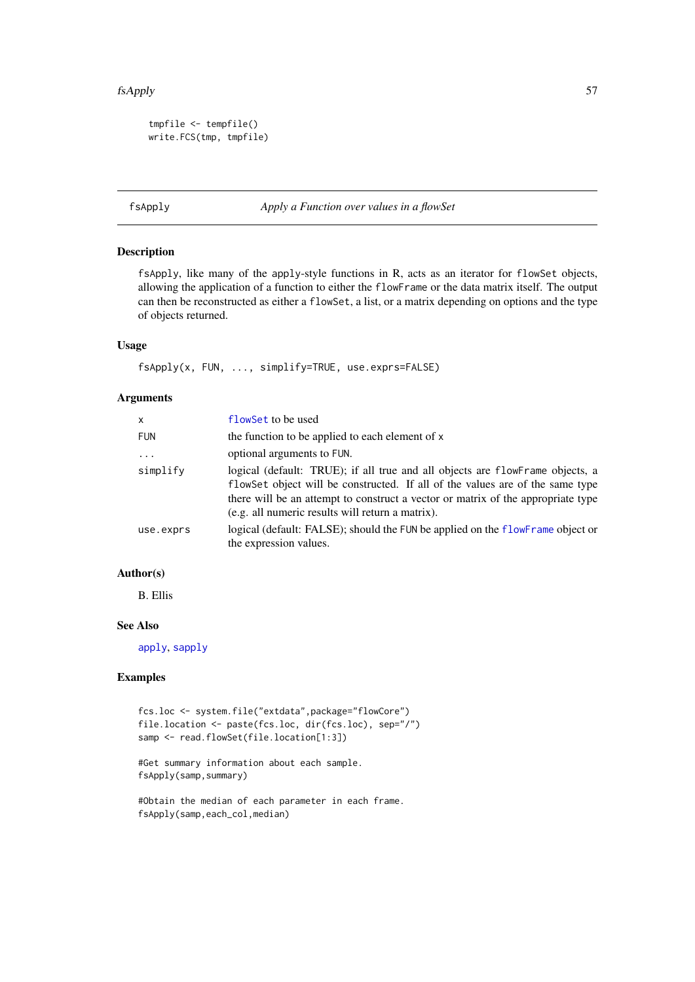## fsApply 57

```
tmpfile <- tempfile()
write.FCS(tmp, tmpfile)
```
## fsApply *Apply a Function over values in a flowSet*

# Description

fsApply, like many of the apply-style functions in R, acts as an iterator for flowSet objects, allowing the application of a function to either the flowFrame or the data matrix itself. The output can then be reconstructed as either a flowSet, a list, or a matrix depending on options and the type of objects returned.

# Usage

fsApply(x, FUN, ..., simplify=TRUE, use.exprs=FALSE)

# Arguments

| X          | flowSet to be used                                                                                                                                                                                                                                                                                     |
|------------|--------------------------------------------------------------------------------------------------------------------------------------------------------------------------------------------------------------------------------------------------------------------------------------------------------|
| <b>FUN</b> | the function to be applied to each element of x                                                                                                                                                                                                                                                        |
| $\ddots$   | optional arguments to FUN.                                                                                                                                                                                                                                                                             |
| simplify   | logical (default: TRUE); if all true and all objects are flowFrame objects, a<br>flowset object will be constructed. If all of the values are of the same type<br>there will be an attempt to construct a vector or matrix of the appropriate type<br>(e.g. all numeric results will return a matrix). |
| use.exprs  | logical (default: FALSE); should the FUN be applied on the flowFrame object or<br>the expression values.                                                                                                                                                                                               |

# Author(s)

B. Ellis

## See Also

[apply](#page-0-0), [sapply](#page-0-0)

### Examples

```
fcs.loc <- system.file("extdata",package="flowCore")
file.location <- paste(fcs.loc, dir(fcs.loc), sep="/")
samp <- read.flowSet(file.location[1:3])
```

```
#Get summary information about each sample.
fsApply(samp,summary)
```
#Obtain the median of each parameter in each frame. fsApply(samp,each\_col,median)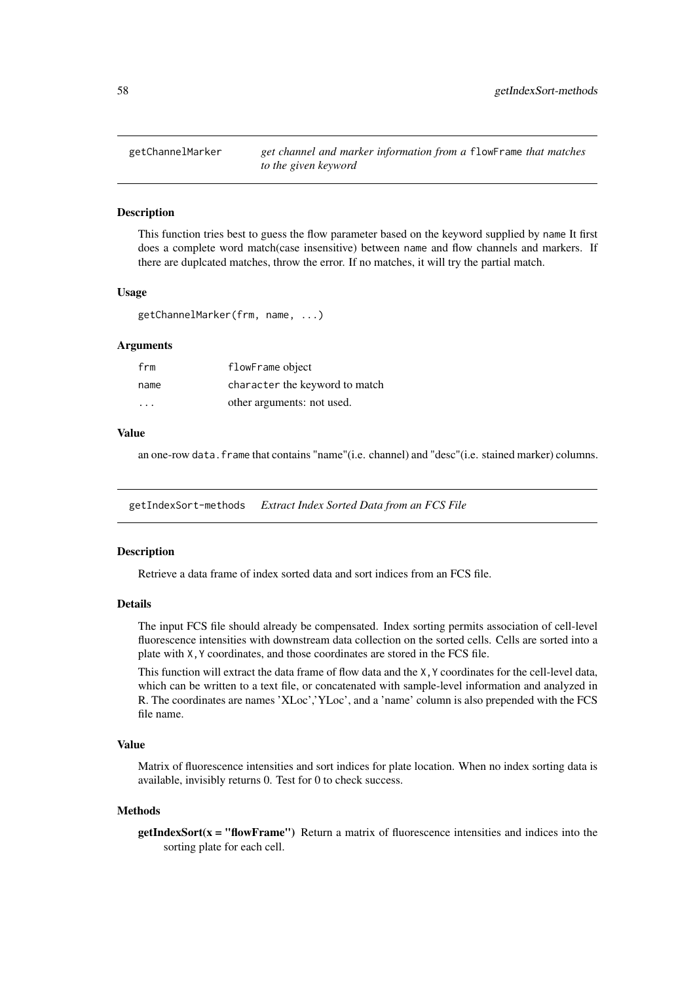### **Description**

This function tries best to guess the flow parameter based on the keyword supplied by name It first does a complete word match(case insensitive) between name and flow channels and markers. If there are duplcated matches, throw the error. If no matches, it will try the partial match.

### Usage

getChannelMarker(frm, name, ...)

## Arguments

| frm                     | flowFrame object               |
|-------------------------|--------------------------------|
| name                    | character the keyword to match |
| $\cdot$ $\cdot$ $\cdot$ | other arguments: not used.     |

# Value

an one-row data.frame that contains "name"(i.e. channel) and "desc"(i.e. stained marker) columns.

getIndexSort-methods *Extract Index Sorted Data from an FCS File*

### Description

Retrieve a data frame of index sorted data and sort indices from an FCS file.

### Details

The input FCS file should already be compensated. Index sorting permits association of cell-level fluorescence intensities with downstream data collection on the sorted cells. Cells are sorted into a plate with X,Y coordinates, and those coordinates are stored in the FCS file.

This function will extract the data frame of flow data and the X, Y coordinates for the cell-level data, which can be written to a text file, or concatenated with sample-level information and analyzed in R. The coordinates are names 'XLoc','YLoc', and a 'name' column is also prepended with the FCS file name.

# Value

Matrix of fluorescence intensities and sort indices for plate location. When no index sorting data is available, invisibly returns 0. Test for 0 to check success.

### Methods

 $getIndexSort(x = "flowFrame")$  Return a matrix of fluorescence intensities and indices into the sorting plate for each cell.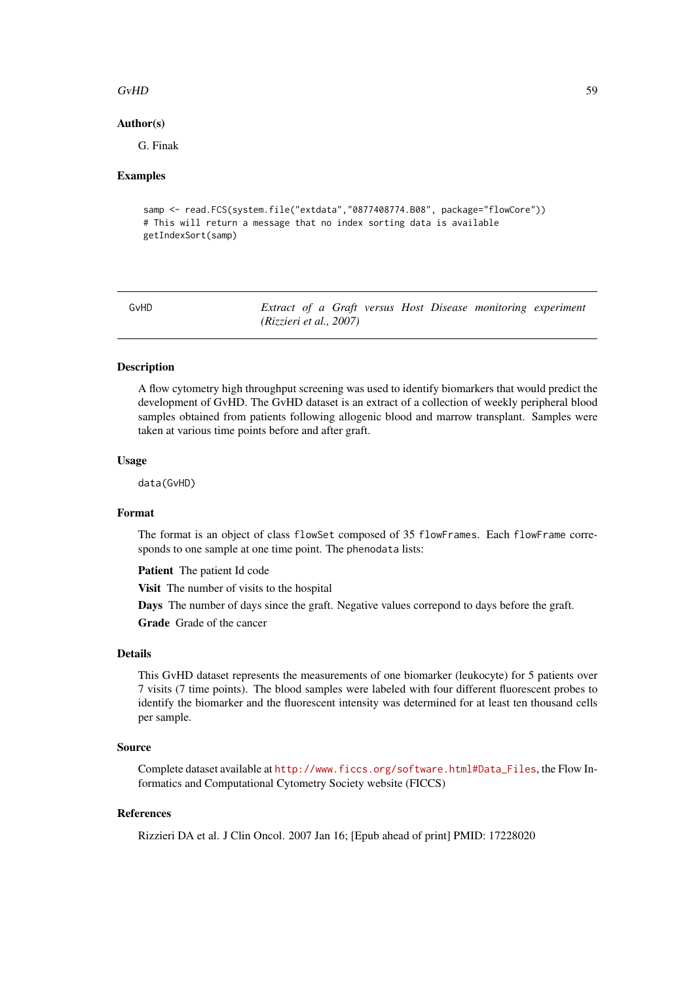### $GvHD$  59

### Author(s)

G. Finak

## Examples

```
samp <- read.FCS(system.file("extdata","0877408774.B08", package="flowCore"))
# This will return a message that no index sorting data is available
getIndexSort(samp)
```
GvHD *Extract of a Graft versus Host Disease monitoring experiment (Rizzieri et al., 2007)*

# **Description**

A flow cytometry high throughput screening was used to identify biomarkers that would predict the development of GvHD. The GvHD dataset is an extract of a collection of weekly peripheral blood samples obtained from patients following allogenic blood and marrow transplant. Samples were taken at various time points before and after graft.

#### Usage

data(GvHD)

#### Format

The format is an object of class flowSet composed of 35 flowFrames. Each flowFrame corresponds to one sample at one time point. The phenodata lists:

Patient The patient Id code

Visit The number of visits to the hospital

Days The number of days since the graft. Negative values correpond to days before the graft.

Grade Grade of the cancer

### Details

This GvHD dataset represents the measurements of one biomarker (leukocyte) for 5 patients over 7 visits (7 time points). The blood samples were labeled with four different fluorescent probes to identify the biomarker and the fluorescent intensity was determined for at least ten thousand cells per sample.

## Source

Complete dataset available at [http://www.ficcs.org/software.html#Data\\_Files](http://www.ficcs.org/software.html#Data_Files), the Flow Informatics and Computational Cytometry Society website (FICCS)

### References

Rizzieri DA et al. J Clin Oncol. 2007 Jan 16; [Epub ahead of print] PMID: 17228020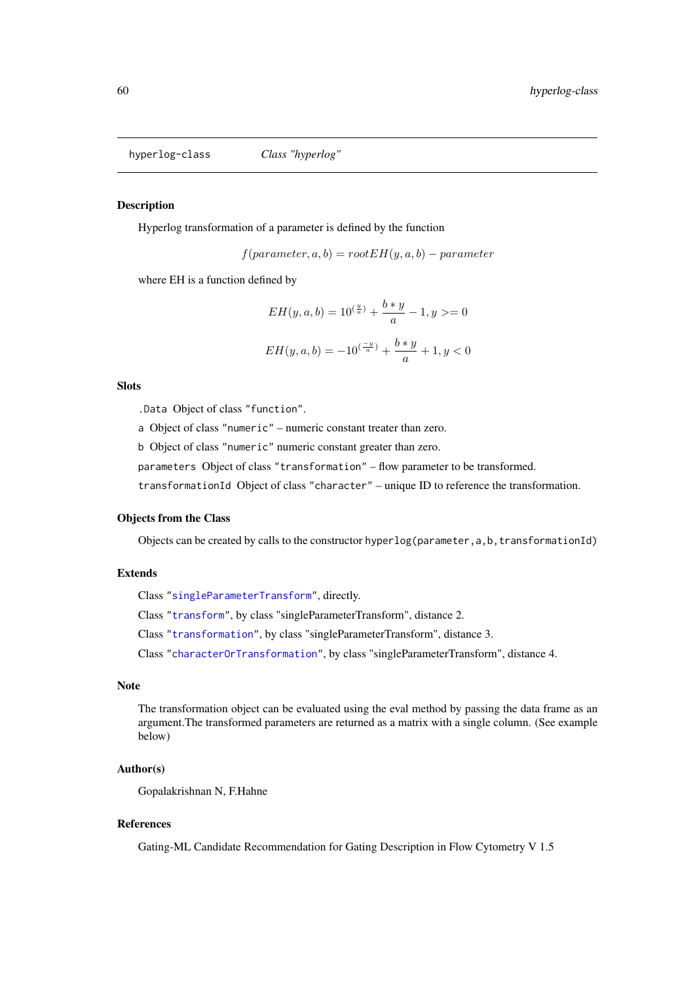<span id="page-59-1"></span>hyperlog-class *Class "hyperlog"*

### <span id="page-59-0"></span>Description

Hyperlog transformation of a parameter is defined by the function

$$
f(parameter, a, b) = rootEH(y, a, b) - parameter
$$

where EH is a function defined by

$$
EH(y, a, b) = 10^{\left(\frac{y}{a}\right)} + \frac{b*y}{a} - 1, y >= 0
$$
  

$$
EH(y, a, b) = -10^{\left(\frac{-y}{a}\right)} + \frac{b*y}{a} + 1, y < 0
$$

### Slots

.Data Object of class "function".

a Object of class "numeric" – numeric constant treater than zero.

b Object of class "numeric" numeric constant greater than zero.

parameters Object of class "transformation" – flow parameter to be transformed.

transformationId Object of class "character" – unique ID to reference the transformation.

# Objects from the Class

Objects can be created by calls to the constructor hyperlog(parameter,a,b,transformationId)

## Extends

Class ["singleParameterTransform"](#page-115-0), directly.

Class ["transform"](#page-128-1), by class "singleParameterTransform", distance 2.

Class ["transformation"](#page-129-0), by class "singleParameterTransform", distance 3.

Class ["characterOrTransformation"](#page-12-0), by class "singleParameterTransform", distance 4.

## Note

The transformation object can be evaluated using the eval method by passing the data frame as an argument.The transformed parameters are returned as a matrix with a single column. (See example below)

## Author(s)

Gopalakrishnan N, F.Hahne

### References

Gating-ML Candidate Recommendation for Gating Description in Flow Cytometry V 1.5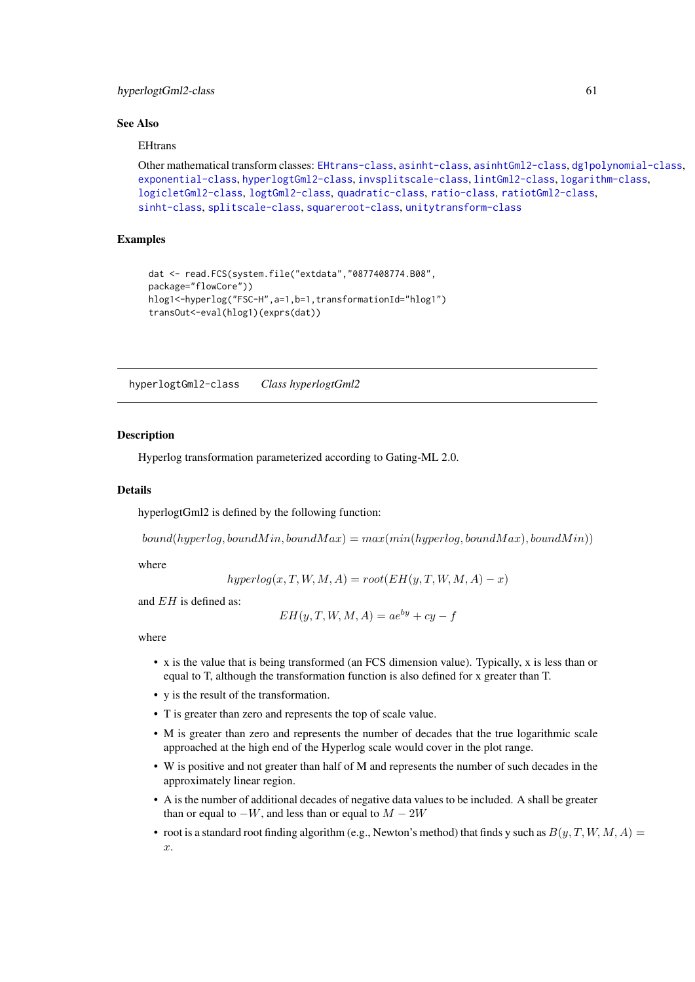## hyperlogtGml2-class 61

### See Also

### **EHtrans**

```
Other mathematical transform classes: EHtrans-class, asinht-class, asinhtGml2-class, dg1polynomial-class,
exponential-class, hyperlogtGml2-class, invsplitscale-class, lintGml2-class, logarithm-class,
logicletGml2-class, logtGml2-class, quadratic-class, ratio-class, ratiotGml2-class,
sinht-class, splitscale-class, squareroot-class, unitytransform-class
```
# Examples

```
dat <- read.FCS(system.file("extdata","0877408774.B08",
package="flowCore"))
hlog1<-hyperlog("FSC-H",a=1,b=1,transformationId="hlog1")
transOut<-eval(hlog1)(exprs(dat))
```
<span id="page-60-0"></span>hyperlogtGml2-class *Class hyperlogtGml2*

### Description

Hyperlog transformation parameterized according to Gating-ML 2.0.

### Details

hyperlogtGml2 is defined by the following function:

 $bound(hyperlog, boundMin, boundMax) = max(min(hyperlog, boundMax), boundMin)$ 

where

$$
hyperlog(x, T, W, M, A) = root(EH(y, T, W, M, A) - x)
$$

and EH is defined as:

$$
EH(y, T, W, M, A) = ae^{by} + cy - f
$$

where

- x is the value that is being transformed (an FCS dimension value). Typically, x is less than or equal to T, although the transformation function is also defined for x greater than T.
- y is the result of the transformation.
- T is greater than zero and represents the top of scale value.
- M is greater than zero and represents the number of decades that the true logarithmic scale approached at the high end of the Hyperlog scale would cover in the plot range.
- W is positive and not greater than half of M and represents the number of such decades in the approximately linear region.
- A is the number of additional decades of negative data values to be included. A shall be greater than or equal to  $-W$ , and less than or equal to  $M - 2W$
- root is a standard root finding algorithm (e.g., Newton's method) that finds y such as  $B(y, T, W, M, A) =$ x.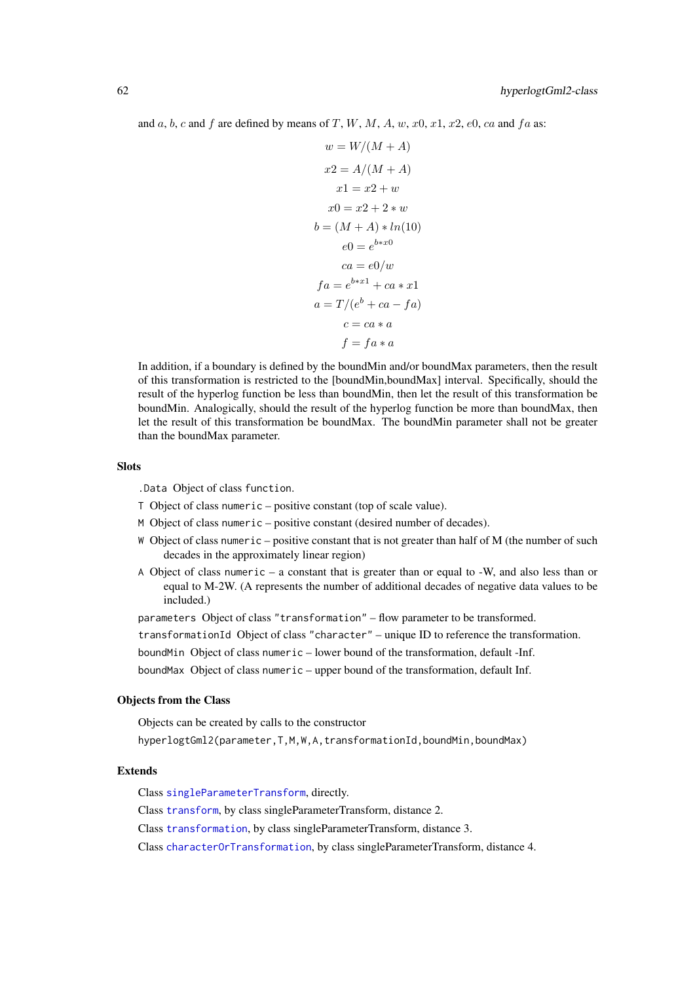and a, b, c and f are defined by means of T, W, M, A, w, x0, x1, x2, e0, ca and f a as:

$$
w = W/(M+A)
$$
  
\n
$$
x2 = A/(M+A)
$$
  
\n
$$
x1 = x2 + w
$$
  
\n
$$
x0 = x2 + 2 * w
$$
  
\n
$$
b = (M+A) * ln(10)
$$
  
\n
$$
e0 = e^{b * x0}
$$
  
\n
$$
ca = e0/w
$$
  
\n
$$
fa = e^{b * x1} + ca * x1
$$
  
\n
$$
a = T/(e^{b} + ca - fa)
$$
  
\n
$$
c = ca * a
$$
  
\n
$$
f = fa * a
$$

In addition, if a boundary is defined by the boundMin and/or boundMax parameters, then the result of this transformation is restricted to the [boundMin,boundMax] interval. Specifically, should the result of the hyperlog function be less than boundMin, then let the result of this transformation be boundMin. Analogically, should the result of the hyperlog function be more than boundMax, then let the result of this transformation be boundMax. The boundMin parameter shall not be greater than the boundMax parameter.

## Slots

.Data Object of class function.

- T Object of class numeric positive constant (top of scale value).
- M Object of class numeric positive constant (desired number of decades).
- W Object of class numeric positive constant that is not greater than half of M (the number of such decades in the approximately linear region)
- A Object of class numeric a constant that is greater than or equal to -W, and also less than or equal to M-2W. (A represents the number of additional decades of negative data values to be included.)

parameters Object of class "transformation" – flow parameter to be transformed.

transformationId Object of class "character" – unique ID to reference the transformation.

boundMin Object of class numeric – lower bound of the transformation, default -Inf.

boundMax Object of class numeric – upper bound of the transformation, default Inf.

## Objects from the Class

Objects can be created by calls to the constructor

hyperlogtGml2(parameter,T,M,W,A,transformationId,boundMin,boundMax)

# Extends

Class [singleParameterTransform](#page-115-0), directly.

Class [transform](#page-128-1), by class singleParameterTransform, distance 2.

Class [transformation](#page-129-0), by class singleParameterTransform, distance 3.

Class [characterOrTransformation](#page-12-0), by class singleParameterTransform, distance 4.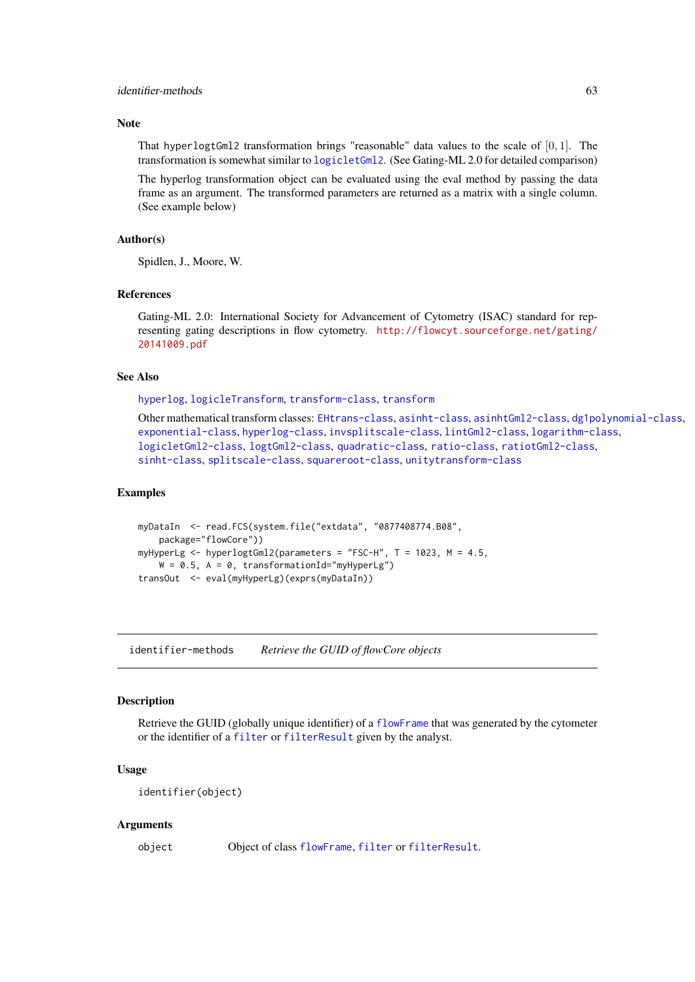### identifier-methods 63

### Note

That hyperlogtGml2 transformation brings "reasonable" data values to the scale of  $[0, 1]$ . The transformation is somewhat similar to [logicletGml2](#page-76-1). (See Gating-ML 2.0 for detailed comparison)

The hyperlog transformation object can be evaluated using the eval method by passing the data frame as an argument. The transformed parameters are returned as a matrix with a single column. (See example below)

## Author(s)

Spidlen, J., Moore, W.

### References

Gating-ML 2.0: International Society for Advancement of Cytometry (ISAC) standard for representing gating descriptions in flow cytometry. [http://flowcyt.sourceforge.net/gating/](http://flowcyt.sourceforge.net/gating/20141009.pdf) [20141009.pdf](http://flowcyt.sourceforge.net/gating/20141009.pdf)

## See Also

[hyperlog](#page-59-0), [logicleTransform](#page-79-0), [transform-class](#page-128-1), [transform](#page-128-0)

```
Other mathematical transform classes: EHtrans-class, asinht-class, asinhtGml2-class, dg1polynomial-class,
exponential-class, hyperlog-class, invsplitscale-class, lintGml2-class, logarithm-class,
logicletGml2-class, logtGml2-class, quadratic-class, ratio-class, ratiotGml2-class,
sinht-class, splitscale-class, squareroot-class, unitytransform-class
```
### Examples

```
myDataIn <- read.FCS(system.file("extdata", "0877408774.B08",
    package="flowCore"))
myHyperLg \le hyperlogtGml2(parameters = "FSC-H", T = 1023, M = 4.5,
    W = 0.5, A = 0, transformationId="myHyperLg")
transOut <- eval(myHyperLg)(exprs(myDataIn))
```
identifier-methods *Retrieve the GUID of flowCore objects*

## <span id="page-62-0"></span>Description

Retrieve the GUID (globally unique identifier) of a [flowFrame](#page-44-0) that was generated by the cytometer or the identifier of a [filter](#page-30-0) or [filterResult](#page-37-1) given by the analyst.

## Usage

identifier(object)

## Arguments

object Object of class [flowFrame](#page-44-1), [filter](#page-30-0) or [filterResult](#page-37-1).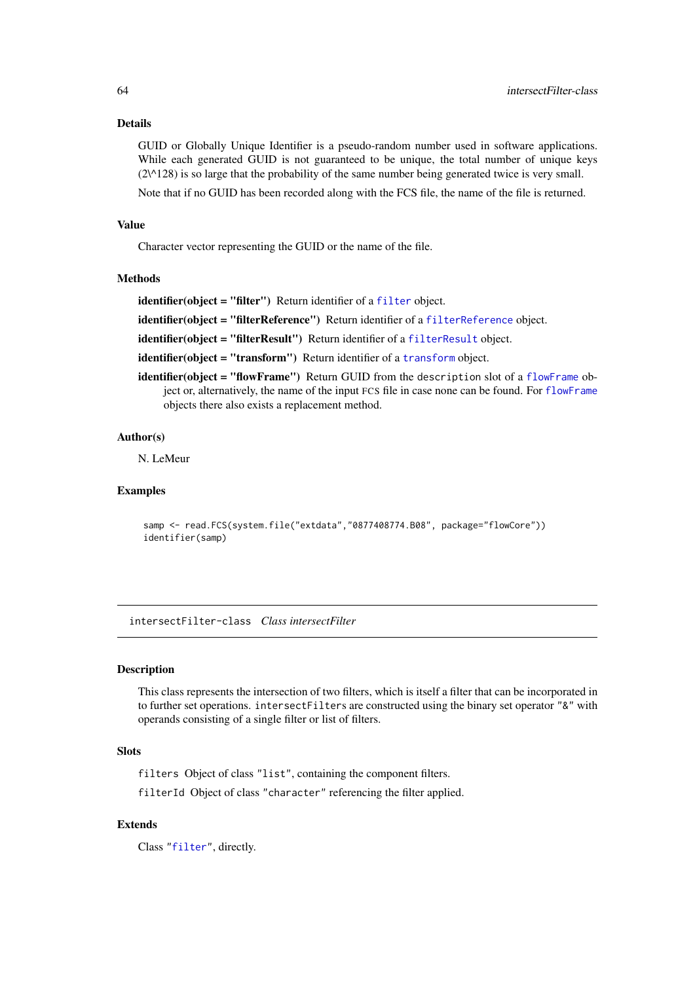## Details

GUID or Globally Unique Identifier is a pseudo-random number used in software applications. While each generated GUID is not guaranteed to be unique, the total number of unique keys  $(2\sqrt{128})$  is so large that the probability of the same number being generated twice is very small.

Note that if no GUID has been recorded along with the FCS file, the name of the file is returned.

# Value

Character vector representing the GUID or the name of the file.

## **Methods**

identifier(object = "[filter](#page-30-0)") Return identifier of a filter object.

identifier(object = "[filterReference](#page-36-0)") Return identifier of a filterReference object.

identifier(object = "[filterResult](#page-37-1)") Return identifier of a filterResult object.

identifier(object = "[transform](#page-128-1)") Return identifier of a transform object.

identifier(object = "[flowFrame](#page-44-1)") Return GUID from the description slot of a flowFrame object or, alternatively, the name of the input FCS file in case none can be found. For [flowFrame](#page-44-1) objects there also exists a replacement method.

### Author(s)

N. LeMeur

## Examples

```
samp <- read.FCS(system.file("extdata","0877408774.B08", package="flowCore"))
identifier(samp)
```
intersectFilter-class *Class intersectFilter*

# Description

This class represents the intersection of two filters, which is itself a filter that can be incorporated in to further set operations. intersectFilters are constructed using the binary set operator "&" with operands consisting of a single filter or list of filters.

# **Slots**

filters Object of class "list", containing the component filters.

filterId Object of class "character" referencing the filter applied.

# Extends

Class ["filter"](#page-30-0), directly.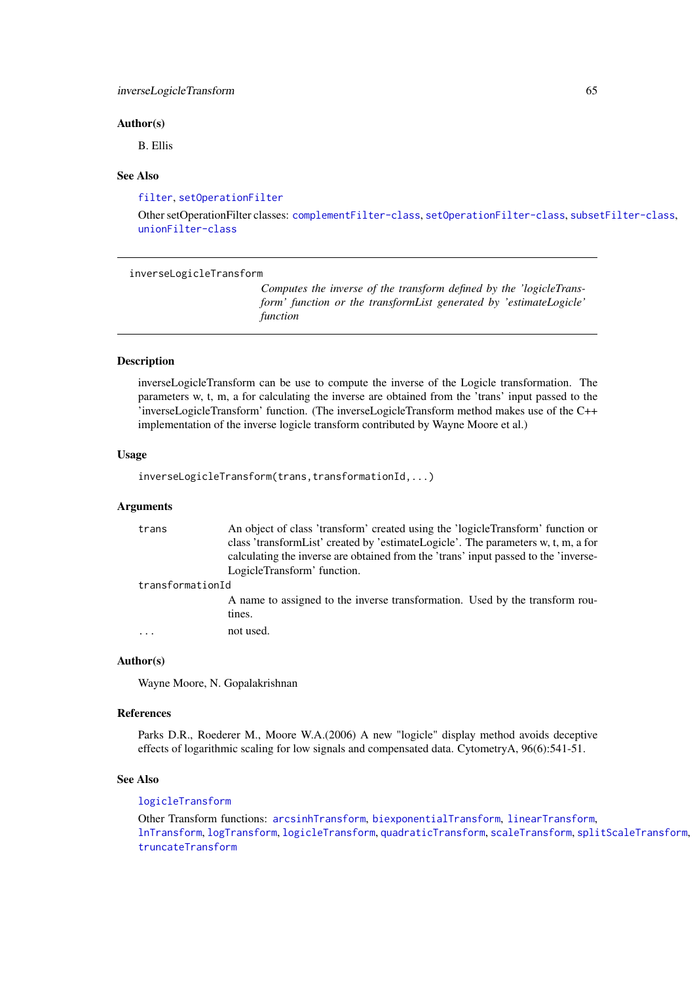### inverseLogicleTransform 65

### Author(s)

B. Ellis

### See Also

[filter](#page-32-0), [setOperationFilter](#page-113-0)

Other setOperationFilter classes: [complementFilter-class](#page-18-1), [setOperationFilter-class](#page-113-0), [subsetFilter-class](#page-124-0), [unionFilter-class](#page-136-1)

<span id="page-64-0"></span>inverseLogicleTransform

*Computes the inverse of the transform defined by the 'logicleTransform' function or the transformList generated by 'estimateLogicle' function*

### Description

inverseLogicleTransform can be use to compute the inverse of the Logicle transformation. The parameters w, t, m, a for calculating the inverse are obtained from the 'trans' input passed to the 'inverseLogicleTransform' function. (The inverseLogicleTransform method makes use of the C++ implementation of the inverse logicle transform contributed by Wayne Moore et al.)

## Usage

inverseLogicleTransform(trans,transformationId,...)

### Arguments

trans An object of class 'transform' created using the 'logicleTransform' function or class 'transformList' created by 'estimateLogicle'. The parameters w, t, m, a for calculating the inverse are obtained from the 'trans' input passed to the 'inverse-LogicleTransform' function. transformationId A name to assigned to the inverse transformation. Used by the transform routines. ... not used.

## Author(s)

Wayne Moore, N. Gopalakrishnan

### References

Parks D.R., Roederer M., Moore W.A.(2006) A new "logicle" display method avoids deceptive effects of logarithmic scaling for low signals and compensated data. CytometryA, 96(6):541-51.

### See Also

[logicleTransform](#page-79-0)

Other Transform functions: [arcsinhTransform](#page-4-0), [biexponentialTransform](#page-8-0), [linearTransform](#page-70-0), [lnTransform](#page-73-0), [logTransform](#page-82-0), [logicleTransform](#page-79-0), [quadraticTransform](#page-96-0), [scaleTransform](#page-111-0), [splitScaleTransform](#page-121-0), [truncateTransform](#page-135-0)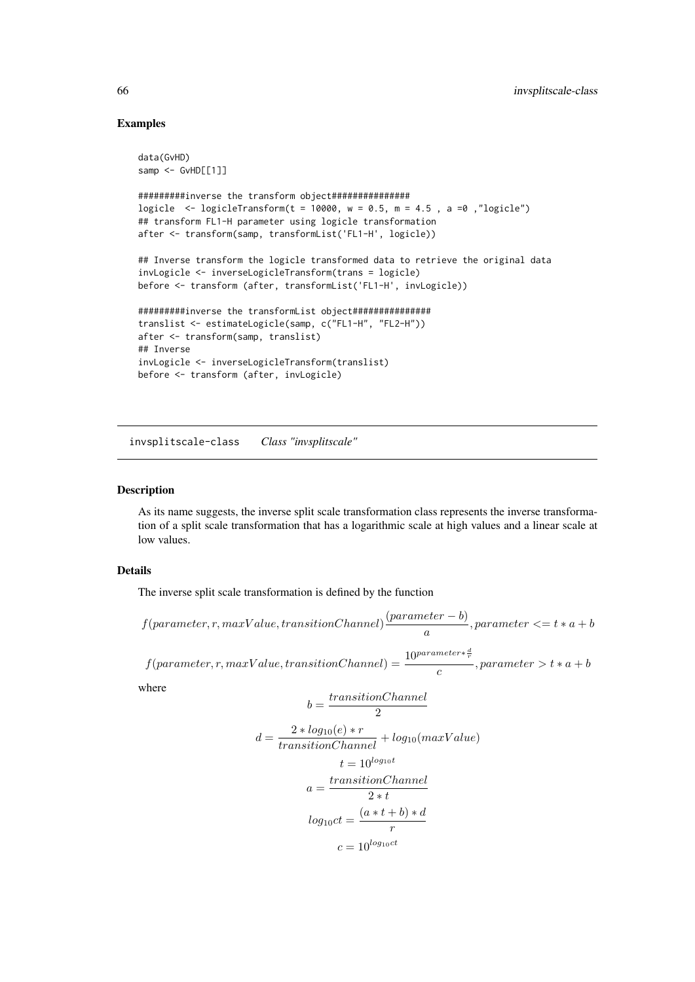## Examples

```
data(GvHD)
samp <- GvHD[[1]]
```

```
#########inverse the transform object###############
logicle \le logicleTransform(t = 10000, w = 0.5, m = 4.5, a =0, "logicle")
## transform FL1-H parameter using logicle transformation
after <- transform(samp, transformList('FL1-H', logicle))
```
## Inverse transform the logicle transformed data to retrieve the original data invLogicle <- inverseLogicleTransform(trans = logicle) before <- transform (after, transformList('FL1-H', invLogicle))

```
#########inverse the transformList object###############
translist <- estimateLogicle(samp, c("FL1-H", "FL2-H"))
after <- transform(samp, translist)
## Inverse
invLogicle <- inverseLogicleTransform(translist)
before <- transform (after, invLogicle)
```
<span id="page-65-0"></span>invsplitscale-class *Class "invsplitscale"*

### Description

As its name suggests, the inverse split scale transformation class represents the inverse transformation of a split scale transformation that has a logarithmic scale at high values and a linear scale at low values.

## Details

The inverse split scale transformation is defined by the function

 $f(parameter, r, maxValue, transitionChannel) \frac{(parameter - b)}{2}$  $\frac{a}{a}$ , parameter <= t \* a + b

 $f(parameter, r, maxValue, transitionChannel) = \frac{10^{parameter * \frac{d}{r}}}{T}$  $\overline{c}$ , parameter > t \* a + b

where

$$
b = \frac{transitionChannel}{2}
$$

$$
d = \frac{2 * log_{10}(e) * r}{transitionChannel} + log_{10}(maxValue)
$$

$$
t = 10^{log_{10}t}
$$

$$
a = \frac{transitionChannel}{2 * t}
$$

$$
log_{10}ct = \frac{(a * t + b) * d}{r}
$$

$$
c = 10^{log_{10}ct}
$$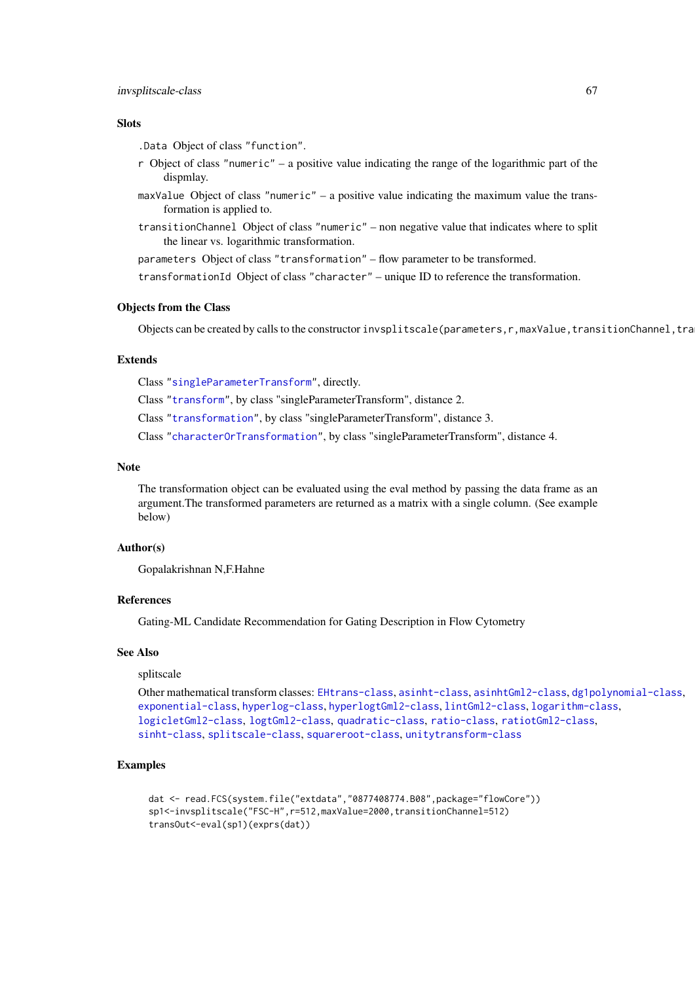### invsplitscale-class 67

### Slots

.Data Object of class "function".

- r Object of class "numeric" a positive value indicating the range of the logarithmic part of the dispmlay.
- maxValue Object of class "numeric" a positive value indicating the maximum value the transformation is applied to.
- transitionChannel Object of class "numeric" non negative value that indicates where to split the linear vs. logarithmic transformation.

parameters Object of class "transformation" – flow parameter to be transformed.

transformationId Object of class "character" – unique ID to reference the transformation.

## Objects from the Class

Objects can be created by calls to the constructor invsplitscale(parameters,r,maxValue,transitionChannel,tra

### Extends

Class ["singleParameterTransform"](#page-115-0), directly.

Class ["transform"](#page-128-1), by class "singleParameterTransform", distance 2.

Class ["transformation"](#page-129-0), by class "singleParameterTransform", distance 3.

Class ["characterOrTransformation"](#page-12-0), by class "singleParameterTransform", distance 4.

### Note

The transformation object can be evaluated using the eval method by passing the data frame as an argument.The transformed parameters are returned as a matrix with a single column. (See example below)

## Author(s)

Gopalakrishnan N,F.Hahne

## References

Gating-ML Candidate Recommendation for Gating Description in Flow Cytometry

### See Also

# splitscale

```
Other mathematical transform classes: EHtrans-class, asinht-class, asinhtGml2-class, dg1polynomial-class,
exponential-class, hyperlog-class, hyperlogtGml2-class, lintGml2-class, logarithm-class,
logicletGml2-class, logtGml2-class, quadratic-class, ratio-class, ratiotGml2-class,
sinht-class, splitscale-class, squareroot-class, unitytransform-class
```

```
dat <- read.FCS(system.file("extdata","0877408774.B08",package="flowCore"))
sp1<-invsplitscale("FSC-H",r=512,maxValue=2000,transitionChannel=512)
transOut<-eval(sp1)(exprs(dat))
```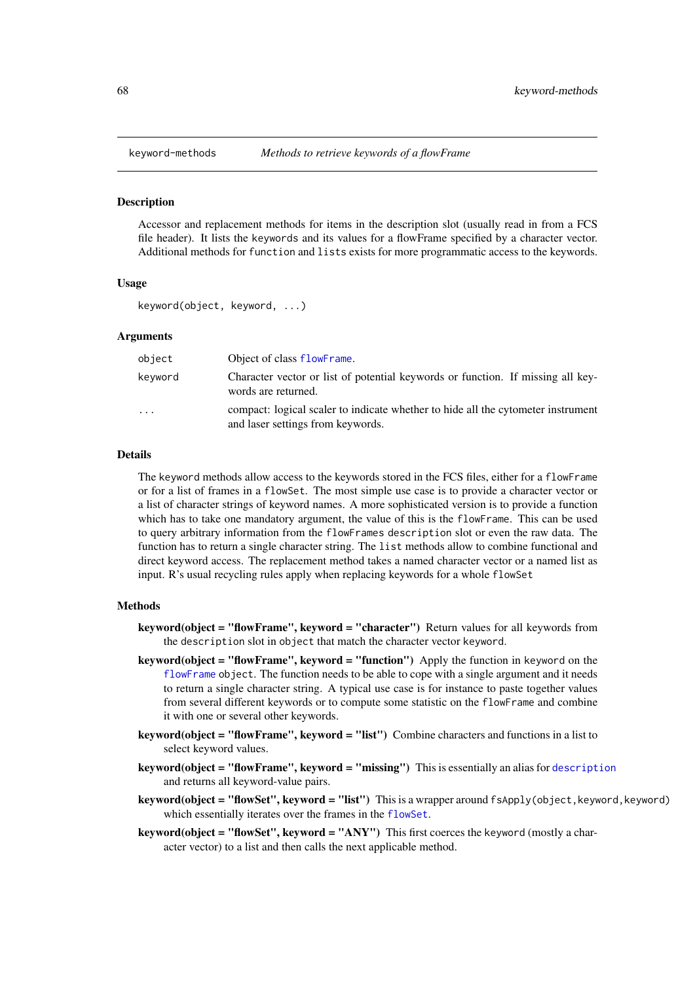### <span id="page-67-0"></span>Description

Accessor and replacement methods for items in the description slot (usually read in from a FCS file header). It lists the keywords and its values for a flowFrame specified by a character vector. Additional methods for function and lists exists for more programmatic access to the keywords.

## Usage

keyword(object, keyword, ...)

### Arguments

| object  | Object of class flowFrame.                                                                                            |
|---------|-----------------------------------------------------------------------------------------------------------------------|
| keyword | Character vector or list of potential keywords or function. If missing all key-<br>words are returned.                |
| $\cdot$ | compact: logical scaler to indicate whether to hide all the cytometer instrument<br>and laser settings from keywords. |

## Details

The keyword methods allow access to the keywords stored in the FCS files, either for a flowFrame or for a list of frames in a flowSet. The most simple use case is to provide a character vector or a list of character strings of keyword names. A more sophisticated version is to provide a function which has to take one mandatory argument, the value of this is the flowFrame. This can be used to query arbitrary information from the flowFrames description slot or even the raw data. The function has to return a single character string. The list methods allow to combine functional and direct keyword access. The replacement method takes a named character vector or a named list as input. R's usual recycling rules apply when replacing keywords for a whole flowSet

## Methods

- keyword(object = "flowFrame", keyword = "character") Return values for all keywords from the description slot in object that match the character vector keyword.
- keyword(object = "flowFrame", keyword = "function") Apply the function in keyword on the [flowFrame](#page-44-0) object. The function needs to be able to cope with a single argument and it needs to return a single character string. A typical use case is for instance to paste together values from several different keywords or to compute some statistic on the flowFrame and combine it with one or several other keywords.
- keyword(object = "flowFrame", keyword = "list") Combine characters and functions in a list to select keyword values.
- keyword(object = "flowFrame", keyword = "missing") This is essentially an alias for [description](#page-44-0) and returns all keyword-value pairs.
- keyword(object = "flowSet", keyword = "list") This is a wrapper around fsApply(object, keyword, keyword) which essentially iterates over the frames in the [flowSet](#page-50-0).
- **keyword(object = "flowSet", keyword = "ANY")** This first coerces the keyword (mostly a character vector) to a list and then calls the next applicable method.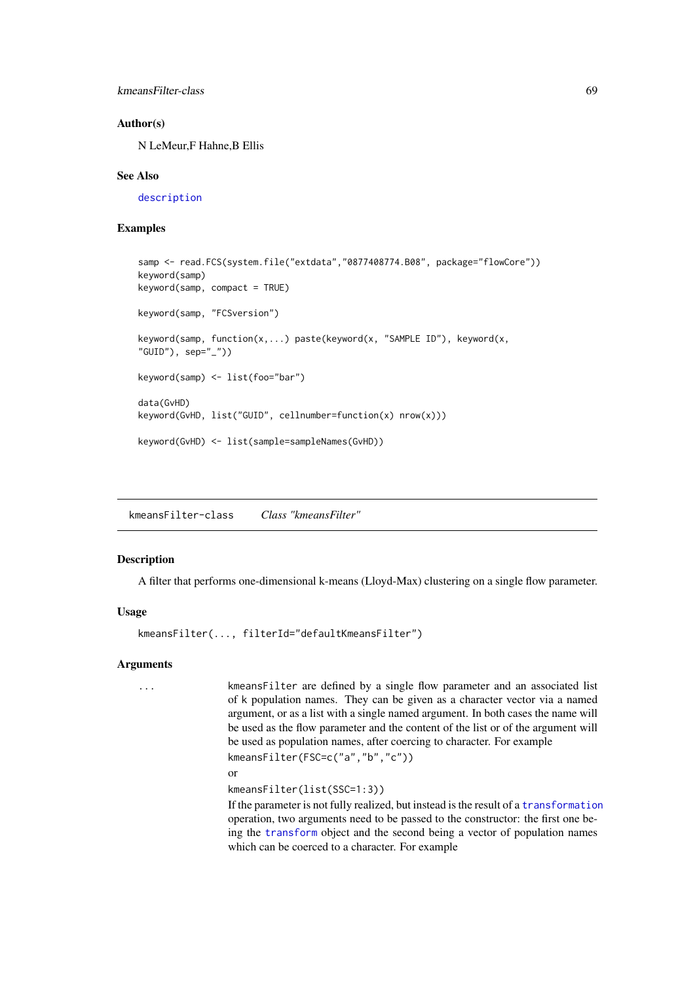kmeansFilter-class 69

### Author(s)

N LeMeur,F Hahne,B Ellis

### See Also

[description](#page-44-0)

## Examples

```
samp <- read.FCS(system.file("extdata","0877408774.B08", package="flowCore"))
keyword(samp)
keyword(samp, compact = TRUE)
keyword(samp, "FCSversion")
keyword(samp, function(x,...) paste(keyword(x, "SAMPLE ID"), keyword(x,
"GUID"), sep='''_")keyword(samp) <- list(foo="bar")
data(GvHD)
keyword(GvHD, list("GUID", cellnumber=function(x) nrow(x)))
keyword(GvHD) <- list(sample=sampleNames(GvHD))
```
kmeansFilter-class *Class "kmeansFilter"*

### Description

A filter that performs one-dimensional k-means (Lloyd-Max) clustering on a single flow parameter.

### Usage

```
kmeansFilter(..., filterId="defaultKmeansFilter")
```
### Arguments

... kmeansFilter are defined by a single flow parameter and an associated list of k population names. They can be given as a character vector via a named argument, or as a list with a single named argument. In both cases the name will be used as the flow parameter and the content of the list or of the argument will be used as population names, after coercing to character. For example kmeansFilter(FSC=c("a","b","c"))

or

kmeansFilter(list(SSC=1:3))

If the parameter is not fully realized, but instead is the result of a [transformation](#page-129-1) operation, two arguments need to be passed to the constructor: the first one being the [transform](#page-128-0) object and the second being a vector of population names which can be coerced to a character. For example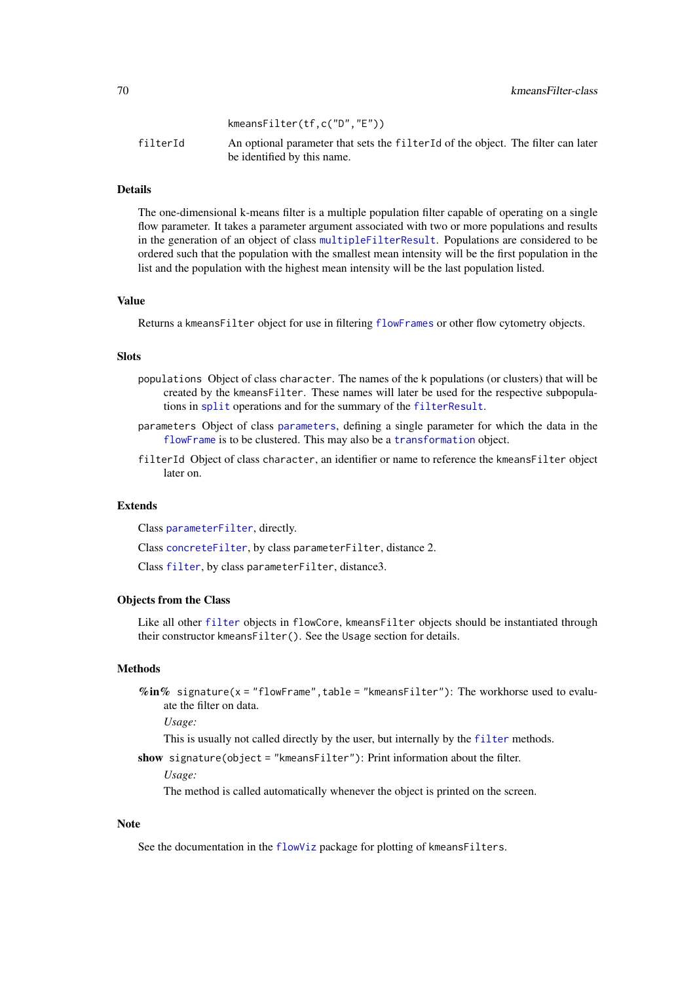|          | kmeansFilter(tf.c(" $D$ "," $E$ "))                                                                              |
|----------|------------------------------------------------------------------------------------------------------------------|
| filterId | An optional parameter that sets the filter Id of the object. The filter can later<br>be identified by this name. |

## Details

The one-dimensional k-means filter is a multiple population filter capable of operating on a single flow parameter. It takes a parameter argument associated with two or more populations and results in the generation of an object of class [multipleFilterResult](#page-85-1). Populations are considered to be ordered such that the population with the smallest mean intensity will be the first population in the list and the population with the highest mean intensity will be the last population listed.

## Value

Returns a kmeansFilter object for use in filtering [flowFrames](#page-0-0) or other flow cytometry objects.

## **Slots**

- populations Object of class character. The names of the k populations (or clusters) that will be created by the kmeansFilter. These names will later be used for the respective subpopulations in [split](#page-117-0) operations and for the summary of the [filterResult](#page-37-0).
- parameters Object of class [parameters](#page-88-0), defining a single parameter for which the data in the [flowFrame](#page-44-1) is to be clustered. This may also be a [transformation](#page-129-1) object.
- filterId Object of class character, an identifier or name to reference the kmeansFilter object later on.

## Extends

Class [parameterFilter](#page-87-0), directly.

Class [concreteFilter](#page-18-0), by class parameterFilter, distance 2.

Class [filter](#page-30-0), by class parameterFilter, distance3.

### Objects from the Class

Like all other [filter](#page-30-0) objects in flowCore, kmeansFilter objects should be instantiated through their constructor kmeansFilter(). See the Usage section for details.

### Methods

%in% signature(x = "flowFrame", table = "kmeansFilter"): The workhorse used to evaluate the filter on data.

*Usage:*

This is usually not called directly by the user, but internally by the [filter](#page-32-0) methods.

show signature(object = "kmeansFilter"): Print information about the filter.

*Usage:*

The method is called automatically whenever the object is printed on the screen.

## Note

See the documentation in the [flowViz](#page-0-0) package for plotting of kmeansFilters.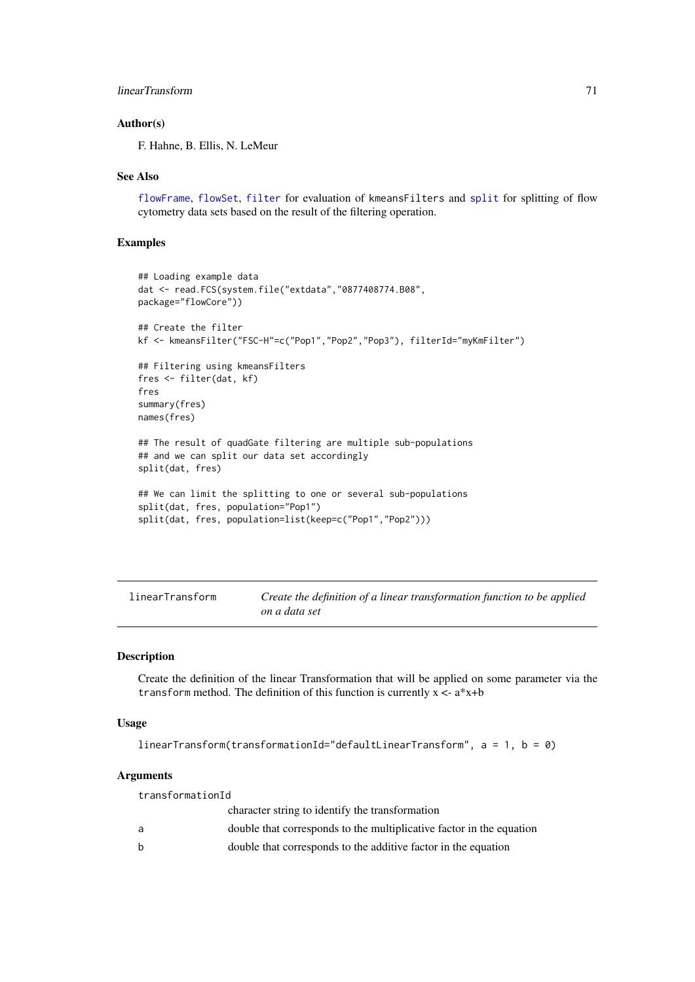## linearTransform 71

# Author(s)

F. Hahne, B. Ellis, N. LeMeur

### See Also

[flowFrame](#page-44-0), [flowSet](#page-50-0), [filter](#page-32-0) for evaluation of kmeansFilters and [split](#page-117-0) for splitting of flow cytometry data sets based on the result of the filtering operation.

# Examples

```
## Loading example data
dat <- read.FCS(system.file("extdata","0877408774.B08",
package="flowCore"))
## Create the filter
kf <- kmeansFilter("FSC-H"=c("Pop1","Pop2","Pop3"), filterId="myKmFilter")
## Filtering using kmeansFilters
fres <- filter(dat, kf)
fres
summary(fres)
names(fres)
## The result of quadGate filtering are multiple sub-populations
## and we can split our data set accordingly
split(dat, fres)
## We can limit the splitting to one or several sub-populations
split(dat, fres, population="Pop1")
split(dat, fres, population=list(keep=c("Pop1","Pop2")))
```
<span id="page-70-0"></span>

| linearTransform | Create the definition of a linear transformation function to be applied |
|-----------------|-------------------------------------------------------------------------|
|                 | on a data set                                                           |

# Description

Create the definition of the linear Transformation that will be applied on some parameter via the transform method. The definition of this function is currently  $x < -a^*x+b$ 

## Usage

linearTransform(transformationId="defaultLinearTransform", a = 1, b = 0)

# Arguments

| transformationId |                                                                      |
|------------------|----------------------------------------------------------------------|
|                  | character string to identify the transformation                      |
| a                | double that corresponds to the multiplicative factor in the equation |
| b                | double that corresponds to the additive factor in the equation       |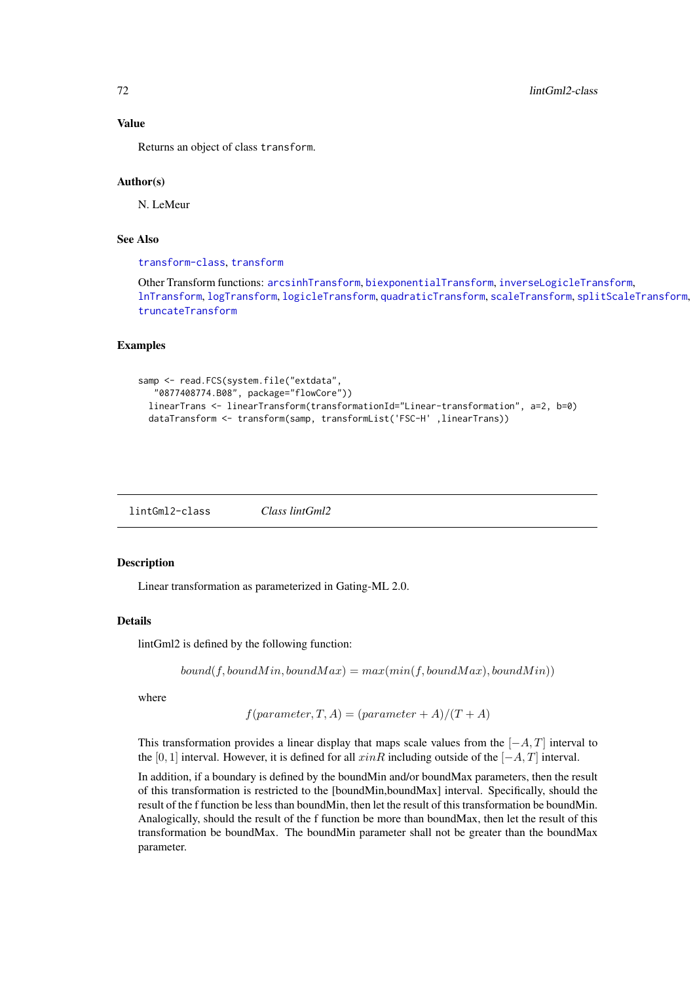### Value

Returns an object of class transform.

## Author(s)

N. LeMeur

# See Also

[transform-class](#page-128-1), [transform](#page-128-0)

Other Transform functions: [arcsinhTransform](#page-4-0), [biexponentialTransform](#page-8-0), [inverseLogicleTransform](#page-64-0), [lnTransform](#page-73-0), [logTransform](#page-82-0), [logicleTransform](#page-79-0), [quadraticTransform](#page-96-0), [scaleTransform](#page-111-0), [splitScaleTransform](#page-121-0), [truncateTransform](#page-135-0)

# Examples

```
samp <- read.FCS(system.file("extdata",
   "0877408774.B08", package="flowCore"))
  linearTrans <- linearTransform(transformationId="Linear-transformation", a=2, b=0)
  dataTransform <- transform(samp, transformList('FSC-H' ,linearTrans))
```
<span id="page-71-0"></span>lintGml2-class *Class lintGml2*

## Description

Linear transformation as parameterized in Gating-ML 2.0.

### Details

lintGml2 is defined by the following function:

 $bound(f, boundMin, boundMax) = max(min(f, boundMax), boundMin))$ 

where

$$
f(parameter, T, A) = (parameter + A)/(T + A)
$$

This transformation provides a linear display that maps scale values from the  $[-A, T]$  interval to the [0, 1] interval. However, it is defined for all  $x \in R$  including outside of the [−A, T] interval.

In addition, if a boundary is defined by the boundMin and/or boundMax parameters, then the result of this transformation is restricted to the [boundMin,boundMax] interval. Specifically, should the result of the f function be less than boundMin, then let the result of this transformation be boundMin. Analogically, should the result of the f function be more than boundMax, then let the result of this transformation be boundMax. The boundMin parameter shall not be greater than the boundMax parameter.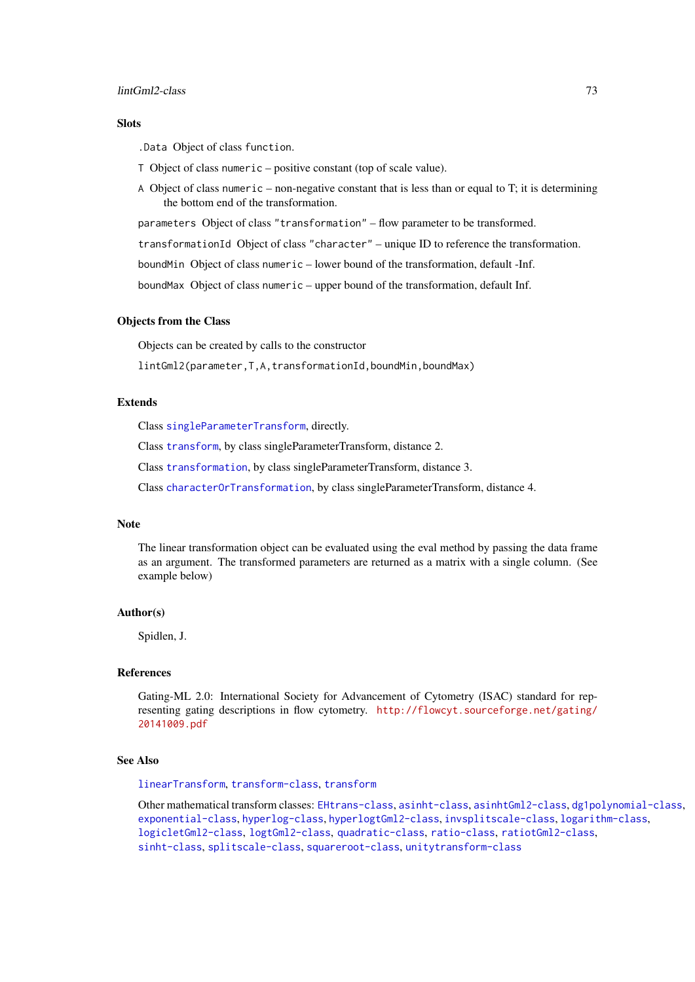#### lintGml2-class 73

#### Slots

.Data Object of class function.

- T Object of class numeric positive constant (top of scale value).
- A Object of class numeric non-negative constant that is less than or equal to T; it is determining the bottom end of the transformation.

parameters Object of class "transformation" – flow parameter to be transformed.

transformationId Object of class "character" – unique ID to reference the transformation.

boundMin Object of class numeric – lower bound of the transformation, default -Inf.

boundMax Object of class numeric – upper bound of the transformation, default Inf.

#### Objects from the Class

Objects can be created by calls to the constructor

lintGml2(parameter,T,A,transformationId,boundMin,boundMax)

#### Extends

Class [singleParameterTransform](#page-115-0), directly.

Class [transform](#page-128-0), by class singleParameterTransform, distance 2.

Class [transformation](#page-129-0), by class singleParameterTransform, distance 3.

Class [characterOrTransformation](#page-12-0), by class singleParameterTransform, distance 4.

## Note

The linear transformation object can be evaluated using the eval method by passing the data frame as an argument. The transformed parameters are returned as a matrix with a single column. (See example below)

#### Author(s)

Spidlen, J.

## References

Gating-ML 2.0: International Society for Advancement of Cytometry (ISAC) standard for representing gating descriptions in flow cytometry. [http://flowcyt.sourceforge.net/gating/](http://flowcyt.sourceforge.net/gating/20141009.pdf) [20141009.pdf](http://flowcyt.sourceforge.net/gating/20141009.pdf)

## See Also

[linearTransform](#page-70-0), [transform-class](#page-128-0), [transform](#page-128-1)

Other mathematical transform classes: [EHtrans-class](#page-22-0), [asinht-class](#page-5-0), [asinhtGml2-class](#page-6-0), [dg1polynomial-class](#page-20-0), [exponential-class](#page-26-0), [hyperlog-class](#page-59-0), [hyperlogtGml2-class](#page-60-0), [invsplitscale-class](#page-65-0), [logarithm-class](#page-74-0), [logicletGml2-class](#page-76-0), [logtGml2-class](#page-80-0), [quadratic-class](#page-95-0), [ratio-class](#page-98-0), [ratiotGml2-class](#page-99-0), [sinht-class](#page-116-0), [splitscale-class](#page-119-0), [squareroot-class](#page-122-0), [unitytransform-class](#page-136-0)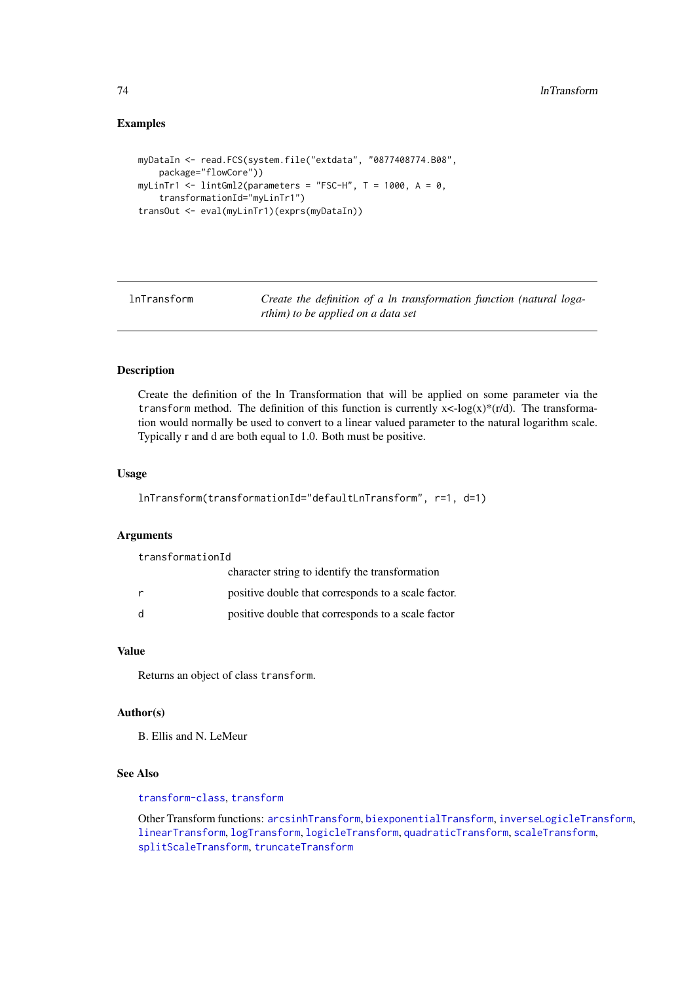## Examples

```
myDataIn <- read.FCS(system.file("extdata", "0877408774.B08",
    package="flowCore"))
myLinTr1 <- lintGml2(parameters = "FSC-H", T = 1000, A = 0,
   transformationId="myLinTr1")
transOut <- eval(myLinTr1)(exprs(myDataIn))
```
<span id="page-73-0"></span>lnTransform *Create the definition of a ln transformation function (natural logarthim) to be applied on a data set*

# Description

Create the definition of the ln Transformation that will be applied on some parameter via the transform method. The definition of this function is currently  $x <$ -log( $x$ )\*(r/d). The transformation would normally be used to convert to a linear valued parameter to the natural logarithm scale. Typically r and d are both equal to 1.0. Both must be positive.

#### Usage

```
lnTransform(transformationId="defaultLnTransform", r=1, d=1)
```
## Arguments

transformationId

|    | character string to identify the transformation     |
|----|-----------------------------------------------------|
| r  | positive double that corresponds to a scale factor. |
| d. | positive double that corresponds to a scale factor  |

## Value

Returns an object of class transform.

## Author(s)

B. Ellis and N. LeMeur

# See Also

[transform-class](#page-128-0), [transform](#page-128-1)

Other Transform functions: [arcsinhTransform](#page-4-0), [biexponentialTransform](#page-8-0), [inverseLogicleTransform](#page-64-0), [linearTransform](#page-70-0), [logTransform](#page-82-0), [logicleTransform](#page-79-0), [quadraticTransform](#page-96-0), [scaleTransform](#page-111-0), [splitScaleTransform](#page-121-0), [truncateTransform](#page-135-0)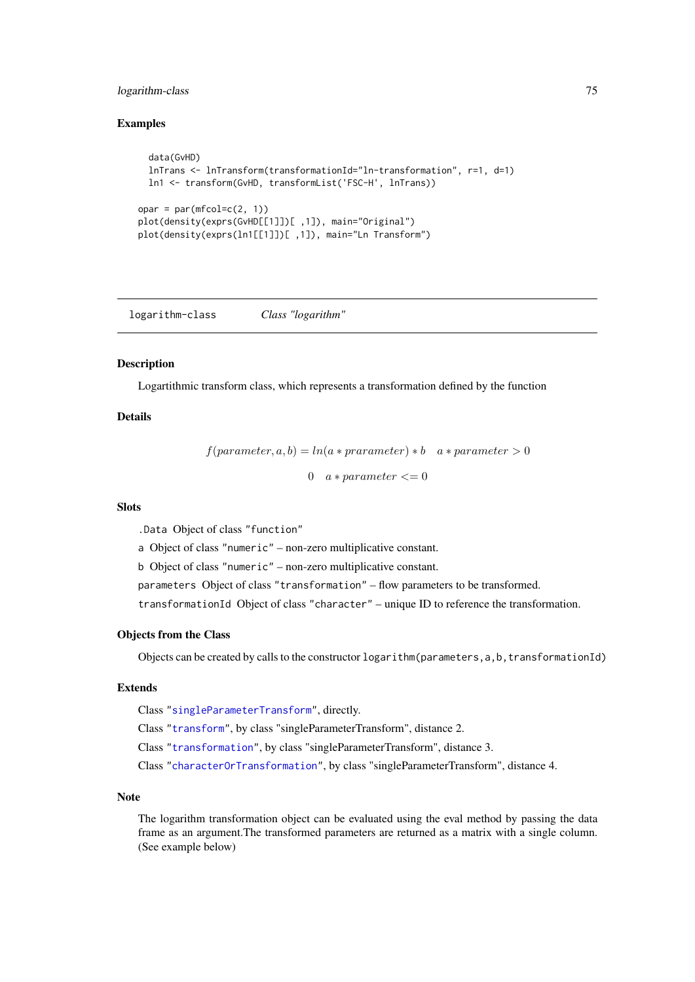#### logarithm-class 75

## Examples

```
data(GvHD)
  lnTrans <- lnTransform(transformationId="ln-transformation", r=1, d=1)
  ln1 <- transform(GvHD, transformList('FSC-H', lnTrans))
opar = par(mfcol=c(2, 1))plot(density(exprs(GvHD[[1]])[ ,1]), main="Original")
plot(density(exprs(ln1[[1]])[ ,1]), main="Ln Transform")
```
<span id="page-74-0"></span>logarithm-class *Class "logarithm"*

## Description

Logartithmic transform class, which represents a transformation defined by the function

# Details

 $f(parameter, a, b) = ln(a * parameter) * b \quad a * parameter > 0$ 0  $a * parameter \leq 0$ 

## Slots

.Data Object of class "function"

a Object of class "numeric" – non-zero multiplicative constant.

b Object of class "numeric" – non-zero multiplicative constant.

parameters Object of class "transformation" – flow parameters to be transformed.

transformationId Object of class "character" – unique ID to reference the transformation.

## Objects from the Class

Objects can be created by calls to the constructor  $logarithm(parameters, a, b, transformationId)$ 

# Extends

Class ["singleParameterTransform"](#page-115-0), directly.

Class ["transform"](#page-128-0), by class "singleParameterTransform", distance 2.

Class ["transformation"](#page-129-0), by class "singleParameterTransform", distance 3.

Class ["characterOrTransformation"](#page-12-0), by class "singleParameterTransform", distance 4.

# Note

The logarithm transformation object can be evaluated using the eval method by passing the data frame as an argument.The transformed parameters are returned as a matrix with a single column. (See example below)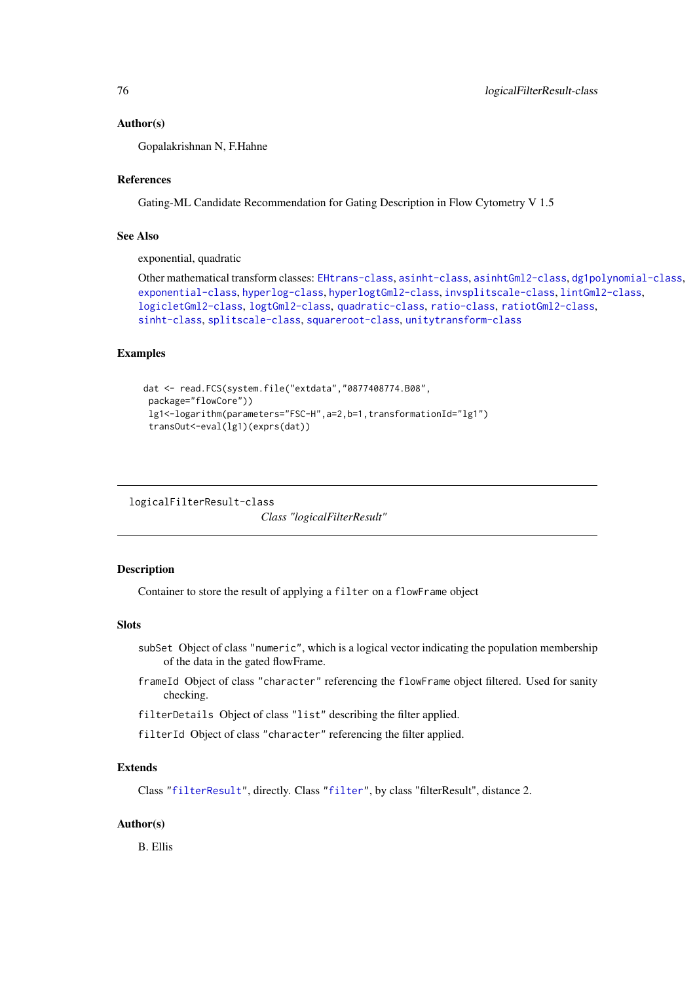#### Author(s)

Gopalakrishnan N, F.Hahne

#### References

Gating-ML Candidate Recommendation for Gating Description in Flow Cytometry V 1.5

## See Also

exponential, quadratic

```
Other mathematical transform classes: EHtrans-class, asinht-class, asinhtGml2-class, dg1polynomial-class,
exponential-class, hyperlog-class, hyperlogtGml2-class, invsplitscale-class, lintGml2-class,
logicletGml2-class, logtGml2-class, quadratic-class, ratio-class, ratiotGml2-class,
sinht-class, splitscale-class, squareroot-class, unitytransform-class
```
# Examples

```
dat <- read.FCS(system.file("extdata","0877408774.B08",
package="flowCore"))
 lg1<-logarithm(parameters="FSC-H",a=2,b=1,transformationId="lg1")
 transOut<-eval(lg1)(exprs(dat))
```
<span id="page-75-0"></span>logicalFilterResult-class

*Class "logicalFilterResult"*

## Description

Container to store the result of applying a filter on a flowFrame object

#### Slots

- subSet Object of class "numeric", which is a logical vector indicating the population membership of the data in the gated flowFrame.
- frameId Object of class "character" referencing the flowFrame object filtered. Used for sanity checking.
- filterDetails Object of class "list" describing the filter applied.

filterId Object of class "character" referencing the filter applied.

# Extends

Class ["filterResult"](#page-37-0), directly. Class ["filter"](#page-30-0), by class "filterResult", distance 2.

## Author(s)

B. Ellis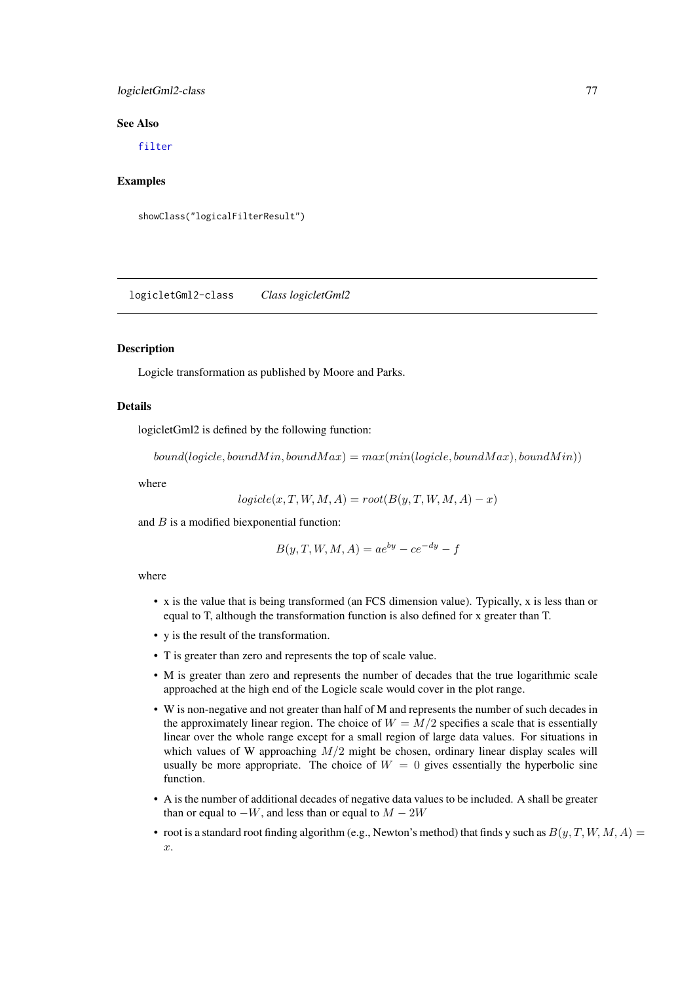#### logicletGml2-class 77

#### See Also

[filter](#page-32-0)

## Examples

showClass("logicalFilterResult")

<span id="page-76-0"></span>logicletGml2-class *Class logicletGml2*

## Description

Logicle transformation as published by Moore and Parks.

# Details

logicletGml2 is defined by the following function:

 $bound(logicle, boundMin, boundMax) = max(min(logicle, boundMax), boundMin)$ 

where

$$
logicle(x,T,W,M,A) = root(B(y,T,W,M,A)-x)\\
$$

and  $B$  is a modified biexponential function:

$$
B(y, T, W, M, A) = ae^{by} - ce^{-dy} - f
$$

where

- x is the value that is being transformed (an FCS dimension value). Typically, x is less than or equal to T, although the transformation function is also defined for x greater than T.
- y is the result of the transformation.
- T is greater than zero and represents the top of scale value.
- M is greater than zero and represents the number of decades that the true logarithmic scale approached at the high end of the Logicle scale would cover in the plot range.
- W is non-negative and not greater than half of M and represents the number of such decades in the approximately linear region. The choice of  $W = M/2$  specifies a scale that is essentially linear over the whole range except for a small region of large data values. For situations in which values of W approaching  $M/2$  might be chosen, ordinary linear display scales will usually be more appropriate. The choice of  $W = 0$  gives essentially the hyperbolic sine function.
- A is the number of additional decades of negative data values to be included. A shall be greater than or equal to  $-W$ , and less than or equal to  $M - 2W$
- root is a standard root finding algorithm (e.g., Newton's method) that finds y such as  $B(y, T, W, M, A) =$ x.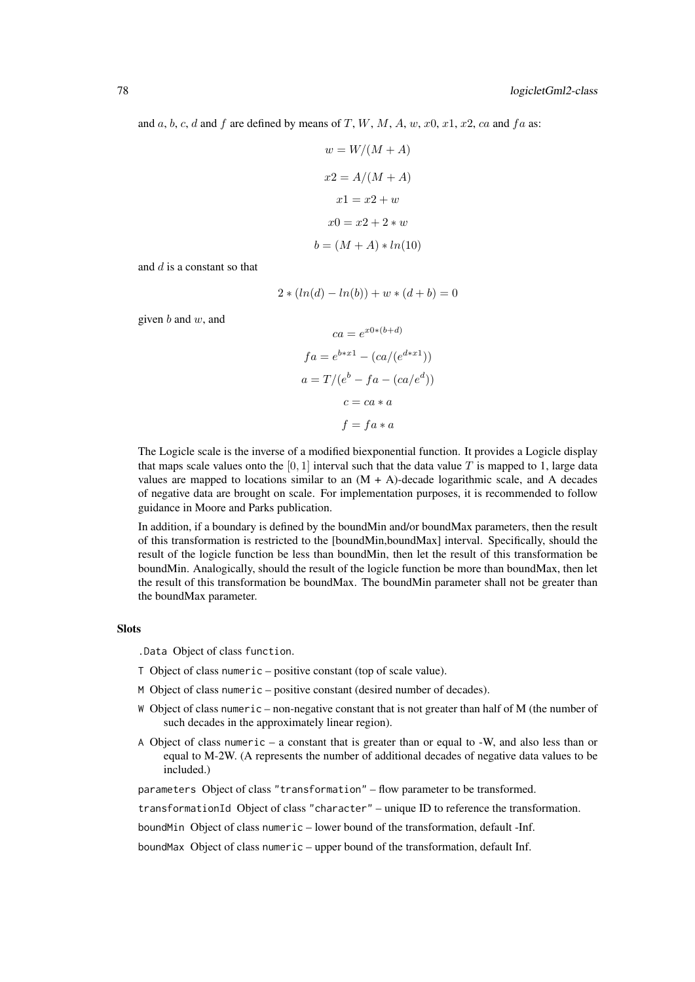and a, b, c, d and f are defined by means of T, W, M, A, w, x0, x1, x2, ca and f a as:

$$
w = W/(M+A)
$$

$$
x2 = A/(M+A)
$$

$$
x1 = x2 + w
$$

$$
x0 = x2 + 2 * w
$$

$$
b = (M+A) * ln(10)
$$

and  $d$  is a constant so that

$$
2 * (ln(d) - ln(b)) + w * (d + b) = 0
$$

given  $b$  and  $w$ , and

$$
ca = e^{x0*(b+d)}
$$

$$
fa = e^{b*x1} - (ca/(e^{d*x1}))
$$

$$
a = T/(e^b - fa - (ca/e^d))
$$

$$
c = ca*a
$$

$$
f = fa*a
$$

The Logicle scale is the inverse of a modified biexponential function. It provides a Logicle display that maps scale values onto the  $[0, 1]$  interval such that the data value T is mapped to 1, large data values are mapped to locations similar to an  $(M + A)$ -decade logarithmic scale, and A decades of negative data are brought on scale. For implementation purposes, it is recommended to follow guidance in Moore and Parks publication.

In addition, if a boundary is defined by the boundMin and/or boundMax parameters, then the result of this transformation is restricted to the [boundMin,boundMax] interval. Specifically, should the result of the logicle function be less than boundMin, then let the result of this transformation be boundMin. Analogically, should the result of the logicle function be more than boundMax, then let the result of this transformation be boundMax. The boundMin parameter shall not be greater than the boundMax parameter.

## **Slots**

.Data Object of class function.

- T Object of class numeric positive constant (top of scale value).
- M Object of class numeric positive constant (desired number of decades).
- W Object of class numeric non-negative constant that is not greater than half of M (the number of such decades in the approximately linear region).
- A Object of class numeric a constant that is greater than or equal to -W, and also less than or equal to M-2W. (A represents the number of additional decades of negative data values to be included.)

parameters Object of class "transformation" – flow parameter to be transformed.

transformationId Object of class "character" – unique ID to reference the transformation.

boundMin Object of class numeric – lower bound of the transformation, default -Inf.

boundMax Object of class numeric – upper bound of the transformation, default Inf.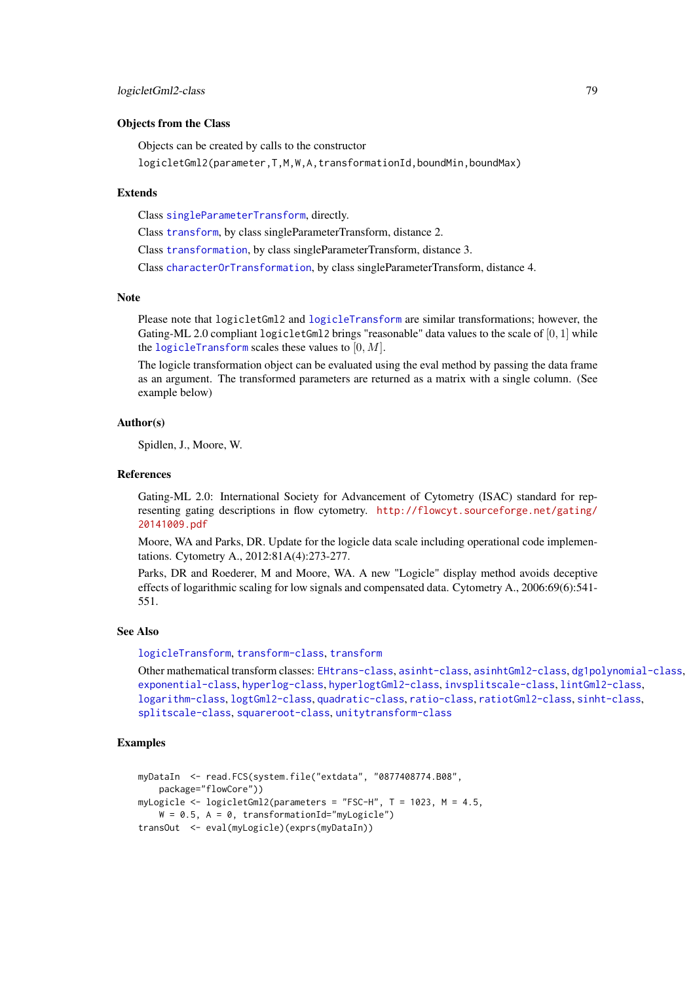#### Objects from the Class

Objects can be created by calls to the constructor logicletGml2(parameter,T,M,W,A,transformationId,boundMin,boundMax)

Extends

Class [singleParameterTransform](#page-115-0), directly.

Class [transform](#page-128-0), by class singleParameterTransform, distance 2.

Class [transformation](#page-129-0), by class singleParameterTransform, distance 3.

Class [characterOrTransformation](#page-12-0), by class singleParameterTransform, distance 4.

#### Note

Please note that logicletGml2 and [logicleTransform](#page-79-0) are similar transformations; however, the Gating-ML 2.0 compliant logicletGml2 brings "reasonable" data values to the scale of [0, 1] while the [logicleTransform](#page-79-0) scales these values to  $[0, M]$ .

The logicle transformation object can be evaluated using the eval method by passing the data frame as an argument. The transformed parameters are returned as a matrix with a single column. (See example below)

## Author(s)

Spidlen, J., Moore, W.

## References

Gating-ML 2.0: International Society for Advancement of Cytometry (ISAC) standard for representing gating descriptions in flow cytometry. [http://flowcyt.sourceforge.net/gating/](http://flowcyt.sourceforge.net/gating/20141009.pdf) [20141009.pdf](http://flowcyt.sourceforge.net/gating/20141009.pdf)

Moore, WA and Parks, DR. Update for the logicle data scale including operational code implementations. Cytometry A., 2012:81A(4):273-277.

Parks, DR and Roederer, M and Moore, WA. A new "Logicle" display method avoids deceptive effects of logarithmic scaling for low signals and compensated data. Cytometry A., 2006:69(6):541- 551.

## See Also

[logicleTransform](#page-79-0), [transform-class](#page-128-0), [transform](#page-128-1)

```
Other mathematical transform classes: EHtrans-class, asinht-class, asinhtGml2-class, dg1polynomial-class,
exponential-class, hyperlog-class, hyperlogtGml2-class, invsplitscale-class, lintGml2-class,
logarithm-class, logtGml2-class, quadratic-class, ratio-class, ratiotGml2-class, sinht-class,
splitscale-class, squareroot-class, unitytransform-class
```
## Examples

```
myDataIn <- read.FCS(system.file("extdata", "0877408774.B08",
    package="flowCore"))
myLogicle \leq logicletGml2(parameters = "FSC-H", T = 1023, M = 4.5,
    W = 0.5, A = 0, transformationId="myLogicle")
transOut <- eval(myLogicle)(exprs(myDataIn))
```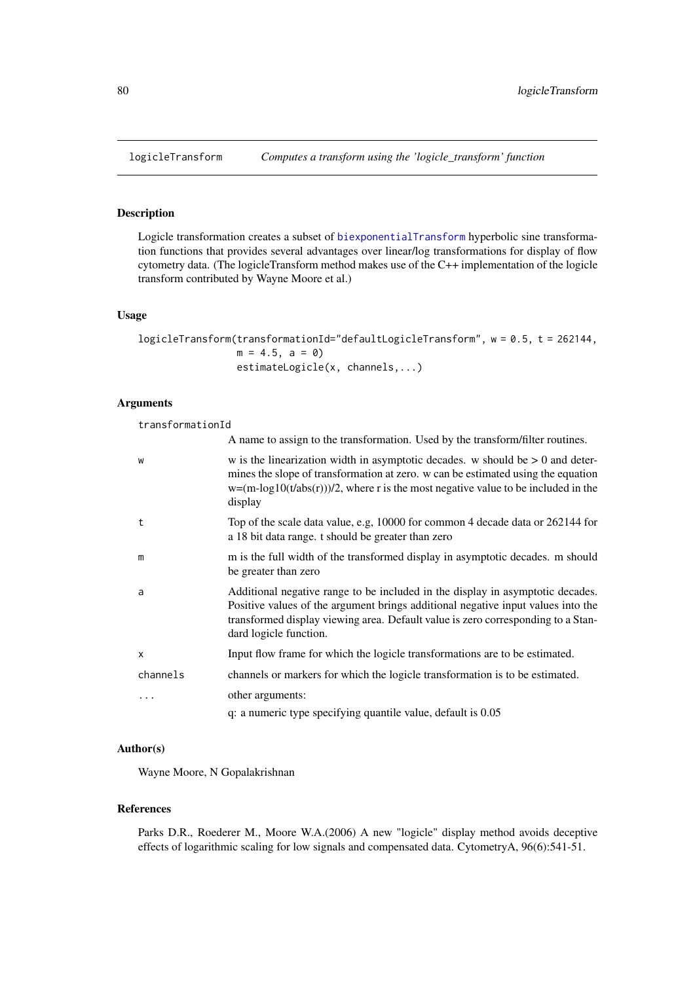<span id="page-79-0"></span>

## <span id="page-79-1"></span>Description

Logicle transformation creates a subset of [biexponentialTransform](#page-8-0) hyperbolic sine transformation functions that provides several advantages over linear/log transformations for display of flow cytometry data. (The logicleTransform method makes use of the C++ implementation of the logicle transform contributed by Wayne Moore et al.)

## Usage

```
logicleTransform(transformationId="defaultLogicleTransform", w = 0.5, t = 262144,
                 m = 4.5, a = 0estimateLogicle(x, channels,...)
```
## Arguments

transformationId

|          | A name to assign to the transformation. Used by the transform/filter routines.                                                                                                                                                                                                   |
|----------|----------------------------------------------------------------------------------------------------------------------------------------------------------------------------------------------------------------------------------------------------------------------------------|
| W        | w is the linearization width in asymptotic decades. w should be $> 0$ and deter-<br>mines the slope of transformation at zero. w can be estimated using the equation<br>$w=(m-\log 10(t/\text{abs}(r)))/2$ , where r is the most negative value to be included in the<br>display |
| t        | Top of the scale data value, e.g, 10000 for common 4 decade data or 262144 for<br>a 18 bit data range, t should be greater than zero                                                                                                                                             |
| m        | m is the full width of the transformed display in asymptotic decades. m should<br>be greater than zero                                                                                                                                                                           |
| a        | Additional negative range to be included in the display in asymptotic decades.<br>Positive values of the argument brings additional negative input values into the<br>transformed display viewing area. Default value is zero corresponding to a Stan-<br>dard logicle function. |
| X        | Input flow frame for which the logicle transformations are to be estimated.                                                                                                                                                                                                      |
| channels | channels or markers for which the logicle transformation is to be estimated.                                                                                                                                                                                                     |
| $\ddots$ | other arguments:                                                                                                                                                                                                                                                                 |
|          | q: a numeric type specifying quantile value, default is 0.05                                                                                                                                                                                                                     |

## Author(s)

Wayne Moore, N Gopalakrishnan

# References

Parks D.R., Roederer M., Moore W.A.(2006) A new "logicle" display method avoids deceptive effects of logarithmic scaling for low signals and compensated data. CytometryA, 96(6):541-51.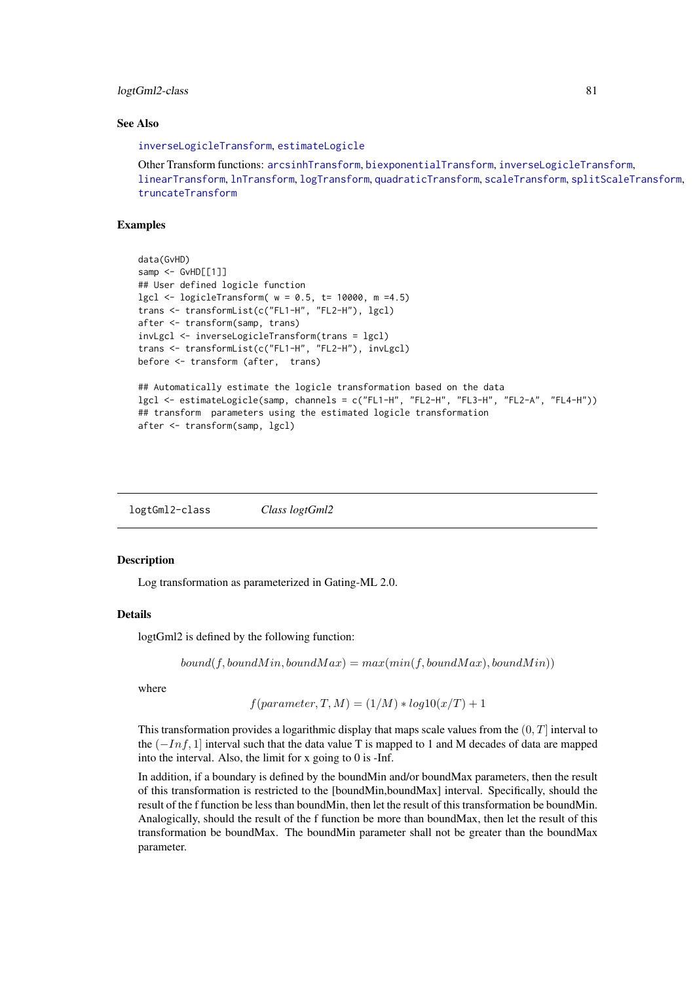## logtGml2-class 81

#### See Also

[inverseLogicleTransform](#page-64-0), [estimateLogicle](#page-79-1)

Other Transform functions: [arcsinhTransform](#page-4-0), [biexponentialTransform](#page-8-0), [inverseLogicleTransform](#page-64-0), [linearTransform](#page-70-0), [lnTransform](#page-73-0), [logTransform](#page-82-0), [quadraticTransform](#page-96-0), [scaleTransform](#page-111-0), [splitScaleTransform](#page-121-0), [truncateTransform](#page-135-0)

## Examples

```
data(GvHD)
samp \leq GvHD[[1]]
## User defined logicle function
lgcl <- logicleTransform( w = 0.5, t= 10000, m =4.5)
trans <- transformList(c("FL1-H", "FL2-H"), lgcl)
after <- transform(samp, trans)
invLgcl <- inverseLogicleTransform(trans = lgcl)
trans <- transformList(c("FL1-H", "FL2-H"), invLgcl)
before <- transform (after, trans)
## Automatically estimate the logicle transformation based on the data
lgcl <- estimateLogicle(samp, channels = c("FL1-H", "FL2-H", "FL3-H", "FL2-A", "FL4-H"))
## transform parameters using the estimated logicle transformation
after <- transform(samp, lgcl)
```
<span id="page-80-0"></span>logtGml2-class *Class logtGml2*

## Description

Log transformation as parameterized in Gating-ML 2.0.

#### Details

logtGml2 is defined by the following function:

 $bound(f, boundMin, boundMax) = max(min(f, boundMax), boundMin))$ 

where

$$
f(parameter, T, M) = (1/M) * log 10(x/T) + 1
$$

This transformation provides a logarithmic display that maps scale values from the  $(0, T]$  interval to the  $(-Inf, 1]$  interval such that the data value T is mapped to 1 and M decades of data are mapped into the interval. Also, the limit for x going to 0 is -Inf.

In addition, if a boundary is defined by the boundMin and/or boundMax parameters, then the result of this transformation is restricted to the [boundMin,boundMax] interval. Specifically, should the result of the f function be less than boundMin, then let the result of this transformation be boundMin. Analogically, should the result of the f function be more than boundMax, then let the result of this transformation be boundMax. The boundMin parameter shall not be greater than the boundMax parameter.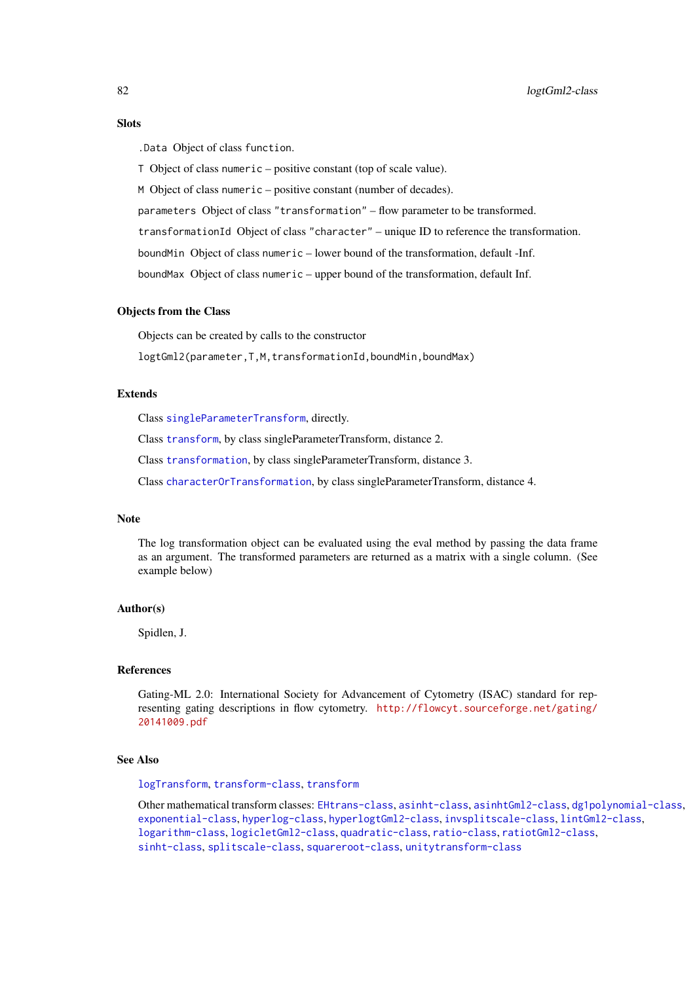#### Slots

.Data Object of class function.

T Object of class numeric – positive constant (top of scale value).

M Object of class numeric – positive constant (number of decades).

parameters Object of class "transformation" – flow parameter to be transformed.

transformationId Object of class "character" – unique ID to reference the transformation.

boundMin Object of class numeric – lower bound of the transformation, default -Inf.

boundMax Object of class numeric – upper bound of the transformation, default Inf.

## Objects from the Class

Objects can be created by calls to the constructor

logtGml2(parameter,T,M,transformationId,boundMin,boundMax)

## Extends

Class [singleParameterTransform](#page-115-0), directly.

Class [transform](#page-128-0), by class singleParameterTransform, distance 2.

Class [transformation](#page-129-0), by class singleParameterTransform, distance 3.

Class [characterOrTransformation](#page-12-0), by class singleParameterTransform, distance 4.

# Note

The log transformation object can be evaluated using the eval method by passing the data frame as an argument. The transformed parameters are returned as a matrix with a single column. (See example below)

#### Author(s)

Spidlen, J.

#### References

Gating-ML 2.0: International Society for Advancement of Cytometry (ISAC) standard for representing gating descriptions in flow cytometry. [http://flowcyt.sourceforge.net/gating/](http://flowcyt.sourceforge.net/gating/20141009.pdf) [20141009.pdf](http://flowcyt.sourceforge.net/gating/20141009.pdf)

## See Also

[logTransform](#page-82-0), [transform-class](#page-128-0), [transform](#page-128-1)

Other mathematical transform classes: [EHtrans-class](#page-22-0), [asinht-class](#page-5-0), [asinhtGml2-class](#page-6-0), [dg1polynomial-class](#page-20-0), [exponential-class](#page-26-0), [hyperlog-class](#page-59-0), [hyperlogtGml2-class](#page-60-0), [invsplitscale-class](#page-65-0), [lintGml2-class](#page-71-0), [logarithm-class](#page-74-0), [logicletGml2-class](#page-76-0), [quadratic-class](#page-95-0), [ratio-class](#page-98-0), [ratiotGml2-class](#page-99-0), [sinht-class](#page-116-0), [splitscale-class](#page-119-0), [squareroot-class](#page-122-0), [unitytransform-class](#page-136-0)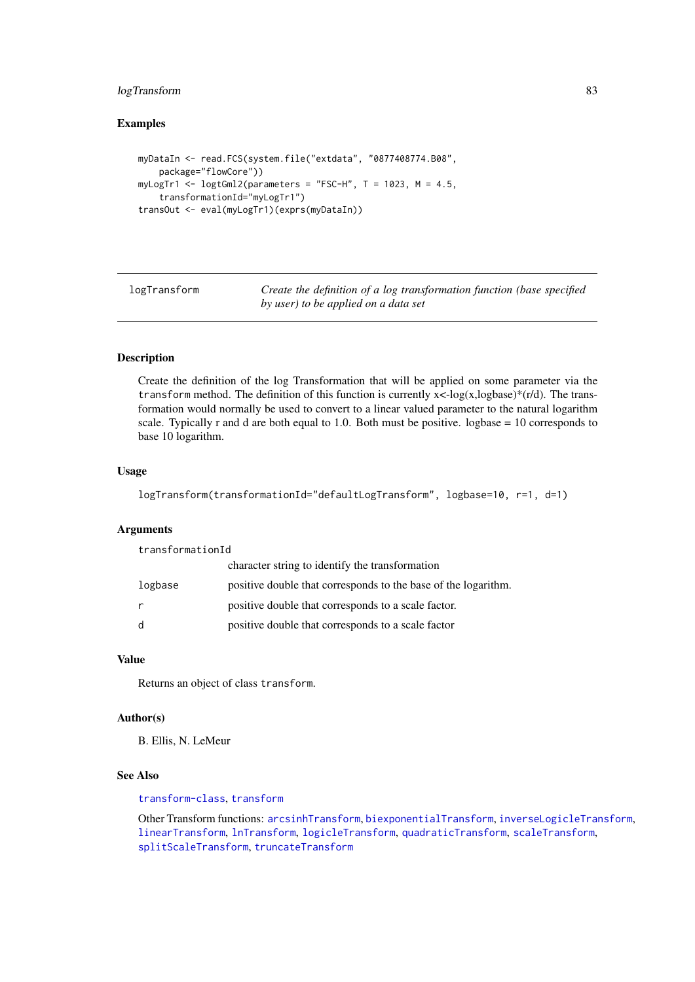## logTransform 83

## Examples

```
myDataIn <- read.FCS(system.file("extdata", "0877408774.B08",
    package="flowCore"))
myLogTr1 <- logtGml2(parameters = "FSC-H", T = 1023, M = 4.5,
   transformationId="myLogTr1")
transOut <- eval(myLogTr1)(exprs(myDataIn))
```
<span id="page-82-0"></span>

logTransform *Create the definition of a log transformation function (base specified by user) to be applied on a data set*

# Description

Create the definition of the log Transformation that will be applied on some parameter via the transform method. The definition of this function is currently  $x <$ -log(x,logbase)\*(r/d). The transformation would normally be used to convert to a linear valued parameter to the natural logarithm scale. Typically r and d are both equal to 1.0. Both must be positive. logbase  $= 10$  corresponds to base 10 logarithm.

## Usage

```
logTransform(transformationId="defaultLogTransform", logbase=10, r=1, d=1)
```
#### Arguments

transformationId

|              | character string to identify the transformation                |
|--------------|----------------------------------------------------------------|
| logbase      | positive double that corresponds to the base of the logarithm. |
| r            | positive double that corresponds to a scale factor.            |
| <sub>d</sub> | positive double that corresponds to a scale factor             |

# Value

Returns an object of class transform.

## Author(s)

B. Ellis, N. LeMeur

## See Also

[transform-class](#page-128-0), [transform](#page-128-1)

Other Transform functions: [arcsinhTransform](#page-4-0), [biexponentialTransform](#page-8-0), [inverseLogicleTransform](#page-64-0), [linearTransform](#page-70-0), [lnTransform](#page-73-0), [logicleTransform](#page-79-0), [quadraticTransform](#page-96-0), [scaleTransform](#page-111-0), [splitScaleTransform](#page-121-0), [truncateTransform](#page-135-0)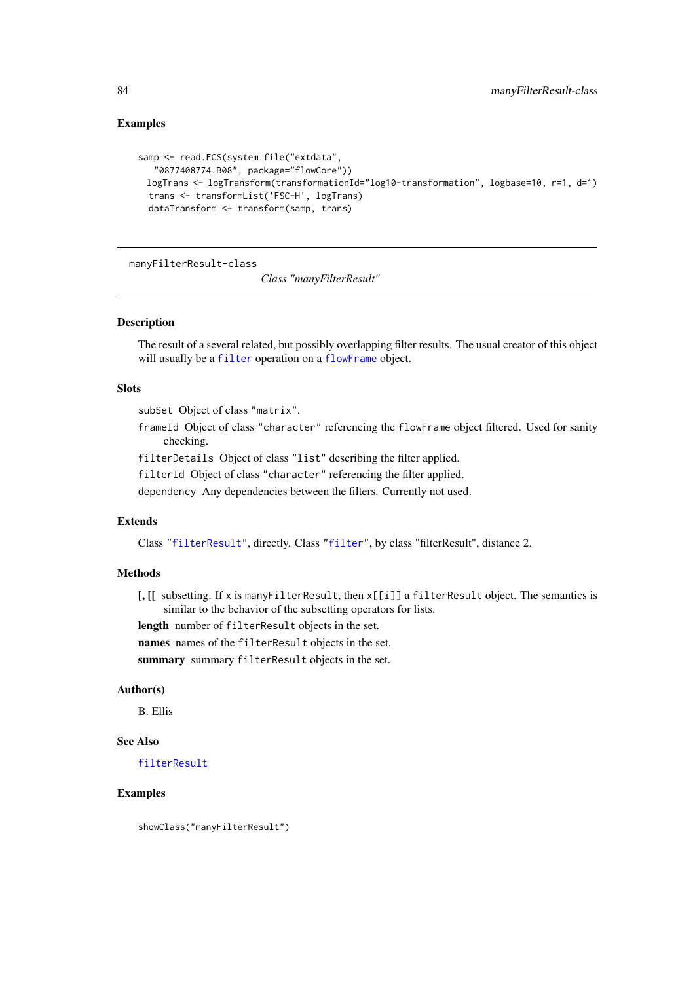## Examples

```
samp <- read.FCS(system.file("extdata",
   "0877408774.B08", package="flowCore"))
 logTrans <- logTransform(transformationId="log10-transformation", logbase=10, r=1, d=1)
  trans <- transformList('FSC-H', logTrans)
  dataTransform <- transform(samp, trans)
```
manyFilterResult-class

*Class "manyFilterResult"*

## Description

The result of a several related, but possibly overlapping filter results. The usual creator of this object will usually be a [filter](#page-32-0) operation on a [flowFrame](#page-44-0) object.

## Slots

subSet Object of class "matrix".

frameId Object of class "character" referencing the flowFrame object filtered. Used for sanity checking.

filterDetails Object of class "list" describing the filter applied.

filterId Object of class "character" referencing the filter applied.

dependency Any dependencies between the filters. Currently not used.

# Extends

Class ["filterResult"](#page-37-0), directly. Class ["filter"](#page-30-0), by class "filterResult", distance 2.

## Methods

 $\left[\begin{matrix}1\\ \end{matrix}\right]$  subsetting. If x is many Filter Result, then  $x[\begin{matrix}1\\ 1\end{matrix}]$  a filter Result object. The semantics is similar to the behavior of the subsetting operators for lists.

length number of filterResult objects in the set.

names names of the filterResult objects in the set.

summary summary filterResult objects in the set.

## Author(s)

B. Ellis

## See Also

[filterResult](#page-37-1)

#### Examples

showClass("manyFilterResult")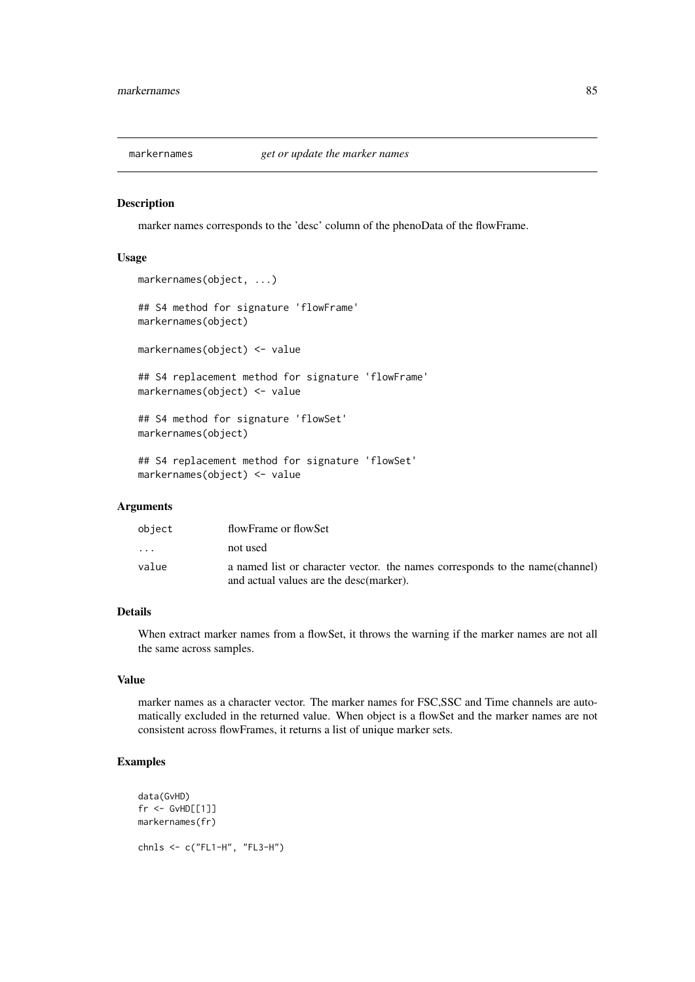## Description

marker names corresponds to the 'desc' column of the phenoData of the flowFrame.

#### Usage

```
markernames(object, ...)
## S4 method for signature 'flowFrame'
markernames(object)
markernames(object) <- value
## S4 replacement method for signature 'flowFrame'
markernames(object) <- value
## S4 method for signature 'flowSet'
markernames(object)
## S4 replacement method for signature 'flowSet'
markernames(object) <- value
```
## Arguments

| object                  | flowFrame or flowSet                                                                                                    |
|-------------------------|-------------------------------------------------------------------------------------------------------------------------|
| $\cdot$ $\cdot$ $\cdot$ | not used                                                                                                                |
| value                   | a named list or character vector. the names corresponds to the name(channel)<br>and actual values are the desc(marker). |

# Details

When extract marker names from a flowSet, it throws the warning if the marker names are not all the same across samples.

## Value

marker names as a character vector. The marker names for FSC,SSC and Time channels are automatically excluded in the returned value. When object is a flowSet and the marker names are not consistent across flowFrames, it returns a list of unique marker sets.

# Examples

```
data(GvHD)
fr <- GvHD[[1]]
markernames(fr)
chnls <- c("FL1-H", "FL3-H")
```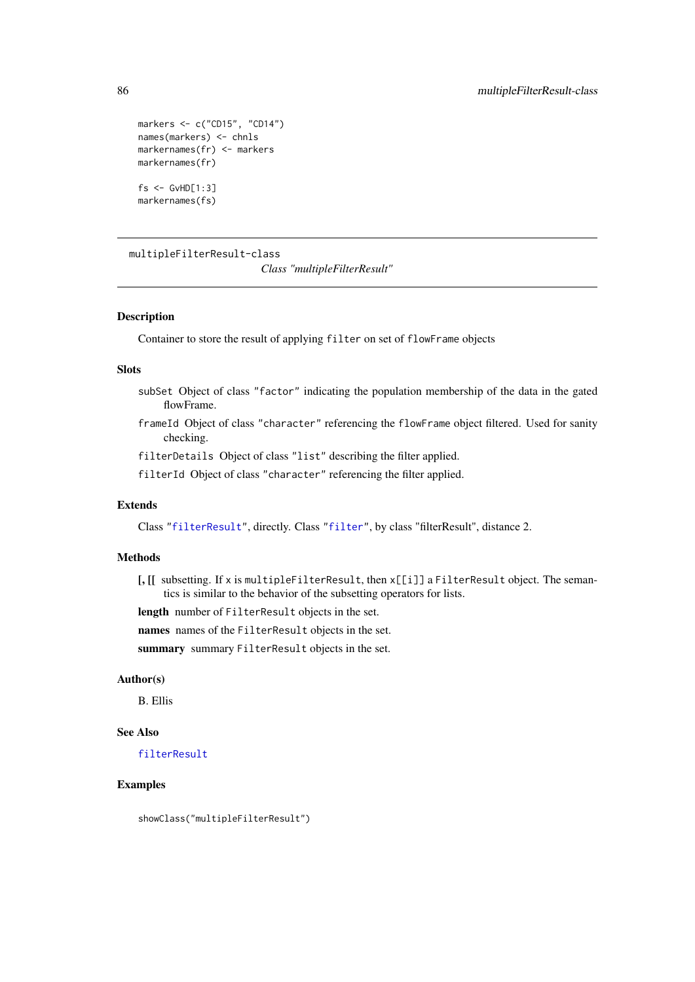```
markers <- c("CD15", "CD14")
names(markers) <- chnls
markernames(fr) <- markers
markernames(fr)
fs < - GvHD[1:3]
```

```
markernames(fs)
```
multipleFilterResult-class

*Class "multipleFilterResult"*

#### <span id="page-85-0"></span>Description

Container to store the result of applying filter on set of flowFrame objects

#### Slots

- subSet Object of class "factor" indicating the population membership of the data in the gated flowFrame.
- frameId Object of class "character" referencing the flowFrame object filtered. Used for sanity checking.

filterDetails Object of class "list" describing the filter applied.

filterId Object of class "character" referencing the filter applied.

# Extends

Class ["filterResult"](#page-37-0), directly. Class ["filter"](#page-30-0), by class "filterResult", distance 2.

# **Methods**

[, [[ subsetting. If x is multipleFilterResult, then x[[i]] a FilterResult object. The semantics is similar to the behavior of the subsetting operators for lists.

length number of FilterResult objects in the set.

names names of the FilterResult objects in the set.

summary summary FilterResult objects in the set.

## Author(s)

B. Ellis

# See Also

[filterResult](#page-37-1)

## Examples

showClass("multipleFilterResult")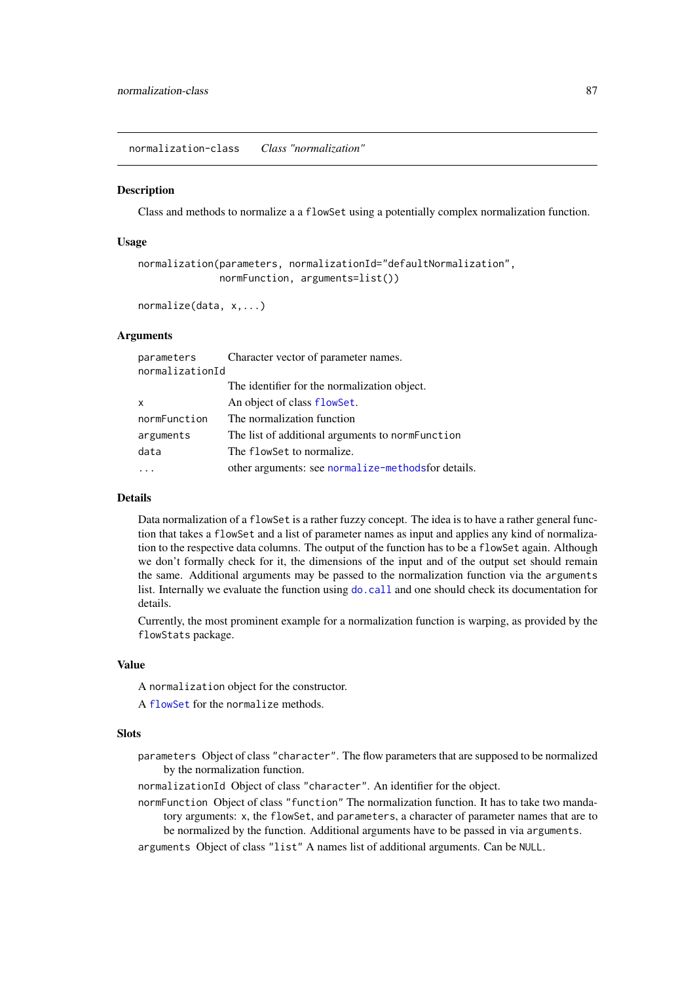normalization-class *Class "normalization"*

## Description

Class and methods to normalize a a flowSet using a potentially complex normalization function.

#### Usage

```
normalization(parameters, normalizationId="defaultNormalization",
              normFunction, arguments=list())
```

```
normalize(data, x,...)
```
## Arguments

| parameters                | Character vector of parameter names.                |
|---------------------------|-----------------------------------------------------|
| normalizationId           |                                                     |
|                           | The identifier for the normalization object.        |
| $\boldsymbol{\mathsf{x}}$ | An object of class flowSet.                         |
| normFunction              | The normalization function                          |
| arguments                 | The list of additional arguments to normFunction    |
| data                      | The flowSet to normalize.                           |
|                           | other arguments: see normalize-methods for details. |
|                           |                                                     |

## Details

Data normalization of a flowSet is a rather fuzzy concept. The idea is to have a rather general function that takes a flowSet and a list of parameter names as input and applies any kind of normalization to the respective data columns. The output of the function has to be a flowSet again. Although we don't formally check for it, the dimensions of the input and of the output set should remain the same. Additional arguments may be passed to the normalization function via the arguments list. Internally we evaluate the function using [do.call](#page-0-0) and one should check its documentation for details.

Currently, the most prominent example for a normalization function is warping, as provided by the flowStats package.

## Value

A normalization object for the constructor.

A [flowSet](#page-50-0) for the normalize methods.

## **Slots**

parameters Object of class "character". The flow parameters that are supposed to be normalized by the normalization function.

normalizationId Object of class "character". An identifier for the object.

normFunction Object of class "function" The normalization function. It has to take two mandatory arguments: x, the flowSet, and parameters, a character of parameter names that are to be normalized by the function. Additional arguments have to be passed in via arguments.

arguments Object of class "list" A names list of additional arguments. Can be NULL.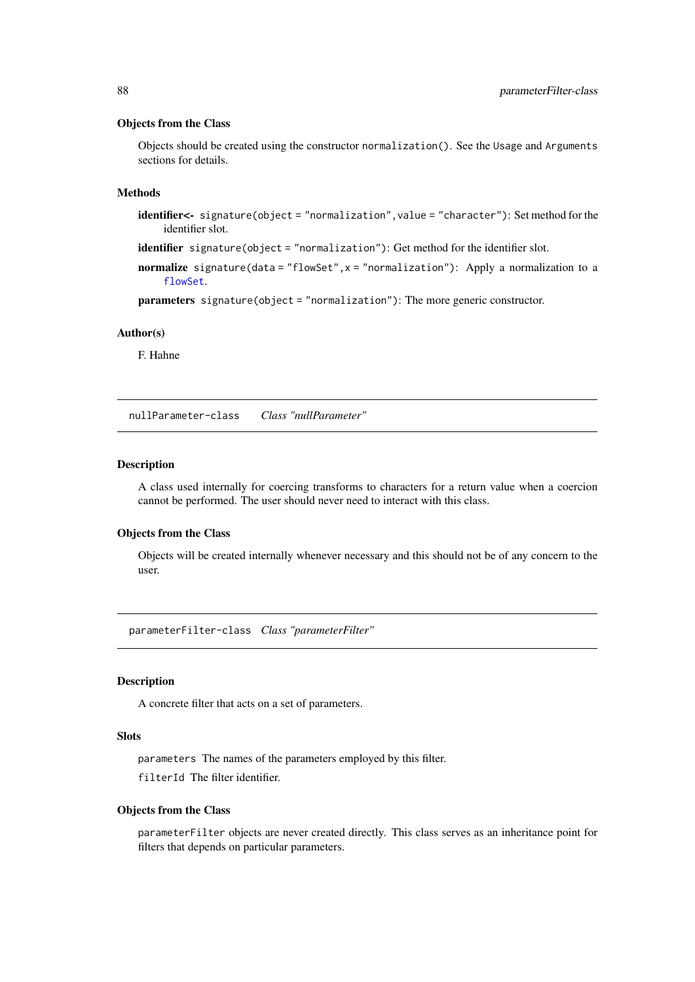#### Objects from the Class

Objects should be created using the constructor normalization(). See the Usage and Arguments sections for details.

#### Methods

identifier<- signature(object = "normalization", value = "character"): Set method for the identifier slot.

identifier signature(object = "normalization"): Get method for the identifier slot.

normalize signature(data = "flowSet", x = "normalization"): Apply a normalization to a [flowSet](#page-50-0).

parameters signature(object = "normalization"): The more generic constructor.

#### Author(s)

F. Hahne

nullParameter-class *Class "nullParameter"*

## Description

A class used internally for coercing transforms to characters for a return value when a coercion cannot be performed. The user should never need to interact with this class.

#### Objects from the Class

Objects will be created internally whenever necessary and this should not be of any concern to the user.

<span id="page-87-0"></span>parameterFilter-class *Class "parameterFilter"*

## Description

A concrete filter that acts on a set of parameters.

## **Slots**

parameters The names of the parameters employed by this filter.

filterId The filter identifier.

## Objects from the Class

parameterFilter objects are never created directly. This class serves as an inheritance point for filters that depends on particular parameters.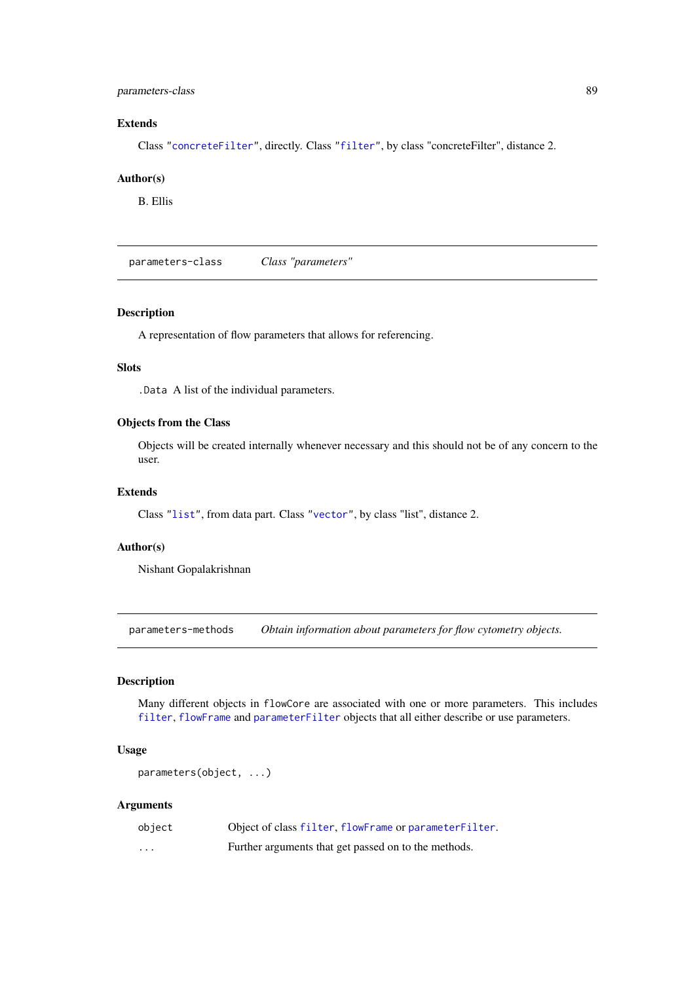#### parameters-class 89

## Extends

Class ["concreteFilter"](#page-18-0), directly. Class ["filter"](#page-30-0), by class "concreteFilter", distance 2.

#### Author(s)

B. Ellis

parameters-class *Class "parameters"*

## Description

A representation of flow parameters that allows for referencing.

# Slots

.Data A list of the individual parameters.

# Objects from the Class

Objects will be created internally whenever necessary and this should not be of any concern to the user.

# Extends

Class ["list"](#page-0-0), from data part. Class ["vector"](#page-0-0), by class "list", distance 2.

## Author(s)

Nishant Gopalakrishnan

parameters-methods *Obtain information about parameters for flow cytometry objects.*

# Description

Many different objects in flowCore are associated with one or more parameters. This includes [filter](#page-30-0), [flowFrame](#page-44-1) and [parameterFilter](#page-87-0) objects that all either describe or use parameters.

## Usage

parameters(object, ...)

#### Arguments

| object   | Object of class filter, flowFrame or parameterFilter. |
|----------|-------------------------------------------------------|
| $\cdots$ | Further arguments that get passed on to the methods.  |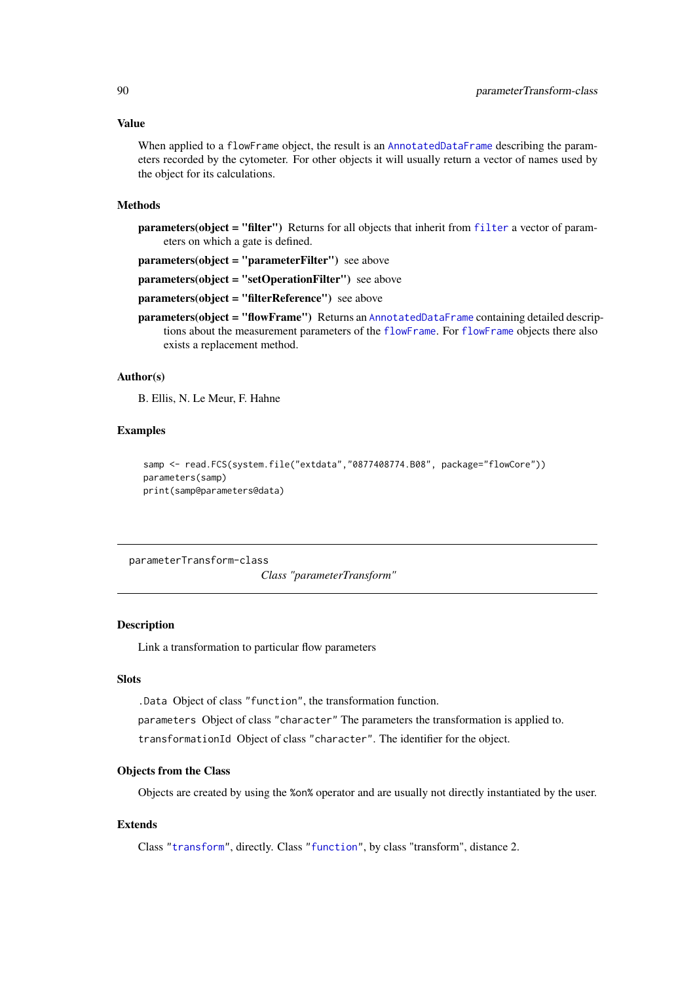#### Value

When applied to a flowFrame object, the result is an [AnnotatedDataFrame](#page-0-0) describing the parameters recorded by the cytometer. For other objects it will usually return a vector of names used by the object for its calculations.

### Methods

parameters(object = "filter") Returns for all objects that inherit from [filter](#page-30-0) a vector of parameters on which a gate is defined.

parameters(object = "parameterFilter") see above

parameters(object = "setOperationFilter") see above

parameters(object = "filterReference") see above

parameters(object = "flowFrame") Returns an [AnnotatedDataFrame](#page-0-0) containing detailed descriptions about the measurement parameters of the [flowFrame](#page-44-1). For [flowFrame](#page-44-1) objects there also exists a replacement method.

# Author(s)

B. Ellis, N. Le Meur, F. Hahne

## Examples

```
samp <- read.FCS(system.file("extdata","0877408774.B08", package="flowCore"))
parameters(samp)
print(samp@parameters@data)
```
parameterTransform-class

*Class "parameterTransform"*

## Description

Link a transformation to particular flow parameters

# Slots

.Data Object of class "function", the transformation function.

parameters Object of class "character" The parameters the transformation is applied to.

transformationId Object of class "character". The identifier for the object.

# Objects from the Class

Objects are created by using the %on% operator and are usually not directly instantiated by the user.

## Extends

Class ["transform"](#page-128-0), directly. Class ["function"](#page-0-0), by class "transform", distance 2.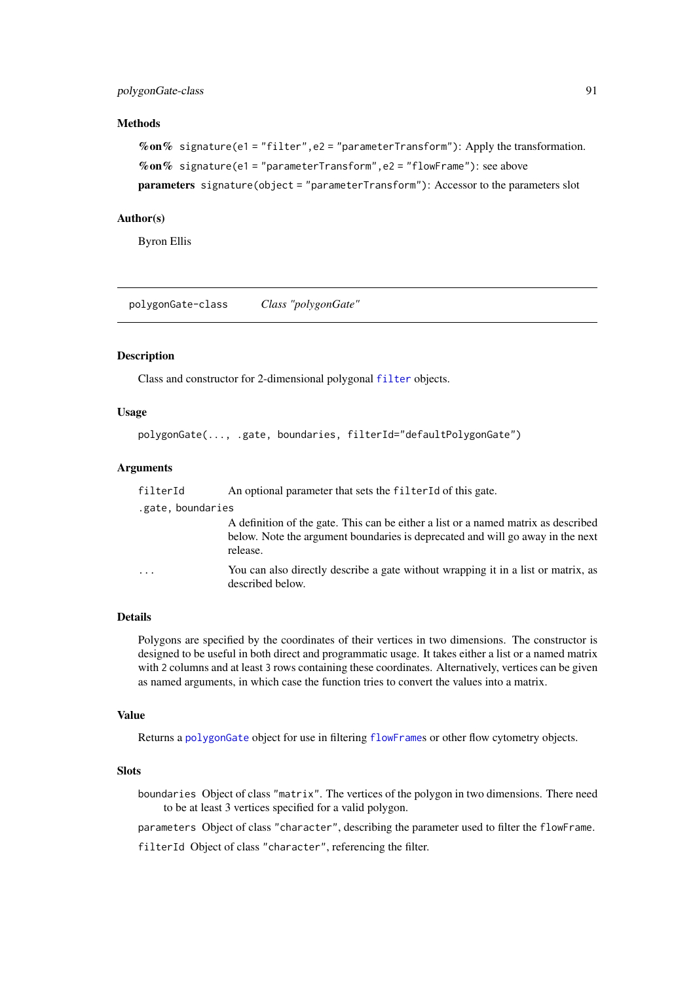## polygonGate-class 91

## Methods

```
%on% signature(e1 = "filter", e2 = "parameterTransform"): Apply the transformation.
%on% signature(e1 = "parameterTransform",e2 = "flowFrame"): see above
parameters signature(object = "parameterTransform"): Accessor to the parameters slot
```
## Author(s)

Byron Ellis

<span id="page-90-1"></span>polygonGate-class *Class "polygonGate"*

## <span id="page-90-0"></span>Description

Class and constructor for 2-dimensional polygonal [filter](#page-32-0) objects.

## Usage

```
polygonGate(..., .gate, boundaries, filterId="defaultPolygonGate")
```
## Arguments

| filterId          | An optional parameter that sets the filterId of this gate.                                                                                                                       |
|-------------------|----------------------------------------------------------------------------------------------------------------------------------------------------------------------------------|
| .gate, boundaries |                                                                                                                                                                                  |
|                   | A definition of the gate. This can be either a list or a named matrix as described<br>below. Note the argument boundaries is deprecated and will go away in the next<br>release. |
| $\ddots$ .        | You can also directly describe a gate without wrapping it in a list or matrix, as<br>described below.                                                                            |

#### Details

Polygons are specified by the coordinates of their vertices in two dimensions. The constructor is designed to be useful in both direct and programmatic usage. It takes either a list or a named matrix with 2 columns and at least 3 rows containing these coordinates. Alternatively, vertices can be given as named arguments, in which case the function tries to convert the values into a matrix.

## Value

Returns a [polygonGate](#page-90-0) object for use in filtering [flowFrame](#page-44-0)s or other flow cytometry objects.

## Slots

boundaries Object of class "matrix". The vertices of the polygon in two dimensions. There need to be at least 3 vertices specified for a valid polygon.

parameters Object of class "character", describing the parameter used to filter the flowFrame.

filterId Object of class "character", referencing the filter.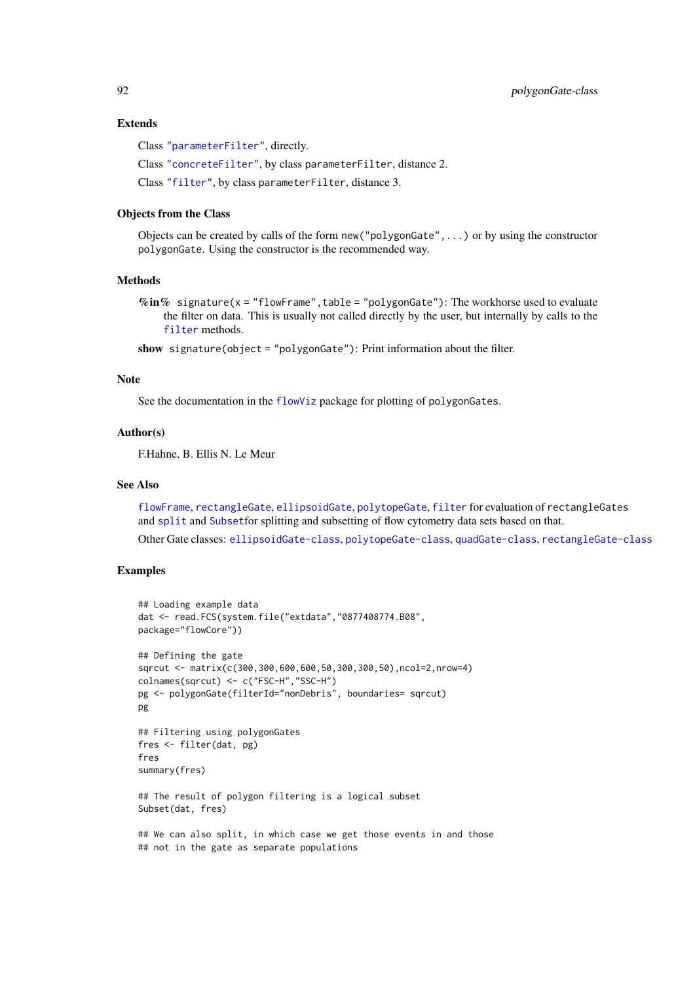#### Extends

Class ["parameterFilter"](#page-87-0), directly.

Class ["concreteFilter"](#page-18-0), by class parameterFilter, distance 2.

Class ["filter"](#page-30-0), by class parameterFilter, distance 3.

## Objects from the Class

Objects can be created by calls of the form new("polygonGate",...) or by using the constructor polygonGate. Using the constructor is the recommended way.

#### Methods

 $\%$ in% signature(x = "flowFrame", table = "polygonGate"): The workhorse used to evaluate the filter on data. This is usually not called directly by the user, but internally by calls to the [filter](#page-32-0) methods.

show signature(object = "polygonGate"): Print information about the filter.

#### Note

See the documentation in the [flowViz](#page-0-0) package for plotting of polygonGates.

# Author(s)

F.Hahne, B. Ellis N. Le Meur

## See Also

[flowFrame](#page-44-0), [rectangleGate](#page-106-0), [ellipsoidGate](#page-23-0), [polytopeGate](#page-92-0), [filter](#page-32-0) for evaluation of rectangleGates and [split](#page-117-0) and [Subset](#page-123-0)for splitting and subsetting of flow cytometry data sets based on that.

Other Gate classes: [ellipsoidGate-class](#page-23-1), [polytopeGate-class](#page-92-1), [quadGate-class](#page-93-0), [rectangleGate-class](#page-106-1)

## Examples

```
## Loading example data
dat <- read.FCS(system.file("extdata","0877408774.B08",
package="flowCore"))
## Defining the gate
sqrcut <- matrix(c(300,300,600,600,50,300,300,50),ncol=2,nrow=4)
colnames(sqrcut) <- c("FSC-H","SSC-H")
pg <- polygonGate(filterId="nonDebris", boundaries= sqrcut)
pg
## Filtering using polygonGates
fres <- filter(dat, pg)
fres
summary(fres)
## The result of polygon filtering is a logical subset
Subset(dat, fres)
## We can also split, in which case we get those events in and those
## not in the gate as separate populations
```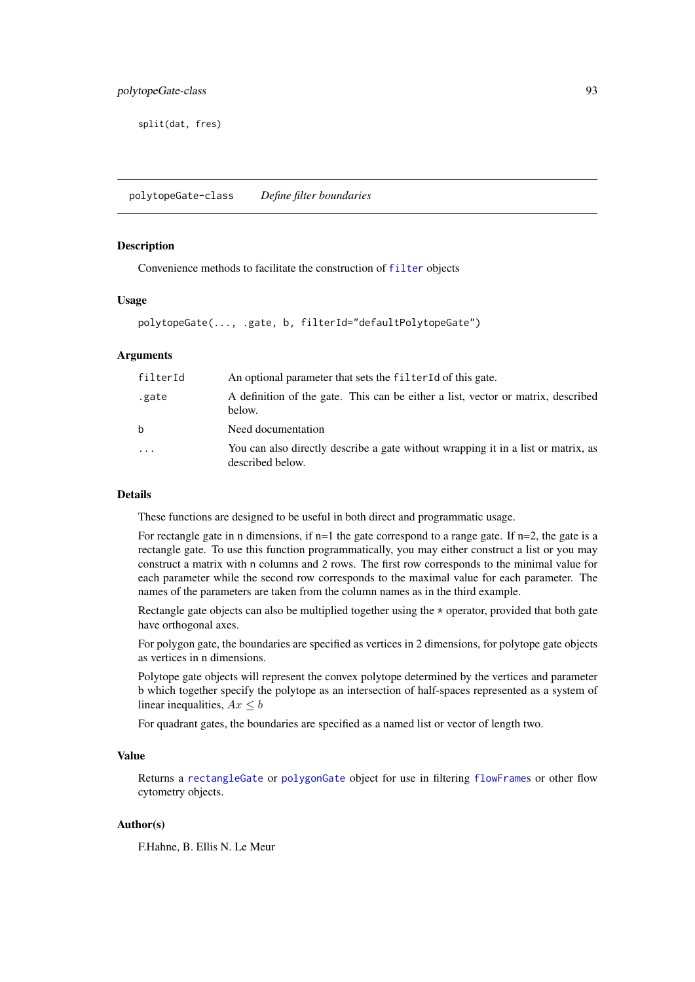split(dat, fres)

<span id="page-92-1"></span>polytopeGate-class *Define filter boundaries*

## <span id="page-92-0"></span>Description

Convenience methods to facilitate the construction of [filter](#page-32-0) objects

# Usage

```
polytopeGate(..., .gate, b, filterId="defaultPolytopeGate")
```
# Arguments

| filterId                | An optional parameter that sets the filter Id of this gate.                                           |
|-------------------------|-------------------------------------------------------------------------------------------------------|
| .gate                   | A definition of the gate. This can be either a list, vector or matrix, described<br>below.            |
| b                       | Need documentation                                                                                    |
| $\cdot$ $\cdot$ $\cdot$ | You can also directly describe a gate without wrapping it in a list or matrix, as<br>described below. |

# Details

These functions are designed to be useful in both direct and programmatic usage.

For rectangle gate in n dimensions, if  $n=1$  the gate correspond to a range gate. If  $n=2$ , the gate is a rectangle gate. To use this function programmatically, you may either construct a list or you may construct a matrix with n columns and 2 rows. The first row corresponds to the minimal value for each parameter while the second row corresponds to the maximal value for each parameter. The names of the parameters are taken from the column names as in the third example.

Rectangle gate objects can also be multiplied together using the \* operator, provided that both gate have orthogonal axes.

For polygon gate, the boundaries are specified as vertices in 2 dimensions, for polytope gate objects as vertices in n dimensions.

Polytope gate objects will represent the convex polytope determined by the vertices and parameter b which together specify the polytope as an intersection of half-spaces represented as a system of linear inequalities,  $Ax \leq b$ 

For quadrant gates, the boundaries are specified as a named list or vector of length two.

#### Value

Returns a [rectangleGate](#page-106-0) or [polygonGate](#page-90-0) object for use in filtering [flowFrame](#page-44-0)s or other flow cytometry objects.

## Author(s)

F.Hahne, B. Ellis N. Le Meur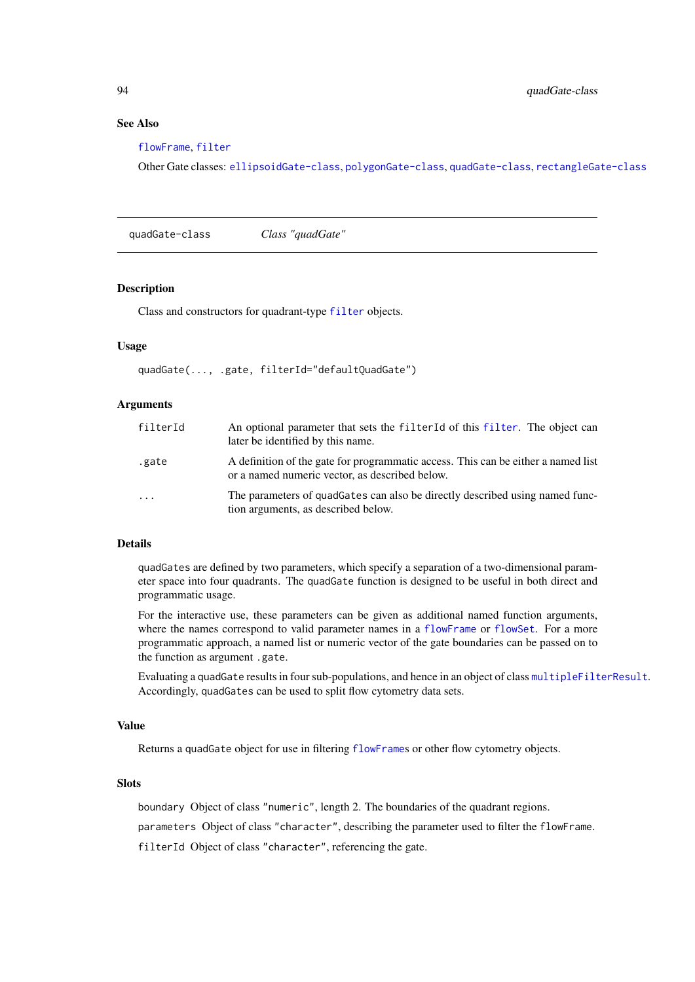# See Also

[flowFrame](#page-44-0), [filter](#page-32-0)

Other Gate classes: [ellipsoidGate-class](#page-23-1), [polygonGate-class](#page-90-1), [quadGate-class](#page-93-0), [rectangleGate-class](#page-106-1)

<span id="page-93-0"></span>quadGate-class *Class "quadGate"*

## Description

Class and constructors for quadrant-type [filter](#page-32-0) objects.

#### Usage

quadGate(..., .gate, filterId="defaultQuadGate")

#### Arguments

| filterId   | An optional parameter that sets the filter Id of this filter. The object can<br>later be identified by this name.                   |
|------------|-------------------------------------------------------------------------------------------------------------------------------------|
| .gate      | A definition of the gate for programmatic access. This can be either a named list<br>or a named numeric vector, as described below. |
| $\ddots$ . | The parameters of quadGates can also be directly described using named func-<br>tion arguments, as described below.                 |

## Details

quadGates are defined by two parameters, which specify a separation of a two-dimensional parameter space into four quadrants. The quadGate function is designed to be useful in both direct and programmatic usage.

For the interactive use, these parameters can be given as additional named function arguments, where the names correspond to valid parameter names in a [flowFrame](#page-44-0) or [flowSet](#page-50-1). For a more programmatic approach, a named list or numeric vector of the gate boundaries can be passed on to the function as argument .gate.

Evaluating a quadGate results in four sub-populations, and hence in an object of class [multipleFilterResult](#page-85-0). Accordingly, quadGates can be used to split flow cytometry data sets.

#### Value

Returns a quadGate object for use in filtering [flowFrame](#page-44-0)s or other flow cytometry objects.

## Slots

boundary Object of class "numeric", length 2. The boundaries of the quadrant regions.

parameters Object of class "character", describing the parameter used to filter the flowFrame.

filterId Object of class "character", referencing the gate.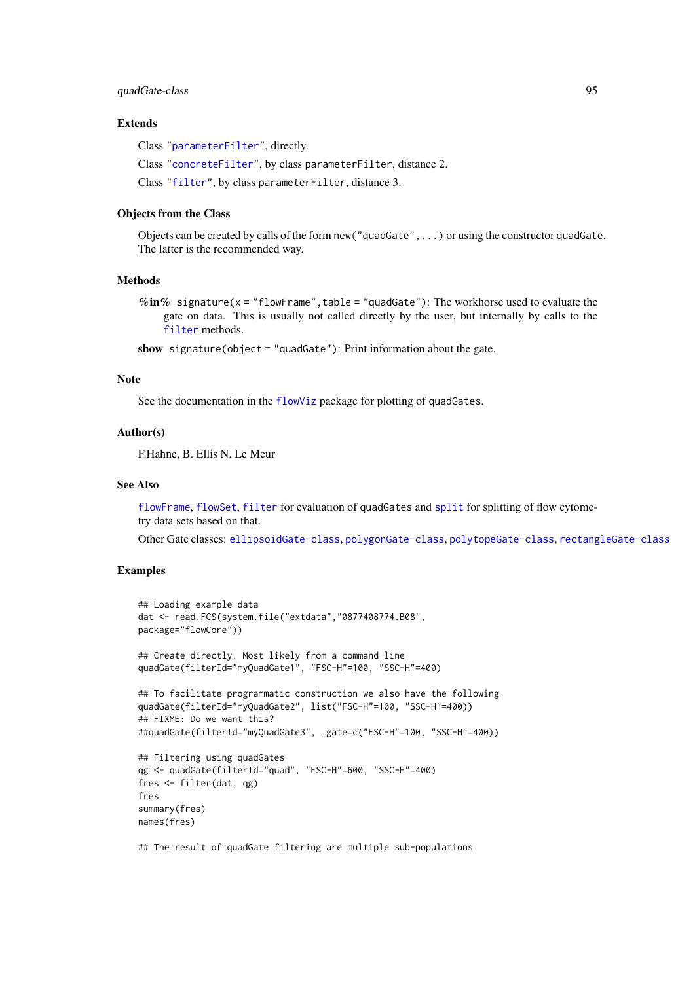#### quadGate-class 95

#### Extends

Class ["parameterFilter"](#page-87-0), directly.

Class ["concreteFilter"](#page-18-0), by class parameterFilter, distance 2.

Class ["filter"](#page-30-0), by class parameterFilter, distance 3.

## Objects from the Class

Objects can be created by calls of the form new("quadGate",...) or using the constructor quadGate. The latter is the recommended way.

#### Methods

%in% signature( $x =$  "flowFrame", table = "quadGate"): The workhorse used to evaluate the gate on data. This is usually not called directly by the user, but internally by calls to the [filter](#page-32-0) methods.

show signature(object = "quadGate"): Print information about the gate.

#### Note

See the documentation in the [flowViz](#page-0-0) package for plotting of quadGates.

# Author(s)

F.Hahne, B. Ellis N. Le Meur

## See Also

[flowFrame](#page-44-0), [flowSet](#page-50-1), [filter](#page-32-0) for evaluation of quadGates and [split](#page-117-0) for splitting of flow cytometry data sets based on that.

Other Gate classes: [ellipsoidGate-class](#page-23-1), [polygonGate-class](#page-90-1), [polytopeGate-class](#page-92-1), [rectangleGate-class](#page-106-1)

## Examples

```
## Loading example data
dat <- read.FCS(system.file("extdata","0877408774.B08",
package="flowCore"))
## Create directly. Most likely from a command line
quadGate(filterId="myQuadGate1", "FSC-H"=100, "SSC-H"=400)
## To facilitate programmatic construction we also have the following
quadGate(filterId="myQuadGate2", list("FSC-H"=100, "SSC-H"=400))
## FIXME: Do we want this?
##quadGate(filterId="myQuadGate3", .gate=c("FSC-H"=100, "SSC-H"=400))
## Filtering using quadGates
qg <- quadGate(filterId="quad", "FSC-H"=600, "SSC-H"=400)
fres <- filter(dat, qg)
fres
summary(fres)
names(fres)
```
## The result of quadGate filtering are multiple sub-populations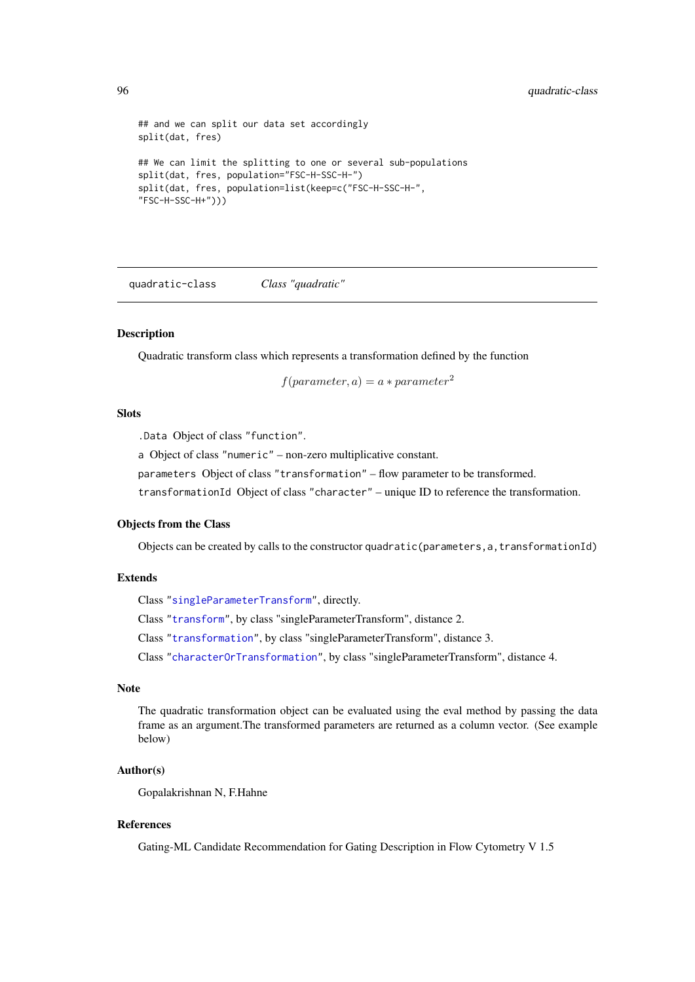```
## and we can split our data set accordingly
split(dat, fres)
## We can limit the splitting to one or several sub-populations
split(dat, fres, population="FSC-H-SSC-H-")
split(dat, fres, population=list(keep=c("FSC-H-SSC-H-",
"FSC-H-SSC-H+")))
```
<span id="page-95-0"></span>quadratic-class *Class "quadratic"*

#### Description

Quadratic transform class which represents a transformation defined by the function

$$
f(parenter, a) = a * parameter2
$$

## Slots

.Data Object of class "function".

a Object of class "numeric" – non-zero multiplicative constant.

parameters Object of class "transformation" – flow parameter to be transformed.

transformationId Object of class "character" – unique ID to reference the transformation.

## Objects from the Class

Objects can be created by calls to the constructor quadratic (parameters, a, transformationId)

## Extends

Class ["singleParameterTransform"](#page-115-0), directly.

Class ["transform"](#page-128-0), by class "singleParameterTransform", distance 2.

Class ["transformation"](#page-129-0), by class "singleParameterTransform", distance 3.

Class ["characterOrTransformation"](#page-12-0), by class "singleParameterTransform", distance 4.

# Note

The quadratic transformation object can be evaluated using the eval method by passing the data frame as an argument.The transformed parameters are returned as a column vector. (See example below)

## Author(s)

Gopalakrishnan N, F.Hahne

#### References

Gating-ML Candidate Recommendation for Gating Description in Flow Cytometry V 1.5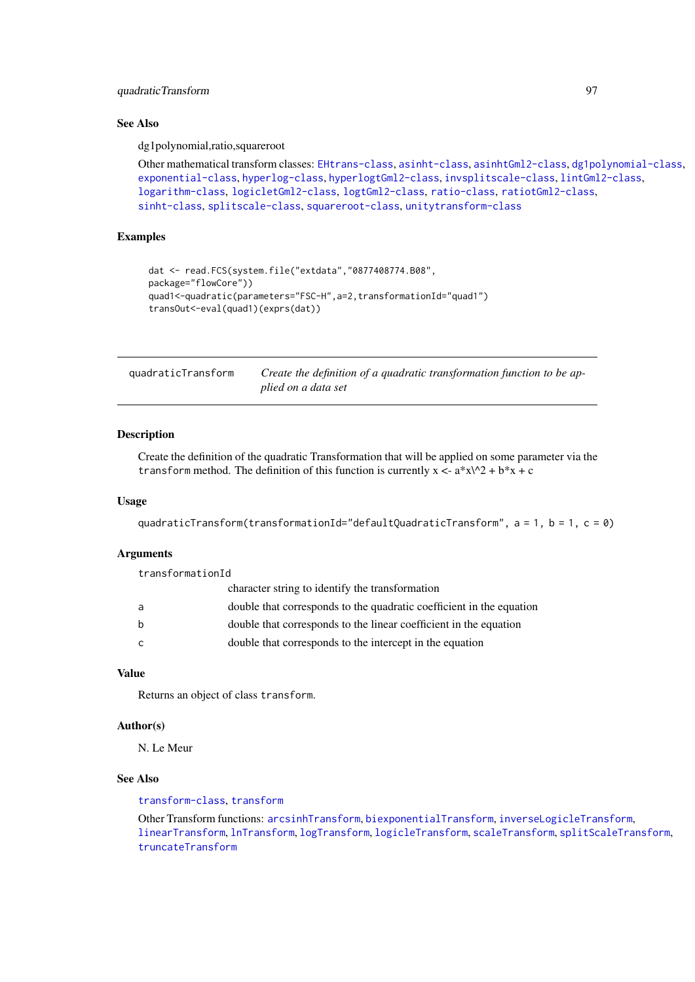## quadraticTransform 97

#### See Also

dg1polynomial,ratio,squareroot

```
Other mathematical transform classes: EHtrans-class, asinht-class, asinhtGml2-class, dg1polynomial-class,
exponential-class, hyperlog-class, hyperlogtGml2-class, invsplitscale-class, lintGml2-class,
logarithm-class, logicletGml2-class, logtGml2-class, ratio-class, ratiotGml2-class,
sinht-class, splitscale-class, squareroot-class, unitytransform-class
```
# Examples

```
dat <- read.FCS(system.file("extdata","0877408774.B08",
package="flowCore"))
quad1<-quadratic(parameters="FSC-H",a=2,transformationId="quad1")
transOut<-eval(quad1)(exprs(dat))
```
<span id="page-96-0"></span>

| auadraticTransform | Create the definition of a quadratic transformation function to be ap- |
|--------------------|------------------------------------------------------------------------|
|                    | plied on a data set                                                    |

#### Description

Create the definition of the quadratic Transformation that will be applied on some parameter via the transform method. The definition of this function is currently  $x \leq a^*x \land 2 + b^*x + c$ 

#### Usage

```
quadraticTransform(transformationId="defaultQuadraticTransform", a = 1, b = 1, c = 0)
```
# Arguments

| transformationId |                                                                      |
|------------------|----------------------------------------------------------------------|
|                  | character string to identify the transformation                      |
| a                | double that corresponds to the quadratic coefficient in the equation |
| b                | double that corresponds to the linear coefficient in the equation    |
| C.               | double that corresponds to the intercept in the equation             |

## Value

Returns an object of class transform.

## Author(s)

N. Le Meur

#### See Also

[transform-class](#page-128-0), [transform](#page-128-1)

Other Transform functions: [arcsinhTransform](#page-4-0), [biexponentialTransform](#page-8-0), [inverseLogicleTransform](#page-64-0), [linearTransform](#page-70-0), [lnTransform](#page-73-0), [logTransform](#page-82-0), [logicleTransform](#page-79-0), [scaleTransform](#page-111-0), [splitScaleTransform](#page-121-0), [truncateTransform](#page-135-0)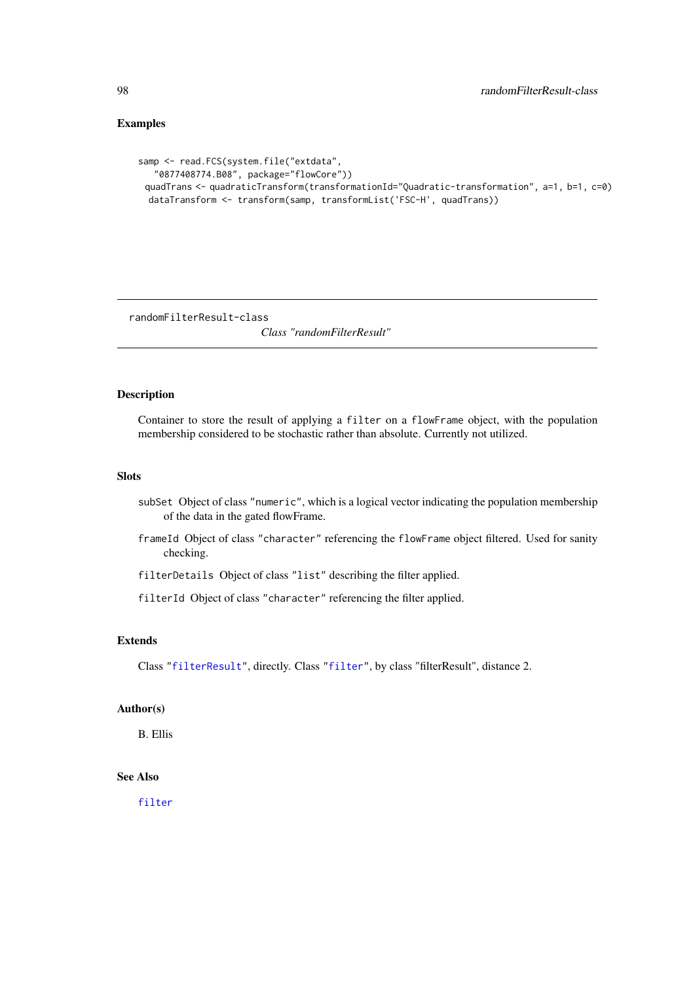# Examples

```
samp <- read.FCS(system.file("extdata",
   "0877408774.B08", package="flowCore"))
 quadTrans <- quadraticTransform(transformationId="Quadratic-transformation", a=1, b=1, c=0)
 dataTransform <- transform(samp, transformList('FSC-H', quadTrans))
```
randomFilterResult-class

*Class "randomFilterResult"*

## Description

Container to store the result of applying a filter on a flowFrame object, with the population membership considered to be stochastic rather than absolute. Currently not utilized.

## Slots

- subSet Object of class "numeric", which is a logical vector indicating the population membership of the data in the gated flowFrame.
- frameId Object of class "character" referencing the flowFrame object filtered. Used for sanity checking.

filterDetails Object of class "list" describing the filter applied.

filterId Object of class "character" referencing the filter applied.

#### Extends

Class ["filterResult"](#page-37-0), directly. Class ["filter"](#page-30-0), by class "filterResult", distance 2.

## Author(s)

B. Ellis

# See Also

[filter](#page-32-0)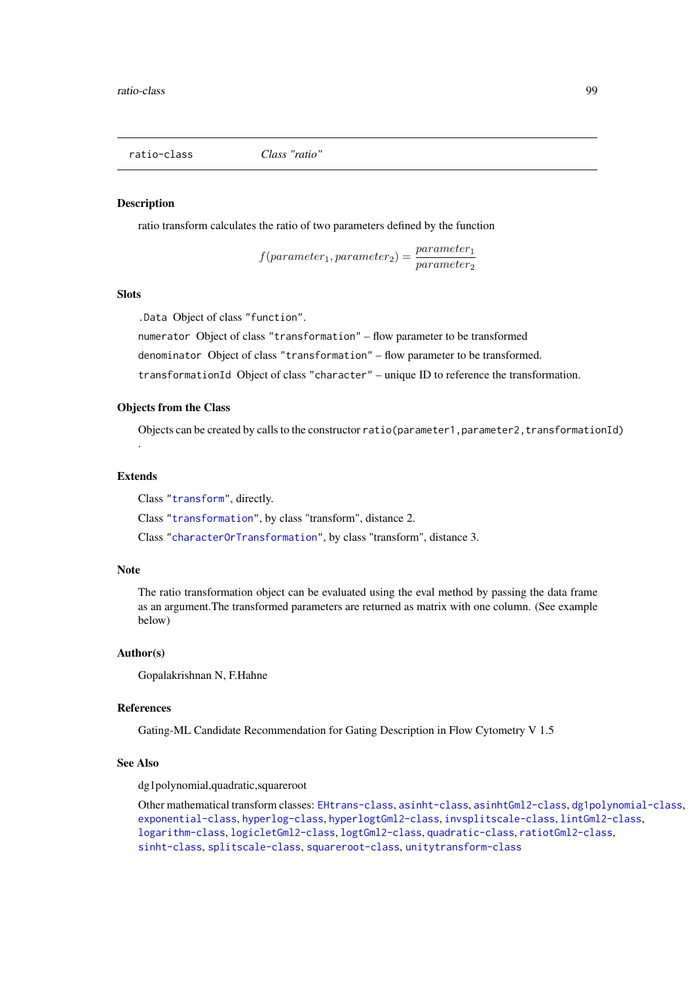<span id="page-98-0"></span>ratio-class *Class "ratio"*

## <span id="page-98-1"></span>Description

ratio transform calculates the ratio of two parameters defined by the function

$$
f(parameter_1, parameter_2) = \frac{parameter_1}{parameter_2}
$$

#### **Slots**

.Data Object of class "function".

numerator Object of class "transformation" – flow parameter to be transformed

denominator Object of class "transformation" – flow parameter to be transformed.

transformationId Object of class "character" – unique ID to reference the transformation.

## Objects from the Class

Objects can be created by calls to the constructor ratio(parameter1, parameter2, transformationId) .

## Extends

Class ["transform"](#page-128-0), directly.

Class ["transformation"](#page-129-0), by class "transform", distance 2.

Class ["characterOrTransformation"](#page-12-0), by class "transform", distance 3.

## Note

The ratio transformation object can be evaluated using the eval method by passing the data frame as an argument.The transformed parameters are returned as matrix with one column. (See example below)

## Author(s)

Gopalakrishnan N, F.Hahne

## References

Gating-ML Candidate Recommendation for Gating Description in Flow Cytometry V 1.5

# See Also

dg1polynomial,quadratic,squareroot

Other mathematical transform classes: [EHtrans-class](#page-22-0), [asinht-class](#page-5-0), [asinhtGml2-class](#page-6-0), [dg1polynomial-class](#page-20-0), [exponential-class](#page-26-0), [hyperlog-class](#page-59-0), [hyperlogtGml2-class](#page-60-0), [invsplitscale-class](#page-65-0), [lintGml2-class](#page-71-0), [logarithm-class](#page-74-0), [logicletGml2-class](#page-76-0), [logtGml2-class](#page-80-0), [quadratic-class](#page-95-0), [ratiotGml2-class](#page-99-0), [sinht-class](#page-116-0), [splitscale-class](#page-119-0), [squareroot-class](#page-122-0), [unitytransform-class](#page-136-0)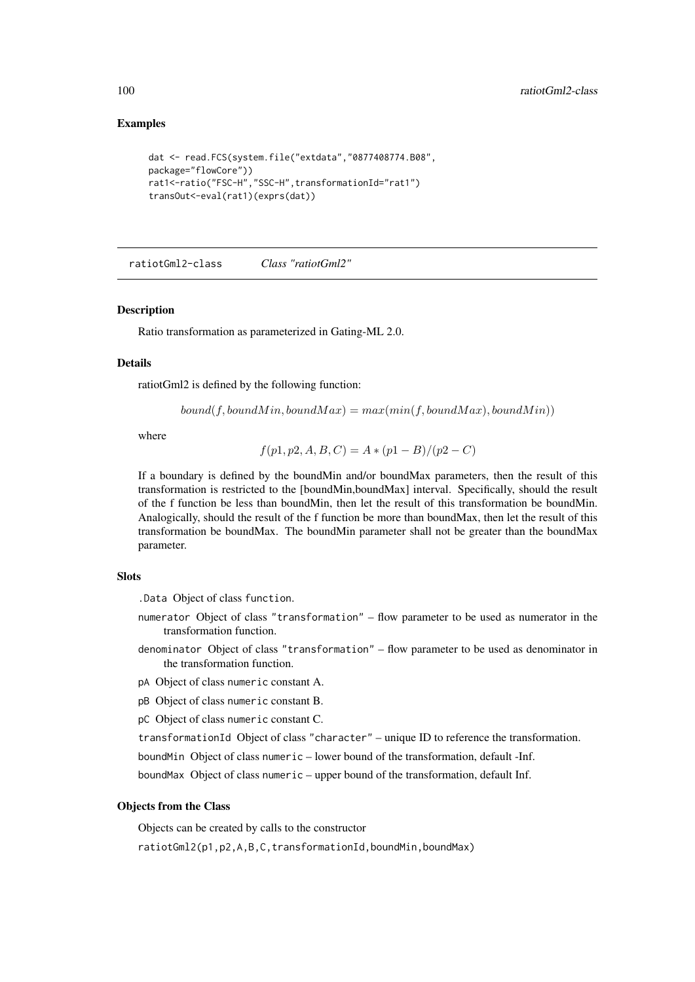## Examples

```
dat <- read.FCS(system.file("extdata","0877408774.B08",
package="flowCore"))
rat1<-ratio("FSC-H","SSC-H",transformationId="rat1")
transOut<-eval(rat1)(exprs(dat))
```
<span id="page-99-0"></span>ratiotGml2-class *Class "ratiotGml2"*

#### Description

Ratio transformation as parameterized in Gating-ML 2.0.

## Details

ratiotGml2 is defined by the following function:

 $bound(f, boundMin, boundMax) = max(min(f, boundMax), boundMin))$ 

where

$$
f(p1, p2, A, B, C) = A * (p1 - B)/(p2 - C)
$$

If a boundary is defined by the boundMin and/or boundMax parameters, then the result of this transformation is restricted to the [boundMin,boundMax] interval. Specifically, should the result of the f function be less than boundMin, then let the result of this transformation be boundMin. Analogically, should the result of the f function be more than boundMax, then let the result of this transformation be boundMax. The boundMin parameter shall not be greater than the boundMax parameter.

# Slots

.Data Object of class function.

- numerator Object of class "transformation" flow parameter to be used as numerator in the transformation function.
- denominator Object of class "transformation" flow parameter to be used as denominator in the transformation function.
- pA Object of class numeric constant A.
- pB Object of class numeric constant B.
- pC Object of class numeric constant C.
- transformationId Object of class "character" unique ID to reference the transformation.
- boundMin Object of class numeric lower bound of the transformation, default -Inf.
- boundMax Object of class numeric upper bound of the transformation, default Inf.

## Objects from the Class

Objects can be created by calls to the constructor

ratiotGml2(p1,p2,A,B,C,transformationId,boundMin,boundMax)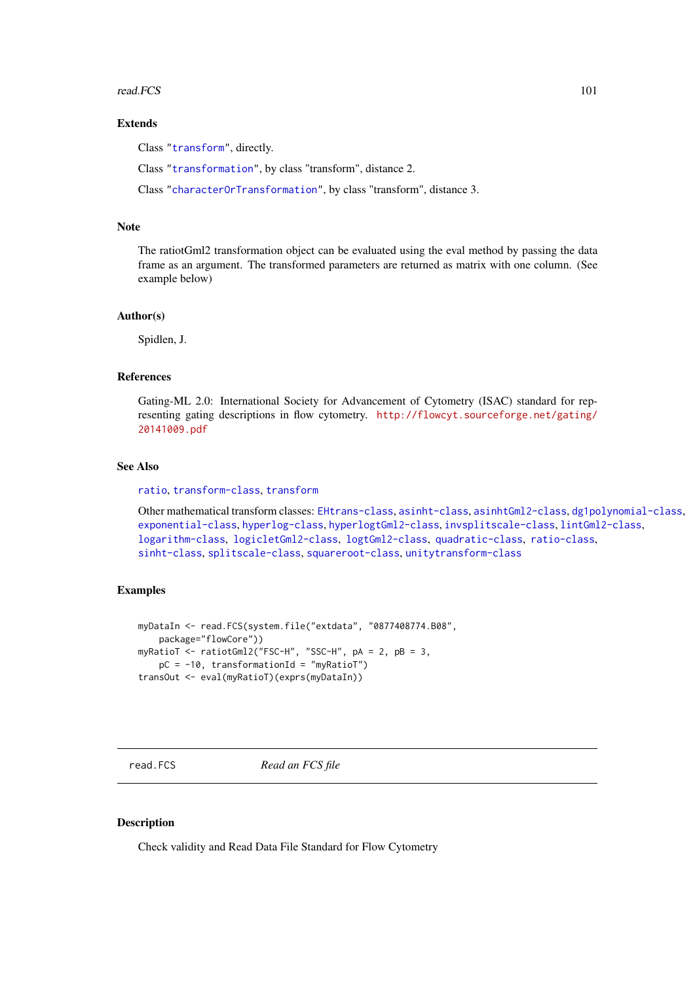#### read.FCS 101

#### Extends

Class ["transform"](#page-128-0), directly.

Class ["transformation"](#page-129-0), by class "transform", distance 2.

Class ["characterOrTransformation"](#page-12-0), by class "transform", distance 3.

# Note

The ratiotGml2 transformation object can be evaluated using the eval method by passing the data frame as an argument. The transformed parameters are returned as matrix with one column. (See example below)

#### Author(s)

Spidlen, J.

## References

Gating-ML 2.0: International Society for Advancement of Cytometry (ISAC) standard for representing gating descriptions in flow cytometry. [http://flowcyt.sourceforge.net/gating/](http://flowcyt.sourceforge.net/gating/20141009.pdf) [20141009.pdf](http://flowcyt.sourceforge.net/gating/20141009.pdf)

# See Also

[ratio](#page-98-1), [transform-class](#page-128-0), [transform](#page-128-1)

```
Other mathematical transform classes: EHtrans-class, asinht-class, asinhtGml2-class, dg1polynomial-class,
exponential-class, hyperlog-class, hyperlogtGml2-class, invsplitscale-class, lintGml2-class,
logarithm-class, logicletGml2-class, logtGml2-class, quadratic-class, ratio-class,
sinht-class, splitscale-class, squareroot-class, unitytransform-class
```
## Examples

```
myDataIn <- read.FCS(system.file("extdata", "0877408774.B08",
   package="flowCore"))
myRatioT <- ratiotGml2("FSC-H", "SSC-H", pA = 2, pB = 3,
    pC = -10, transformationId = "myRatioT")
transOut <- eval(myRatioT)(exprs(myDataIn))
```
<span id="page-100-0"></span>read.FCS *Read an FCS file*

## Description

Check validity and Read Data File Standard for Flow Cytometry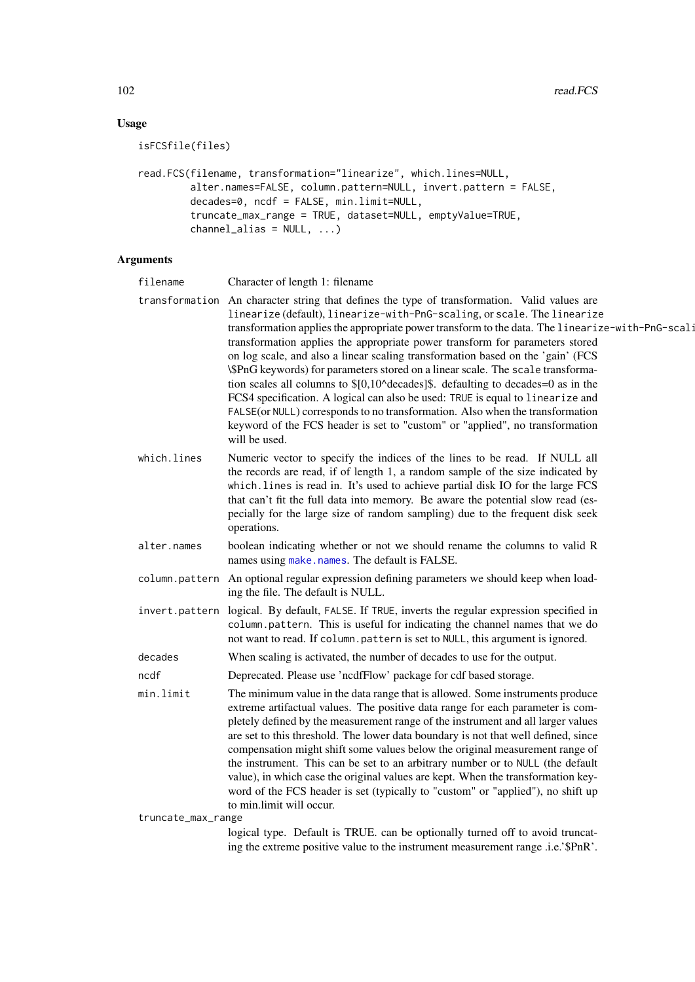# Usage

```
isFCSfile(files)
```

```
read.FCS(filename, transformation="linearize", which.lines=NULL,
         alter.names=FALSE, column.pattern=NULL, invert.pattern = FALSE,
         decades=0, ncdf = FALSE, min.limit=NULL,
         truncate_max_range = TRUE, dataset=NULL, emptyValue=TRUE,
         channel\_alias = NULL, ...)
```
# Arguments

| filename           | Character of length 1: filename                                                                                                                                                                                                                                                                                                                                                                                                                                                                                                                                                                                                                                                                                                                                                                                                                                                                      |
|--------------------|------------------------------------------------------------------------------------------------------------------------------------------------------------------------------------------------------------------------------------------------------------------------------------------------------------------------------------------------------------------------------------------------------------------------------------------------------------------------------------------------------------------------------------------------------------------------------------------------------------------------------------------------------------------------------------------------------------------------------------------------------------------------------------------------------------------------------------------------------------------------------------------------------|
|                    | transformation An character string that defines the type of transformation. Valid values are<br>linearize (default), linearize-with-PnG-scaling, or scale. The linearize<br>transformation applies the appropriate power transform to the data. The linearize-with-PnG-scali<br>transformation applies the appropriate power transform for parameters stored<br>on log scale, and also a linear scaling transformation based on the 'gain' (FCS<br>\\$PnG keywords) for parameters stored on a linear scale. The scale transforma-<br>tion scales all columns to $$[0,10^{\circ}$$ decades]\$. defaulting to decades=0 as in the<br>FCS4 specification. A logical can also be used: TRUE is equal to linearize and<br>FALSE(or NULL) corresponds to no transformation. Also when the transformation<br>keyword of the FCS header is set to "custom" or "applied", no transformation<br>will be used. |
| which.lines        | Numeric vector to specify the indices of the lines to be read. If NULL all<br>the records are read, if of length 1, a random sample of the size indicated by<br>which. lines is read in. It's used to achieve partial disk IO for the large FCS<br>that can't fit the full data into memory. Be aware the potential slow read (es-<br>pecially for the large size of random sampling) due to the frequent disk seek<br>operations.                                                                                                                                                                                                                                                                                                                                                                                                                                                                   |
| alter.names        | boolean indicating whether or not we should rename the columns to valid R<br>names using make.names. The default is FALSE.                                                                                                                                                                                                                                                                                                                                                                                                                                                                                                                                                                                                                                                                                                                                                                           |
|                    | column.pattern An optional regular expression defining parameters we should keep when load-<br>ing the file. The default is NULL.                                                                                                                                                                                                                                                                                                                                                                                                                                                                                                                                                                                                                                                                                                                                                                    |
|                    | invert.pattern logical. By default, FALSE. If TRUE, inverts the regular expression specified in<br>column.pattern. This is useful for indicating the channel names that we do<br>not want to read. If column. pattern is set to NULL, this argument is ignored.                                                                                                                                                                                                                                                                                                                                                                                                                                                                                                                                                                                                                                      |
| decades            | When scaling is activated, the number of decades to use for the output.                                                                                                                                                                                                                                                                                                                                                                                                                                                                                                                                                                                                                                                                                                                                                                                                                              |
| ncdf               | Deprecated. Please use 'ncdfFlow' package for cdf based storage.                                                                                                                                                                                                                                                                                                                                                                                                                                                                                                                                                                                                                                                                                                                                                                                                                                     |
| min.limit          | The minimum value in the data range that is allowed. Some instruments produce<br>extreme artifactual values. The positive data range for each parameter is com-<br>pletely defined by the measurement range of the instrument and all larger values<br>are set to this threshold. The lower data boundary is not that well defined, since<br>compensation might shift some values below the original measurement range of<br>the instrument. This can be set to an arbitrary number or to NULL (the default<br>value), in which case the original values are kept. When the transformation key-<br>word of the FCS header is set (typically to "custom" or "applied"), no shift up<br>to min.limit will occur.                                                                                                                                                                                       |
| truncate_max_range |                                                                                                                                                                                                                                                                                                                                                                                                                                                                                                                                                                                                                                                                                                                                                                                                                                                                                                      |
|                    | logical type. Default is TRUE. can be optionally turned off to avoid truncat-                                                                                                                                                                                                                                                                                                                                                                                                                                                                                                                                                                                                                                                                                                                                                                                                                        |

ing the extreme positive value to the instrument measurement range .i.e.'\$PnR'.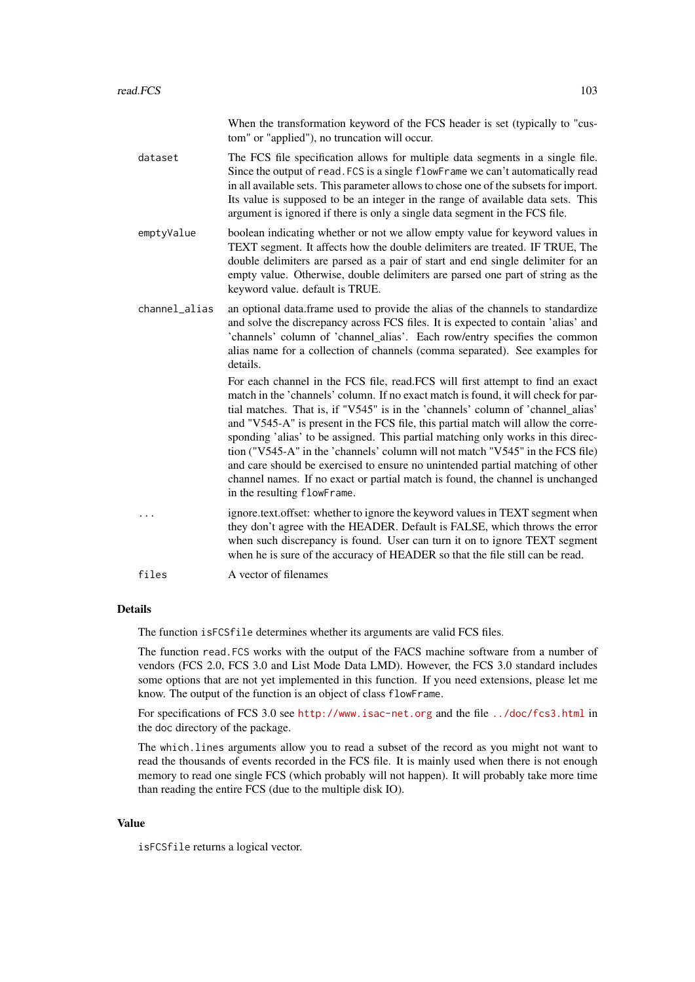| When the transformation keyword of the FCS header is set (typically to "cus- |  |
|------------------------------------------------------------------------------|--|
| tom" or "applied"), no truncation will occur.                                |  |

- dataset The FCS file specification allows for multiple data segments in a single file. Since the output of read.FCS is a single flowFrame we can't automatically read in all available sets. This parameter allows to chose one of the subsets for import. Its value is supposed to be an integer in the range of available data sets. This argument is ignored if there is only a single data segment in the FCS file.
- emptyValue boolean indicating whether or not we allow empty value for keyword values in TEXT segment. It affects how the double delimiters are treated. IF TRUE, The double delimiters are parsed as a pair of start and end single delimiter for an empty value. Otherwise, double delimiters are parsed one part of string as the keyword value. default is TRUE.
- channel\_alias an optional data.frame used to provide the alias of the channels to standardize and solve the discrepancy across FCS files. It is expected to contain 'alias' and 'channels' column of 'channel\_alias'. Each row/entry specifies the common alias name for a collection of channels (comma separated). See examples for details.

For each channel in the FCS file, read.FCS will first attempt to find an exact match in the 'channels' column. If no exact match is found, it will check for partial matches. That is, if "V545" is in the 'channels' column of 'channel\_alias' and "V545-A" is present in the FCS file, this partial match will allow the corresponding 'alias' to be assigned. This partial matching only works in this direction ("V545-A" in the 'channels' column will not match "V545" in the FCS file) and care should be exercised to ensure no unintended partial matching of other channel names. If no exact or partial match is found, the channel is unchanged in the resulting flowFrame.

... ignore.text.offset: whether to ignore the keyword values in TEXT segment when they don't agree with the HEADER. Default is FALSE, which throws the error when such discrepancy is found. User can turn it on to ignore TEXT segment when he is sure of the accuracy of HEADER so that the file still can be read.

files A vector of filenames

## **Details**

The function isFCSfile determines whether its arguments are valid FCS files.

The function read.FCS works with the output of the FACS machine software from a number of vendors (FCS 2.0, FCS 3.0 and List Mode Data LMD). However, the FCS 3.0 standard includes some options that are not yet implemented in this function. If you need extensions, please let me know. The output of the function is an object of class flowFrame.

For specifications of FCS 3.0 see <http://www.isac-net.org> and the file <../doc/fcs3.html> in the doc directory of the package.

The which.lines arguments allow you to read a subset of the record as you might not want to read the thousands of events recorded in the FCS file. It is mainly used when there is not enough memory to read one single FCS (which probably will not happen). It will probably take more time than reading the entire FCS (due to the multiple disk IO).

# Value

isFCSfile returns a logical vector.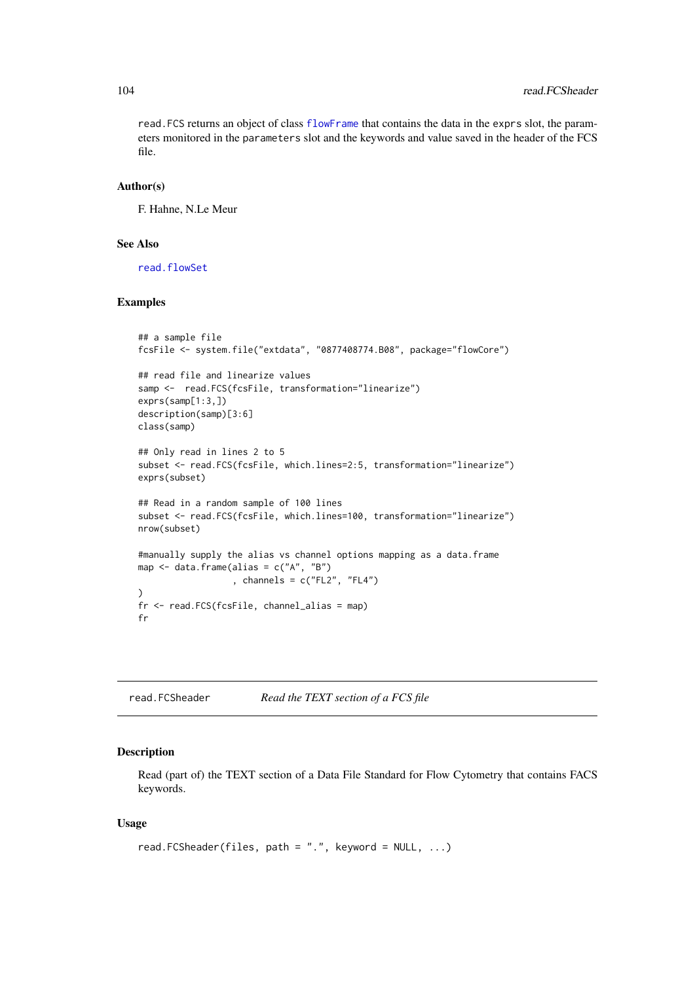read.FCS returns an object of class [flowFrame](#page-44-0) that contains the data in the exprs slot, the parameters monitored in the parameters slot and the keywords and value saved in the header of the FCS file.

#### Author(s)

F. Hahne, N.Le Meur

## See Also

[read.flowSet](#page-104-0)

## Examples

```
## a sample file
fcsFile <- system.file("extdata", "0877408774.B08", package="flowCore")
## read file and linearize values
samp <- read.FCS(fcsFile, transformation="linearize")
exprs(samp[1:3,])
description(samp)[3:6]
class(samp)
## Only read in lines 2 to 5
subset <- read.FCS(fcsFile, which.lines=2:5, transformation="linearize")
exprs(subset)
## Read in a random sample of 100 lines
subset <- read.FCS(fcsFile, which.lines=100, transformation="linearize")
nrow(subset)
#manually supply the alias vs channel options mapping as a data.frame
map <- data.frame(alias = c("A", "B")
                  , channels = c("FL2", "FL4"))
fr <- read.FCS(fcsFile, channel_alias = map)
fr
```
read.FCSheader *Read the TEXT section of a FCS file*

#### Description

Read (part of) the TEXT section of a Data File Standard for Flow Cytometry that contains FACS keywords.

# Usage

```
read.FCSheader(files, path = "."., keyword = NULL, ...)
```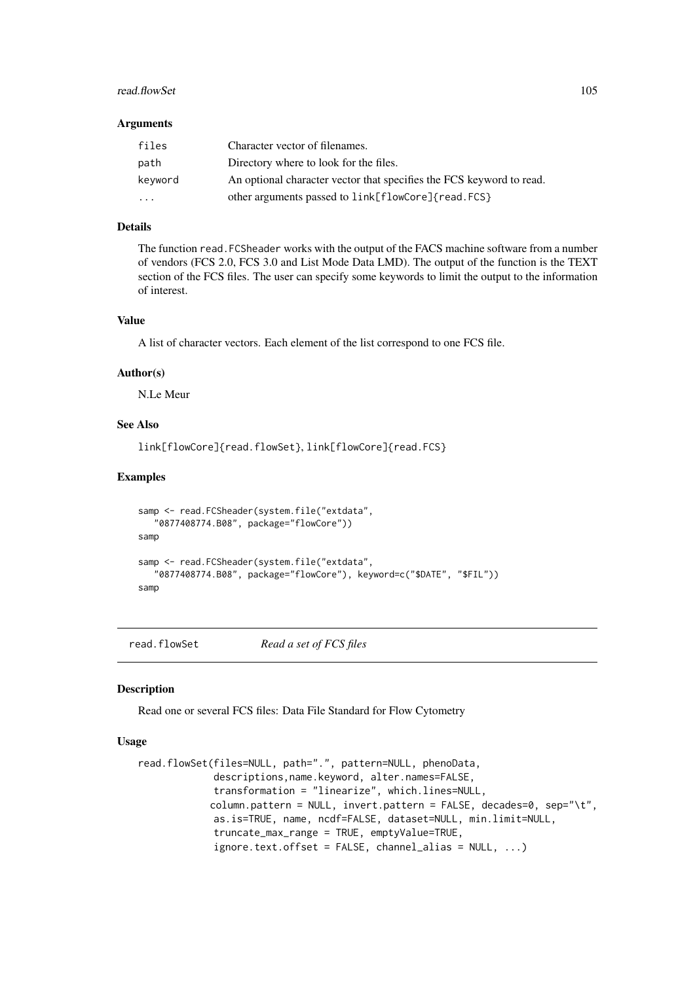#### read.flowSet 105

#### Arguments

| files    | Character vector of filenames.                                       |
|----------|----------------------------------------------------------------------|
| path     | Directory where to look for the files.                               |
| keyword  | An optional character vector that specifies the FCS keyword to read. |
| $\cdots$ | other arguments passed to link[flowCore]{read.FCS}                   |

## Details

The function read.FCSheader works with the output of the FACS machine software from a number of vendors (FCS 2.0, FCS 3.0 and List Mode Data LMD). The output of the function is the TEXT section of the FCS files. The user can specify some keywords to limit the output to the information of interest.

#### Value

A list of character vectors. Each element of the list correspond to one FCS file.

#### Author(s)

N.Le Meur

#### See Also

link[flowCore]{read.flowSet}, link[flowCore]{read.FCS}

## Examples

```
samp <- read.FCSheader(system.file("extdata",
   "0877408774.B08", package="flowCore"))
samp
samp <- read.FCSheader(system.file("extdata",
   "0877408774.B08", package="flowCore"), keyword=c("$DATE", "$FIL"))
samp
```
<span id="page-104-0"></span>read.flowSet *Read a set of FCS files*

## Description

Read one or several FCS files: Data File Standard for Flow Cytometry

# Usage

```
read.flowSet(files=NULL, path=".", pattern=NULL, phenoData,
             descriptions,name.keyword, alter.names=FALSE,
             transformation = "linearize", which.lines=NULL,
            column.pattern = NULL, invert.pattern = FALSE, decades=0, sep="\t",
             as.is=TRUE, name, ncdf=FALSE, dataset=NULL, min.limit=NULL,
             truncate_max_range = TRUE, emptyValue=TRUE,
             ignore.text.offset = FALSE, channel_alias = NULL, ...)
```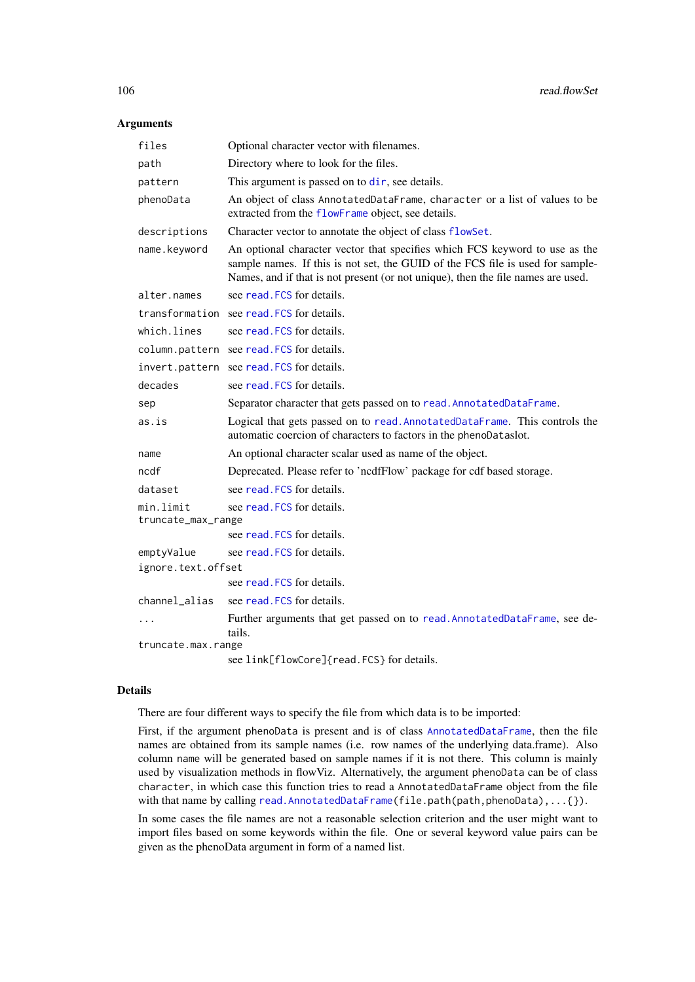# Arguments

| Optional character vector with filenames.                     |                                                                                                                                                                                                                                                   |  |
|---------------------------------------------------------------|---------------------------------------------------------------------------------------------------------------------------------------------------------------------------------------------------------------------------------------------------|--|
| Directory where to look for the files.<br>path                |                                                                                                                                                                                                                                                   |  |
| pattern<br>This argument is passed on to dir, see details.    |                                                                                                                                                                                                                                                   |  |
| phenoData                                                     | An object of class AnnotatedDataFrame, character or a list of values to be<br>extracted from the flowFrame object, see details.                                                                                                                   |  |
| descriptions                                                  | Character vector to annotate the object of class flowSet.                                                                                                                                                                                         |  |
| name.keyword                                                  | An optional character vector that specifies which FCS keyword to use as the<br>sample names. If this is not set, the GUID of the FCS file is used for sample-<br>Names, and if that is not present (or not unique), then the file names are used. |  |
| see read. FCS for details.<br>alter.names                     |                                                                                                                                                                                                                                                   |  |
| transformation see read. FCS for details.                     |                                                                                                                                                                                                                                                   |  |
| which.lines<br>see read. FCS for details.                     |                                                                                                                                                                                                                                                   |  |
| column.pattern see read.FCS for details.                      |                                                                                                                                                                                                                                                   |  |
| invert.pattern see read.FCS for details.                      |                                                                                                                                                                                                                                                   |  |
| see read. FCS for details.<br>decades                         |                                                                                                                                                                                                                                                   |  |
| sep                                                           | Separator character that gets passed on to read. AnnotatedDataFrame.                                                                                                                                                                              |  |
| as.is                                                         | Logical that gets passed on to read. AnnotatedDataFrame. This controls the<br>automatic coercion of characters to factors in the phenoDataslot.                                                                                                   |  |
| name                                                          | An optional character scalar used as name of the object.                                                                                                                                                                                          |  |
| ncdf                                                          | Deprecated. Please refer to 'ncdfFlow' package for cdf based storage.                                                                                                                                                                             |  |
| see read. FCS for details.<br>dataset                         |                                                                                                                                                                                                                                                   |  |
| min.limit<br>see read. FCS for details.<br>truncate_max_range |                                                                                                                                                                                                                                                   |  |
| see read. FCS for details.                                    |                                                                                                                                                                                                                                                   |  |
| see read. FCS for details.<br>emptyValue                      |                                                                                                                                                                                                                                                   |  |
| ignore.text.offset                                            |                                                                                                                                                                                                                                                   |  |
| see read. FCS for details.                                    |                                                                                                                                                                                                                                                   |  |
| see read. FCS for details.<br>channel_alias                   |                                                                                                                                                                                                                                                   |  |
| $\cdots$<br>tails.                                            | Further arguments that get passed on to read. AnnotatedDataFrame, see de-                                                                                                                                                                         |  |
| truncate.max.range                                            |                                                                                                                                                                                                                                                   |  |

#### see link[flowCore]{read.FCS} for details.

## Details

There are four different ways to specify the file from which data is to be imported:

First, if the argument phenoData is present and is of class [AnnotatedDataFrame](#page-0-0), then the file names are obtained from its sample names (i.e. row names of the underlying data.frame). Also column name will be generated based on sample names if it is not there. This column is mainly used by visualization methods in flowViz. Alternatively, the argument phenoData can be of class character, in which case this function tries to read a AnnotatedDataFrame object from the file with that name by calling [read.AnnotatedDataFrame\(](#page-0-0)file.path(path,phenoData),...{}).

In some cases the file names are not a reasonable selection criterion and the user might want to import files based on some keywords within the file. One or several keyword value pairs can be given as the phenoData argument in form of a named list.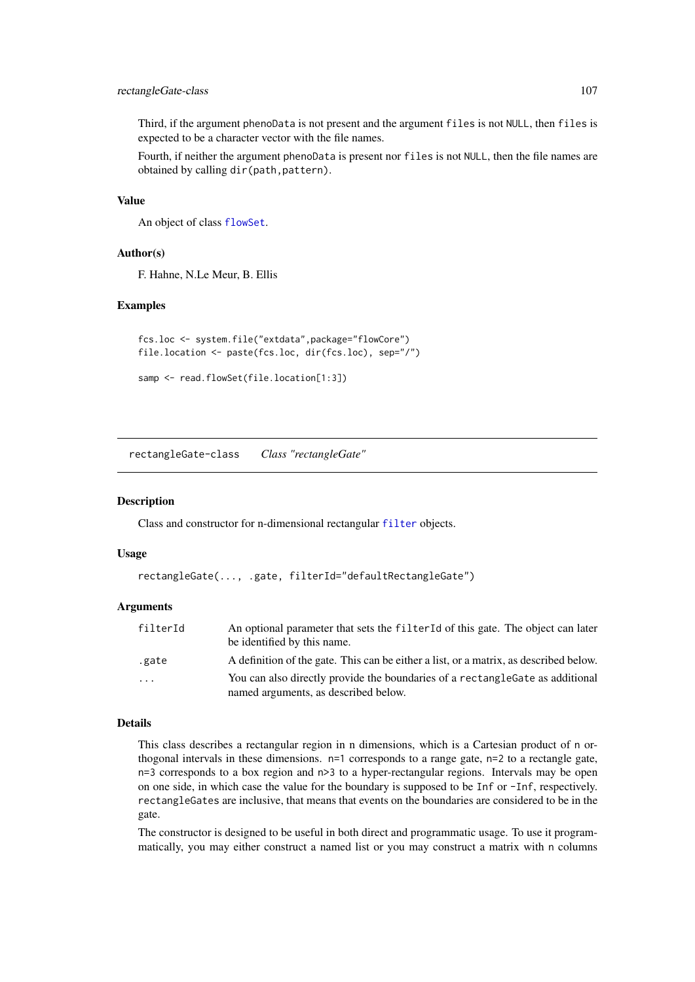#### rectangleGate-class 107

Third, if the argument phenoData is not present and the argument files is not NULL, then files is expected to be a character vector with the file names.

Fourth, if neither the argument phenoData is present nor files is not NULL, then the file names are obtained by calling dir(path,pattern).

## Value

An object of class [flowSet](#page-50-1).

## Author(s)

F. Hahne, N.Le Meur, B. Ellis

## Examples

```
fcs.loc <- system.file("extdata",package="flowCore")
file.location <- paste(fcs.loc, dir(fcs.loc), sep="/")
```

```
samp <- read.flowSet(file.location[1:3])
```
<span id="page-106-1"></span>rectangleGate-class *Class "rectangleGate"*

## <span id="page-106-0"></span>Description

Class and constructor for n-dimensional rectangular [filter](#page-30-0) objects.

# Usage

```
rectangleGate(..., .gate, filterId="defaultRectangleGate")
```
## Arguments

| filterId | An optional parameter that sets the filterId of this gate. The object can later<br>be identified by this name. |
|----------|----------------------------------------------------------------------------------------------------------------|
| .gate    | A definition of the gate. This can be either a list, or a matrix, as described below.                          |
| $\cdots$ | You can also directly provide the boundaries of a rectangle Gate as additional                                 |
|          | named arguments, as described below.                                                                           |

#### Details

This class describes a rectangular region in n dimensions, which is a Cartesian product of n orthogonal intervals in these dimensions. n=1 corresponds to a range gate, n=2 to a rectangle gate, n=3 corresponds to a box region and n>3 to a hyper-rectangular regions. Intervals may be open on one side, in which case the value for the boundary is supposed to be Inf or -Inf, respectively. rectangleGates are inclusive, that means that events on the boundaries are considered to be in the gate.

The constructor is designed to be useful in both direct and programmatic usage. To use it programmatically, you may either construct a named list or you may construct a matrix with n columns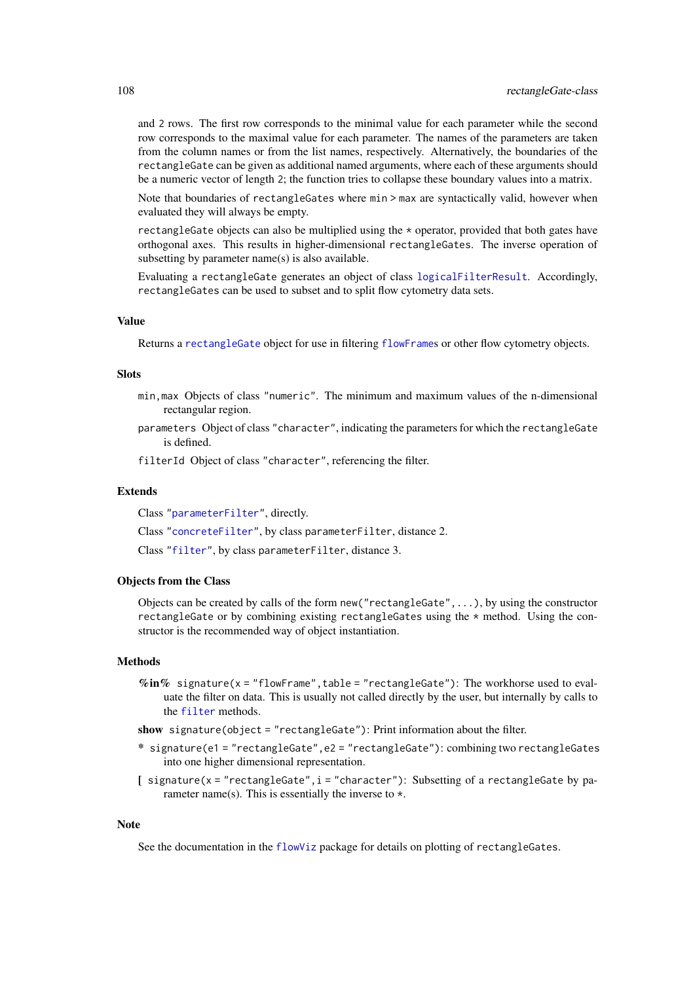and 2 rows. The first row corresponds to the minimal value for each parameter while the second row corresponds to the maximal value for each parameter. The names of the parameters are taken from the column names or from the list names, respectively. Alternatively, the boundaries of the rectangleGate can be given as additional named arguments, where each of these arguments should be a numeric vector of length 2; the function tries to collapse these boundary values into a matrix.

Note that boundaries of rectangleGates where min > max are syntactically valid, however when evaluated they will always be empty.

rectangleGate objects can also be multiplied using the  $\star$  operator, provided that both gates have orthogonal axes. This results in higher-dimensional rectangleGates. The inverse operation of subsetting by parameter name(s) is also available.

Evaluating a rectangleGate generates an object of class [logicalFilterResult](#page-75-0). Accordingly, rectangleGates can be used to subset and to split flow cytometry data sets.

## Value

Returns a [rectangleGate](#page-106-0) object for use in filtering [flowFrame](#page-44-0)s or other flow cytometry objects.

#### **Slots**

- min,max Objects of class "numeric". The minimum and maximum values of the n-dimensional rectangular region.
- parameters Object of class "character", indicating the parameters for which the rectangleGate is defined.

filterId Object of class "character", referencing the filter.

# Extends

Class ["parameterFilter"](#page-87-0), directly.

Class ["concreteFilter"](#page-18-0), by class parameterFilter, distance 2.

Class ["filter"](#page-30-0), by class parameterFilter, distance 3.

#### Objects from the Class

Objects can be created by calls of the form new("rectangleGate",...), by using the constructor rectangleGate or by combining existing rectangleGates using the \* method. Using the constructor is the recommended way of object instantiation.

## Methods

 $\%$ in% signature(x = "flowFrame",table = "rectangleGate"): The workhorse used to evaluate the filter on data. This is usually not called directly by the user, but internally by calls to the [filter](#page-32-0) methods.

show signature(object = "rectangleGate"): Print information about the filter.

- \* signature(e1 = "rectangleGate",e2 = "rectangleGate"): combining two rectangleGates into one higher dimensional representation.
- [ signature(x = "rectangleGate", i = "character"): Subsetting of a rectangleGate by parameter name(s). This is essentially the inverse to  $\star$ .

#### Note

See the documentation in the [flowViz](#page-0-0) package for details on plotting of rectangleGates.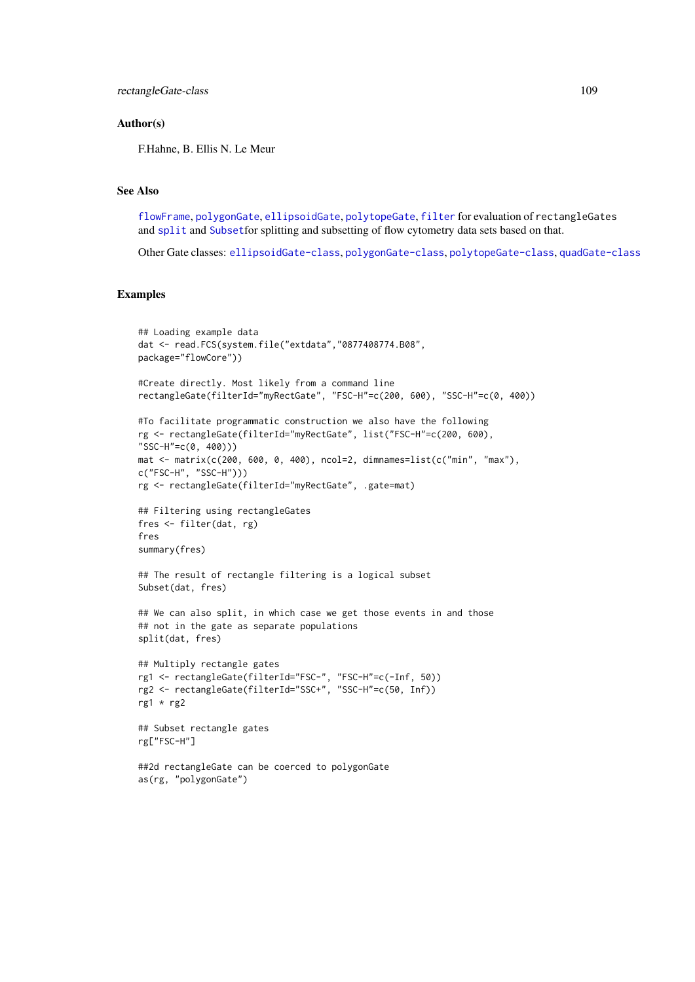#### Author(s)

F.Hahne, B. Ellis N. Le Meur

## See Also

[flowFrame](#page-44-0), [polygonGate](#page-90-0), [ellipsoidGate](#page-23-0), [polytopeGate](#page-92-0), [filter](#page-32-0) for evaluation of rectangleGates and [split](#page-117-0) and [Subset](#page-123-0)for splitting and subsetting of flow cytometry data sets based on that.

Other Gate classes: [ellipsoidGate-class](#page-23-1), [polygonGate-class](#page-90-1), [polytopeGate-class](#page-92-1), [quadGate-class](#page-93-0)

## Examples

```
## Loading example data
dat <- read.FCS(system.file("extdata","0877408774.B08",
package="flowCore"))
#Create directly. Most likely from a command line
rectangleGate(filterId="myRectGate", "FSC-H"=c(200, 600), "SSC-H"=c(0, 400))
#To facilitate programmatic construction we also have the following
rg <- rectangleGate(filterId="myRectGate", list("FSC-H"=c(200, 600),
"SSC-H"=c(0, 400)))
mat <- matrix(c(200, 600, 0, 400), ncol=2, dimnames=list(c("min", "max"),
c("FSC-H", "SSC-H")))
rg <- rectangleGate(filterId="myRectGate", .gate=mat)
## Filtering using rectangleGates
fres <- filter(dat, rg)
fres
summary(fres)
## The result of rectangle filtering is a logical subset
Subset(dat, fres)
## We can also split, in which case we get those events in and those
## not in the gate as separate populations
split(dat, fres)
## Multiply rectangle gates
rg1 <- rectangleGate(filterId="FSC-", "FSC-H"=c(-Inf, 50))
rg2 <- rectangleGate(filterId="SSC+", "SSC-H"=c(50, Inf))
rg1 * rg2
## Subset rectangle gates
rg["FSC-H"]
##2d rectangleGate can be coerced to polygonGate
as(rg, "polygonGate")
```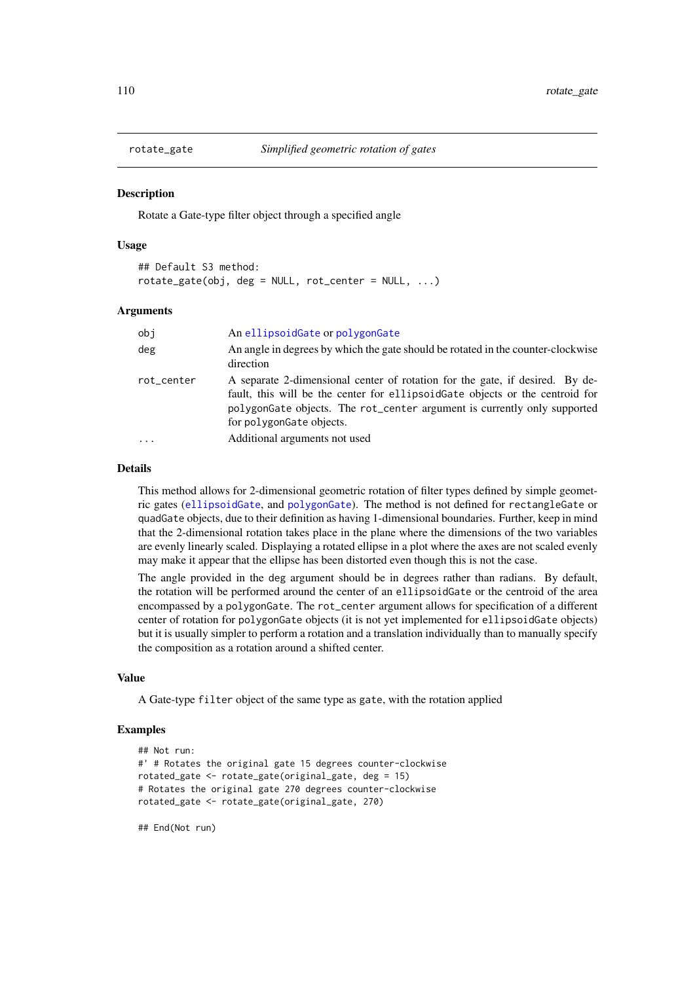<span id="page-109-0"></span>

#### **Description**

Rotate a Gate-type filter object through a specified angle

#### Usage

```
## Default S3 method:
rotate\_gate(obj, deg = NULL, rot\_center = NULL, ...)
```
#### Arguments

| obj        | An ellipsoidGate or polygonGate                                                                                                                                                                                                                                                                       |
|------------|-------------------------------------------------------------------------------------------------------------------------------------------------------------------------------------------------------------------------------------------------------------------------------------------------------|
| deg        | An angle in degrees by which the gate should be rotated in the counter-clockwise<br>direction                                                                                                                                                                                                         |
| rot_center | A separate 2-dimensional center of rotation for the gate, if desired. By de-<br>fault, this will be the center for ellipsoidGate objects or the centroid for<br>polygonGate objects. The rot_center argument is currently only supported<br>for polygonGate objects.<br>Additional arguments not used |
| $\ddots$   |                                                                                                                                                                                                                                                                                                       |

## Details

This method allows for 2-dimensional geometric rotation of filter types defined by simple geometric gates ([ellipsoidGate](#page-23-1), and [polygonGate](#page-90-1)). The method is not defined for rectangleGate or quadGate objects, due to their definition as having 1-dimensional boundaries. Further, keep in mind that the 2-dimensional rotation takes place in the plane where the dimensions of the two variables are evenly linearly scaled. Displaying a rotated ellipse in a plot where the axes are not scaled evenly may make it appear that the ellipse has been distorted even though this is not the case.

The angle provided in the deg argument should be in degrees rather than radians. By default, the rotation will be performed around the center of an ellipsoidGate or the centroid of the area encompassed by a polygonGate. The rot\_center argument allows for specification of a different center of rotation for polygonGate objects (it is not yet implemented for ellipsoidGate objects) but it is usually simpler to perform a rotation and a translation individually than to manually specify the composition as a rotation around a shifted center.

#### Value

A Gate-type filter object of the same type as gate, with the rotation applied

### Examples

```
## Not run:
#' # Rotates the original gate 15 degrees counter-clockwise
rotated_gate <- rotate_gate(original_gate, deg = 15)
# Rotates the original gate 270 degrees counter-clockwise
rotated_gate <- rotate_gate(original_gate, 270)
```
## End(Not run)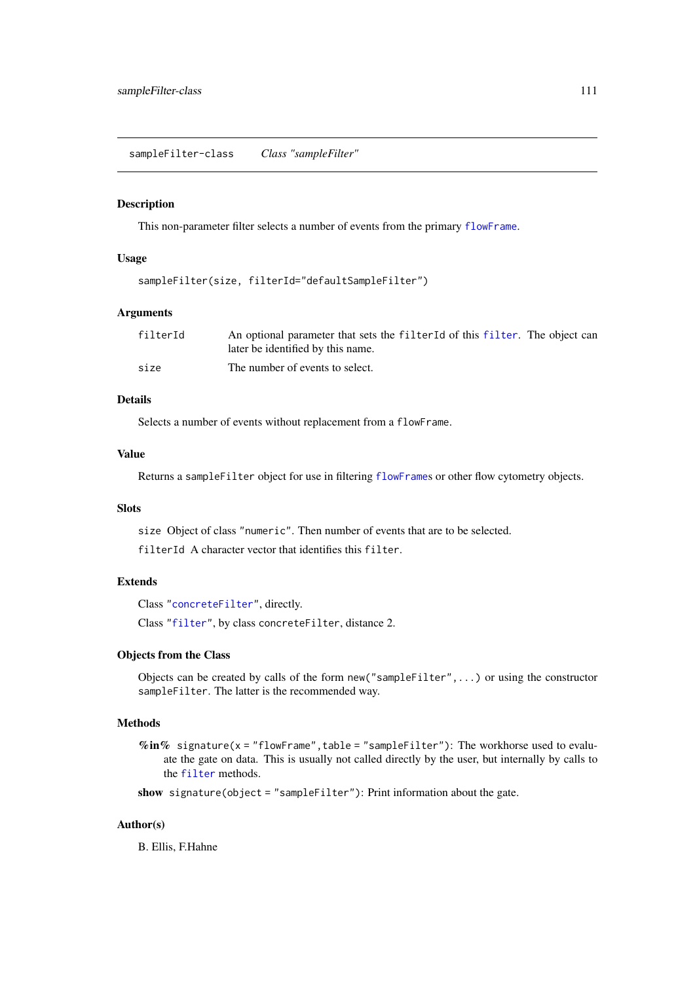<span id="page-110-0"></span>sampleFilter-class *Class "sampleFilter"*

## Description

This non-parameter filter selects a number of events from the primary [flowFrame](#page-44-0).

#### Usage

```
sampleFilter(size, filterId="defaultSampleFilter")
```
## Arguments

| filterId | An optional parameter that sets the filter Id of this filter. The object can |
|----------|------------------------------------------------------------------------------|
|          | later be identified by this name.                                            |
| size     | The number of events to select.                                              |

## Details

Selects a number of events without replacement from a flowFrame.

## Value

Returns a sampleFilter object for use in filtering [flowFrame](#page-44-0)s or other flow cytometry objects.

## **Slots**

size Object of class "numeric". Then number of events that are to be selected.

filterId A character vector that identifies this filter.

## Extends

Class ["concreteFilter"](#page-18-0), directly.

Class ["filter"](#page-30-0), by class concreteFilter, distance 2.

#### Objects from the Class

Objects can be created by calls of the form  $new("sampleFilter", \ldots)$  or using the constructor sampleFilter. The latter is the recommended way.

## Methods

%in% signature(x = "flowFrame", table = "sampleFilter"): The workhorse used to evaluate the gate on data. This is usually not called directly by the user, but internally by calls to the [filter](#page-32-0) methods.

show signature(object = "sampleFilter"): Print information about the gate.

## Author(s)

B. Ellis, F.Hahne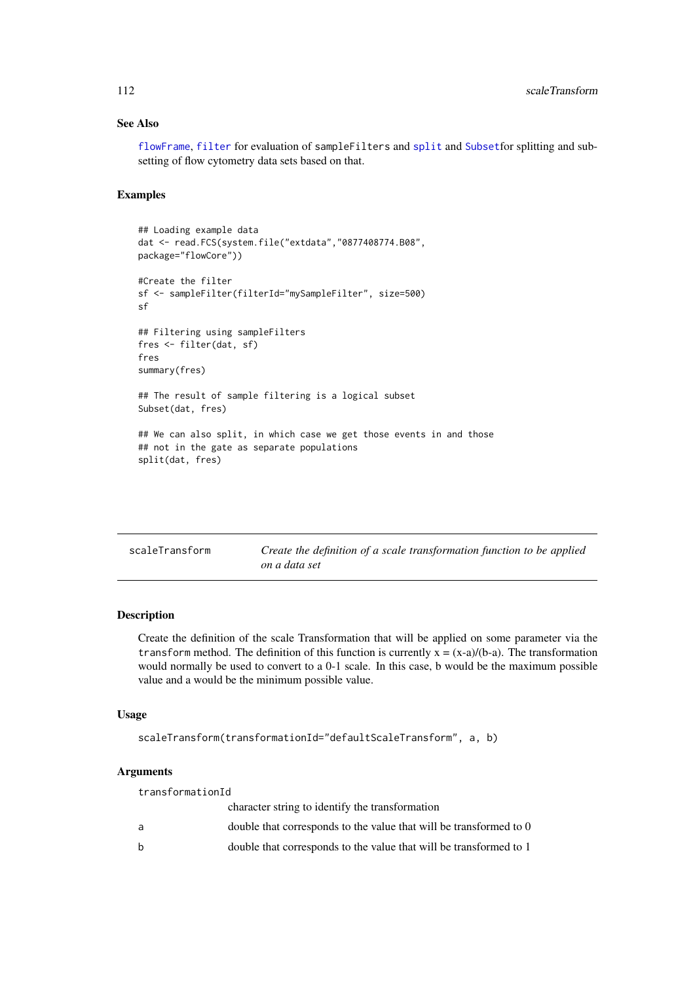#### See Also

[flowFrame](#page-44-0), [filter](#page-32-0) for evaluation of sampleFilters and [split](#page-117-0) and [Subset](#page-123-0)for splitting and subsetting of flow cytometry data sets based on that.

#### Examples

```
## Loading example data
dat <- read.FCS(system.file("extdata","0877408774.B08",
package="flowCore"))
#Create the filter
sf <- sampleFilter(filterId="mySampleFilter", size=500)
sf
## Filtering using sampleFilters
fres <- filter(dat, sf)
fres
summary(fres)
## The result of sample filtering is a logical subset
Subset(dat, fres)
## We can also split, in which case we get those events in and those
## not in the gate as separate populations
split(dat, fres)
```
<span id="page-111-0"></span>

| scaleTransform | Create the definition of a scale transformation function to be applied |
|----------------|------------------------------------------------------------------------|
|                | on a data set                                                          |

#### Description

Create the definition of the scale Transformation that will be applied on some parameter via the transform method. The definition of this function is currently  $x = (x-a)/(b-a)$ . The transformation would normally be used to convert to a 0-1 scale. In this case, b would be the maximum possible value and a would be the minimum possible value.

## Usage

```
scaleTransform(transformationId="defaultScaleTransform", a, b)
```
## Arguments

| transformationId |                                                                    |
|------------------|--------------------------------------------------------------------|
|                  | character string to identify the transformation                    |
| -a               | double that corresponds to the value that will be transformed to 0 |
| b                | double that corresponds to the value that will be transformed to 1 |

<span id="page-111-1"></span>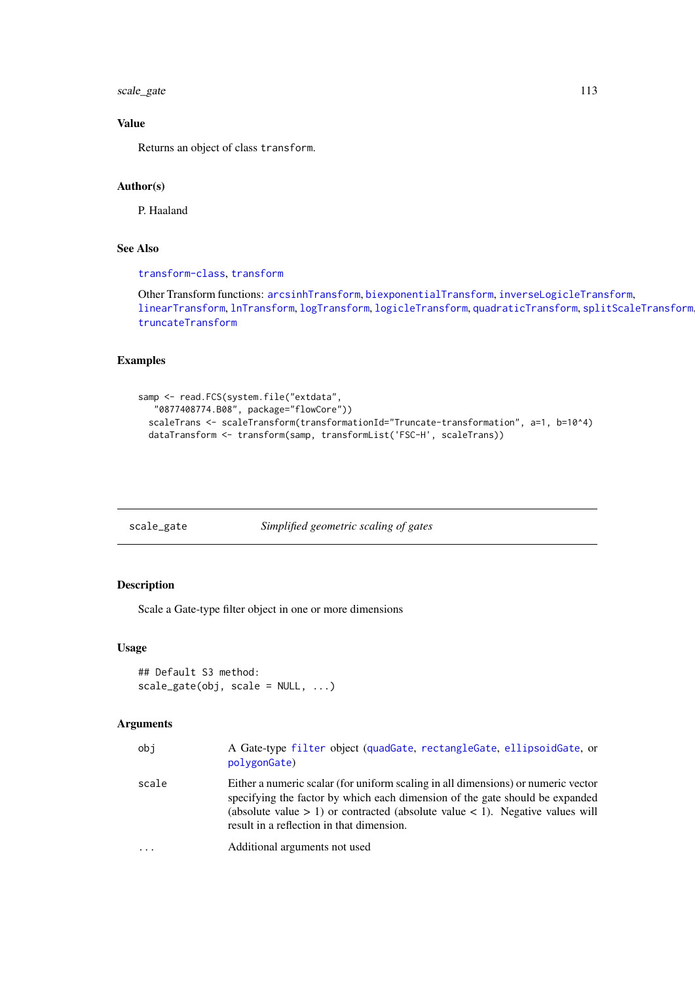<span id="page-112-1"></span>scale\_gate 113

## Value

Returns an object of class transform.

## Author(s)

P. Haaland

## See Also

[transform-class](#page-128-0), [transform](#page-128-1)

Other Transform functions: [arcsinhTransform](#page-4-0), [biexponentialTransform](#page-8-0), [inverseLogicleTransform](#page-64-0), [linearTransform](#page-70-0), [lnTransform](#page-73-0), [logTransform](#page-82-0), [logicleTransform](#page-79-0), [quadraticTransform](#page-96-0), [splitScaleTransform](#page-121-0), [truncateTransform](#page-135-0)

## Examples

```
samp <- read.FCS(system.file("extdata",
   "0877408774.B08", package="flowCore"))
  scaleTrans <- scaleTransform(transformationId="Truncate-transformation", a=1, b=10^4)
  dataTransform <- transform(samp, transformList('FSC-H', scaleTrans))
```
<span id="page-112-0"></span>scale\_gate *Simplified geometric scaling of gates*

## Description

Scale a Gate-type filter object in one or more dimensions

## Usage

```
## Default S3 method:
scale_gate(obj, scale = NULL, ...)
```
#### Arguments

| obj        | A Gate-type filter object (quadGate, rectangleGate, ellipsoidGate, or<br>polygonGate)                                                                                                                                                                                                                 |
|------------|-------------------------------------------------------------------------------------------------------------------------------------------------------------------------------------------------------------------------------------------------------------------------------------------------------|
| scale      | Either a numeric scalar (for uniform scaling in all dimensions) or numeric vector<br>specifying the factor by which each dimension of the gate should be expanded<br>(absolute value $> 1$ ) or contracted (absolute value $< 1$ ). Negative values will<br>result in a reflection in that dimension. |
| $\ddots$ . | Additional arguments not used                                                                                                                                                                                                                                                                         |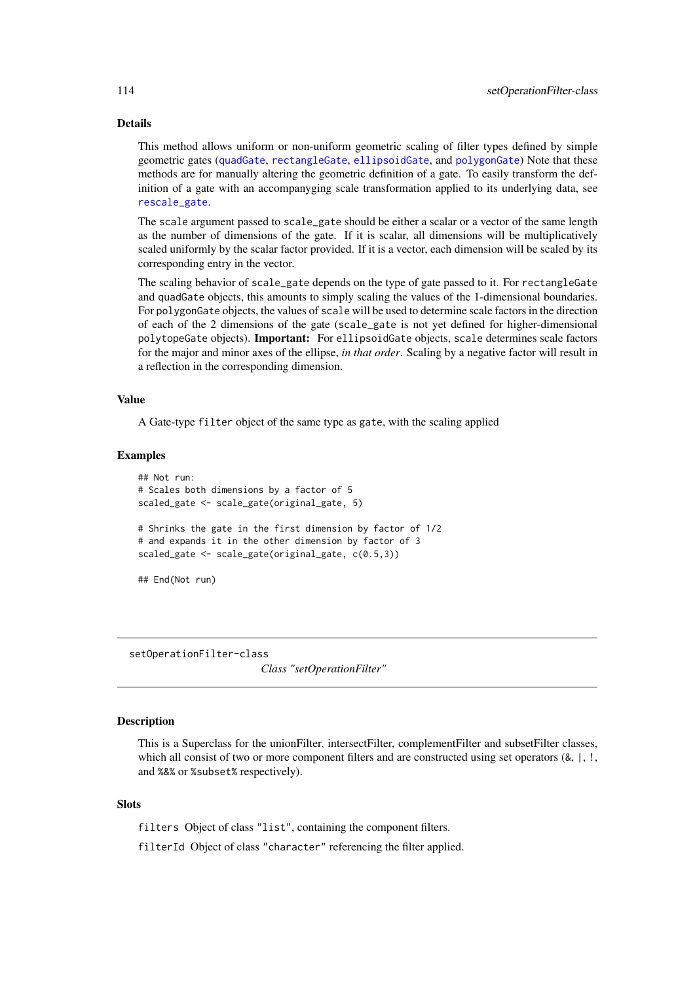#### <span id="page-113-1"></span>Details

This method allows uniform or non-uniform geometric scaling of filter types defined by simple geometric gates ([quadGate](#page-93-0), [rectangleGate](#page-106-0), [ellipsoidGate](#page-23-1), and [polygonGate](#page-90-1)) Note that these methods are for manually altering the geometric definition of a gate. To easily transform the definition of a gate with an accompanyging scale transformation applied to its underlying data, see rescale gate.

The scale argument passed to scale\_gate should be either a scalar or a vector of the same length as the number of dimensions of the gate. If it is scalar, all dimensions will be multiplicatively scaled uniformly by the scalar factor provided. If it is a vector, each dimension will be scaled by its corresponding entry in the vector.

The scaling behavior of scale\_gate depends on the type of gate passed to it. For rectangleGate and quadGate objects, this amounts to simply scaling the values of the 1-dimensional boundaries. For polygonGate objects, the values of scale will be used to determine scale factors in the direction of each of the 2 dimensions of the gate (scale\_gate is not yet defined for higher-dimensional polytopeGate objects). Important: For ellipsoidGate objects, scale determines scale factors for the major and minor axes of the ellipse, *in that order*. Scaling by a negative factor will result in a reflection in the corresponding dimension.

#### Value

A Gate-type filter object of the same type as gate, with the scaling applied

## Examples

```
## Not run:
# Scales both dimensions by a factor of 5
scaled_gate <- scale_gate(original_gate, 5)
# Shrinks the gate in the first dimension by factor of 1/2
# and expands it in the other dimension by factor of 3
scaled_gate <- scale_gate(original_gate, c(0.5,3))
## End(Not run)
```
<span id="page-113-0"></span>setOperationFilter-class

*Class "setOperationFilter"*

## Description

This is a Superclass for the unionFilter, intersectFilter, complementFilter and subsetFilter classes, which all consist of two or more component filters and are constructed using set operators  $(8, |, |,$ and %&% or %subset% respectively).

## **Slots**

filters Object of class "list", containing the component filters.

filterId Object of class "character" referencing the filter applied.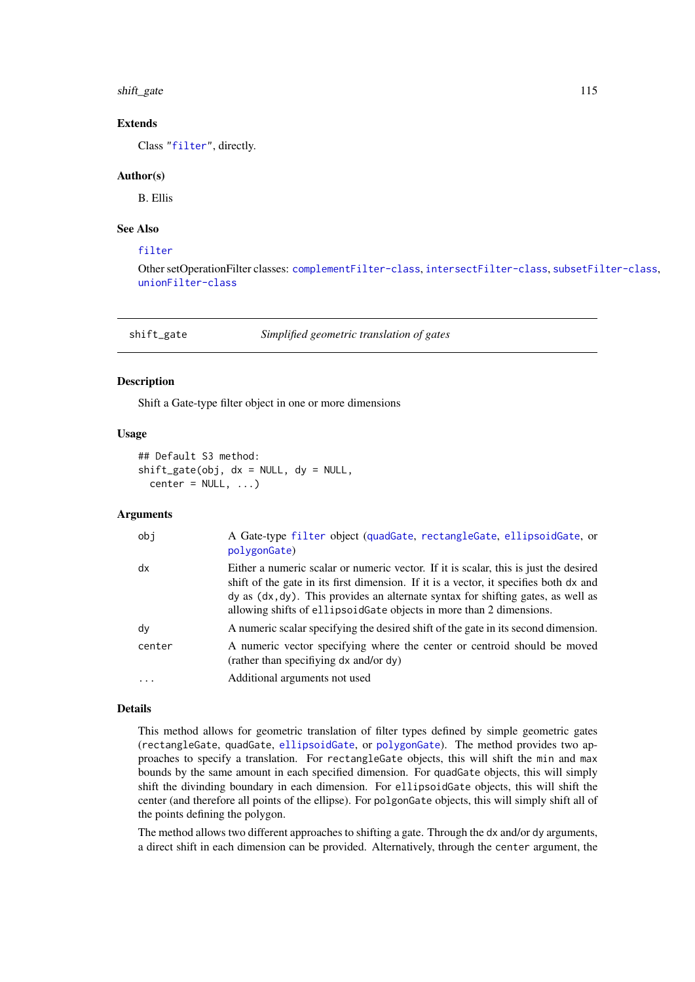shift\_gate 115

#### Extends

Class ["filter"](#page-30-0), directly.

#### Author(s)

B. Ellis

## See Also

## [filter](#page-32-0)

Other setOperationFilter classes: [complementFilter-class](#page-18-1), [intersectFilter-class](#page-63-0), [subsetFilter-class](#page-124-0), [unionFilter-class](#page-136-0)

<span id="page-114-0"></span>shift\_gate *Simplified geometric translation of gates*

#### Description

Shift a Gate-type filter object in one or more dimensions

## Usage

```
## Default S3 method:
shift_gate(obj, dx = NULL, dy = NULL,center = NULL, ...
```
## Arguments

| obj      | A Gate-type filter object (quadGate, rectangleGate, ellipsoidGate, or<br>polygonGate)                                                                                                                                                                                                                                                     |
|----------|-------------------------------------------------------------------------------------------------------------------------------------------------------------------------------------------------------------------------------------------------------------------------------------------------------------------------------------------|
| dx       | Either a numeric scalar or numeric vector. If it is scalar, this is just the desired<br>shift of the gate in its first dimension. If it is a vector, it specifies both dx and<br>dy as (dx, dy). This provides an alternate syntax for shifting gates, as well as<br>allowing shifts of ellipsoid Gate objects in more than 2 dimensions. |
| dy       | A numeric scalar specifying the desired shift of the gate in its second dimension.                                                                                                                                                                                                                                                        |
| center   | A numeric vector specifying where the center or centroid should be moved<br>(rather than specifying dx and/or dy)                                                                                                                                                                                                                         |
| $\ddots$ | Additional arguments not used                                                                                                                                                                                                                                                                                                             |

#### Details

This method allows for geometric translation of filter types defined by simple geometric gates (rectangleGate, quadGate, [ellipsoidGate](#page-23-1), or [polygonGate](#page-90-1)). The method provides two approaches to specify a translation. For rectangleGate objects, this will shift the min and max bounds by the same amount in each specified dimension. For quadGate objects, this will simply shift the divinding boundary in each dimension. For ellipsoidGate objects, this will shift the center (and therefore all points of the ellipse). For polgonGate objects, this will simply shift all of the points defining the polygon.

The method allows two different approaches to shifting a gate. Through the dx and/or dy arguments, a direct shift in each dimension can be provided. Alternatively, through the center argument, the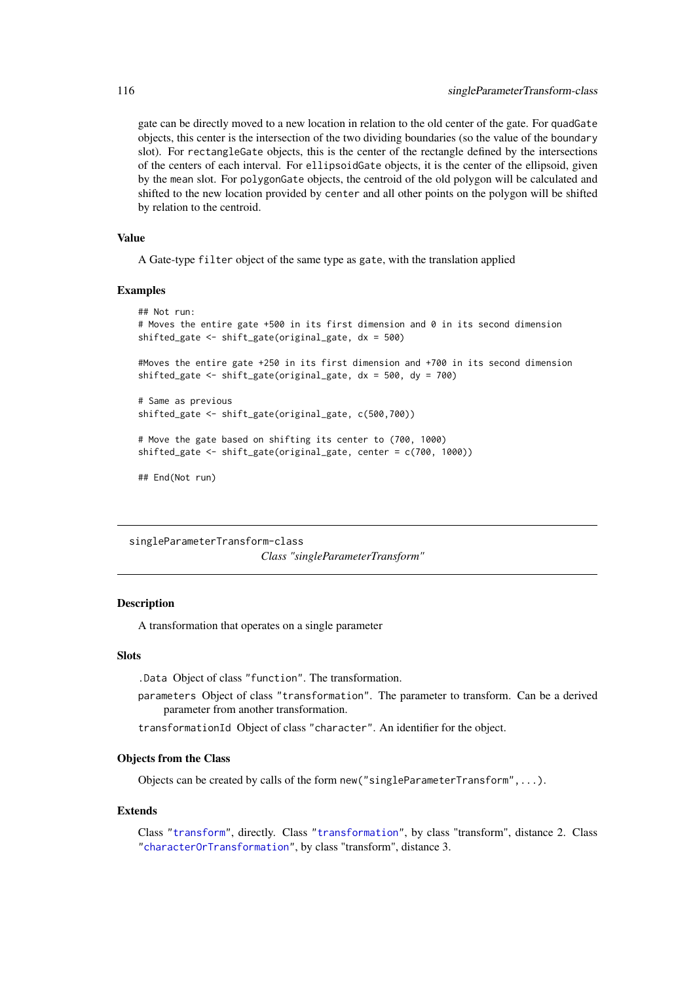gate can be directly moved to a new location in relation to the old center of the gate. For quadGate objects, this center is the intersection of the two dividing boundaries (so the value of the boundary slot). For rectangleGate objects, this is the center of the rectangle defined by the intersections of the centers of each interval. For ellipsoidGate objects, it is the center of the ellipsoid, given by the mean slot. For polygonGate objects, the centroid of the old polygon will be calculated and shifted to the new location provided by center and all other points on the polygon will be shifted by relation to the centroid.

#### Value

A Gate-type filter object of the same type as gate, with the translation applied

#### Examples

```
## Not run:
# Moves the entire gate +500 in its first dimension and 0 in its second dimension
shifted_gate <- shift_gate(original_gate, dx = 500)
#Moves the entire gate +250 in its first dimension and +700 in its second dimension
shifted_gate <- shift_gate(original_gate, dx = 500, dy = 700)
# Same as previous
shifted_gate <- shift_gate(original_gate, c(500,700))
# Move the gate based on shifting its center to (700, 1000)
shifted_gate <- shift_gate(original_gate, center = c(700, 1000))
## End(Not run)
```
<span id="page-115-0"></span>singleParameterTransform-class *Class "singleParameterTransform"*

#### Description

A transformation that operates on a single parameter

## Slots

.Data Object of class "function". The transformation.

parameters Object of class "transformation". The parameter to transform. Can be a derived parameter from another transformation.

transformationId Object of class "character". An identifier for the object.

#### Objects from the Class

Objects can be created by calls of the form new("singleParameterTransform",...).

#### Extends

Class ["transform"](#page-128-0), directly. Class ["transformation"](#page-129-0), by class "transform", distance 2. Class ["characterOrTransformation"](#page-12-0), by class "transform", distance 3.

<span id="page-115-1"></span>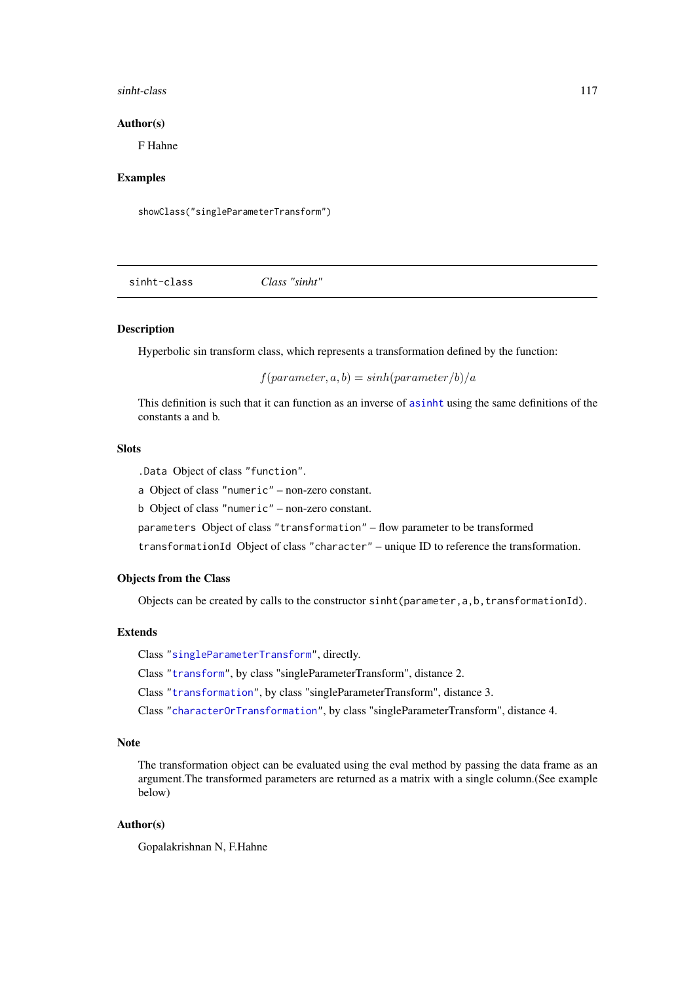#### <span id="page-116-1"></span>sinht-class 117

#### Author(s)

F Hahne

## Examples

```
showClass("singleParameterTransform")
```
<span id="page-116-0"></span>sinht-class *Class "sinht"*

## Description

Hyperbolic sin transform class, which represents a transformation defined by the function:

f(parameter, a, b) = sinh(parameter/b)/a

This definition is such that it can function as an inverse of [asinht](#page-5-0) using the same definitions of the constants a and b.

## Slots

.Data Object of class "function".

a Object of class "numeric" – non-zero constant.

b Object of class "numeric" – non-zero constant.

parameters Object of class "transformation" – flow parameter to be transformed

transformationId Object of class "character" – unique ID to reference the transformation.

## Objects from the Class

Objects can be created by calls to the constructor sinht(parameter,a,b,transformationId).

## Extends

Class ["singleParameterTransform"](#page-115-0), directly.

Class ["transform"](#page-128-0), by class "singleParameterTransform", distance 2.

Class ["transformation"](#page-129-0), by class "singleParameterTransform", distance 3.

Class ["characterOrTransformation"](#page-12-0), by class "singleParameterTransform", distance 4.

#### Note

The transformation object can be evaluated using the eval method by passing the data frame as an argument.The transformed parameters are returned as a matrix with a single column.(See example below)

## Author(s)

Gopalakrishnan N, F.Hahne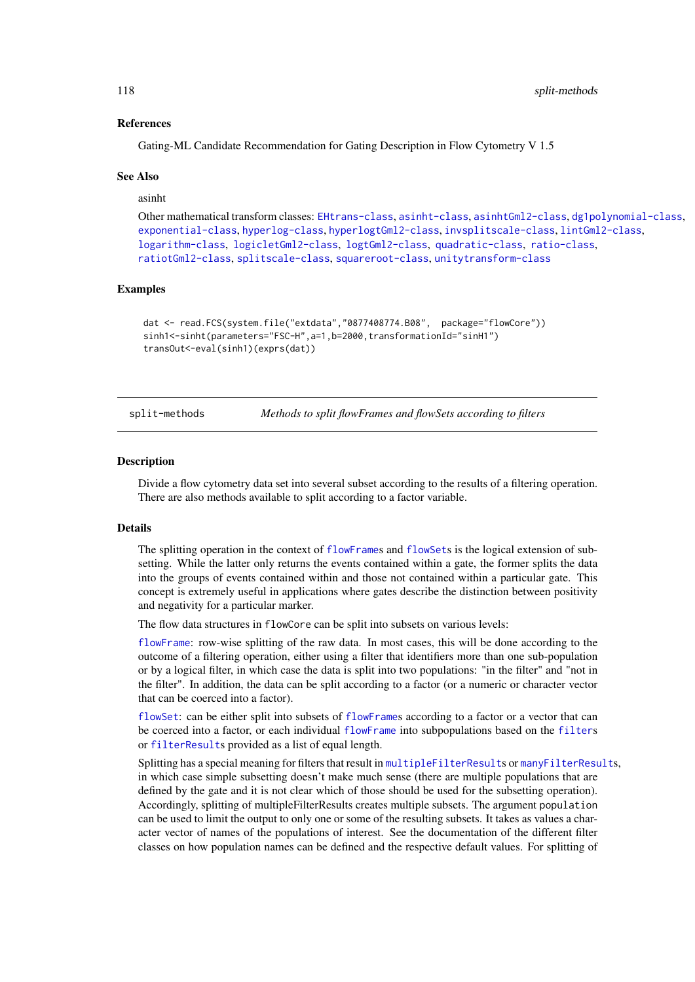#### <span id="page-117-1"></span>References

Gating-ML Candidate Recommendation for Gating Description in Flow Cytometry V 1.5

#### See Also

#### asinht

Other mathematical transform classes: [EHtrans-class](#page-22-0), [asinht-class](#page-5-0), [asinhtGml2-class](#page-6-0), [dg1polynomial-class](#page-20-0), [exponential-class](#page-26-0), [hyperlog-class](#page-59-0), [hyperlogtGml2-class](#page-60-0), [invsplitscale-class](#page-65-0), [lintGml2-class](#page-71-0), [logarithm-class](#page-74-0), [logicletGml2-class](#page-76-0), [logtGml2-class](#page-80-0), [quadratic-class](#page-95-0), [ratio-class](#page-98-0), [ratiotGml2-class](#page-99-0), [splitscale-class](#page-119-0), [squareroot-class](#page-122-0), [unitytransform-class](#page-136-1)

## Examples

```
dat <- read.FCS(system.file("extdata","0877408774.B08", package="flowCore"))
sinh1<-sinht(parameters="FSC-H", a=1, b=2000, transformationId="sinH1")
transOut<-eval(sinh1)(exprs(dat))
```
split-methods *Methods to split flowFrames and flowSets according to filters*

#### <span id="page-117-0"></span>Description

Divide a flow cytometry data set into several subset according to the results of a filtering operation. There are also methods available to split according to a factor variable.

## Details

The splitting operation in the context of [flowFrame](#page-44-1)s and [flowSet](#page-50-0)s is the logical extension of subsetting. While the latter only returns the events contained within a gate, the former splits the data into the groups of events contained within and those not contained within a particular gate. This concept is extremely useful in applications where gates describe the distinction between positivity and negativity for a particular marker.

The flow data structures in flowCore can be split into subsets on various levels:

[flowFrame](#page-44-1): row-wise splitting of the raw data. In most cases, this will be done according to the outcome of a filtering operation, either using a filter that identifiers more than one sub-population or by a logical filter, in which case the data is split into two populations: "in the filter" and "not in the filter". In addition, the data can be split according to a factor (or a numeric or character vector that can be coerced into a factor).

[flowSet](#page-50-0): can be either split into subsets of [flowFrame](#page-44-1)s according to a factor or a vector that can be coerced into a factor, or each individual [flowFrame](#page-44-1) into subpopulations based on the [filter](#page-30-0)s or [filterResult](#page-37-0)s provided as a list of equal length.

Splitting has a special meaning for filters that result in [multipleFilterResult](#page-85-0)s or [manyFilterResult](#page-83-0)s, in which case simple subsetting doesn't make much sense (there are multiple populations that are defined by the gate and it is not clear which of those should be used for the subsetting operation). Accordingly, splitting of multipleFilterResults creates multiple subsets. The argument population can be used to limit the output to only one or some of the resulting subsets. It takes as values a character vector of names of the populations of interest. See the documentation of the different filter classes on how population names can be defined and the respective default values. For splitting of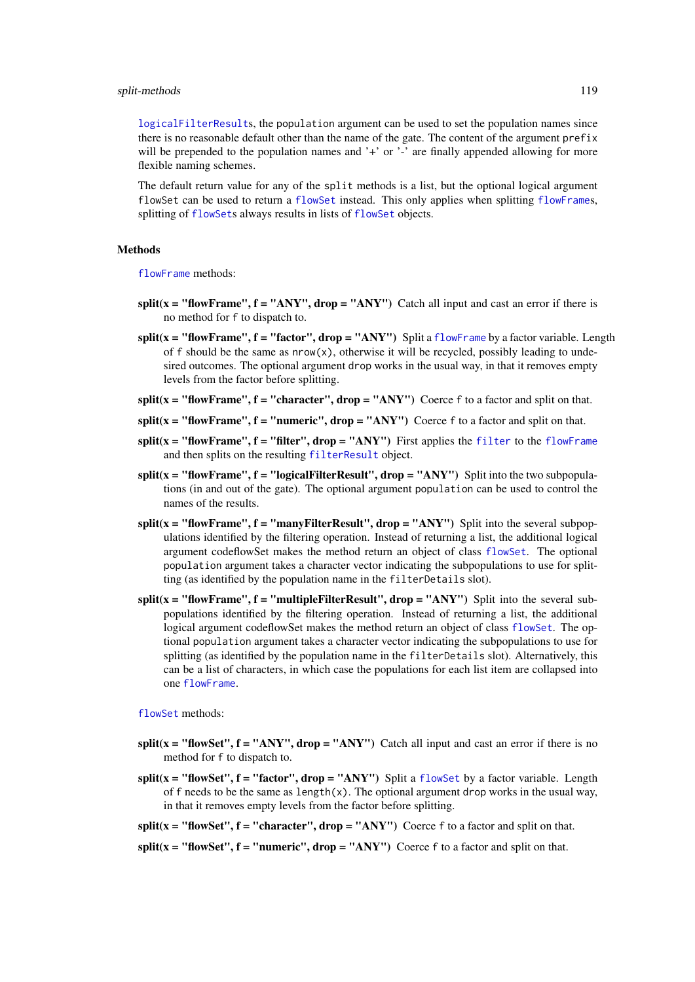#### split-methods 119

[logicalFilterResult](#page-75-0)s, the population argument can be used to set the population names since there is no reasonable default other than the name of the gate. The content of the argument prefix will be prepended to the population names and '+' or '-' are finally appended allowing for more flexible naming schemes.

The default return value for any of the split methods is a list, but the optional logical argument flowSet can be used to return a [flowSet](#page-50-0) instead. This only applies when splitting [flowFrame](#page-44-1)s, splitting of [flowSet](#page-50-0)s always results in lists of [flowSet](#page-50-0) objects.

## Methods

[flowFrame](#page-44-0) methods:

- split( $x =$  "flowFrame",  $f =$  "ANY", drop = "ANY") Catch all input and cast an error if there is no method for f to dispatch to.
- split( $x =$  "[flowFrame](#page-44-0)",  $f =$  "factor", drop = "ANY") Split a flowFrame by a factor variable. Length of f should be the same as  $nrow(x)$ , otherwise it will be recycled, possibly leading to undesired outcomes. The optional argument drop works in the usual way, in that it removes empty levels from the factor before splitting.
- split( $x =$  "flowFrame",  $f =$  "character", drop = "ANY") Coerce f to a factor and split on that.
- split( $x =$  "flowFrame",  $f =$  "numeric",  $drop =$  "ANY") Coerce f to a factor and split on that.
- $split(x = "flowerrame", f = "filter", drop = "ANY")$  $split(x = "flowerrame", f = "filter", drop = "ANY")$  $split(x = "flowerrame", f = "filter", drop = "ANY")$  First applies the filter to the [flowFrame](#page-44-1) and then splits on the resulting [filterResult](#page-37-0) object.
- split( $x =$  "flowFrame",  $f =$  "logicalFilterResult", drop = "ANY") Split into the two subpopulations (in and out of the gate). The optional argument population can be used to control the names of the results.
- $split(x = "flowFrame", f = "manyFilterResult", drop = "ANY")$  Split into the several subpopulations identified by the filtering operation. Instead of returning a list, the additional logical argument codeflowSet makes the method return an object of class [flowSet](#page-50-0). The optional population argument takes a character vector indicating the subpopulations to use for splitting (as identified by the population name in the filterDetails slot).
- split(x = "flowFrame", f = "multipleFilterResult", drop = "ANY") Split into the several subpopulations identified by the filtering operation. Instead of returning a list, the additional logical argument code[flowSet](#page-50-0) makes the method return an object of class flowSet. The optional population argument takes a character vector indicating the subpopulations to use for splitting (as identified by the population name in the filterDetails slot). Alternatively, this can be a list of characters, in which case the populations for each list item are collapsed into one [flowFrame](#page-44-1).

[flowSet](#page-50-0) methods:

- split( $x =$  "flowSet",  $f =$  "ANY", drop = "ANY") Catch all input and cast an error if there is no method for f to dispatch to.
- $split(x = "flowSet", f = "factor", drop = "ANY")$  $split(x = "flowSet", f = "factor", drop = "ANY")$  $split(x = "flowSet", f = "factor", drop = "ANY")$  Split a flowSet by a factor variable. Length of f needs to be the same as  $length(x)$ . The optional argument drop works in the usual way, in that it removes empty levels from the factor before splitting.

split( $x =$  "flowSet",  $f =$  "character", drop = "ANY") Coerce f to a factor and split on that.

split( $x = "flowSet", f = "numeric", drop = "ANY")$  Coerce f to a factor and split on that.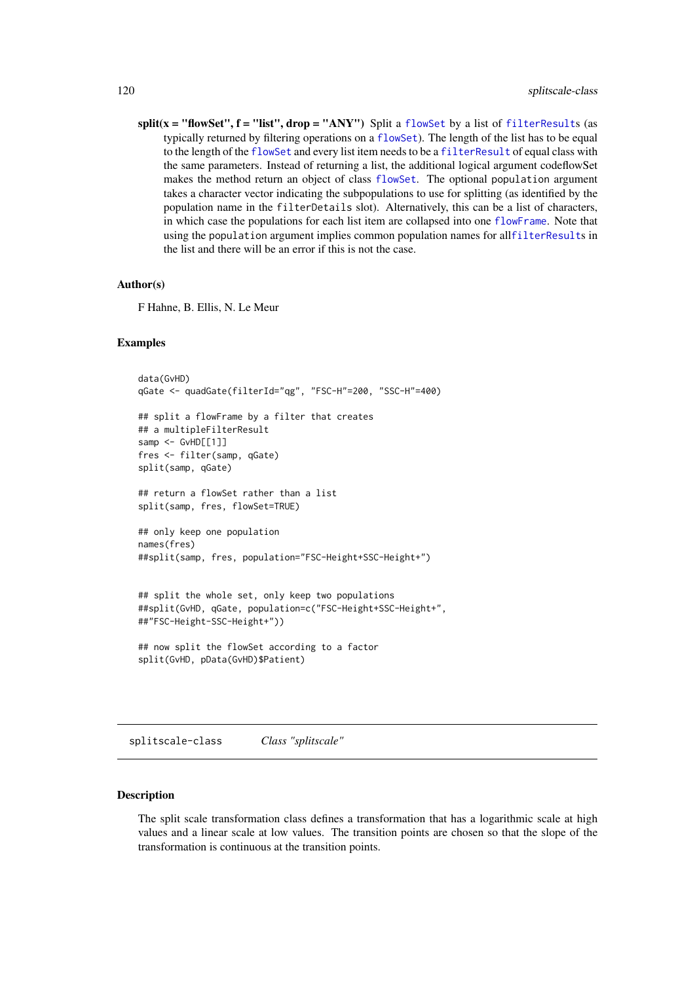<span id="page-119-1"></span> $split(x = "flowSet", f = "list", drop = "ANY")$  $split(x = "flowSet", f = "list", drop = "ANY")$  $split(x = "flowSet", f = "list", drop = "ANY")$  Split a flowSet by a list of [filterResult](#page-37-0)s (as typically returned by filtering operations on a [flowSet](#page-50-0)). The length of the list has to be equal to the length of the [flowSet](#page-50-0) and every list item needs to be a [filterResult](#page-37-0) of equal class with the same parameters. Instead of returning a list, the additional logical argument codeflowSet makes the method return an object of class [flowSet](#page-50-0). The optional population argument takes a character vector indicating the subpopulations to use for splitting (as identified by the population name in the filterDetails slot). Alternatively, this can be a list of characters, in which case the populations for each list item are collapsed into one [flowFrame](#page-44-1). Note that using the population argument implies common population names for all[filterResult](#page-37-0)s in the list and there will be an error if this is not the case.

#### Author(s)

F Hahne, B. Ellis, N. Le Meur

#### Examples

```
data(GvHD)
qGate <- quadGate(filterId="qg", "FSC-H"=200, "SSC-H"=400)
## split a flowFrame by a filter that creates
## a multipleFilterResult
samp <- GvHD[[1]]
fres <- filter(samp, qGate)
split(samp, qGate)
## return a flowSet rather than a list
split(samp, fres, flowSet=TRUE)
## only keep one population
names(fres)
##split(samp, fres, population="FSC-Height+SSC-Height+")
## split the whole set, only keep two populations
##split(GvHD, qGate, population=c("FSC-Height+SSC-Height+",
##"FSC-Height-SSC-Height+"))
## now split the flowSet according to a factor
```

```
split(GvHD, pData(GvHD)$Patient)
```
<span id="page-119-0"></span>splitscale-class *Class "splitscale"*

#### Description

The split scale transformation class defines a transformation that has a logarithmic scale at high values and a linear scale at low values. The transition points are chosen so that the slope of the transformation is continuous at the transition points.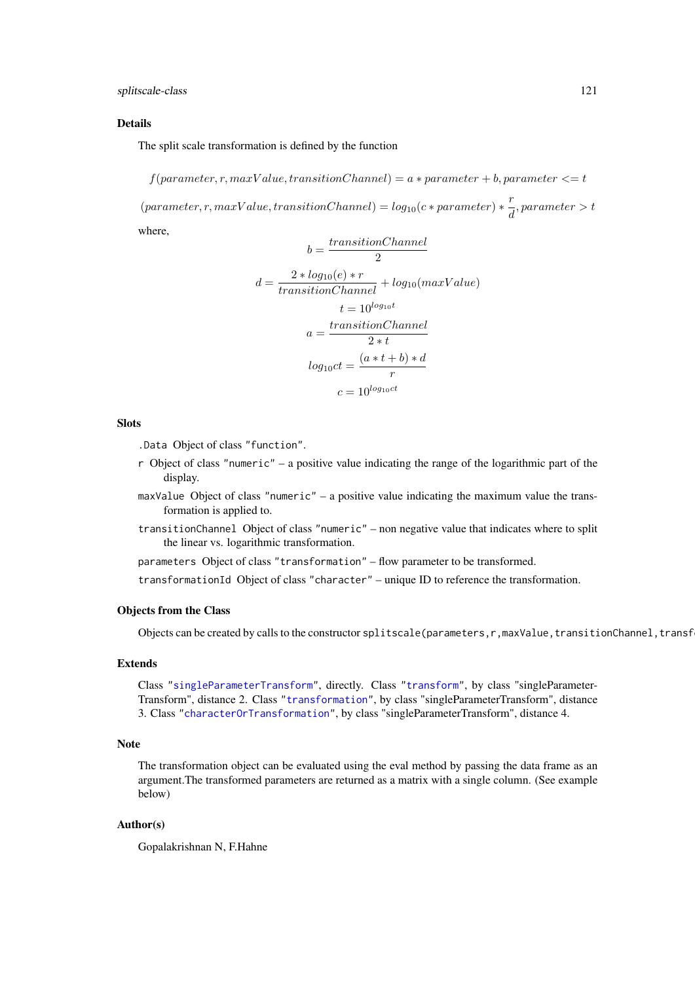#### splitscale-class 121

#### Details

The split scale transformation is defined by the function

 $f(parameter, r, maxValue, transitionChannel) = a * parameter + b, parameter  $\leq t$$ 

 $(parameter, r, maxValue, transitionChannel) = log_{10}(c * parameter) * \frac{r}{4}$  $\frac{1}{d}$ , parameter > t where,

$$
b = \frac{transitionChannel}{2}
$$
  

$$
d = \frac{2 * log_{10}(e) * r}{transitionChannel} + log_{10}(maxValue)
$$
  

$$
t = 10^{log_{10}t}
$$
  

$$
a = \frac{transitionChannel}{2 * t}
$$
  

$$
log_{10}ct = \frac{(a * t + b) * d}{r}
$$
  

$$
c = 10^{log_{10}ct}
$$

**Slots** 

.Data Object of class "function".

- r Object of class "numeric" a positive value indicating the range of the logarithmic part of the display.
- maxValue Object of class "numeric" a positive value indicating the maximum value the transformation is applied to.
- transitionChannel Object of class "numeric" non negative value that indicates where to split the linear vs. logarithmic transformation.
- parameters Object of class "transformation" flow parameter to be transformed.

transformationId Object of class "character" – unique ID to reference the transformation.

## Objects from the Class

Objects can be created by calls to the constructor splitscale(parameters,r,maxValue,transitionChannel,transf

## Extends

Class ["singleParameterTransform"](#page-115-0), directly. Class ["transform"](#page-128-0), by class "singleParameter-Transform", distance 2. Class ["transformation"](#page-129-0), by class "singleParameterTransform", distance 3. Class ["characterOrTransformation"](#page-12-0), by class "singleParameterTransform", distance 4.

#### Note

The transformation object can be evaluated using the eval method by passing the data frame as an argument.The transformed parameters are returned as a matrix with a single column. (See example below)

## Author(s)

Gopalakrishnan N, F.Hahne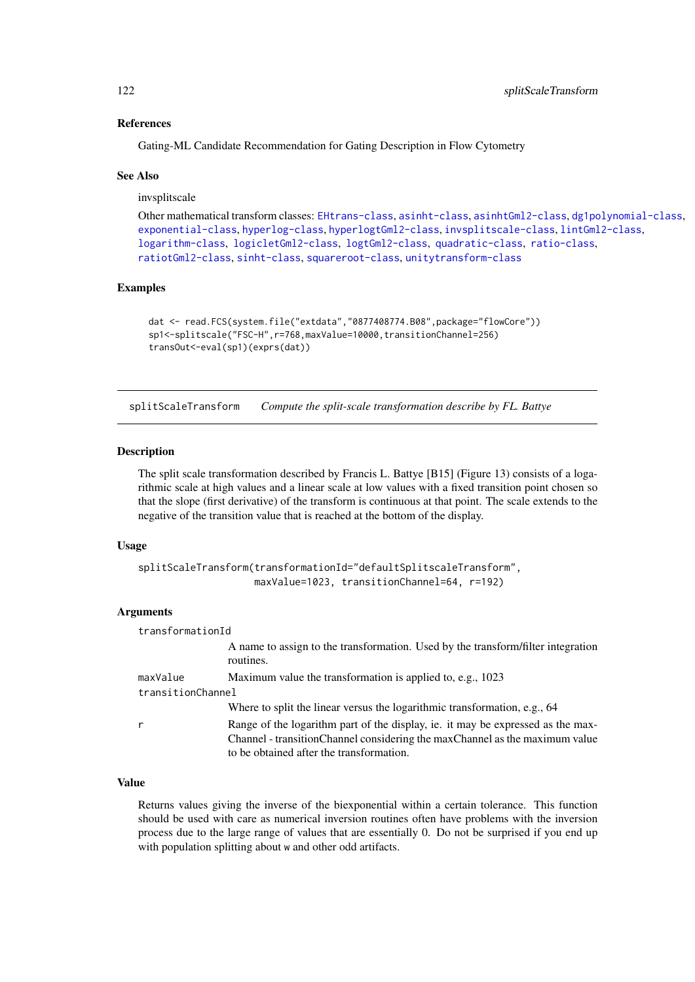#### References

Gating-ML Candidate Recommendation for Gating Description in Flow Cytometry

#### See Also

## invsplitscale

```
Other mathematical transform classes: EHtrans-class, asinht-class, asinhtGml2-class, dg1polynomial-class,
exponential-class, hyperlog-class, hyperlogtGml2-class, invsplitscale-class, lintGml2-class,
logarithm-class, logicletGml2-class, logtGml2-class, quadratic-class, ratio-class,
ratiotGml2-class, sinht-class, squareroot-class, unitytransform-class
```
## Examples

```
dat <- read.FCS(system.file("extdata","0877408774.B08",package="flowCore"))
sp1<-splitscale("FSC-H", r=768, maxValue=10000, transitionChannel=256)
transOut<-eval(sp1)(exprs(dat))
```
<span id="page-121-0"></span>splitScaleTransform *Compute the split-scale transformation describe by FL. Battye*

## Description

The split scale transformation described by Francis L. Battye [B15] (Figure 13) consists of a logarithmic scale at high values and a linear scale at low values with a fixed transition point chosen so that the slope (first derivative) of the transform is continuous at that point. The scale extends to the negative of the transition value that is reached at the bottom of the display.

#### Usage

```
splitScaleTransform(transformationId="defaultSplitscaleTransform",
                    maxValue=1023, transitionChannel=64, r=192)
```
#### Arguments

| transformationId                                                                                                                                                                                           |
|------------------------------------------------------------------------------------------------------------------------------------------------------------------------------------------------------------|
| A name to assign to the transformation. Used by the transform/filter integration<br>routines.                                                                                                              |
| Maximum value the transformation is applied to, e.g., 1023                                                                                                                                                 |
| transitionChannel                                                                                                                                                                                          |
| Where to split the linear versus the logarithmic transformation, e.g., 64                                                                                                                                  |
| Range of the logarithm part of the display, ie. it may be expressed as the max-<br>Channel - transitionChannel considering the maxChannel as the maximum value<br>to be obtained after the transformation. |
|                                                                                                                                                                                                            |

## Value

Returns values giving the inverse of the biexponential within a certain tolerance. This function should be used with care as numerical inversion routines often have problems with the inversion process due to the large range of values that are essentially 0. Do not be surprised if you end up with population splitting about w and other odd artifacts.

<span id="page-121-1"></span>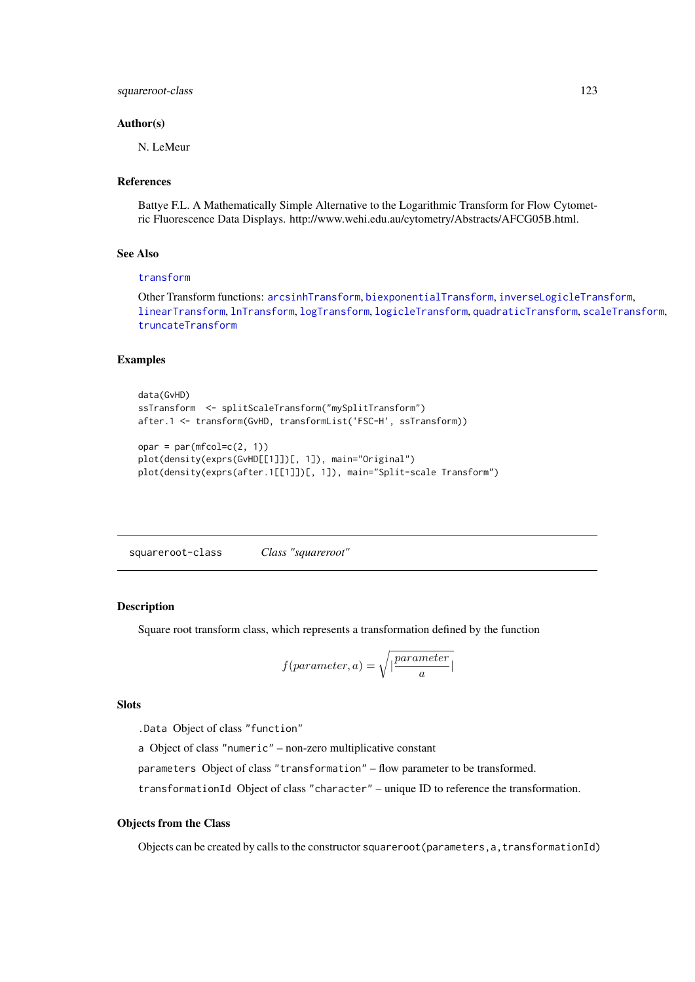#### <span id="page-122-1"></span>squareroot-class 123

#### Author(s)

N. LeMeur

#### References

Battye F.L. A Mathematically Simple Alternative to the Logarithmic Transform for Flow Cytometric Fluorescence Data Displays. http://www.wehi.edu.au/cytometry/Abstracts/AFCG05B.html.

## See Also

#### [transform](#page-128-1)

Other Transform functions: [arcsinhTransform](#page-4-0), [biexponentialTransform](#page-8-0), [inverseLogicleTransform](#page-64-0), [linearTransform](#page-70-0), [lnTransform](#page-73-0), [logTransform](#page-82-0), [logicleTransform](#page-79-0), [quadraticTransform](#page-96-0), [scaleTransform](#page-111-0), [truncateTransform](#page-135-0)

#### Examples

```
data(GvHD)
ssTransform <- splitScaleTransform("mySplitTransform")
after.1 <- transform(GvHD, transformList('FSC-H', ssTransform))
opar = par(mfcol=c(2, 1))plot(density(exprs(GvHD[[1]])[, 1]), main="Original")
plot(density(exprs(after.1[[1]])[, 1]), main="Split-scale Transform")
```
<span id="page-122-0"></span>squareroot-class *Class "squareroot"*

## Description

Square root transform class, which represents a transformation defined by the function

$$
f(parameter, a) = \sqrt{\left|\frac{parameter}{a}\right|}
$$

Slots

.Data Object of class "function"

a Object of class "numeric" – non-zero multiplicative constant

parameters Object of class "transformation" – flow parameter to be transformed.

transformationId Object of class "character" – unique ID to reference the transformation.

## Objects from the Class

Objects can be created by calls to the constructor squareroot (parameters, a, transformationId)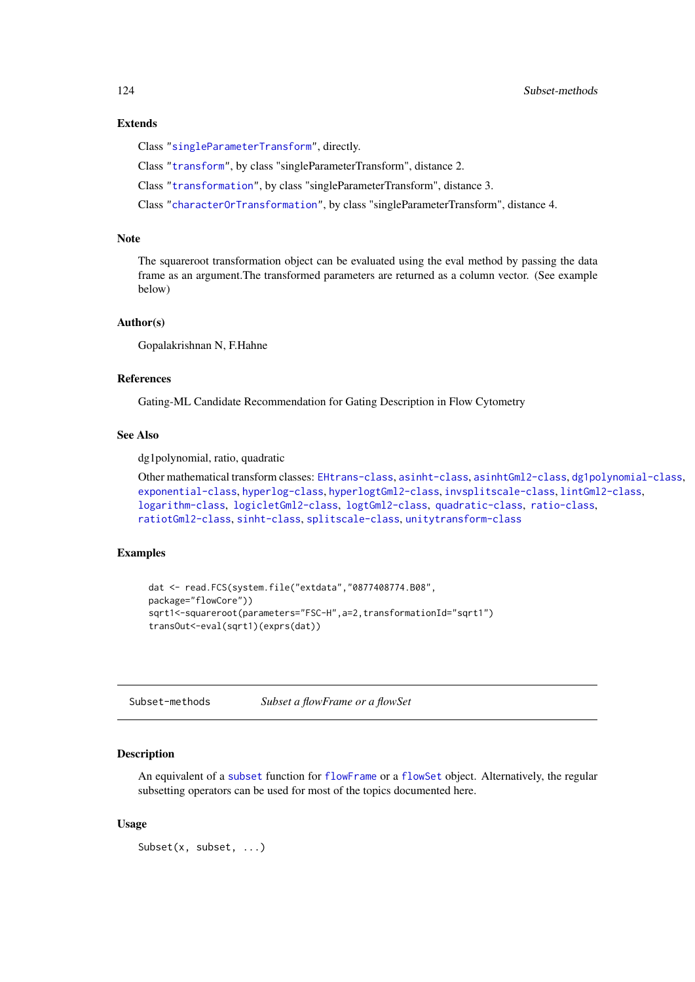#### <span id="page-123-1"></span>Extends

Class ["singleParameterTransform"](#page-115-0), directly.

Class ["transform"](#page-128-0), by class "singleParameterTransform", distance 2.

Class ["transformation"](#page-129-0), by class "singleParameterTransform", distance 3.

Class ["characterOrTransformation"](#page-12-0), by class "singleParameterTransform", distance 4.

#### Note

The squareroot transformation object can be evaluated using the eval method by passing the data frame as an argument.The transformed parameters are returned as a column vector. (See example below)

#### Author(s)

Gopalakrishnan N, F.Hahne

## References

Gating-ML Candidate Recommendation for Gating Description in Flow Cytometry

#### See Also

dg1polynomial, ratio, quadratic

```
Other mathematical transform classes: EHtrans-class, asinht-class, asinhtGml2-class, dg1polynomial-class,
exponential-class, hyperlog-class, hyperlogtGml2-class, invsplitscale-class, lintGml2-class,
logarithm-class, logicletGml2-class, logtGml2-class, quadratic-class, ratio-class,
ratiotGml2-class, sinht-class, splitscale-class, unitytransform-class
```
## Examples

```
dat <- read.FCS(system.file("extdata","0877408774.B08",
package="flowCore"))
sqrt1<-squareroot(parameters="FSC-H",a=2,transformationId="sqrt1")
transOut<-eval(sqrt1)(exprs(dat))
```
Subset-methods *Subset a flowFrame or a flowSet*

## <span id="page-123-0"></span>Description

An equivalent of a [subset](#page-0-0) function for [flowFrame](#page-44-1) or a [flowSet](#page-50-0) object. Alternatively, the regular subsetting operators can be used for most of the topics documented here.

## Usage

Subset(x, subset, ...)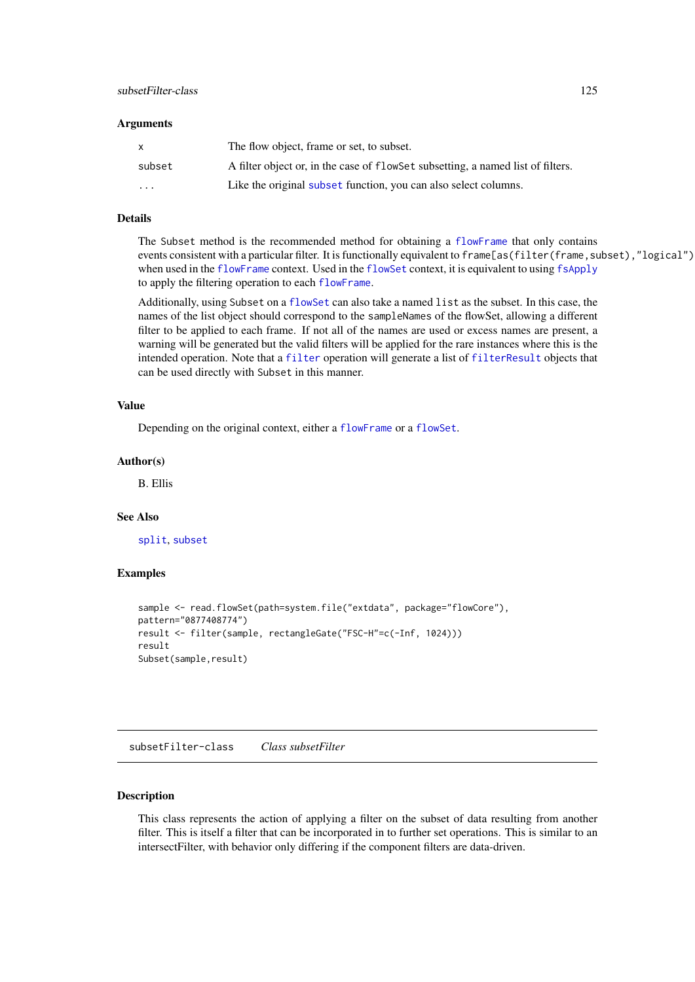#### <span id="page-124-1"></span>Arguments

|          | The flow object, frame or set, to subset.                                       |
|----------|---------------------------------------------------------------------------------|
| subset   | A filter object or, in the case of flowset subsetting, a named list of filters. |
| $\cdots$ | Like the original subset function, you can also select columns.                 |

## Details

The Subset method is the recommended method for obtaining a [flowFrame](#page-44-1) that only contains events consistent with a particular filter. It is functionally equivalent to frame[as(filter(frame, subset),"logical") when used in the [flowFrame](#page-44-1) context. Used in the [flowSet](#page-50-0) context, it is equivalent to using [fsApply](#page-56-0) to apply the filtering operation to each [flowFrame](#page-44-1).

Additionally, using Subset on a [flowSet](#page-50-0) can also take a named list as the subset. In this case, the names of the list object should correspond to the sampleNames of the flowSet, allowing a different filter to be applied to each frame. If not all of the names are used or excess names are present, a warning will be generated but the valid filters will be applied for the rare instances where this is the intended operation. Note that a [filter](#page-32-0) operation will generate a list of [filterResult](#page-37-0) objects that can be used directly with Subset in this manner.

#### Value

Depending on the original context, either a [flowFrame](#page-44-1) or a [flowSet](#page-50-0).

#### Author(s)

B. Ellis

## See Also

[split](#page-117-0), [subset](#page-0-0)

#### Examples

```
sample <- read.flowSet(path=system.file("extdata", package="flowCore"),
pattern="0877408774")
result <- filter(sample, rectangleGate("FSC-H"=c(-Inf, 1024)))
result
Subset(sample,result)
```
<span id="page-124-0"></span>subsetFilter-class *Class subsetFilter*

## Description

This class represents the action of applying a filter on the subset of data resulting from another filter. This is itself a filter that can be incorporated in to further set operations. This is similar to an intersectFilter, with behavior only differing if the component filters are data-driven.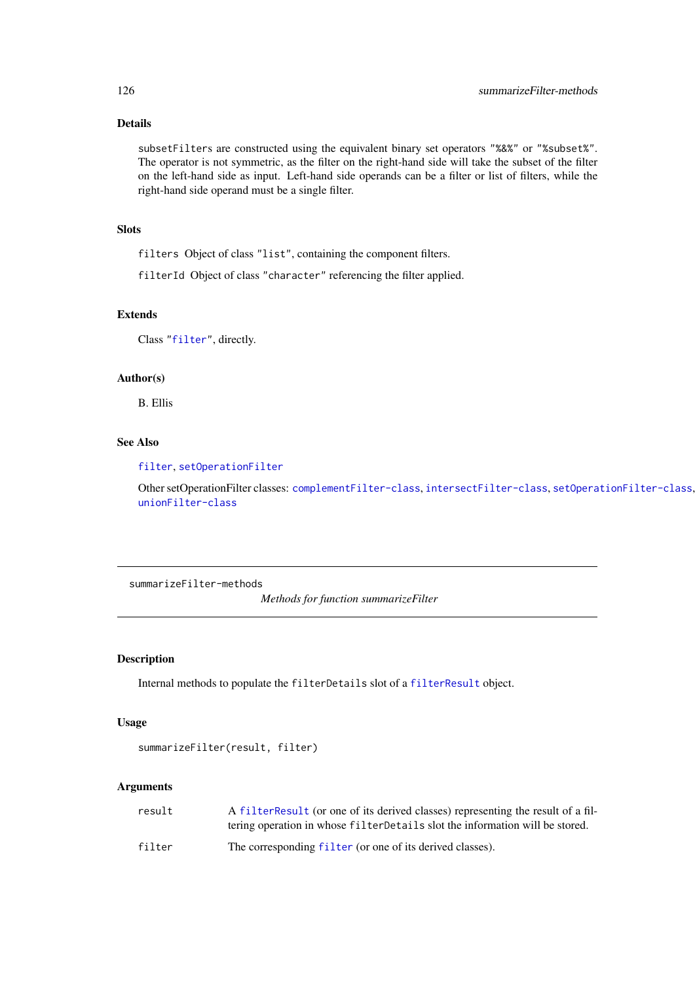## <span id="page-125-0"></span>Details

subsetFilters are constructed using the equivalent binary set operators "%&%" or "%subset%". The operator is not symmetric, as the filter on the right-hand side will take the subset of the filter on the left-hand side as input. Left-hand side operands can be a filter or list of filters, while the right-hand side operand must be a single filter.

## Slots

filters Object of class "list", containing the component filters.

filterId Object of class "character" referencing the filter applied.

## Extends

Class ["filter"](#page-30-0), directly.

## Author(s)

B. Ellis

## See Also

## [filter](#page-32-0), [setOperationFilter](#page-113-0)

Other setOperationFilter classes: [complementFilter-class](#page-18-1), [intersectFilter-class](#page-63-0), [setOperationFilter-class](#page-113-0), [unionFilter-class](#page-136-0)

summarizeFilter-methods

*Methods for function summarizeFilter*

#### Description

Internal methods to populate the filterDetails slot of a [filterResult](#page-37-1) object.

## Usage

```
summarizeFilter(result, filter)
```
#### Arguments

| result | A filter Result (or one of its derived classes) representing the result of a fil- |
|--------|-----------------------------------------------------------------------------------|
|        | tering operation in whose filter Details slot the information will be stored.     |
| filter | The corresponding filter (or one of its derived classes).                         |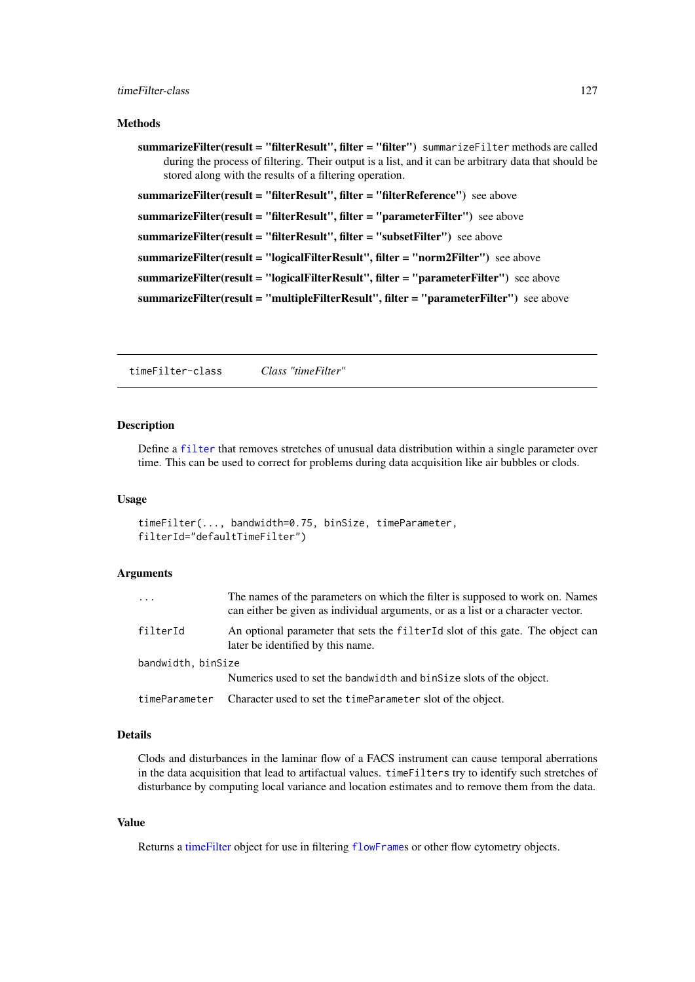#### <span id="page-126-1"></span>Methods

summarizeFilter(result = "filterResult", filter = "filter") summarizeFilter methods are called during the process of filtering. Their output is a list, and it can be arbitrary data that should be stored along with the results of a filtering operation.

summarizeFilter(result = "filterResult", filter = "filterReference") see above

summarizeFilter(result = "filterResult", filter = "parameterFilter") see above

summarizeFilter(result = "filterResult", filter = "subsetFilter") see above

summarizeFilter(result = "logicalFilterResult", filter = "norm2Filter") see above

summarizeFilter(result = "logicalFilterResult", filter = "parameterFilter") see above

summarizeFilter(result = "multipleFilterResult", filter = "parameterFilter") see above

timeFilter-class *Class "timeFilter"*

#### <span id="page-126-0"></span>Description

Define a [filter](#page-32-0) that removes stretches of unusual data distribution within a single parameter over time. This can be used to correct for problems during data acquisition like air bubbles or clods.

## Usage

```
timeFilter(..., bandwidth=0.75, binSize, timeParameter,
filterId="defaultTimeFilter")
```
## Arguments

| $\ddots$           | The names of the parameters on which the filter is supposed to work on. Names<br>can either be given as individual arguments, or as a list or a character vector. |  |
|--------------------|-------------------------------------------------------------------------------------------------------------------------------------------------------------------|--|
| filterId           | An optional parameter that sets the filterId slot of this gate. The object can<br>later be identified by this name.                                               |  |
| bandwidth, binSize |                                                                                                                                                                   |  |
|                    | Numerics used to set the bandwidth and binsize slots of the object.                                                                                               |  |
| timeParameter      | Character used to set the timeParameter slot of the object.                                                                                                       |  |

## Details

Clods and disturbances in the laminar flow of a FACS instrument can cause temporal aberrations in the data acquisition that lead to artifactual values. timeFilters try to identify such stretches of disturbance by computing local variance and location estimates and to remove them from the data.

## Value

Returns a [timeFilter](#page-126-0) object for use in filtering [flowFrame](#page-44-0)s or other flow cytometry objects.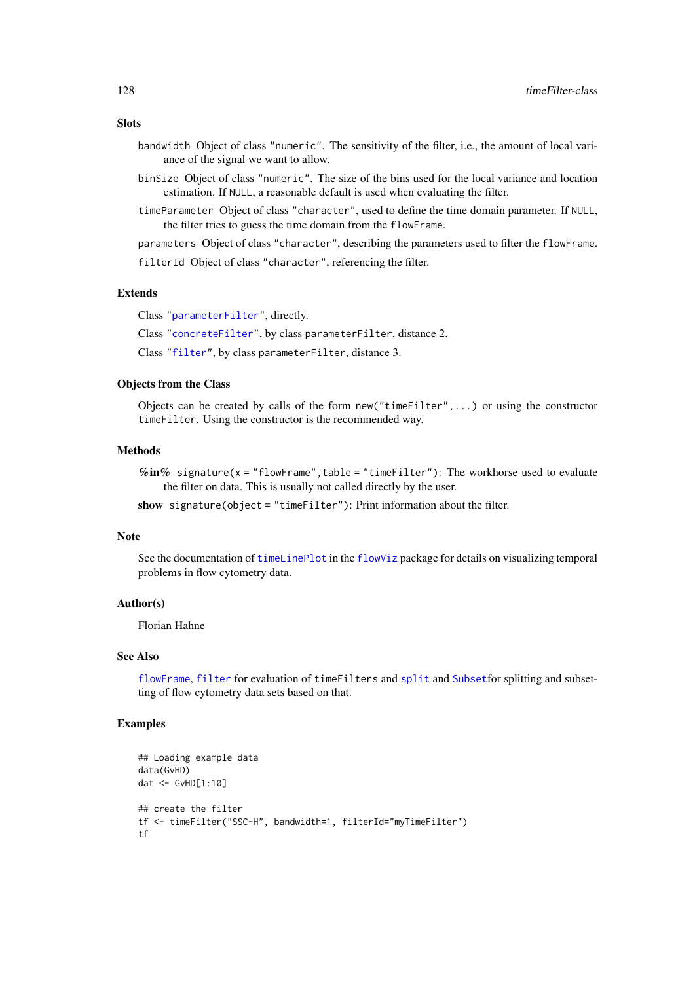#### Slots

- bandwidth Object of class "numeric". The sensitivity of the filter, i.e., the amount of local variance of the signal we want to allow.
- binSize Object of class "numeric". The size of the bins used for the local variance and location estimation. If NULL, a reasonable default is used when evaluating the filter.
- timeParameter Object of class "character", used to define the time domain parameter. If NULL, the filter tries to guess the time domain from the flowFrame.

parameters Object of class "character", describing the parameters used to filter the flowFrame.

filterId Object of class "character", referencing the filter.

#### Extends

Class ["parameterFilter"](#page-87-0), directly.

Class ["concreteFilter"](#page-18-0), by class parameterFilter, distance 2.

Class ["filter"](#page-30-0), by class parameterFilter, distance 3.

#### Objects from the Class

Objects can be created by calls of the form new ("timeFilter",...) or using the constructor timeFilter. Using the constructor is the recommended way.

#### Methods

% $\mathbf{in}\%$  signature(x = "flowFrame", table = "timeFilter"): The workhorse used to evaluate the filter on data. This is usually not called directly by the user.

show signature(object = "timeFilter"): Print information about the filter.

#### Note

See the documentation of [timeLinePlot](#page-0-0) in the [flowViz](#page-0-0) package for details on visualizing temporal problems in flow cytometry data.

#### Author(s)

Florian Hahne

### See Also

[flowFrame](#page-44-0), [filter](#page-32-0) for evaluation of timeFilters and [split](#page-117-0) and [Subset](#page-123-0)for splitting and subsetting of flow cytometry data sets based on that.

## Examples

```
## Loading example data
data(GvHD)
dat <- GvHD[1:10]
## create the filter
tf <- timeFilter("SSC-H", bandwidth=1, filterId="myTimeFilter")
tf
```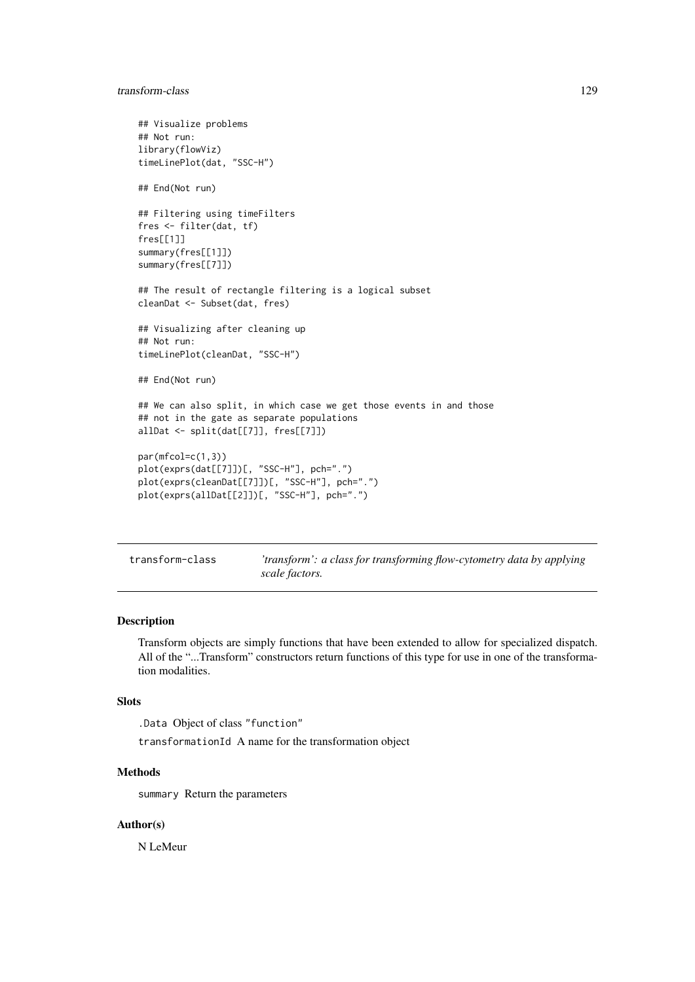#### <span id="page-128-2"></span>transform-class 129

```
## Visualize problems
## Not run:
library(flowViz)
timeLinePlot(dat, "SSC-H")
## End(Not run)
## Filtering using timeFilters
fres <- filter(dat, tf)
fres[[1]]
summary(fres[[1]])
summary(fres[[7]])
## The result of rectangle filtering is a logical subset
cleanDat <- Subset(dat, fres)
## Visualizing after cleaning up
## Not run:
timeLinePlot(cleanDat, "SSC-H")
## End(Not run)
## We can also split, in which case we get those events in and those
## not in the gate as separate populations
allDat <- split(dat[[7]], fres[[7]])
par(mfcol=c(1,3))
plot(exprs(dat[[7]])[, "SSC-H"], pch=".")
plot(exprs(cleanDat[[7]])[, "SSC-H"], pch=".")
plot(exprs(allDat[[2]])[, "SSC-H"], pch=".")
```
<span id="page-128-0"></span>

| transform-class | 'transform': a class for transforming flow-cytometry data by applying |
|-----------------|-----------------------------------------------------------------------|
|                 | scale factors.                                                        |

#### <span id="page-128-1"></span>Description

Transform objects are simply functions that have been extended to allow for specialized dispatch. All of the "...Transform" constructors return functions of this type for use in one of the transformation modalities.

## **Slots**

.Data Object of class "function"

transformationId A name for the transformation object

## Methods

summary Return the parameters

## Author(s)

N LeMeur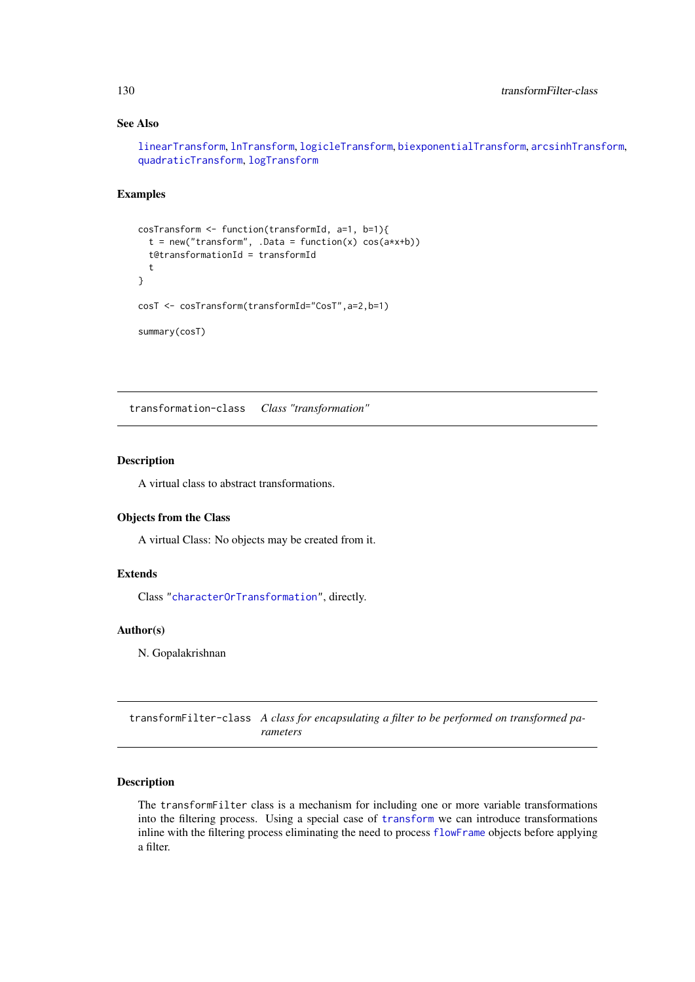## See Also

```
linearTransform, lnTransform, logicleTransform, biexponentialTransform, arcsinhTransform,
quadraticTransform, logTransform
```
#### Examples

```
cosTransform <- function(transformId, a=1, b=1){
  t = new("transform", .Data = function(x) cos(axx+b))t@transformationId = transformId
  t
}
cosT <- cosTransform(transformId="CosT",a=2,b=1)
summary(cosT)
```
<span id="page-129-0"></span>transformation-class *Class "transformation"*

#### Description

A virtual class to abstract transformations.

#### Objects from the Class

A virtual Class: No objects may be created from it.

## Extends

Class ["characterOrTransformation"](#page-12-0), directly.

## Author(s)

N. Gopalakrishnan

transformFilter-class *A class for encapsulating a filter to be performed on transformed parameters*

## <span id="page-129-1"></span>Description

The transformFilter class is a mechanism for including one or more variable transformations into the filtering process. Using a special case of [transform](#page-128-1) we can introduce transformations inline with the filtering process eliminating the need to process [flowFrame](#page-44-0) objects before applying a filter.

<span id="page-129-2"></span>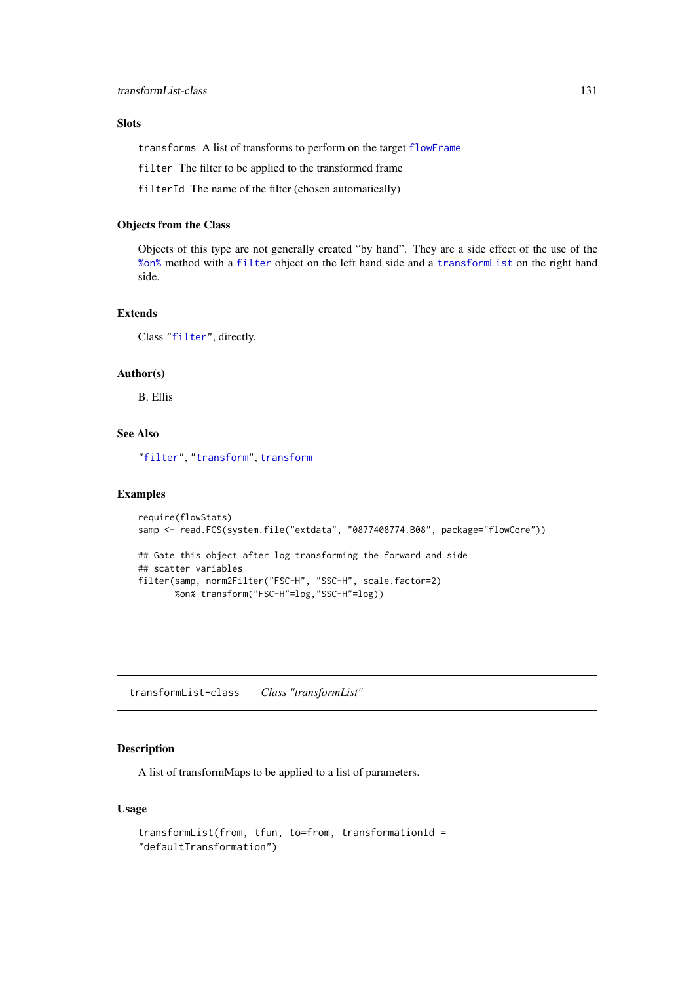## <span id="page-130-1"></span>**Slots**

transforms A list of transforms to perform on the target [flowFrame](#page-44-0)

filter The filter to be applied to the transformed frame

filterId The name of the filter (chosen automatically)

## Objects from the Class

Objects of this type are not generally created "by hand". They are a side effect of the use of the [%on%](#page-34-0) method with a [filter](#page-32-0) object on the left hand side and a [transformList](#page-130-0) on the right hand side.

## Extends

Class ["filter"](#page-30-0), directly.

## Author(s)

B. Ellis

## See Also

["filter"](#page-30-0), ["transform"](#page-128-0), [transform](#page-128-1)

## Examples

```
require(flowStats)
samp <- read.FCS(system.file("extdata", "0877408774.B08", package="flowCore"))
## Gate this object after log transforming the forward and side
## scatter variables
filter(samp, norm2Filter("FSC-H", "SSC-H", scale.factor=2)
       %on% transform("FSC-H"=log,"SSC-H"=log))
```
transformList-class *Class "transformList"*

## <span id="page-130-0"></span>Description

A list of transformMaps to be applied to a list of parameters.

## Usage

```
transformList(from, tfun, to=from, transformationId =
"defaultTransformation")
```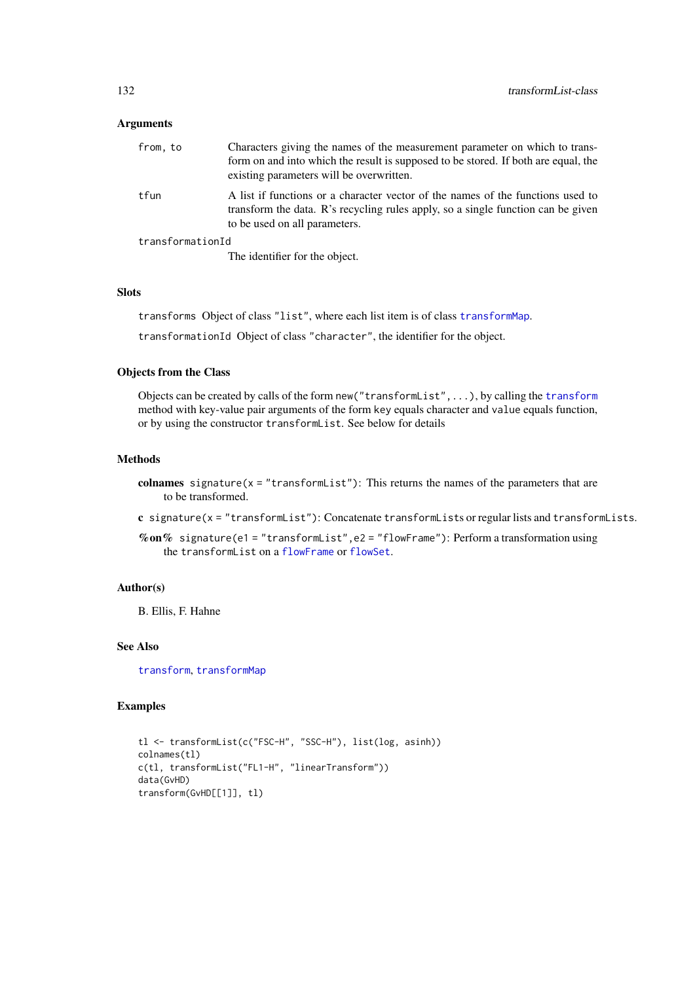## Arguments

| from, to         | Characters giving the names of the measurement parameter on which to trans-<br>form on and into which the result is supposed to be stored. If both are equal, the<br>existing parameters will be overwritten. |
|------------------|---------------------------------------------------------------------------------------------------------------------------------------------------------------------------------------------------------------|
| tfun             | A list if functions or a character vector of the names of the functions used to<br>transform the data. R's recycling rules apply, so a single function can be given<br>to be used on all parameters.          |
| transformationId |                                                                                                                                                                                                               |
|                  | The identifier for the object.                                                                                                                                                                                |

## Slots

transforms Object of class "list", where each list item is of class [transformMap](#page-132-0).

transformationId Object of class "character", the identifier for the object.

#### Objects from the Class

Objects can be created by calls of the form new("transformList",...), by calling the [transform](#page-128-1) method with key-value pair arguments of the form key equals character and value equals function, or by using the constructor transformList. See below for details

#### Methods

- colnames signature( $x = "transformList")$ : This returns the names of the parameters that are to be transformed.
- c signature(x = "transformList"): Concatenate transformLists or regular lists and transformLists.
- %on% signature(e1 = "transformList", e2 = "flowFrame"): Perform a transformation using the transformList on a [flowFrame](#page-44-0) or [flowSet](#page-50-1).

## Author(s)

B. Ellis, F. Hahne

## See Also

[transform](#page-128-1), [transformMap](#page-132-0)

#### Examples

```
tl <- transformList(c("FSC-H", "SSC-H"), list(log, asinh))
colnames(tl)
c(tl, transformList("FL1-H", "linearTransform"))
data(GvHD)
transform(GvHD[[1]], tl)
```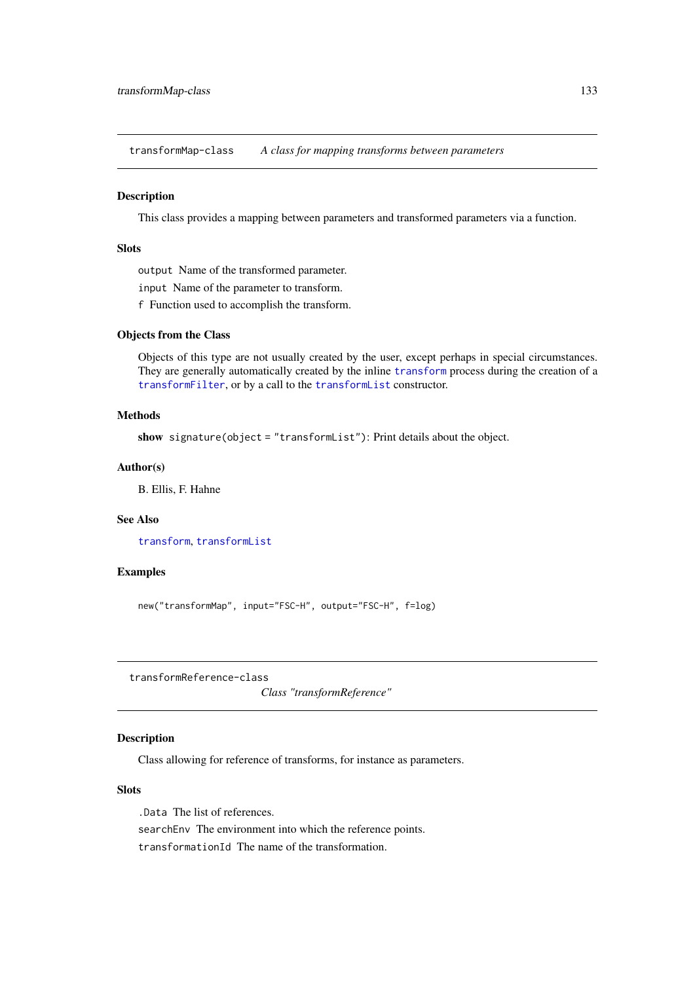<span id="page-132-1"></span>transformMap-class *A class for mapping transforms between parameters*

## <span id="page-132-0"></span>Description

This class provides a mapping between parameters and transformed parameters via a function.

## Slots

output Name of the transformed parameter.

input Name of the parameter to transform.

f Function used to accomplish the transform.

#### Objects from the Class

Objects of this type are not usually created by the user, except perhaps in special circumstances. They are generally automatically created by the inline [transform](#page-128-1) process during the creation of a [transformFilter](#page-129-1), or by a call to the [transformList](#page-130-0) constructor.

## Methods

show signature(object = "transformList"): Print details about the object.

#### Author(s)

B. Ellis, F. Hahne

## See Also

[transform](#page-128-1), [transformList](#page-130-0)

## Examples

new("transformMap", input="FSC-H", output="FSC-H", f=log)

transformReference-class

*Class "transformReference"*

## Description

Class allowing for reference of transforms, for instance as parameters.

## Slots

.Data The list of references. searchEnv The environment into which the reference points. transformationId The name of the transformation.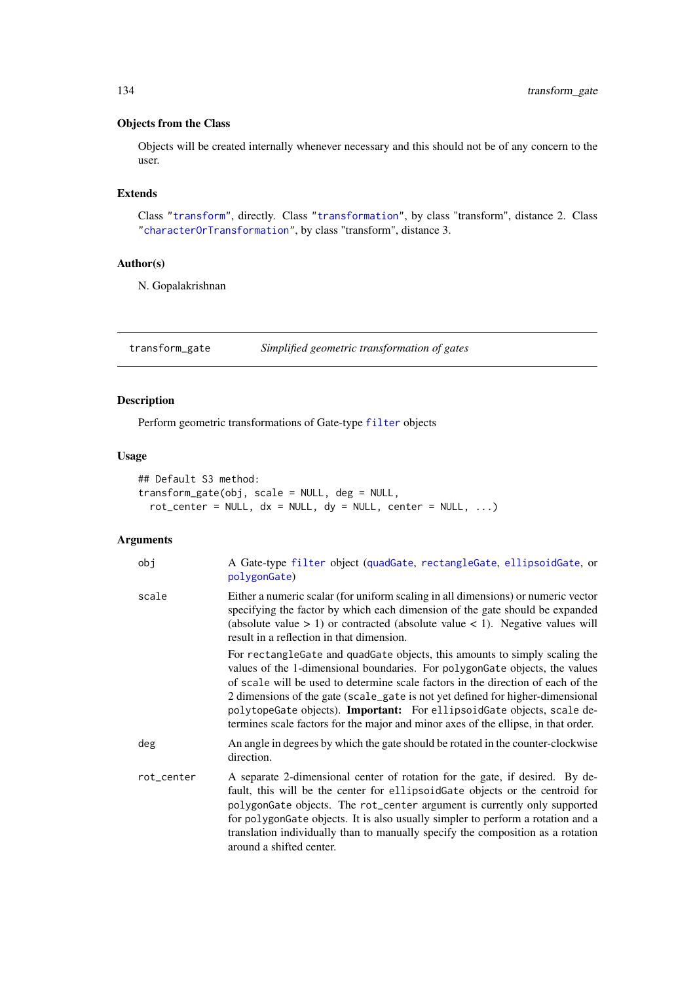## Objects from the Class

Objects will be created internally whenever necessary and this should not be of any concern to the user.

## Extends

Class ["transform"](#page-128-0), directly. Class ["transformation"](#page-129-0), by class "transform", distance 2. Class ["characterOrTransformation"](#page-12-0), by class "transform", distance 3.

## Author(s)

N. Gopalakrishnan

transform\_gate *Simplified geometric transformation of gates*

## Description

Perform geometric transformations of Gate-type [filter](#page-30-0) objects

## Usage

| ## Default S3 method:                                               |  |
|---------------------------------------------------------------------|--|
| $transform\_gate(obj, scale = NULL, deg = NULL,$                    |  |
| $rot_c$ center = NULL, $dx = NULL$ , $dy = NULL$ , center = NULL, ) |  |

## Arguments

| obj        | A Gate-type filter object (quadGate, rectangleGate, ellipsoidGate, or<br>polygonGate)                                                                                                                                                                                                                                                                                                                                                                                                           |
|------------|-------------------------------------------------------------------------------------------------------------------------------------------------------------------------------------------------------------------------------------------------------------------------------------------------------------------------------------------------------------------------------------------------------------------------------------------------------------------------------------------------|
| scale      | Either a numeric scalar (for uniform scaling in all dimensions) or numeric vector<br>specifying the factor by which each dimension of the gate should be expanded<br>(absolute value $> 1$ ) or contracted (absolute value $< 1$ ). Negative values will<br>result in a reflection in that dimension.                                                                                                                                                                                           |
|            | For rectangleGate and quadGate objects, this amounts to simply scaling the<br>values of the 1-dimensional boundaries. For polygonGate objects, the values<br>of scale will be used to determine scale factors in the direction of each of the<br>2 dimensions of the gate (scale_gate is not yet defined for higher-dimensional<br>polytopeGate objects). Important: For ellipsoidGate objects, scale de-<br>termines scale factors for the major and minor axes of the ellipse, in that order. |
| deg        | An angle in degrees by which the gate should be rotated in the counter-clockwise<br>direction.                                                                                                                                                                                                                                                                                                                                                                                                  |
| rot_center | A separate 2-dimensional center of rotation for the gate, if desired. By de-<br>fault, this will be the center for ellipsoid Gate objects or the centroid for<br>polygon Gate objects. The rot_center argument is currently only supported<br>for polygonGate objects. It is also usually simpler to perform a rotation and a<br>translation individually than to manually specify the composition as a rotation<br>around a shifted center.                                                    |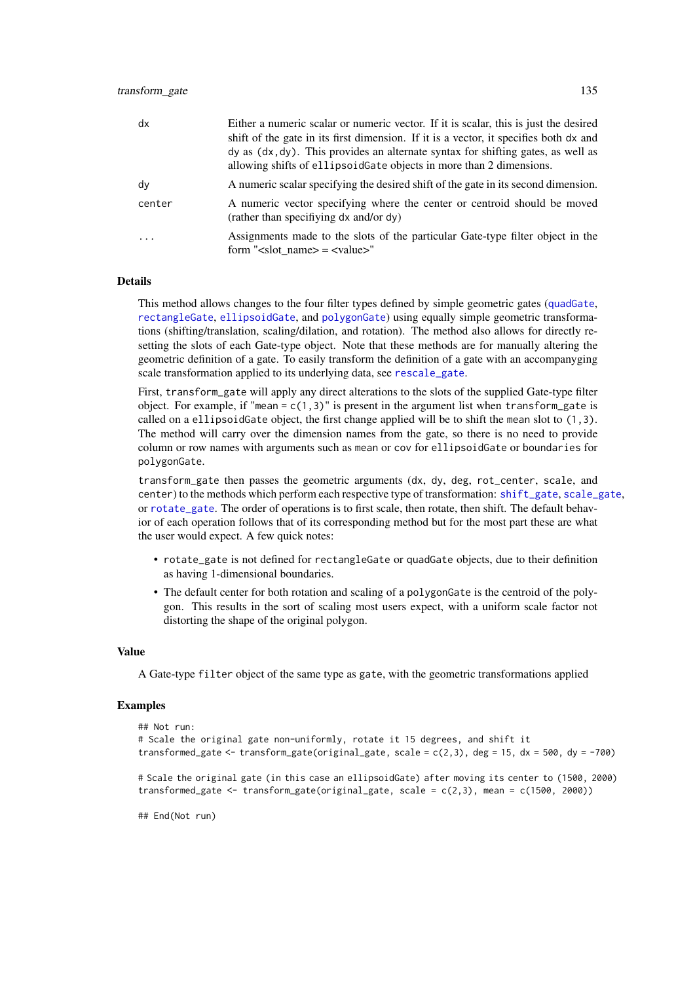#### transform\_gate 135

| dx        | Either a numeric scalar or numeric vector. If it is scalar, this is just the desired<br>shift of the gate in its first dimension. If it is a vector, it specifies both dx and<br>dy as (dx, dy). This provides an alternate syntax for shifting gates, as well as<br>allowing shifts of ellipsoidGate objects in more than 2 dimensions. |
|-----------|------------------------------------------------------------------------------------------------------------------------------------------------------------------------------------------------------------------------------------------------------------------------------------------------------------------------------------------|
| dv        | A numeric scalar specifying the desired shift of the gate in its second dimension.                                                                                                                                                                                                                                                       |
| center    | A numeric vector specifying where the center or centroid should be moved<br>(rather than specifiving dx and/or dy)                                                                                                                                                                                                                       |
| $\ddotsc$ | Assignments made to the slots of the particular Gate-type filter object in the<br>form " $\le$ slot name $>$ = $\le$ value $>$ "                                                                                                                                                                                                         |

#### Details

This method allows changes to the four filter types defined by simple geometric gates ([quadGate](#page-93-0), [rectangleGate](#page-106-0), [ellipsoidGate](#page-23-1), and [polygonGate](#page-90-1)) using equally simple geometric transformations (shifting/translation, scaling/dilation, and rotation). The method also allows for directly resetting the slots of each Gate-type object. Note that these methods are for manually altering the geometric definition of a gate. To easily transform the definition of a gate with an accompanyging scale transformation applied to its underlying data, see [rescale\\_gate](#page-0-0).

First, transform\_gate will apply any direct alterations to the slots of the supplied Gate-type filter object. For example, if "mean =  $c(1,3)$ " is present in the argument list when transform\_gate is called on a ellipsoidGate object, the first change applied will be to shift the mean slot to (1,3). The method will carry over the dimension names from the gate, so there is no need to provide column or row names with arguments such as mean or cov for ellipsoidGate or boundaries for polygonGate.

transform\_gate then passes the geometric arguments (dx, dy, deg, rot\_center, scale, and center) to the methods which perform each respective type of transformation: [shift\\_gate](#page-114-0), [scale\\_gate](#page-112-0), or [rotate\\_gate](#page-109-0). The order of operations is to first scale, then rotate, then shift. The default behavior of each operation follows that of its corresponding method but for the most part these are what the user would expect. A few quick notes:

- rotate\_gate is not defined for rectangleGate or quadGate objects, due to their definition as having 1-dimensional boundaries.
- The default center for both rotation and scaling of a polygonGate is the centroid of the polygon. This results in the sort of scaling most users expect, with a uniform scale factor not distorting the shape of the original polygon.

#### Value

A Gate-type filter object of the same type as gate, with the geometric transformations applied

#### Examples

```
## Not run:
# Scale the original gate non-uniformly, rotate it 15 degrees, and shift it
transformed_gate <- transform_gate(original_gate, scale = c(2,3), deg = 15, dx = 500, dy = -700)
# Scale the original gate (in this case an ellipsoidGate) after moving its center to (1500, 2000)
transformed_gate <- transform_gate(original_gate, scale = c(2,3), mean = c(1500, 2000))
```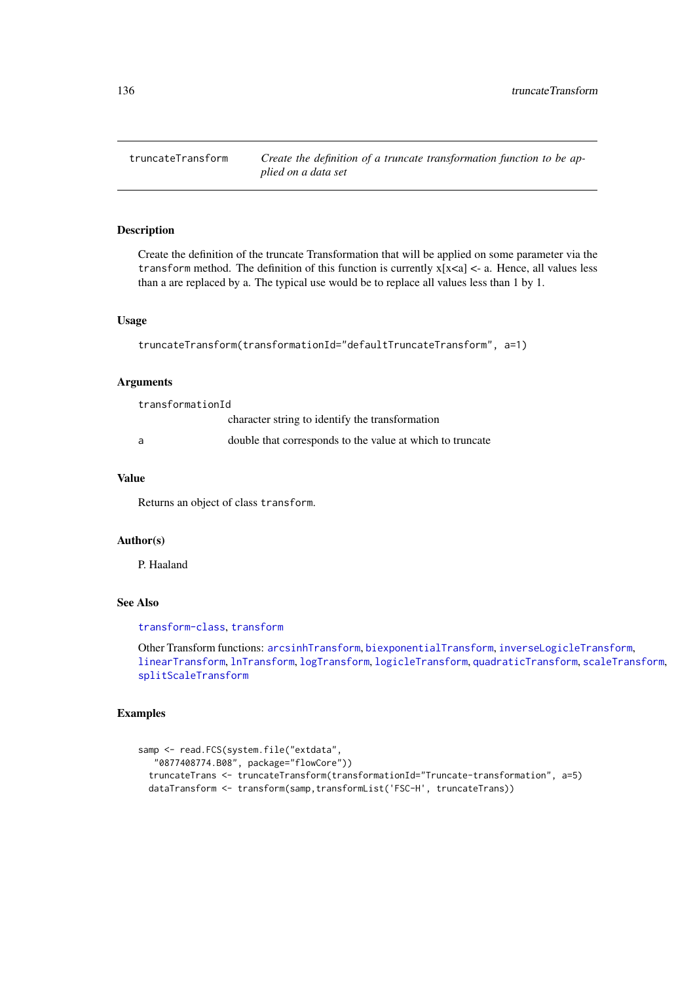<span id="page-135-1"></span><span id="page-135-0"></span>truncateTransform *Create the definition of a truncate transformation function to be applied on a data set*

## Description

Create the definition of the truncate Transformation that will be applied on some parameter via the transform method. The definition of this function is currently  $x[x < a] < -a$ . Hence, all values less than a are replaced by a. The typical use would be to replace all values less than 1 by 1.

## Usage

```
truncateTransform(transformationId="defaultTruncateTransform", a=1)
```
#### Arguments

| transformationId |                                                           |
|------------------|-----------------------------------------------------------|
|                  | character string to identify the transformation           |
| a                | double that corresponds to the value at which to truncate |

## Value

Returns an object of class transform.

#### Author(s)

P. Haaland

#### See Also

#### [transform-class](#page-128-0), [transform](#page-128-1)

Other Transform functions: [arcsinhTransform](#page-4-0), [biexponentialTransform](#page-8-0), [inverseLogicleTransform](#page-64-0), [linearTransform](#page-70-0), [lnTransform](#page-73-0), [logTransform](#page-82-0), [logicleTransform](#page-79-0), [quadraticTransform](#page-96-0), [scaleTransform](#page-111-0), [splitScaleTransform](#page-121-0)

## Examples

```
samp <- read.FCS(system.file("extdata",
   "0877408774.B08", package="flowCore"))
  truncateTrans <- truncateTransform(transformationId="Truncate-transformation", a=5)
  dataTransform <- transform(samp,transformList('FSC-H', truncateTrans))
```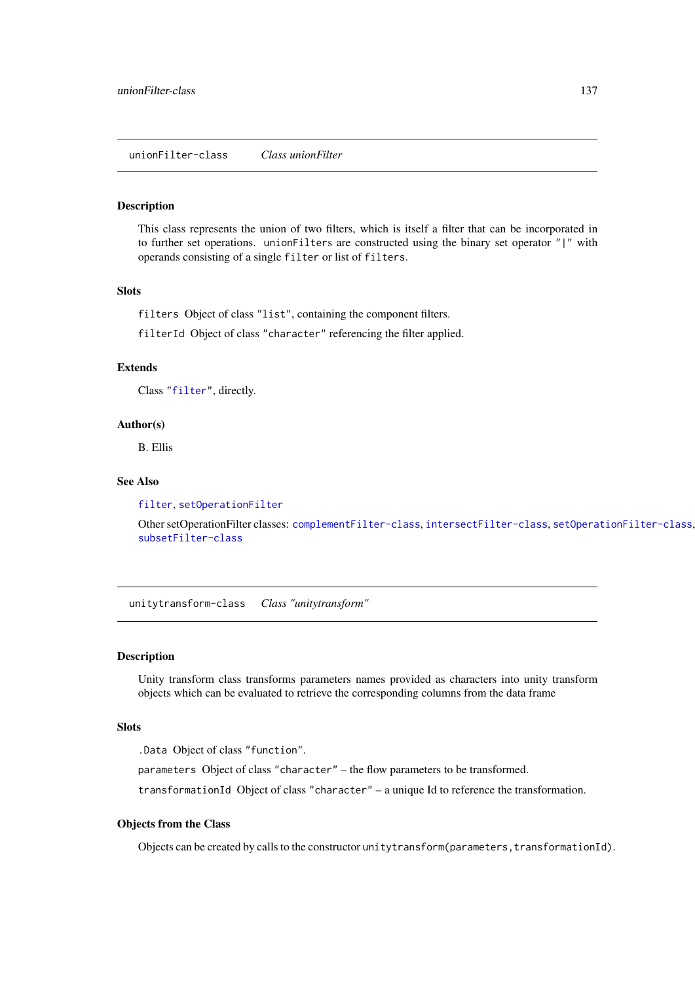<span id="page-136-2"></span><span id="page-136-0"></span>unionFilter-class *Class unionFilter*

#### Description

This class represents the union of two filters, which is itself a filter that can be incorporated in to further set operations. unionFilters are constructed using the binary set operator "|" with operands consisting of a single filter or list of filters.

## Slots

filters Object of class "list", containing the component filters.

filterId Object of class "character" referencing the filter applied.

## Extends

Class ["filter"](#page-30-0), directly.

#### Author(s)

B. Ellis

## See Also

[filter](#page-32-0), [setOperationFilter](#page-113-0)

Other setOperationFilter classes: [complementFilter-class](#page-18-1), [intersectFilter-class](#page-63-0), [setOperationFilter-class](#page-113-0), [subsetFilter-class](#page-124-0)

<span id="page-136-1"></span>unitytransform-class *Class "unitytransform"*

## Description

Unity transform class transforms parameters names provided as characters into unity transform objects which can be evaluated to retrieve the corresponding columns from the data frame

## Slots

.Data Object of class "function".

parameters Object of class "character" – the flow parameters to be transformed.

transformationId Object of class "character" – a unique Id to reference the transformation.

## Objects from the Class

Objects can be created by calls to the constructor unitytransform(parameters, transformationId).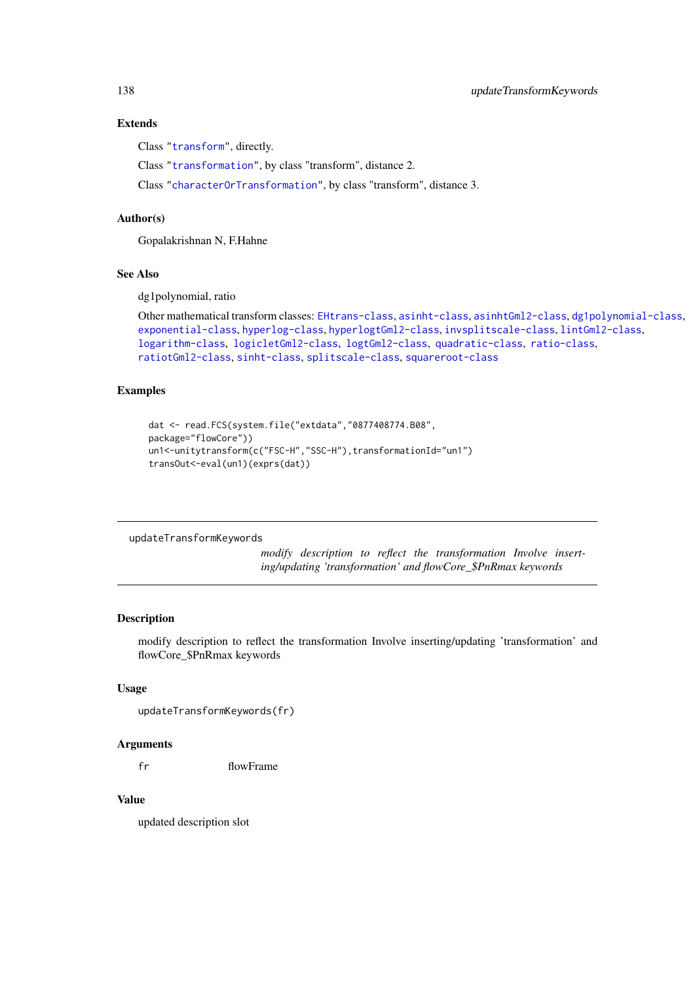### Extends

Class ["transform"](#page-128-0), directly.

Class ["transformation"](#page-129-0), by class "transform", distance 2.

Class ["characterOrTransformation"](#page-12-0), by class "transform", distance 3.

## Author(s)

Gopalakrishnan N, F.Hahne

## See Also

dg1polynomial, ratio

```
Other mathematical transform classes: EHtrans-class, asinht-class, asinhtGml2-class, dg1polynomial-class,
exponential-class, hyperlog-class, hyperlogtGml2-class, invsplitscale-class, lintGml2-class,
logarithm-class, logicletGml2-class, logtGml2-class, quadratic-class, ratio-class,
ratiotGml2-class, sinht-class, splitscale-class, squareroot-class
```
## Examples

```
dat <- read.FCS(system.file("extdata","0877408774.B08",
package="flowCore"))
un1<-unitytransform(c("FSC-H","SSC-H"),transformationId="un1")
transOut<-eval(un1)(exprs(dat))
```
updateTransformKeywords

*modify description to reflect the transformation Involve inserting/updating 'transformation' and flowCore\_\$PnRmax keywords*

## Description

modify description to reflect the transformation Involve inserting/updating 'transformation' and flowCore\_\$PnRmax keywords

## Usage

```
updateTransformKeywords(fr)
```
#### Arguments

fr flowFrame

## Value

updated description slot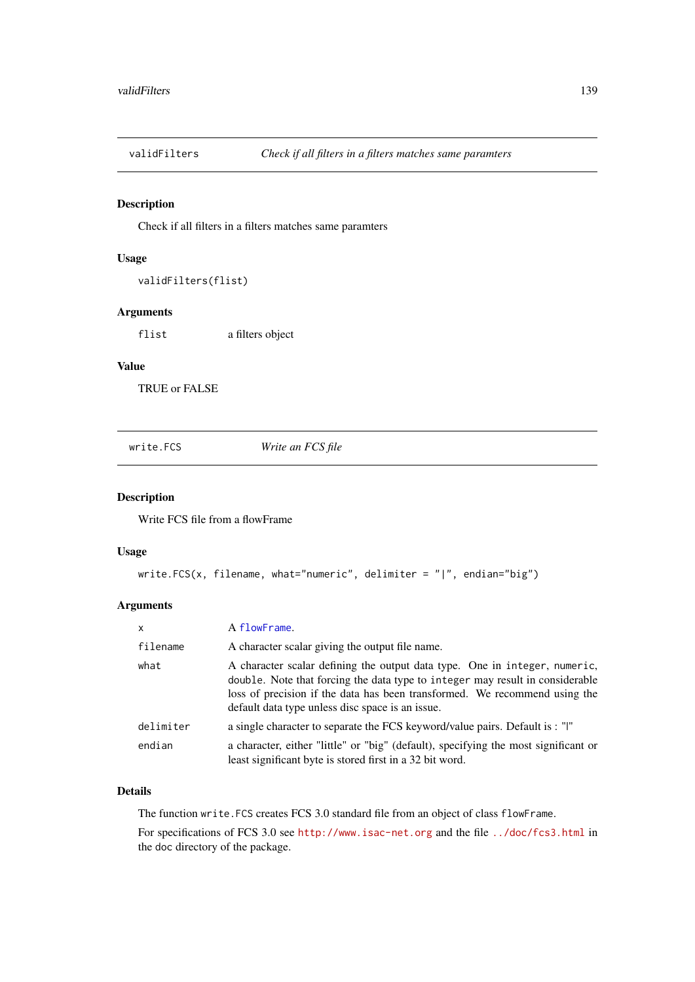<span id="page-138-1"></span>

## Description

Check if all filters in a filters matches same paramters

#### Usage

```
validFilters(flist)
```
## Arguments

flist a filters object

#### Value

TRUE or FALSE

<span id="page-138-0"></span>write.FCS *Write an FCS file*

#### Description

Write FCS file from a flowFrame

## Usage

```
write.FCS(x, filename, what="numeric", delimiter = "|", endian="big")
```
## Arguments

| X         | A flowFrame.                                                                                                                                                                                                                                                                                  |
|-----------|-----------------------------------------------------------------------------------------------------------------------------------------------------------------------------------------------------------------------------------------------------------------------------------------------|
| filename  | A character scalar giving the output file name.                                                                                                                                                                                                                                               |
| what      | A character scalar defining the output data type. One in integer, numeric,<br>double. Note that forcing the data type to integer may result in considerable<br>loss of precision if the data has been transformed. We recommend using the<br>default data type unless disc space is an issue. |
| delimiter | a single character to separate the FCS keyword/value pairs. Default is : " "                                                                                                                                                                                                                  |
| endian    | a character, either "little" or "big" (default), specifying the most significant or<br>least significant byte is stored first in a 32 bit word.                                                                                                                                               |

## Details

The function write.FCS creates FCS 3.0 standard file from an object of class flowFrame.

For specifications of FCS 3.0 see <http://www.isac-net.org> and the file <../doc/fcs3.html> in the doc directory of the package.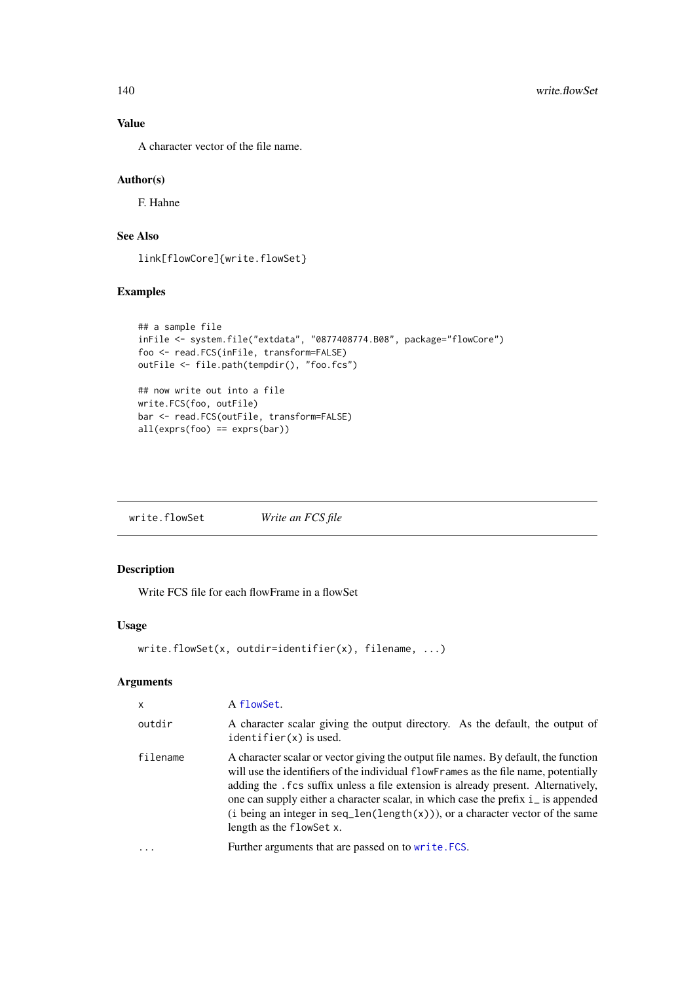<span id="page-139-0"></span>

## Value

A character vector of the file name.

## Author(s)

F. Hahne

## See Also

link[flowCore]{write.flowSet}

## Examples

```
## a sample file
inFile <- system.file("extdata", "0877408774.B08", package="flowCore")
foo <- read.FCS(inFile, transform=FALSE)
outFile <- file.path(tempdir(), "foo.fcs")
## now write out into a file
write.FCS(foo, outFile)
bar <- read.FCS(outFile, transform=FALSE)
all(exprs(foo) == exprs(bar))
```
write.flowSet *Write an FCS file*

## Description

Write FCS file for each flowFrame in a flowSet

## Usage

```
write.flowSet(x, outdir=identifier(x), filename, ...)
```
## Arguments

| $\mathsf{x}$ | A flowSet.                                                                                                                                                                                                                                                                                                                                                                                                                                                                 |
|--------------|----------------------------------------------------------------------------------------------------------------------------------------------------------------------------------------------------------------------------------------------------------------------------------------------------------------------------------------------------------------------------------------------------------------------------------------------------------------------------|
| outdir       | A character scalar giving the output directory. As the default, the output of<br>$identity$ identifier $(x)$ is used.                                                                                                                                                                                                                                                                                                                                                      |
| filename     | A character scalar or vector giving the output file names. By default, the function<br>will use the identifiers of the individual flow Frames as the file name, potentially<br>adding the . fcs suffix unless a file extension is already present. Alternatively,<br>one can supply either a character scalar, in which case the prefix i_ is appended<br>$(i)$ being an integer in seq_len(length $(x)$ ), or a character vector of the same<br>length as the flow Set x. |
| .            | Further arguments that are passed on to write. FCS.                                                                                                                                                                                                                                                                                                                                                                                                                        |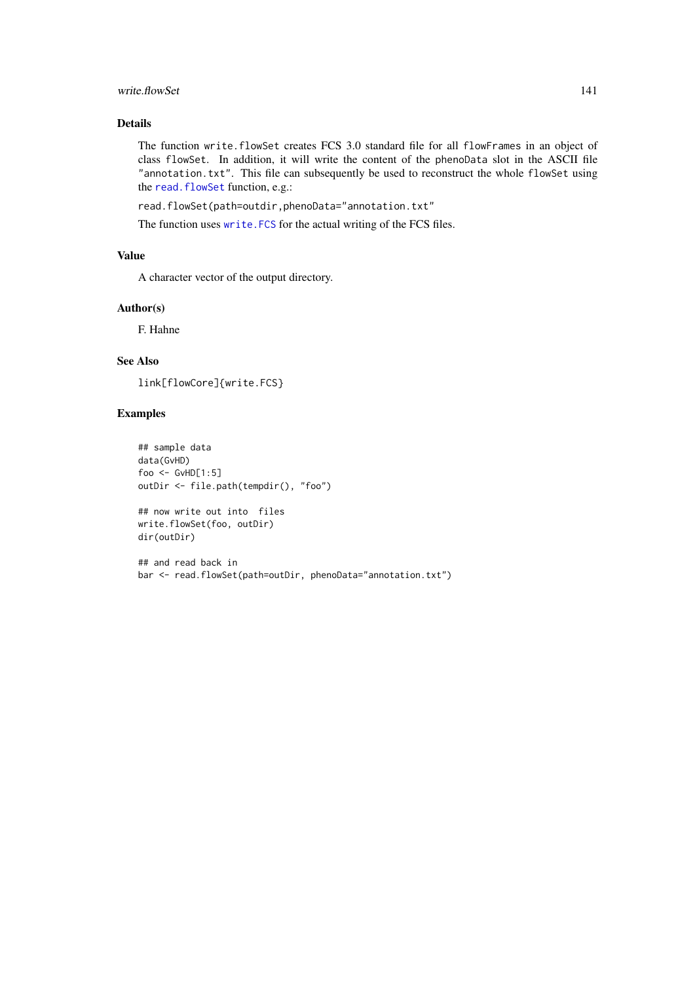#### write.flowSet 141

## Details

The function write.flowSet creates FCS 3.0 standard file for all flowFrames in an object of class flowSet. In addition, it will write the content of the phenoData slot in the ASCII file "annotation.txt". This file can subsequently be used to reconstruct the whole flowSet using the [read.flowSet](#page-104-0) function, e.g.:

read.flowSet(path=outdir,phenoData="annotation.txt"

The function uses [write.FCS](#page-138-0) for the actual writing of the FCS files.

## Value

A character vector of the output directory.

#### Author(s)

F. Hahne

## See Also

link[flowCore]{write.FCS}

## Examples

```
## sample data
data(GvHD)
foo <- GvHD[1:5]
outDir <- file.path(tempdir(), "foo")
## now write out into files
write.flowSet(foo, outDir)
dir(outDir)
## and read back in
```
bar <- read.flowSet(path=outDir, phenoData="annotation.txt")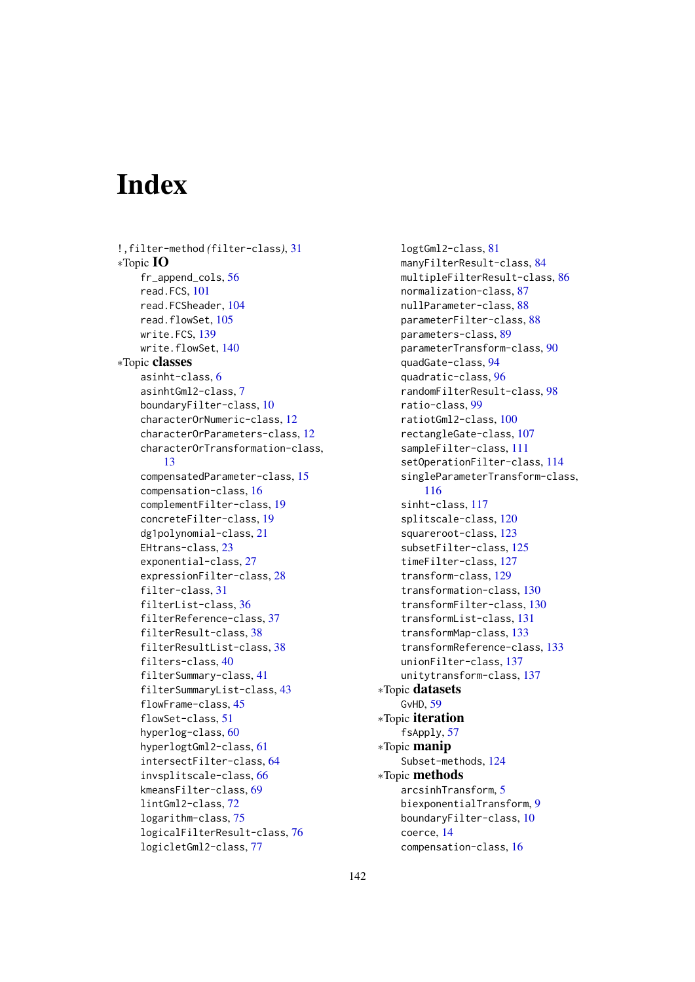# Index

```
!,filter-method (filter-class), 31
∗Topic IO
    fr_append_cols, 56
    read.FCS, 101
    read.FCSheader, 104
    105
    write.FCS, 139
    write.flowSet, 140
∗Topic classes
    asinht-class, 6
    asinhtGml2-class, 7
    boundaryFilter-class, 10
    characterOrNumeric-class, 12
    characterOrParameters-class, 12
    characterOrTransformation-class,
        13
    compensatedParameter-class, 15
    compensation-class, 16
    complementFilter-class, 19
    concreteFilter-class, 19
    dg1polynomial-class, 21
    EHtrans-class, 23
    exponential-class, 27
    expressionFilter-class, 28
    filter-class, 31
    filterList-class, 36
    filterReference-class, 37
    filterResult-class, 38
    filterResultList-class, 38
    filters-class, 40
    filterSummary-class, 41
    filterSummaryList-class, 43
    flowFrame-class, 45
    flowSet-class, 51
    hyperlog-class, 60
    hyperlogtGml2-class, 61
    intersectFilter-class, 64
    invsplitscale-class, 66
    kmeansFilter-class, 69
    lintGml2-class, 72
    logarithm-class, 75
    logicalFilterResult-class, 76
    logicletGml2-class, 77
```
logtGml2-class, [81](#page-80-1) manyFilterResult-class, [84](#page-83-1) multipleFilterResult-class, [86](#page-85-1) normalization-class, [87](#page-86-0) nullParameter-class, [88](#page-87-1) parameterFilter-class, [88](#page-87-1) parameters-class, [89](#page-88-0) parameterTransform-class, [90](#page-89-0) quadGate-class, [94](#page-93-1) quadratic-class, [96](#page-95-1) randomFilterResult-class, [98](#page-97-0) ratio-class, [99](#page-98-1) ratiotGml2-class, [100](#page-99-1) rectangleGate-class, [107](#page-106-1) sampleFilter-class, [111](#page-110-0) setOperationFilter-class, [114](#page-113-1) singleParameterTransform-class, [116](#page-115-1) sinht-class, [117](#page-116-1) splitscale-class, [120](#page-119-1) squareroot-class, [123](#page-122-1) subsetFilter-class, [125](#page-124-1) timeFilter-class, [127](#page-126-1) transform-class, [129](#page-128-2) transformation-class, [130](#page-129-2) transformFilter-class, [130](#page-129-2) transformList-class, [131](#page-130-1) transformMap-class, [133](#page-132-1) transformReference-class, [133](#page-132-1) unionFilter-class, [137](#page-136-2) unitytransform-class, [137](#page-136-2) ∗Topic datasets GvHD, [59](#page-58-0) ∗Topic iteration fsApply, [57](#page-56-1) ∗Topic manip Subset-methods, [124](#page-123-1) ∗Topic methods arcsinhTransform, [5](#page-4-1) biexponentialTransform, [9](#page-8-1) boundaryFilter-class, [10](#page-9-0) coerce, [14](#page-13-0) compensation-class, [16](#page-15-0)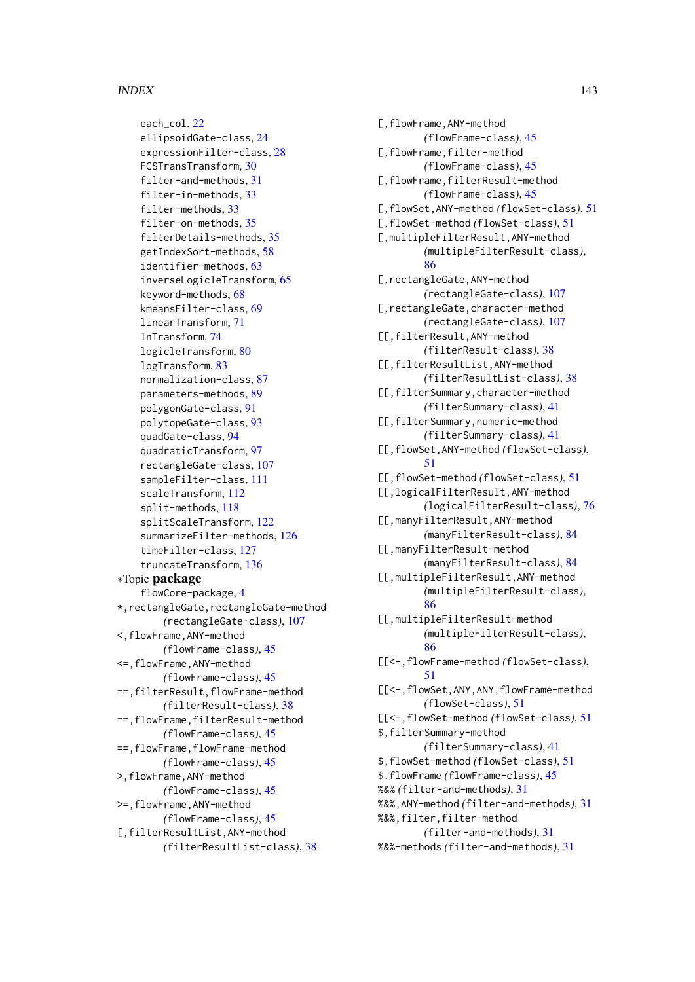## INDEX 143

each col. [22](#page-21-0) ellipsoidGate-class, [24](#page-23-2) expressionFilter-class, [28](#page-27-0) FCSTransTransform, [30](#page-29-0) filter-and-methods, [31](#page-30-1) filter-in-methods, [33](#page-32-1) filter-methods, [33](#page-32-1) filter-on-methods, [35](#page-34-1) filterDetails-methods, [35](#page-34-1) getIndexSort-methods, [58](#page-57-0) identifier-methods, [63](#page-62-0) inverseLogicleTransform, [65](#page-64-1) keyword-methods, [68](#page-67-0) kmeansFilter-class, [69](#page-68-0) linearTransform, [71](#page-70-1) lnTransform, [74](#page-73-1) logicleTransform, [80](#page-79-1) logTransform, [83](#page-82-1) normalization-class, [87](#page-86-0) parameters-methods, [89](#page-88-0) polygonGate-class, [91](#page-90-2) polytopeGate-class, [93](#page-92-2) quadGate-class, [94](#page-93-1) quadraticTransform, [97](#page-96-1) rectangleGate-class, [107](#page-106-1) sampleFilter-class, [111](#page-110-0) scaleTransform, [112](#page-111-1) split-methods, [118](#page-117-1) splitScaleTransform, [122](#page-121-1) summarizeFilter-methods, [126](#page-125-0) timeFilter-class, [127](#page-126-1) truncateTransform, [136](#page-135-1) ∗Topic package flowCore-package, [4](#page-3-0) \*,rectangleGate,rectangleGate-method *(*rectangleGate-class*)*, [107](#page-106-1) <,flowFrame,ANY-method *(*flowFrame-class*)*, [45](#page-44-2) <=,flowFrame,ANY-method *(*flowFrame-class*)*, [45](#page-44-2) ==,filterResult,flowFrame-method *(*filterResult-class*)*, [38](#page-37-2) ==,flowFrame,filterResult-method *(*flowFrame-class*)*, [45](#page-44-2) ==,flowFrame,flowFrame-method *(*flowFrame-class*)*, [45](#page-44-2) >,flowFrame,ANY-method *(*flowFrame-class*)*, [45](#page-44-2) >=,flowFrame,ANY-method *(*flowFrame-class*)*, [45](#page-44-2) [,filterResultList,ANY-method *(*filterResultList-class*)*, [38](#page-37-2)

[,flowFrame,ANY-method *(*flowFrame-class*)*, [45](#page-44-2) [,flowFrame,filter-method *(*flowFrame-class*)*, [45](#page-44-2) [,flowFrame,filterResult-method *(*flowFrame-class*)*, [45](#page-44-2) [,flowSet,ANY-method *(*flowSet-class*)*, [51](#page-50-2) [,flowSet-method *(*flowSet-class*)*, [51](#page-50-2) [,multipleFilterResult,ANY-method *(*multipleFilterResult-class*)*, [86](#page-85-1) [,rectangleGate,ANY-method *(*rectangleGate-class*)*, [107](#page-106-1) [,rectangleGate,character-method *(*rectangleGate-class*)*, [107](#page-106-1) [[,filterResult,ANY-method *(*filterResult-class*)*, [38](#page-37-2) [[,filterResultList,ANY-method *(*filterResultList-class*)*, [38](#page-37-2) [[,filterSummary,character-method *(*filterSummary-class*)*, [41](#page-40-0) [[,filterSummary,numeric-method *(*filterSummary-class*)*, [41](#page-40-0) [[,flowSet,ANY-method *(*flowSet-class*)*, [51](#page-50-2) [[,flowSet-method *(*flowSet-class*)*, [51](#page-50-2) [[,logicalFilterResult,ANY-method *(*logicalFilterResult-class*)*, [76](#page-75-1) [[,manyFilterResult,ANY-method *(*manyFilterResult-class*)*, [84](#page-83-1) [[,manyFilterResult-method *(*manyFilterResult-class*)*, [84](#page-83-1) [[,multipleFilterResult,ANY-method *(*multipleFilterResult-class*)*, [86](#page-85-1) [[,multipleFilterResult-method *(*multipleFilterResult-class*)*, [86](#page-85-1) [[<-,flowFrame-method *(*flowSet-class*)*, [51](#page-50-2) [[<-,flowSet,ANY,ANY,flowFrame-method *(*flowSet-class*)*, [51](#page-50-2) [[<-,flowSet-method *(*flowSet-class*)*, [51](#page-50-2) \$,filterSummary-method *(*filterSummary-class*)*, [41](#page-40-0) \$,flowSet-method *(*flowSet-class*)*, [51](#page-50-2) \$.flowFrame *(*flowFrame-class*)*, [45](#page-44-2) %&% *(*filter-and-methods*)*, [31](#page-30-1) %&%,ANY-method *(*filter-and-methods*)*, [31](#page-30-1) %&%,filter,filter-method *(*filter-and-methods*)*, [31](#page-30-1) %&%-methods *(*filter-and-methods*)*, [31](#page-30-1)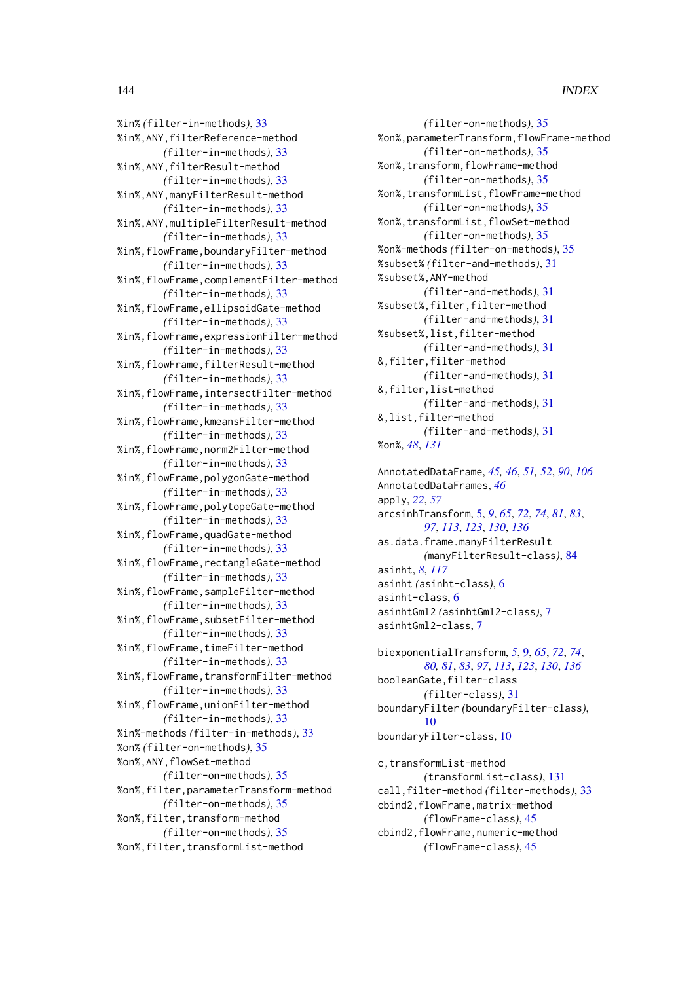#### 144 INDEX

%in% *(*filter-in-methods*)*, [33](#page-32-1) %in%,ANY,filterReference-method *(*filter-in-methods*)*, [33](#page-32-1) %in%,ANY,filterResult-method *(*filter-in-methods*)*, [33](#page-32-1) %in%,ANY,manyFilterResult-method *(*filter-in-methods*)*, [33](#page-32-1) %in%,ANY,multipleFilterResult-method *(*filter-in-methods*)*, [33](#page-32-1) %in%,flowFrame,boundaryFilter-method *(*filter-in-methods*)*, [33](#page-32-1) %in%,flowFrame,complementFilter-method *(*filter-in-methods*)*, [33](#page-32-1) %in%,flowFrame,ellipsoidGate-method *(*filter-in-methods*)*, [33](#page-32-1) %in%,flowFrame,expressionFilter-method *(*filter-in-methods*)*, [33](#page-32-1) %in%,flowFrame,filterResult-method *(*filter-in-methods*)*, [33](#page-32-1) %in%,flowFrame,intersectFilter-method *(*filter-in-methods*)*, [33](#page-32-1) %in%,flowFrame,kmeansFilter-method *(*filter-in-methods*)*, [33](#page-32-1) %in%,flowFrame,norm2Filter-method *(*filter-in-methods*)*, [33](#page-32-1) %in%,flowFrame,polygonGate-method *(*filter-in-methods*)*, [33](#page-32-1) %in%,flowFrame,polytopeGate-method *(*filter-in-methods*)*, [33](#page-32-1) %in%,flowFrame,quadGate-method *(*filter-in-methods*)*, [33](#page-32-1) %in%,flowFrame,rectangleGate-method *(*filter-in-methods*)*, [33](#page-32-1) %in%,flowFrame,sampleFilter-method *(*filter-in-methods*)*, [33](#page-32-1) %in%,flowFrame,subsetFilter-method *(*filter-in-methods*)*, [33](#page-32-1) %in%,flowFrame,timeFilter-method *(*filter-in-methods*)*, [33](#page-32-1) %in%,flowFrame,transformFilter-method *(*filter-in-methods*)*, [33](#page-32-1) %in%,flowFrame,unionFilter-method *(*filter-in-methods*)*, [33](#page-32-1) %in%-methods *(*filter-in-methods*)*, [33](#page-32-1) %on% *(*filter-on-methods*)*, [35](#page-34-1) %on%,ANY,flowSet-method *(*filter-on-methods*)*, [35](#page-34-1) %on%,filter,parameterTransform-method *(*filter-on-methods*)*, [35](#page-34-1) %on%,filter,transform-method *(*filter-on-methods*)*, [35](#page-34-1) %on%,filter,transformList-method

*(*filter-on-methods*)*, [35](#page-34-1) %on%,parameterTransform,flowFrame-method *(*filter-on-methods*)*, [35](#page-34-1) %on%,transform,flowFrame-method *(*filter-on-methods*)*, [35](#page-34-1) %on%,transformList,flowFrame-method *(*filter-on-methods*)*, [35](#page-34-1) %on%,transformList,flowSet-method *(*filter-on-methods*)*, [35](#page-34-1) %on%-methods *(*filter-on-methods*)*, [35](#page-34-1) %subset% *(*filter-and-methods*)*, [31](#page-30-1) %subset%,ANY-method *(*filter-and-methods*)*, [31](#page-30-1) %subset%,filter,filter-method *(*filter-and-methods*)*, [31](#page-30-1) %subset%,list,filter-method *(*filter-and-methods*)*, [31](#page-30-1) &,filter,filter-method *(*filter-and-methods*)*, [31](#page-30-1) &,filter,list-method *(*filter-and-methods*)*, [31](#page-30-1) &,list,filter-method *(*filter-and-methods*)*, [31](#page-30-1) %on%, *[48](#page-47-0)*, *[131](#page-130-1)* AnnotatedDataFrame, *[45,](#page-44-2) [46](#page-45-0)*, *[51,](#page-50-2) [52](#page-51-0)*, *[90](#page-89-0)*, *[106](#page-105-0)* AnnotatedDataFrames, *[46](#page-45-0)* apply, *[22](#page-21-0)*, *[57](#page-56-1)* arcsinhTransform, [5,](#page-4-1) *[9](#page-8-1)*, *[65](#page-64-1)*, *[72](#page-71-1)*, *[74](#page-73-1)*, *[81](#page-80-1)*, *[83](#page-82-1)*, *[97](#page-96-1)*, *[113](#page-112-1)*, *[123](#page-122-1)*, *[130](#page-129-2)*, *[136](#page-135-1)* as.data.frame.manyFilterResult *(*manyFilterResult-class*)*, [84](#page-83-1) asinht, *[8](#page-7-0)*, *[117](#page-116-1)* asinht *(*asinht-class*)*, [6](#page-5-1) asinht-class, [6](#page-5-1) asinhtGml2 *(*asinhtGml2-class*)*, [7](#page-6-1)

biexponentialTransform, *[5](#page-4-1)*, [9,](#page-8-1) *[65](#page-64-1)*, *[72](#page-71-1)*, *[74](#page-73-1)*, *[80,](#page-79-1) [81](#page-80-1)*, *[83](#page-82-1)*, *[97](#page-96-1)*, *[113](#page-112-1)*, *[123](#page-122-1)*, *[130](#page-129-2)*, *[136](#page-135-1)* booleanGate,filter-class *(*filter-class*)*, [31](#page-30-1) boundaryFilter *(*boundaryFilter-class*)*, [10](#page-9-0) boundaryFilter-class, [10](#page-9-0)

asinhtGml2-class, [7](#page-6-1)

c,transformList-method *(*transformList-class*)*, [131](#page-130-1) call,filter-method *(*filter-methods*)*, [33](#page-32-1) cbind2,flowFrame,matrix-method *(*flowFrame-class*)*, [45](#page-44-2) cbind2, flowFrame, numeric-method *(*flowFrame-class*)*, [45](#page-44-2)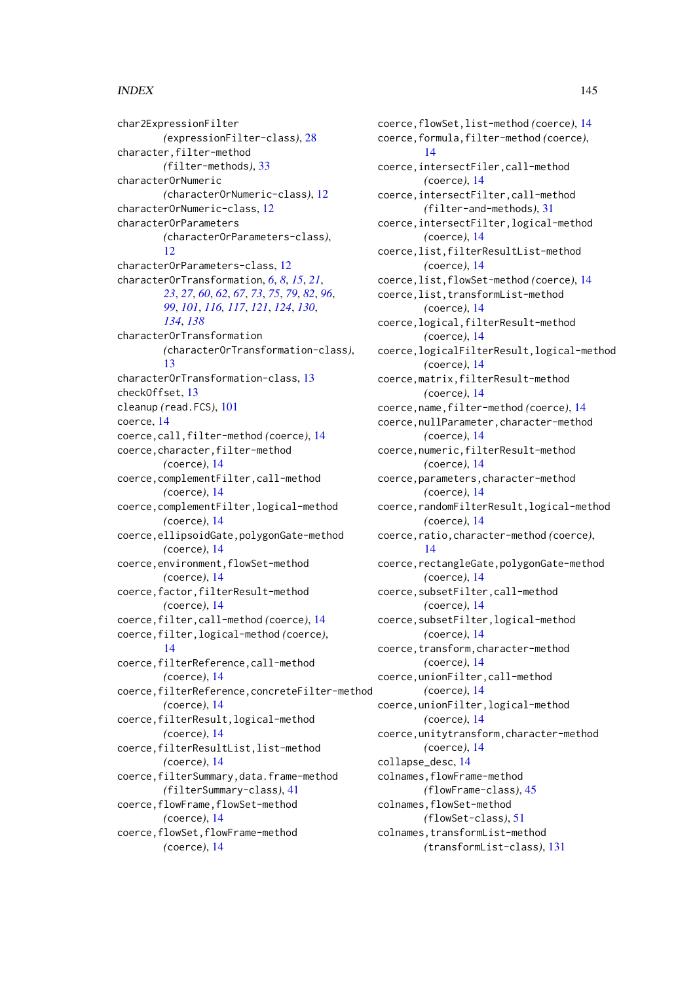char2ExpressionFilter *(*expressionFilter-class*)*, [28](#page-27-0) character, filter-method *(*filter-methods*)*, [33](#page-32-0) characterOrNumeric *(*characterOrNumeric-class*)*, [12](#page-11-0) characterOrNumeric-class, [12](#page-11-0) characterOrParameters *(*characterOrParameters-class*)*, [12](#page-11-0) characterOrParameters-class, [12](#page-11-0) characterOrTransformation, *[6](#page-5-0)*, *[8](#page-7-0)*, *[15](#page-14-0)*, *[21](#page-20-0)*, *[23](#page-22-0)*, *[27](#page-26-0)*, *[60](#page-59-0)*, *[62](#page-61-0)*, *[67](#page-66-0)*, *[73](#page-72-0)*, *[75](#page-74-0)*, *[79](#page-78-0)*, *[82](#page-81-0)*, *[96](#page-95-0)*, *[99](#page-98-0)*, *[101](#page-100-0)*, *[116,](#page-115-0) [117](#page-116-0)*, *[121](#page-120-0)*, *[124](#page-123-0)*, *[130](#page-129-0)*, *[134](#page-133-0)*, *[138](#page-137-0)* characterOrTransformation *(*characterOrTransformation-class*)*, [13](#page-12-0) characterOrTransformation-class, [13](#page-12-0) checkOffset, [13](#page-12-0) cleanup *(*read.FCS*)*, [101](#page-100-0) coerce, [14](#page-13-0) coerce,call,filter-method *(*coerce*)*, [14](#page-13-0) coerce, character, filter-method *(*coerce*)*, [14](#page-13-0) coerce,complementFilter,call-method *(*coerce*)*, [14](#page-13-0) coerce,complementFilter,logical-method *(*coerce*)*, [14](#page-13-0) coerce,ellipsoidGate,polygonGate-method *(*coerce*)*, [14](#page-13-0) coerce,environment,flowSet-method *(*coerce*)*, [14](#page-13-0) coerce,factor,filterResult-method *(*coerce*)*, [14](#page-13-0) coerce,filter,call-method *(*coerce*)*, [14](#page-13-0) coerce,filter,logical-method *(*coerce*)*, [14](#page-13-0) coerce,filterReference,call-method *(*coerce*)*, [14](#page-13-0) coerce,filterReference,concreteFilter-method *(*coerce*)*, [14](#page-13-0) coerce,filterResult,logical-method *(*coerce*)*, [14](#page-13-0) coerce,filterResultList,list-method *(*coerce*)*, [14](#page-13-0) coerce,filterSummary,data.frame-method *(*filterSummary-class*)*, [41](#page-40-0) coerce,flowFrame,flowSet-method *(*coerce*)*, [14](#page-13-0) coerce,flowSet,flowFrame-method *(*coerce*)*, [14](#page-13-0)

coerce,flowSet,list-method *(*coerce*)*, [14](#page-13-0) coerce,formula,filter-method *(*coerce*)*, [14](#page-13-0) coerce,intersectFiler,call-method *(*coerce*)*, [14](#page-13-0) coerce,intersectFilter,call-method *(*filter-and-methods*)*, [31](#page-30-0) coerce,intersectFilter,logical-method *(*coerce*)*, [14](#page-13-0) coerce,list,filterResultList-method *(*coerce*)*, [14](#page-13-0) coerce,list,flowSet-method *(*coerce*)*, [14](#page-13-0) coerce,list,transformList-method *(*coerce*)*, [14](#page-13-0) coerce,logical,filterResult-method *(*coerce*)*, [14](#page-13-0) coerce,logicalFilterResult,logical-method *(*coerce*)*, [14](#page-13-0) coerce,matrix,filterResult-method *(*coerce*)*, [14](#page-13-0) coerce,name,filter-method *(*coerce*)*, [14](#page-13-0) coerce,nullParameter,character-method *(*coerce*)*, [14](#page-13-0) coerce,numeric,filterResult-method *(*coerce*)*, [14](#page-13-0) coerce,parameters,character-method *(*coerce*)*, [14](#page-13-0) coerce,randomFilterResult,logical-method *(*coerce*)*, [14](#page-13-0) coerce,ratio,character-method *(*coerce*)*, [14](#page-13-0) coerce,rectangleGate,polygonGate-method *(*coerce*)*, [14](#page-13-0) coerce,subsetFilter,call-method *(*coerce*)*, [14](#page-13-0) coerce,subsetFilter,logical-method *(*coerce*)*, [14](#page-13-0) coerce,transform,character-method *(*coerce*)*, [14](#page-13-0) coerce,unionFilter,call-method *(*coerce*)*, [14](#page-13-0) coerce,unionFilter,logical-method *(*coerce*)*, [14](#page-13-0) coerce,unitytransform,character-method *(*coerce*)*, [14](#page-13-0) collapse\_desc, [14](#page-13-0) colnames,flowFrame-method *(*flowFrame-class*)*, [45](#page-44-0) colnames, flowSet-method *(*flowSet-class*)*, [51](#page-50-0) colnames,transformList-method *(*transformList-class*)*, [131](#page-130-0)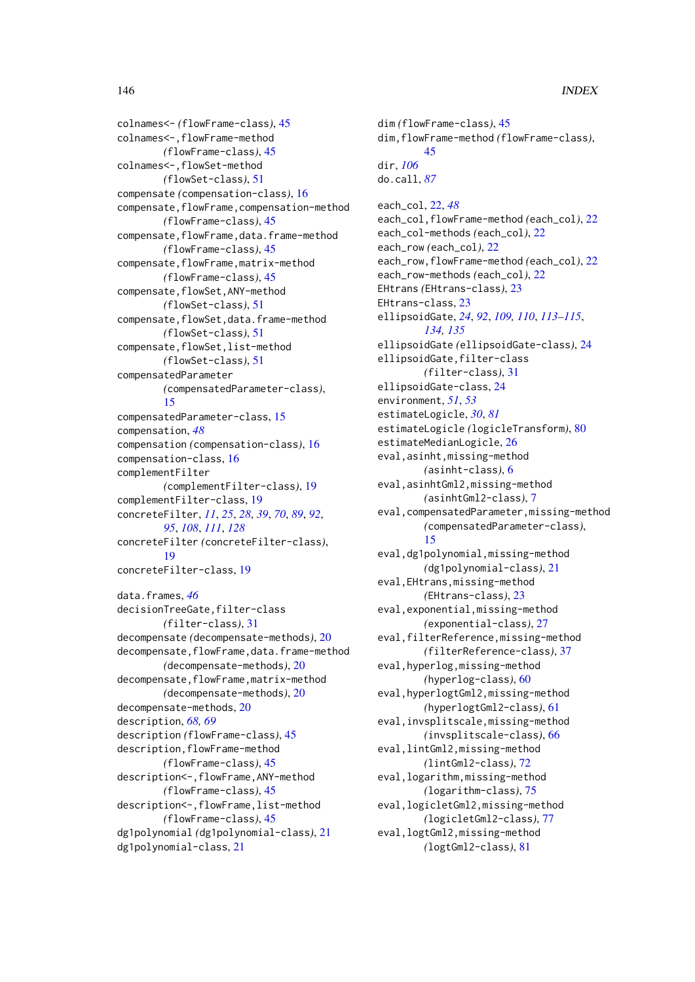colnames<- *(*flowFrame-class*)*, [45](#page-44-0) colnames<-,flowFrame-method *(*flowFrame-class*)*, [45](#page-44-0) colnames<-,flowSet-method *(*flowSet-class*)*, [51](#page-50-0) compensate *(*compensation-class*)*, [16](#page-15-0) compensate,flowFrame,compensation-method *(*flowFrame-class*)*, [45](#page-44-0) compensate,flowFrame,data.frame-method *(*flowFrame-class*)*, [45](#page-44-0) compensate,flowFrame,matrix-method *(*flowFrame-class*)*, [45](#page-44-0) compensate,flowSet,ANY-method *(*flowSet-class*)*, [51](#page-50-0) compensate, flowSet, data.frame-method *(*flowSet-class*)*, [51](#page-50-0) compensate, flowSet, list-method *(*flowSet-class*)*, [51](#page-50-0) compensatedParameter *(*compensatedParameter-class*)*, [15](#page-14-0) compensatedParameter-class, [15](#page-14-0) compensation, *[48](#page-47-0)* compensation *(*compensation-class*)*, [16](#page-15-0) compensation-class, [16](#page-15-0) complementFilter *(*complementFilter-class*)*, [19](#page-18-0) complementFilter-class, [19](#page-18-0) concreteFilter, *[11](#page-10-0)*, *[25](#page-24-0)*, *[28](#page-27-0)*, *[39](#page-38-0)*, *[70](#page-69-0)*, *[89](#page-88-0)*, *[92](#page-91-0)*, *[95](#page-94-0)*, *[108](#page-107-0)*, *[111](#page-110-0)*, *[128](#page-127-0)* concreteFilter *(*concreteFilter-class*)*, [19](#page-18-0) concreteFilter-class, [19](#page-18-0) data.frames, *[46](#page-45-0)* decisionTreeGate,filter-class *(*filter-class*)*, [31](#page-30-0) decompensate *(*decompensate-methods*)*, [20](#page-19-0) decompensate,flowFrame,data.frame-method *(*decompensate-methods*)*, [20](#page-19-0) decompensate,flowFrame,matrix-method *(*decompensate-methods*)*, [20](#page-19-0) decompensate-methods, [20](#page-19-0) description, *[68,](#page-67-0) [69](#page-68-0)* description *(*flowFrame-class*)*, [45](#page-44-0) description, flowFrame-method *(*flowFrame-class*)*, [45](#page-44-0) description<-,flowFrame,ANY-method *(*flowFrame-class*)*, [45](#page-44-0) description<-,flowFrame,list-method *(*flowFrame-class*)*, [45](#page-44-0) dg1polynomial *(*dg1polynomial-class*)*, [21](#page-20-0) dg1polynomial-class, [21](#page-20-0)

dim *(*flowFrame-class*)*, [45](#page-44-0) dim,flowFrame-method *(*flowFrame-class*)*, [45](#page-44-0) dir, *[106](#page-105-0)* do.call, *[87](#page-86-0)* each\_col, [22,](#page-21-0) *[48](#page-47-0)* each\_col,flowFrame-method *(*each\_col*)*, [22](#page-21-0) each\_col-methods *(*each\_col*)*, [22](#page-21-0) each\_row *(*each\_col*)*, [22](#page-21-0) each\_row,flowFrame-method *(*each\_col*)*, [22](#page-21-0) each\_row-methods *(*each\_col*)*, [22](#page-21-0) EHtrans *(*EHtrans-class*)*, [23](#page-22-0) EHtrans-class, [23](#page-22-0) ellipsoidGate, *[24](#page-23-0)*, *[92](#page-91-0)*, *[109,](#page-108-0) [110](#page-109-0)*, *[113](#page-112-0)[–115](#page-114-0)*, *[134,](#page-133-0) [135](#page-134-0)* ellipsoidGate *(*ellipsoidGate-class*)*, [24](#page-23-0) ellipsoidGate,filter-class *(*filter-class*)*, [31](#page-30-0) ellipsoidGate-class, [24](#page-23-0) environment, *[51](#page-50-0)*, *[53](#page-52-0)* estimateLogicle, *[30](#page-29-0)*, *[81](#page-80-0)* estimateLogicle *(*logicleTransform*)*, [80](#page-79-0) estimateMedianLogicle, [26](#page-25-0) eval,asinht,missing-method *(*asinht-class*)*, [6](#page-5-0) eval,asinhtGml2,missing-method *(*asinhtGml2-class*)*, [7](#page-6-0) eval,compensatedParameter,missing-method *(*compensatedParameter-class*)*, [15](#page-14-0) eval,dg1polynomial,missing-method *(*dg1polynomial-class*)*, [21](#page-20-0) eval,EHtrans,missing-method *(*EHtrans-class*)*, [23](#page-22-0) eval,exponential,missing-method *(*exponential-class*)*, [27](#page-26-0) eval,filterReference,missing-method *(*filterReference-class*)*, [37](#page-36-0) eval,hyperlog,missing-method *(*hyperlog-class*)*, [60](#page-59-0) eval,hyperlogtGml2,missing-method *(*hyperlogtGml2-class*)*, [61](#page-60-0) eval,invsplitscale,missing-method *(*invsplitscale-class*)*, [66](#page-65-0) eval,lintGml2,missing-method *(*lintGml2-class*)*, [72](#page-71-0) eval,logarithm,missing-method *(*logarithm-class*)*, [75](#page-74-0) eval,logicletGml2,missing-method *(*logicletGml2-class*)*, [77](#page-76-0) eval,logtGml2,missing-method *(*logtGml2-class*)*, [81](#page-80-0)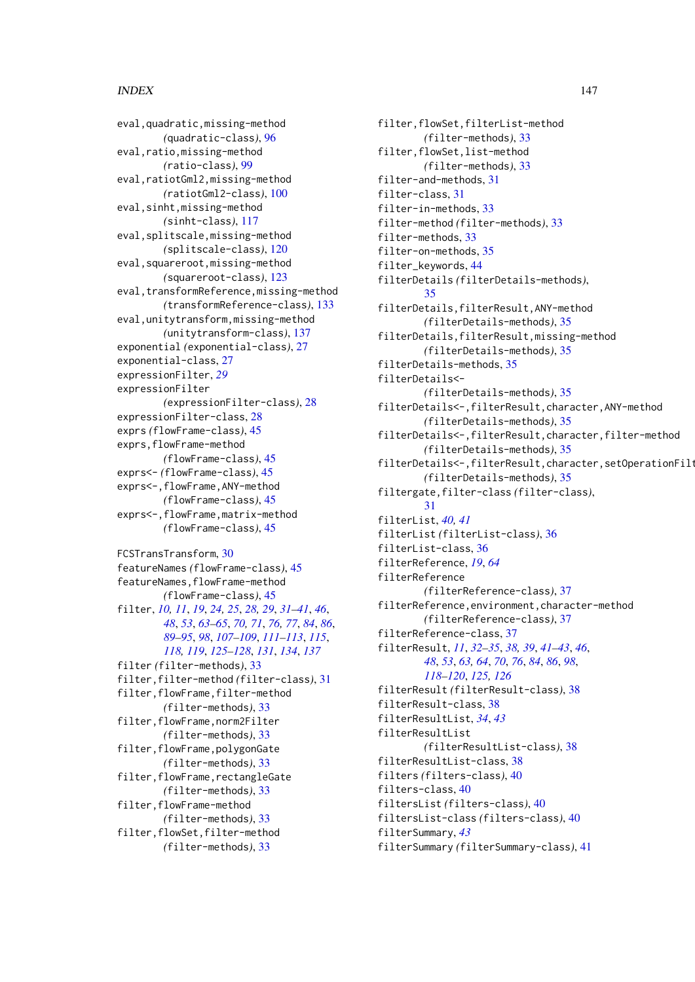```
eval,quadratic,missing-method
        (quadratic-class), 96
eval,ratio,missing-method
        (ratio-class), 99
eval,ratiotGml2,missing-method
        (ratiotGml2-class), 100
eval,sinht,missing-method
        (sinht-class), 117
eval,splitscale,missing-method
        (splitscale-class), 120
eval,squareroot,missing-method
        (squareroot-class), 123
eval, transformReference, missing-method
        (transformReference-class), 133
eval,unitytransform,missing-method
        (unitytransform-class), 137
exponential (exponential-class), 27
exponential-class, 27
expressionFilter, 29
expressionFilter
        (expressionFilter-class), 28
expressionFilter-class, 28
exprs (flowFrame-class), 45
exprs, flowFrame-method
        (flowFrame-class), 45
exprs<- (flowFrame-class), 45
exprs<-,flowFrame,ANY-method
        (flowFrame-class), 45
exprs<-,flowFrame,matrix-method
        (flowFrame-class), 45
FCSTransTransform, 30
featureNames (flowFrame-class), 45
featureNames,flowFrame-method
        (flowFrame-class), 45
filter, 10, 11, 19, 24, 25, 28, 29, 31–41, 46,
        48, 53, 63–65, 70, 71, 76, 77, 84, 86,
        89–95, 98, 107–109, 111–113, 115,
        118, 119, 125–128, 131, 134, 137
filter (filter-methods), 33
filter,filter-method (filter-class), 31
filter,flowFrame,filter-method
        (filter-methods), 33
filter,flowFrame,norm2Filter
        (filter-methods), 33
filter,flowFrame,polygonGate
        (filter-methods), 33
filter, flowFrame, rectangleGate
        (filter-methods), 33
filter,flowFrame-method
        (filter-methods), 33
filter,flowSet,filter-method
        (filter-methods), 33
```
filter,flowSet,filterList-method *(*filter-methods*)*, [33](#page-32-0) filter,flowSet,list-method *(*filter-methods*)*, [33](#page-32-0) filter-and-methods, [31](#page-30-0) filter-class, [31](#page-30-0) filter-in-methods, [33](#page-32-0) filter-method *(*filter-methods*)*, [33](#page-32-0) filter-methods, [33](#page-32-0) filter-on-methods, [35](#page-34-0) filter\_keywords, [44](#page-43-0) filterDetails *(*filterDetails-methods*)*, [35](#page-34-0) filterDetails,filterResult,ANY-method *(*filterDetails-methods*)*, [35](#page-34-0) filterDetails,filterResult,missing-method *(*filterDetails-methods*)*, [35](#page-34-0) filterDetails-methods, [35](#page-34-0) filterDetails<- *(*filterDetails-methods*)*, [35](#page-34-0) filterDetails<-,filterResult,character,ANY-method *(*filterDetails-methods*)*, [35](#page-34-0) filterDetails<-,filterResult,character,filter-method *(*filterDetails-methods*)*, [35](#page-34-0) filterDetails<-,filterResult,character,setOperationFilter-*(*filterDetails-methods*)*, [35](#page-34-0) filtergate,filter-class *(*filter-class*)*, [31](#page-30-0) filterList, *[40,](#page-39-0) [41](#page-40-0)* filterList *(*filterList-class*)*, [36](#page-35-0) filterList-class, [36](#page-35-0) filterReference, *[19](#page-18-0)*, *[64](#page-63-0)* filterReference *(*filterReference-class*)*, [37](#page-36-0) filterReference,environment,character-method *(*filterReference-class*)*, [37](#page-36-0) filterReference-class, [37](#page-36-0) filterResult, *[11](#page-10-0)*, *[32](#page-31-0)[–35](#page-34-0)*, *[38,](#page-37-0) [39](#page-38-0)*, *[41](#page-40-0)[–43](#page-42-0)*, *[46](#page-45-0)*, *[48](#page-47-0)*, *[53](#page-52-0)*, *[63,](#page-62-0) [64](#page-63-0)*, *[70](#page-69-0)*, *[76](#page-75-0)*, *[84](#page-83-0)*, *[86](#page-85-0)*, *[98](#page-97-0)*, *[118](#page-117-0)[–120](#page-119-0)*, *[125,](#page-124-0) [126](#page-125-0)* filterResult *(*filterResult-class*)*, [38](#page-37-0) filterResult-class, [38](#page-37-0) filterResultList, *[34](#page-33-0)*, *[43](#page-42-0)* filterResultList *(*filterResultList-class*)*, [38](#page-37-0) filterResultList-class, [38](#page-37-0) filters *(*filters-class*)*, [40](#page-39-0) filters-class, [40](#page-39-0) filtersList *(*filters-class*)*, [40](#page-39-0) filtersList-class *(*filters-class*)*, [40](#page-39-0) filterSummary, *[43](#page-42-0)* filterSummary *(*filterSummary-class*)*, [41](#page-40-0)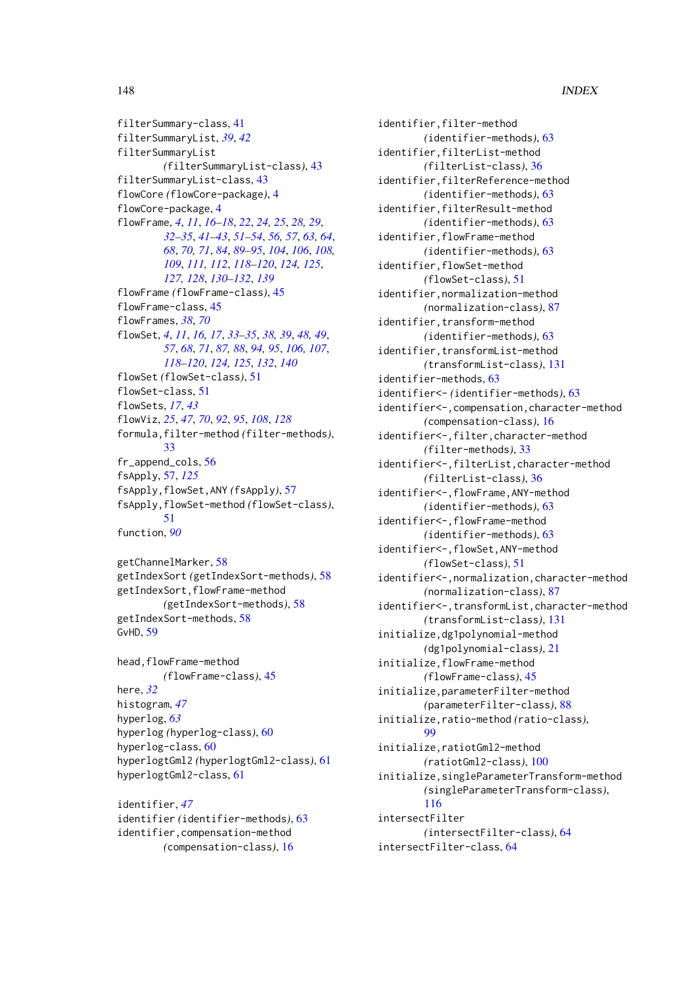filterSummary-class, [41](#page-40-0) filterSummaryList, *[39](#page-38-0)*, *[42](#page-41-0)* filterSummaryList *(*filterSummaryList-class*)*, [43](#page-42-0) filterSummaryList-class, [43](#page-42-0) flowCore *(*flowCore-package*)*, [4](#page-3-0) flowCore-package, [4](#page-3-0) flowFrame, *[4](#page-3-0)*, *[11](#page-10-0)*, *[16](#page-15-0)[–18](#page-17-0)*, *[22](#page-21-0)*, *[24,](#page-23-0) [25](#page-24-0)*, *[28,](#page-27-0) [29](#page-28-0)*, *[32](#page-31-0)[–35](#page-34-0)*, *[41](#page-40-0)[–43](#page-42-0)*, *[51–](#page-50-0)[54](#page-53-0)*, *[56,](#page-55-0) [57](#page-56-0)*, *[63,](#page-62-0) [64](#page-63-0)*, *[68](#page-67-0)*, *[70,](#page-69-0) [71](#page-70-0)*, *[84](#page-83-0)*, *[89–](#page-88-0)[95](#page-94-0)*, *[104](#page-103-0)*, *[106](#page-105-0)*, *[108,](#page-107-0) [109](#page-108-0)*, *[111,](#page-110-0) [112](#page-111-0)*, *[118–](#page-117-0)[120](#page-119-0)*, *[124,](#page-123-0) [125](#page-124-0)*, *[127,](#page-126-0) [128](#page-127-0)*, *[130–](#page-129-0)[132](#page-131-0)*, *[139](#page-138-0)* flowFrame *(*flowFrame-class*)*, [45](#page-44-0) flowFrame-class, [45](#page-44-0) flowFrames, *[38](#page-37-0)*, *[70](#page-69-0)* flowSet, *[4](#page-3-0)*, *[11](#page-10-0)*, *[16,](#page-15-0) [17](#page-16-0)*, *[33–](#page-32-0)[35](#page-34-0)*, *[38,](#page-37-0) [39](#page-38-0)*, *[48,](#page-47-0) [49](#page-48-0)*, *[57](#page-56-0)*, *[68](#page-67-0)*, *[71](#page-70-0)*, *[87,](#page-86-0) [88](#page-87-0)*, *[94,](#page-93-0) [95](#page-94-0)*, *[106,](#page-105-0) [107](#page-106-0)*, *[118](#page-117-0)[–120](#page-119-0)*, *[124,](#page-123-0) [125](#page-124-0)*, *[132](#page-131-0)*, *[140](#page-139-0)* flowSet *(*flowSet-class*)*, [51](#page-50-0) flowSet-class, [51](#page-50-0) flowSets, *[17](#page-16-0)*, *[43](#page-42-0)* flowViz, *[25](#page-24-0)*, *[47](#page-46-0)*, *[70](#page-69-0)*, *[92](#page-91-0)*, *[95](#page-94-0)*, *[108](#page-107-0)*, *[128](#page-127-0)* formula,filter-method *(*filter-methods*)*, [33](#page-32-0) fr\_append\_cols, [56](#page-55-0) fsApply, [57,](#page-56-0) *[125](#page-124-0)* fsApply,flowSet,ANY *(*fsApply*)*, [57](#page-56-0) fsApply,flowSet-method *(*flowSet-class*)*, [51](#page-50-0) function, *[90](#page-89-0)*

getChannelMarker, [58](#page-57-0) getIndexSort *(*getIndexSort-methods*)*, [58](#page-57-0) getIndexSort,flowFrame-method *(*getIndexSort-methods*)*, [58](#page-57-0) getIndexSort-methods, [58](#page-57-0) GvHD, [59](#page-58-0)

head,flowFrame-method *(*flowFrame-class*)*, [45](#page-44-0) here, *[32](#page-31-0)* histogram, *[47](#page-46-0)* hyperlog, *[63](#page-62-0)* hyperlog *(*hyperlog-class*)*, [60](#page-59-0) hyperlog-class, [60](#page-59-0) hyperlogtGml2 *(*hyperlogtGml2-class*)*, [61](#page-60-0) hyperlogtGml2-class, [61](#page-60-0)

identifier, *[47](#page-46-0)* identifier *(*identifier-methods*)*, [63](#page-62-0) identifier,compensation-method *(*compensation-class*)*, [16](#page-15-0)

identifier,filter-method *(*identifier-methods*)*, [63](#page-62-0) identifier,filterList-method *(*filterList-class*)*, [36](#page-35-0) identifier,filterReference-method *(*identifier-methods*)*, [63](#page-62-0) identifier,filterResult-method *(*identifier-methods*)*, [63](#page-62-0) identifier,flowFrame-method *(*identifier-methods*)*, [63](#page-62-0) identifier,flowSet-method *(*flowSet-class*)*, [51](#page-50-0) identifier,normalization-method *(*normalization-class*)*, [87](#page-86-0) identifier,transform-method *(*identifier-methods*)*, [63](#page-62-0) identifier,transformList-method *(*transformList-class*)*, [131](#page-130-0) identifier-methods, [63](#page-62-0) identifier<- *(*identifier-methods*)*, [63](#page-62-0) identifier<-,compensation,character-method *(*compensation-class*)*, [16](#page-15-0) identifier<-,filter,character-method *(*filter-methods*)*, [33](#page-32-0) identifier<-,filterList,character-method *(*filterList-class*)*, [36](#page-35-0) identifier<-,flowFrame,ANY-method *(*identifier-methods*)*, [63](#page-62-0) identifier<-,flowFrame-method *(*identifier-methods*)*, [63](#page-62-0) identifier<-,flowSet,ANY-method *(*flowSet-class*)*, [51](#page-50-0) identifier<-,normalization,character-method *(*normalization-class*)*, [87](#page-86-0) identifier<-,transformList,character-method *(*transformList-class*)*, [131](#page-130-0) initialize,dg1polynomial-method *(*dg1polynomial-class*)*, [21](#page-20-0) initialize, flowFrame-method *(*flowFrame-class*)*, [45](#page-44-0) initialize,parameterFilter-method *(*parameterFilter-class*)*, [88](#page-87-0) initialize,ratio-method *(*ratio-class*)*, [99](#page-98-0) initialize,ratiotGml2-method *(*ratiotGml2-class*)*, [100](#page-99-0) initialize,singleParameterTransform-method *(*singleParameterTransform-class*)*, [116](#page-115-0) intersectFilter *(*intersectFilter-class*)*, [64](#page-63-0) intersectFilter-class, [64](#page-63-0)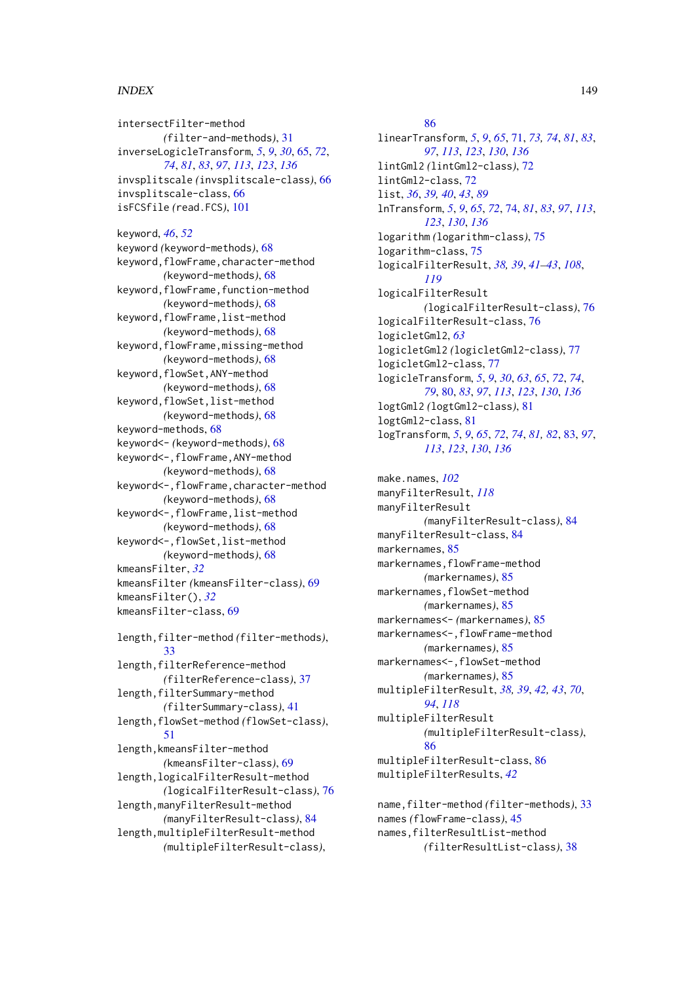#### INDEX 2008 2012 149

intersectFilter-method *(*filter-and-methods*)*, [31](#page-30-0) inverseLogicleTransform, *[5](#page-4-0)*, *[9](#page-8-0)*, *[30](#page-29-0)*, [65,](#page-64-0) *[72](#page-71-0)*, *[74](#page-73-0)*, *[81](#page-80-0)*, *[83](#page-82-0)*, *[97](#page-96-0)*, *[113](#page-112-0)*, *[123](#page-122-0)*, *[136](#page-135-0)* invsplitscale *(*invsplitscale-class*)*, [66](#page-65-0) invsplitscale-class, [66](#page-65-0) isFCSfile *(*read.FCS*)*, [101](#page-100-0)

keyword, *[46](#page-45-0)*, *[52](#page-51-0)* keyword *(*keyword-methods*)*, [68](#page-67-0) keyword,flowFrame,character-method *(*keyword-methods*)*, [68](#page-67-0) keyword,flowFrame,function-method *(*keyword-methods*)*, [68](#page-67-0) keyword,flowFrame,list-method *(*keyword-methods*)*, [68](#page-67-0) keyword,flowFrame,missing-method *(*keyword-methods*)*, [68](#page-67-0) keyword,flowSet,ANY-method *(*keyword-methods*)*, [68](#page-67-0) keyword,flowSet,list-method *(*keyword-methods*)*, [68](#page-67-0) keyword-methods, [68](#page-67-0) keyword<- *(*keyword-methods*)*, [68](#page-67-0) keyword<-,flowFrame,ANY-method *(*keyword-methods*)*, [68](#page-67-0) keyword<-,flowFrame,character-method *(*keyword-methods*)*, [68](#page-67-0) keyword<-,flowFrame,list-method *(*keyword-methods*)*, [68](#page-67-0) keyword<-,flowSet,list-method *(*keyword-methods*)*, [68](#page-67-0) kmeansFilter, *[32](#page-31-0)* kmeansFilter *(*kmeansFilter-class*)*, [69](#page-68-0) kmeansFilter(), *[32](#page-31-0)* kmeansFilter-class, [69](#page-68-0) length,filter-method *(*filter-methods*)*,

[33](#page-32-0) length, filterReference-method *(*filterReference-class*)*, [37](#page-36-0) length,filterSummary-method *(*filterSummary-class*)*, [41](#page-40-0) length,flowSet-method *(*flowSet-class*)*, [51](#page-50-0) length,kmeansFilter-method *(*kmeansFilter-class*)*, [69](#page-68-0) length,logicalFilterResult-method *(*logicalFilterResult-class*)*, [76](#page-75-0) length,manyFilterResult-method *(*manyFilterResult-class*)*, [84](#page-83-0) length,multipleFilterResult-method *(*multipleFilterResult-class*)*,

#### [86](#page-85-0)

linearTransform, *[5](#page-4-0)*, *[9](#page-8-0)*, *[65](#page-64-0)*, [71,](#page-70-0) *[73,](#page-72-0) [74](#page-73-0)*, *[81](#page-80-0)*, *[83](#page-82-0)*, *[97](#page-96-0)*, *[113](#page-112-0)*, *[123](#page-122-0)*, *[130](#page-129-0)*, *[136](#page-135-0)* lintGml2 *(*lintGml2-class*)*, [72](#page-71-0) lintGml2-class, [72](#page-71-0) list, *[36](#page-35-0)*, *[39,](#page-38-0) [40](#page-39-0)*, *[43](#page-42-0)*, *[89](#page-88-0)* lnTransform, *[5](#page-4-0)*, *[9](#page-8-0)*, *[65](#page-64-0)*, *[72](#page-71-0)*, [74,](#page-73-0) *[81](#page-80-0)*, *[83](#page-82-0)*, *[97](#page-96-0)*, *[113](#page-112-0)*, *[123](#page-122-0)*, *[130](#page-129-0)*, *[136](#page-135-0)* logarithm *(*logarithm-class*)*, [75](#page-74-0) logarithm-class, [75](#page-74-0) logicalFilterResult, *[38,](#page-37-0) [39](#page-38-0)*, *[41](#page-40-0)[–43](#page-42-0)*, *[108](#page-107-0)*, *[119](#page-118-0)* logicalFilterResult *(*logicalFilterResult-class*)*, [76](#page-75-0) logicalFilterResult-class, [76](#page-75-0) logicletGml2, *[63](#page-62-0)* logicletGml2 *(*logicletGml2-class*)*, [77](#page-76-0) logicletGml2-class, [77](#page-76-0) logicleTransform, *[5](#page-4-0)*, *[9](#page-8-0)*, *[30](#page-29-0)*, *[63](#page-62-0)*, *[65](#page-64-0)*, *[72](#page-71-0)*, *[74](#page-73-0)*, *[79](#page-78-0)*, [80,](#page-79-0) *[83](#page-82-0)*, *[97](#page-96-0)*, *[113](#page-112-0)*, *[123](#page-122-0)*, *[130](#page-129-0)*, *[136](#page-135-0)* logtGml2 *(*logtGml2-class*)*, [81](#page-80-0) logtGml2-class, [81](#page-80-0) logTransform, *[5](#page-4-0)*, *[9](#page-8-0)*, *[65](#page-64-0)*, *[72](#page-71-0)*, *[74](#page-73-0)*, *[81,](#page-80-0) [82](#page-81-0)*, [83,](#page-82-0) *[97](#page-96-0)*, *[113](#page-112-0)*, *[123](#page-122-0)*, *[130](#page-129-0)*, *[136](#page-135-0)*

make.names, *[102](#page-101-0)* manyFilterResult, *[118](#page-117-0)* manyFilterResult *(*manyFilterResult-class*)*, [84](#page-83-0) manyFilterResult-class, [84](#page-83-0) markernames, [85](#page-84-0) markernames, flowFrame-method *(*markernames*)*, [85](#page-84-0) markernames, flowSet-method *(*markernames*)*, [85](#page-84-0) markernames<- *(*markernames*)*, [85](#page-84-0) markernames<-,flowFrame-method *(*markernames*)*, [85](#page-84-0) markernames<-,flowSet-method *(*markernames*)*, [85](#page-84-0) multipleFilterResult, *[38,](#page-37-0) [39](#page-38-0)*, *[42,](#page-41-0) [43](#page-42-0)*, *[70](#page-69-0)*, *[94](#page-93-0)*, *[118](#page-117-0)* multipleFilterResult *(*multipleFilterResult-class*)*, [86](#page-85-0) multipleFilterResult-class, [86](#page-85-0) multipleFilterResults, *[42](#page-41-0)* name,filter-method *(*filter-methods*)*, [33](#page-32-0)

names *(*flowFrame-class*)*, [45](#page-44-0) names,filterResultList-method *(*filterResultList-class*)*, [38](#page-37-0)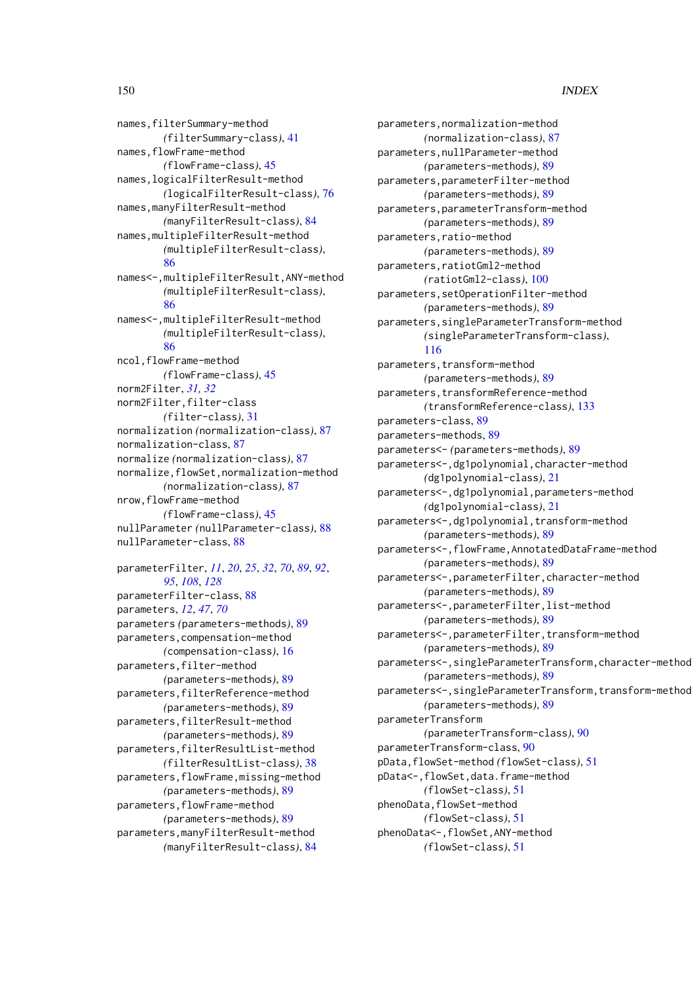names,filterSummary-method *(*filterSummary-class*)*, [41](#page-40-0) names,flowFrame-method *(*flowFrame-class*)*, [45](#page-44-0) names,logicalFilterResult-method *(*logicalFilterResult-class*)*, [76](#page-75-0) names,manyFilterResult-method *(*manyFilterResult-class*)*, [84](#page-83-0) names,multipleFilterResult-method *(*multipleFilterResult-class*)*, [86](#page-85-0) names<-,multipleFilterResult,ANY-method *(*multipleFilterResult-class*)*, [86](#page-85-0) names<-,multipleFilterResult-method *(*multipleFilterResult-class*)*, [86](#page-85-0) ncol,flowFrame-method *(*flowFrame-class*)*, [45](#page-44-0) norm2Filter, *[31,](#page-30-0) [32](#page-31-0)* norm2Filter,filter-class *(*filter-class*)*, [31](#page-30-0) normalization *(*normalization-class*)*, [87](#page-86-0) normalization-class, [87](#page-86-0) normalize *(*normalization-class*)*, [87](#page-86-0) normalize,flowSet,normalization-method *(*normalization-class*)*, [87](#page-86-0) nrow,flowFrame-method *(*flowFrame-class*)*, [45](#page-44-0) nullParameter *(*nullParameter-class*)*, [88](#page-87-0) nullParameter-class, [88](#page-87-0)

parameterFilter, *[11](#page-10-0)*, *[20](#page-19-0)*, *[25](#page-24-0)*, *[32](#page-31-0)*, *[70](#page-69-0)*, *[89](#page-88-0)*, *[92](#page-91-0)*, *[95](#page-94-0)*, *[108](#page-107-0)*, *[128](#page-127-0)* parameterFilter-class, [88](#page-87-0) parameters, *[12](#page-11-0)*, *[47](#page-46-0)*, *[70](#page-69-0)* parameters *(*parameters-methods*)*, [89](#page-88-0) parameters,compensation-method *(*compensation-class*)*, [16](#page-15-0) parameters, filter-method *(*parameters-methods*)*, [89](#page-88-0) parameters, filterReference-method *(*parameters-methods*)*, [89](#page-88-0) parameters,filterResult-method *(*parameters-methods*)*, [89](#page-88-0) parameters,filterResultList-method *(*filterResultList-class*)*, [38](#page-37-0) parameters,flowFrame,missing-method *(*parameters-methods*)*, [89](#page-88-0) parameters, flowFrame-method *(*parameters-methods*)*, [89](#page-88-0) parameters,manyFilterResult-method *(*manyFilterResult-class*)*, [84](#page-83-0)

parameters,normalization-method *(*normalization-class*)*, [87](#page-86-0) parameters,nullParameter-method *(*parameters-methods*)*, [89](#page-88-0) parameters,parameterFilter-method *(*parameters-methods*)*, [89](#page-88-0) parameters,parameterTransform-method *(*parameters-methods*)*, [89](#page-88-0) parameters,ratio-method *(*parameters-methods*)*, [89](#page-88-0) parameters,ratiotGml2-method *(*ratiotGml2-class*)*, [100](#page-99-0) parameters,setOperationFilter-method *(*parameters-methods*)*, [89](#page-88-0) parameters,singleParameterTransform-method *(*singleParameterTransform-class*)*, [116](#page-115-0) parameters, transform-method *(*parameters-methods*)*, [89](#page-88-0) parameters,transformReference-method *(*transformReference-class*)*, [133](#page-132-0) parameters-class, [89](#page-88-0) parameters-methods, [89](#page-88-0) parameters<- *(*parameters-methods*)*, [89](#page-88-0) parameters<-,dg1polynomial,character-method *(*dg1polynomial-class*)*, [21](#page-20-0) parameters<-,dg1polynomial,parameters-method *(*dg1polynomial-class*)*, [21](#page-20-0) parameters<-,dg1polynomial,transform-method *(*parameters-methods*)*, [89](#page-88-0) parameters<-,flowFrame,AnnotatedDataFrame-method *(*parameters-methods*)*, [89](#page-88-0) parameters<-,parameterFilter,character-method *(*parameters-methods*)*, [89](#page-88-0) parameters<-,parameterFilter,list-method *(*parameters-methods*)*, [89](#page-88-0) parameters<-,parameterFilter,transform-method *(*parameters-methods*)*, [89](#page-88-0) parameters<-,singleParameterTransform,character-method *(*parameters-methods*)*, [89](#page-88-0) parameters<-,singleParameterTransform,transform-method *(*parameters-methods*)*, [89](#page-88-0) parameterTransform *(*parameterTransform-class*)*, [90](#page-89-0) parameterTransform-class, [90](#page-89-0) pData,flowSet-method *(*flowSet-class*)*, [51](#page-50-0) pData<-,flowSet,data.frame-method *(*flowSet-class*)*, [51](#page-50-0) phenoData, flowSet-method *(*flowSet-class*)*, [51](#page-50-0) phenoData<-,flowSet,ANY-method

*(*flowSet-class*)*, [51](#page-50-0)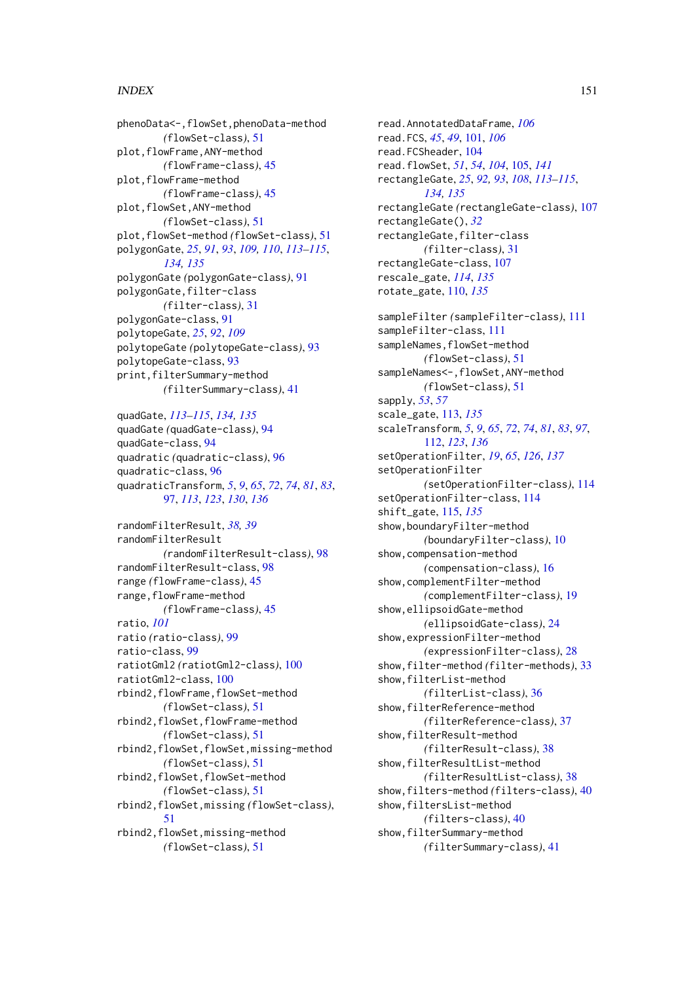phenoData<-,flowSet,phenoData-method *(*flowSet-class*)*, [51](#page-50-0) plot, flowFrame, ANY-method *(*flowFrame-class*)*, [45](#page-44-0) plot,flowFrame-method *(*flowFrame-class*)*, [45](#page-44-0) plot,flowSet,ANY-method *(*flowSet-class*)*, [51](#page-50-0) plot,flowSet-method *(*flowSet-class*)*, [51](#page-50-0) polygonGate, *[25](#page-24-0)*, *[91](#page-90-0)*, *[93](#page-92-0)*, *[109,](#page-108-0) [110](#page-109-0)*, *[113–](#page-112-0)[115](#page-114-0)*, *[134,](#page-133-0) [135](#page-134-0)* polygonGate *(*polygonGate-class*)*, [91](#page-90-0) polygonGate,filter-class *(*filter-class*)*, [31](#page-30-0) polygonGate-class, [91](#page-90-0) polytopeGate, *[25](#page-24-0)*, *[92](#page-91-0)*, *[109](#page-108-0)* polytopeGate *(*polytopeGate-class*)*, [93](#page-92-0) polytopeGate-class, [93](#page-92-0) print,filterSummary-method *(*filterSummary-class*)*, [41](#page-40-0)

```
quadGate, 113–115, 134, 135
quadGate (quadGate-class), 94
quadGate-class, 94
quadratic (quadratic-class), 96
quadratic-class, 96
quadraticTransform, 5, 9, 65, 72, 74, 81, 83,
        97, 113, 123, 130, 136
```

```
randomFilterResult, 38, 39
randomFilterResult
        (randomFilterResult-class), 98
randomFilterResult-class, 98
range (flowFrame-class), 45
range,flowFrame-method
        (flowFrame-class), 45
ratio, 101
ratio (ratio-class), 99
ratio-class, 99
ratiotGml2 (ratiotGml2-class), 100
ratiotGml2-class, 100
rbind2,flowFrame,flowSet-method
        (flowSet-class), 51
rbind2,flowSet,flowFrame-method
        (flowSet-class), 51
rbind2,flowSet,flowSet,missing-method
        (flowSet-class), 51
rbind2,flowSet,flowSet-method
        (flowSet-class), 51
rbind2,flowSet,missing (flowSet-class),
        51
rbind2,flowSet,missing-method
        (flowSet-class), 51
```
read.AnnotatedDataFrame, *[106](#page-105-0)* read.FCS, *[45](#page-44-0)*, *[49](#page-48-0)*, [101,](#page-100-0) *[106](#page-105-0)* read.FCSheader, [104](#page-103-0) read.flowSet, *[51](#page-50-0)*, *[54](#page-53-0)*, *[104](#page-103-0)*, [105,](#page-104-0) *[141](#page-140-0)* rectangleGate, *[25](#page-24-0)*, *[92,](#page-91-0) [93](#page-92-0)*, *[108](#page-107-0)*, *[113](#page-112-0)[–115](#page-114-0)*, *[134,](#page-133-0) [135](#page-134-0)* rectangleGate *(*rectangleGate-class*)*, [107](#page-106-0) rectangleGate(), *[32](#page-31-0)* rectangleGate,filter-class *(*filter-class*)*, [31](#page-30-0) rectangleGate-class, [107](#page-106-0) rescale\_gate, *[114](#page-113-0)*, *[135](#page-134-0)* rotate\_gate, [110,](#page-109-0) *[135](#page-134-0)* sampleFilter *(*sampleFilter-class*)*, [111](#page-110-0) sampleFilter-class, [111](#page-110-0) sampleNames, flowSet-method *(*flowSet-class*)*, [51](#page-50-0) sampleNames<-,flowSet,ANY-method *(*flowSet-class*)*, [51](#page-50-0) sapply, *[53](#page-52-0)*, *[57](#page-56-0)* scale\_gate, [113,](#page-112-0) *[135](#page-134-0)* scaleTransform, *[5](#page-4-0)*, *[9](#page-8-0)*, *[65](#page-64-0)*, *[72](#page-71-0)*, *[74](#page-73-0)*, *[81](#page-80-0)*, *[83](#page-82-0)*, *[97](#page-96-0)*, [112,](#page-111-0) *[123](#page-122-0)*, *[136](#page-135-0)* setOperationFilter, *[19](#page-18-0)*, *[65](#page-64-0)*, *[126](#page-125-0)*, *[137](#page-136-0)* setOperationFilter *(*setOperationFilter-class*)*, [114](#page-113-0) setOperationFilter-class, [114](#page-113-0) shift\_gate, [115,](#page-114-0) *[135](#page-134-0)* show,boundaryFilter-method *(*boundaryFilter-class*)*, [10](#page-9-0) show,compensation-method *(*compensation-class*)*, [16](#page-15-0) show,complementFilter-method *(*complementFilter-class*)*, [19](#page-18-0) show,ellipsoidGate-method *(*ellipsoidGate-class*)*, [24](#page-23-0) show,expressionFilter-method *(*expressionFilter-class*)*, [28](#page-27-0) show,filter-method *(*filter-methods*)*, [33](#page-32-0) show,filterList-method *(*filterList-class*)*, [36](#page-35-0) show,filterReference-method *(*filterReference-class*)*, [37](#page-36-0) show,filterResult-method *(*filterResult-class*)*, [38](#page-37-0) show,filterResultList-method *(*filterResultList-class*)*, [38](#page-37-0) show,filters-method *(*filters-class*)*, [40](#page-39-0) show,filtersList-method *(*filters-class*)*, [40](#page-39-0) show,filterSummary-method *(*filterSummary-class*)*, [41](#page-40-0)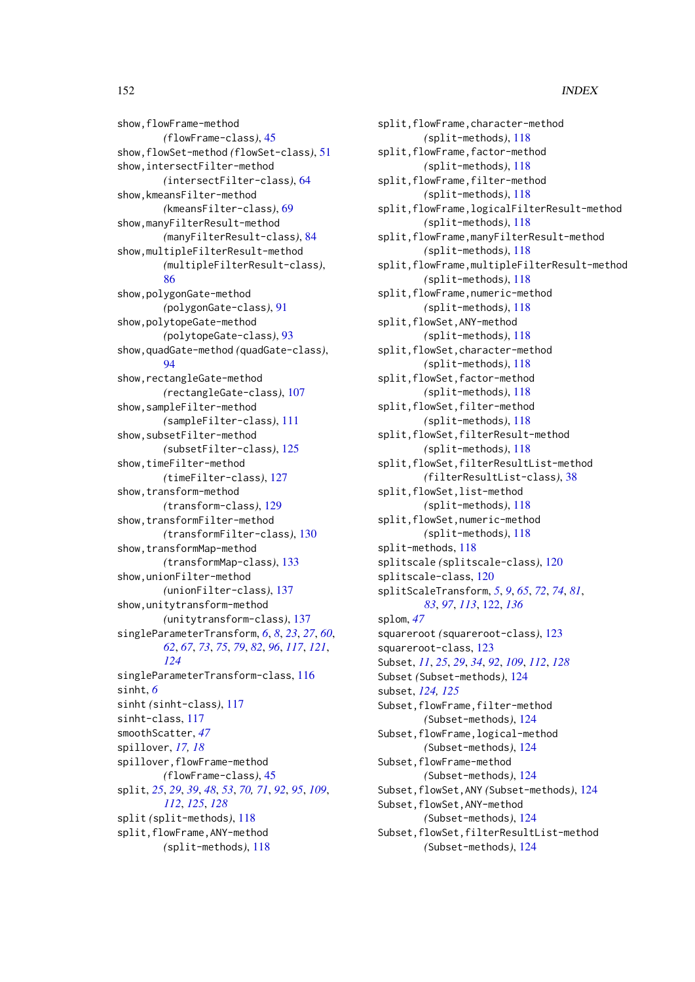show, flowFrame-method *(*flowFrame-class*)*, [45](#page-44-0) show,flowSet-method *(*flowSet-class*)*, [51](#page-50-0) show,intersectFilter-method *(*intersectFilter-class*)*, [64](#page-63-0) show,kmeansFilter-method *(*kmeansFilter-class*)*, [69](#page-68-0) show,manyFilterResult-method *(*manyFilterResult-class*)*, [84](#page-83-0) show,multipleFilterResult-method *(*multipleFilterResult-class*)*, [86](#page-85-0) show,polygonGate-method *(*polygonGate-class*)*, [91](#page-90-0) show,polytopeGate-method *(*polytopeGate-class*)*, [93](#page-92-0) show,quadGate-method *(*quadGate-class*)*, [94](#page-93-0) show,rectangleGate-method *(*rectangleGate-class*)*, [107](#page-106-0) show,sampleFilter-method *(*sampleFilter-class*)*, [111](#page-110-0) show,subsetFilter-method *(*subsetFilter-class*)*, [125](#page-124-0) show,timeFilter-method *(*timeFilter-class*)*, [127](#page-126-0) show,transform-method *(*transform-class*)*, [129](#page-128-0) show,transformFilter-method *(*transformFilter-class*)*, [130](#page-129-0) show,transformMap-method *(*transformMap-class*)*, [133](#page-132-0) show,unionFilter-method *(*unionFilter-class*)*, [137](#page-136-0) show,unitytransform-method *(*unitytransform-class*)*, [137](#page-136-0) singleParameterTransform, *[6](#page-5-0)*, *[8](#page-7-0)*, *[23](#page-22-0)*, *[27](#page-26-0)*, *[60](#page-59-0)*, *[62](#page-61-0)*, *[67](#page-66-0)*, *[73](#page-72-0)*, *[75](#page-74-0)*, *[79](#page-78-0)*, *[82](#page-81-0)*, *[96](#page-95-0)*, *[117](#page-116-0)*, *[121](#page-120-0)*, *[124](#page-123-0)* singleParameterTransform-class, [116](#page-115-0) sinht, *[6](#page-5-0)* sinht *(*sinht-class*)*, [117](#page-116-0) sinht-class, [117](#page-116-0) smoothScatter, *[47](#page-46-0)* spillover, *[17,](#page-16-0) [18](#page-17-0)* spillover,flowFrame-method *(*flowFrame-class*)*, [45](#page-44-0) split, *[25](#page-24-0)*, *[29](#page-28-0)*, *[39](#page-38-0)*, *[48](#page-47-0)*, *[53](#page-52-0)*, *[70,](#page-69-0) [71](#page-70-0)*, *[92](#page-91-0)*, *[95](#page-94-0)*, *[109](#page-108-0)*, *[112](#page-111-0)*, *[125](#page-124-0)*, *[128](#page-127-0)* split *(*split-methods*)*, [118](#page-117-0) split,flowFrame,ANY-method *(*split-methods*)*, [118](#page-117-0)

split,flowFrame,character-method *(*split-methods*)*, [118](#page-117-0) split,flowFrame,factor-method *(*split-methods*)*, [118](#page-117-0) split,flowFrame,filter-method *(*split-methods*)*, [118](#page-117-0) split,flowFrame,logicalFilterResult-method *(*split-methods*)*, [118](#page-117-0) split,flowFrame,manyFilterResult-method *(*split-methods*)*, [118](#page-117-0) split,flowFrame,multipleFilterResult-method *(*split-methods*)*, [118](#page-117-0) split,flowFrame,numeric-method *(*split-methods*)*, [118](#page-117-0) split,flowSet,ANY-method *(*split-methods*)*, [118](#page-117-0) split,flowSet,character-method *(*split-methods*)*, [118](#page-117-0) split,flowSet,factor-method *(*split-methods*)*, [118](#page-117-0) split,flowSet,filter-method *(*split-methods*)*, [118](#page-117-0) split,flowSet,filterResult-method *(*split-methods*)*, [118](#page-117-0) split,flowSet,filterResultList-method *(*filterResultList-class*)*, [38](#page-37-0) split,flowSet,list-method *(*split-methods*)*, [118](#page-117-0) split,flowSet,numeric-method *(*split-methods*)*, [118](#page-117-0) split-methods, [118](#page-117-0) splitscale *(*splitscale-class*)*, [120](#page-119-0) splitscale-class, [120](#page-119-0) splitScaleTransform, *[5](#page-4-0)*, *[9](#page-8-0)*, *[65](#page-64-0)*, *[72](#page-71-0)*, *[74](#page-73-0)*, *[81](#page-80-0)*, *[83](#page-82-0)*, *[97](#page-96-0)*, *[113](#page-112-0)*, [122,](#page-121-0) *[136](#page-135-0)* splom, *[47](#page-46-0)* squareroot *(*squareroot-class*)*, [123](#page-122-0) squareroot-class, [123](#page-122-0) Subset, *[11](#page-10-0)*, *[25](#page-24-0)*, *[29](#page-28-0)*, *[34](#page-33-0)*, *[92](#page-91-0)*, *[109](#page-108-0)*, *[112](#page-111-0)*, *[128](#page-127-0)* Subset *(*Subset-methods*)*, [124](#page-123-0) subset, *[124,](#page-123-0) [125](#page-124-0)* Subset, flowFrame, filter-method *(*Subset-methods*)*, [124](#page-123-0) Subset, flowFrame, logical-method *(*Subset-methods*)*, [124](#page-123-0) Subset, flowFrame-method *(*Subset-methods*)*, [124](#page-123-0) Subset,flowSet,ANY *(*Subset-methods*)*, [124](#page-123-0) Subset, flowSet, ANY-method *(*Subset-methods*)*, [124](#page-123-0) Subset,flowSet,filterResultList-method *(*Subset-methods*)*, [124](#page-123-0)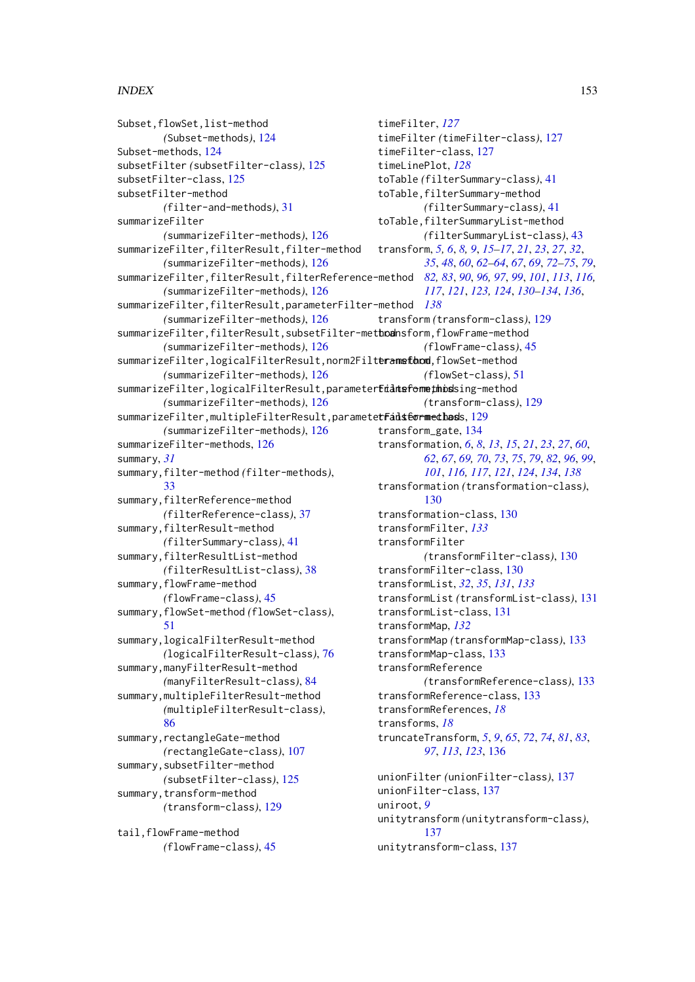Subset,flowSet,list-method *(*Subset-methods*)*, [124](#page-123-0) Subset-methods, [124](#page-123-0) subsetFilter *(*subsetFilter-class*)*, [125](#page-124-0) subsetFilter-class, [125](#page-124-0) subsetFilter-method *(*filter-and-methods*)*, [31](#page-30-0) summarizeFilter *(*summarizeFilter-methods*)*, [126](#page-125-0) summarizeFilter,filterResult,filter-method *(*summarizeFilter-methods*)*, [126](#page-125-0) summarizeFilter,filterResult,filterReference-method *[82,](#page-81-0) [83](#page-82-0)*, *[90](#page-89-0)*, *[96,](#page-95-0) [97](#page-96-0)*, *[99](#page-98-0)*, *[101](#page-100-0)*, *[113](#page-112-0)*, *[116,](#page-115-0) (*summarizeFilter-methods*)*, [126](#page-125-0) summarizeFilter,filterResult,parameterFilter-method *[138](#page-137-0) (*summarizeFilter-methods*)*, [126](#page-125-0) summarizeFilter,filterResult, subsetFilter-methodnsform,flowFrame-method *(*summarizeFilter-methods*)*, [126](#page-125-0) summarizeFilter, logicalFilterResult, norm2Filteramsfood, flowSet-method *(*summarizeFilter-methods*)*, [126](#page-125-0) summarizeFilter, logicalFilterResult, parameter*Eridntsformethidssing-method (*summarizeFilter-methods*)*, [126](#page-125-0) summarizeFilter, multipleFilterResult, parametetFansteormechass, [129](#page-128-0) *(*summarizeFilter-methods*)*, [126](#page-125-0) summarizeFilter-methods, [126](#page-125-0) summary, *[31](#page-30-0)* summary,filter-method *(*filter-methods*)*, [33](#page-32-0) summary, filterReference-method *(*filterReference-class*)*, [37](#page-36-0) summary,filterResult-method *(*filterSummary-class*)*, [41](#page-40-0) summary,filterResultList-method *(*filterResultList-class*)*, [38](#page-37-0) summary, flowFrame-method *(*flowFrame-class*)*, [45](#page-44-0) summary,flowSet-method *(*flowSet-class*)*, [51](#page-50-0) summary,logicalFilterResult-method *(*logicalFilterResult-class*)*, [76](#page-75-0) summary,manyFilterResult-method *(*manyFilterResult-class*)*, [84](#page-83-0) summary,multipleFilterResult-method *(*multipleFilterResult-class*)*, [86](#page-85-0) summary, rectangleGate-method *(*rectangleGate-class*)*, [107](#page-106-0) summary,subsetFilter-method *(*subsetFilter-class*)*, [125](#page-124-0) summary, transform-method *(*transform-class*)*, [129](#page-128-0) tail,flowFrame-method *(*flowFrame-class*)*, [45](#page-44-0) timeFilter, *[127](#page-126-0)* timeFilter *(*timeFilter-class*)*, [127](#page-126-0) timeFilter-class, [127](#page-126-0) timeLinePlot, *[128](#page-127-0)* toTable *(*filterSummary-class*)*, [41](#page-40-0) toTable,filterSummary-method toTable,filterSummaryList-method transform *(*transform-class*)*, [129](#page-128-0) *(*flowFrame-class*)*, [45](#page-44-0) *(*flowSet-class*)*, [51](#page-50-0) transform\_gate, [134](#page-133-0) [130](#page-129-0) transformation-class, [130](#page-129-0) transformFilter, *[133](#page-132-0)* transformFilter transformFilter-class, [130](#page-129-0) transformList, *[32](#page-31-0)*, *[35](#page-34-0)*, *[131](#page-130-0)*, *[133](#page-132-0)* transformList *(*transformList-class*)*, [131](#page-130-0) transformList-class, [131](#page-130-0) transformMap, *[132](#page-131-0)* transformMap *(*transformMap-class*)*, [133](#page-132-0) transformMap-class, [133](#page-132-0) transformReference *(*transformReference-class*)*, [133](#page-132-0) transformReference-class, [133](#page-132-0) transformReferences, *[18](#page-17-0)* transforms, *[18](#page-17-0)* truncateTransform, *[5](#page-4-0)*, *[9](#page-8-0)*, *[65](#page-64-0)*, *[72](#page-71-0)*, *[74](#page-73-0)*, *[81](#page-80-0)*, *[83](#page-82-0)*, *[97](#page-96-0)*, *[113](#page-112-0)*, *[123](#page-122-0)*, [136](#page-135-0) unionFilter *(*unionFilter-class*)*, [137](#page-136-0) unionFilter-class, [137](#page-136-0) uniroot, *[9](#page-8-0)* unitytransform *(*unitytransform-class*)*, [137](#page-136-0) unitytransform-class, [137](#page-136-0)

*(*filterSummary-class*)*, [41](#page-40-0) *(*filterSummaryList-class*)*, [43](#page-42-0) transform, *[5,](#page-4-0) [6](#page-5-0)*, *[8,](#page-7-0) [9](#page-8-0)*, *[15](#page-14-0)[–17](#page-16-0)*, *[21](#page-20-0)*, *[23](#page-22-0)*, *[27](#page-26-0)*, *[32](#page-31-0)*, *[35](#page-34-0)*, *[48](#page-47-0)*, *[60](#page-59-0)*, *[62](#page-61-0)[–64](#page-63-0)*, *[67](#page-66-0)*, *[69](#page-68-0)*, *[72](#page-71-0)[–75](#page-74-0)*, *[79](#page-78-0)*, *[117](#page-116-0)*, *[121](#page-120-0)*, *[123,](#page-122-0) [124](#page-123-0)*, *[130](#page-129-0)[–134](#page-133-0)*, *[136](#page-135-0)*, *(*transform-class*)*, [129](#page-128-0) transformation, *[6](#page-5-0)*, *[8](#page-7-0)*, *[13](#page-12-0)*, *[15](#page-14-0)*, *[21](#page-20-0)*, *[23](#page-22-0)*, *[27](#page-26-0)*, *[60](#page-59-0)*, *[62](#page-61-0)*, *[67](#page-66-0)*, *[69,](#page-68-0) [70](#page-69-0)*, *[73](#page-72-0)*, *[75](#page-74-0)*, *[79](#page-78-0)*, *[82](#page-81-0)*, *[96](#page-95-0)*, *[99](#page-98-0)*, *[101](#page-100-0)*, *[116,](#page-115-0) [117](#page-116-0)*, *[121](#page-120-0)*, *[124](#page-123-0)*, *[134](#page-133-0)*, *[138](#page-137-0)* transformation *(*transformation-class*)*, *(*transformFilter-class*)*, [130](#page-129-0)